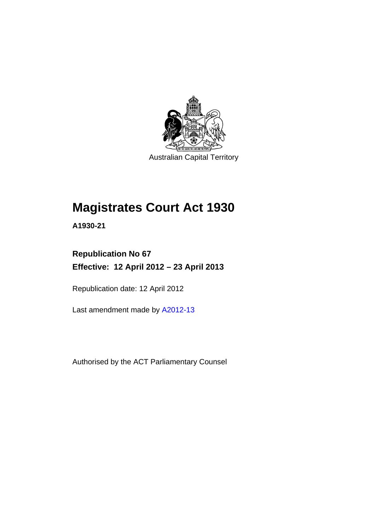

Australian Capital Territory

# **Magistrates Court Act 1930**

**A1930-21** 

### **Republication No 67 Effective: 12 April 2012 – 23 April 2013**

Republication date: 12 April 2012

Last amendment made by [A2012-13](http://www.legislation.act.gov.au/a/2012-13)

Authorised by the ACT Parliamentary Counsel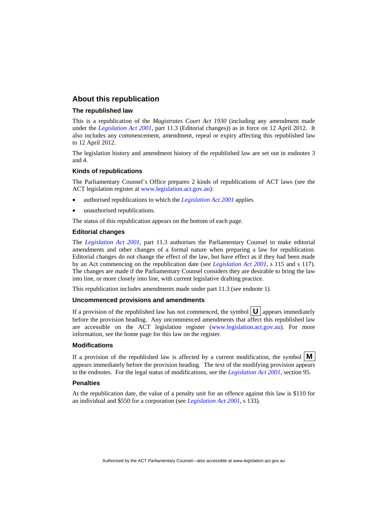#### **About this republication**

#### **The republished law**

This is a republication of the *Magistrates Court Act 1930* (including any amendment made under the *[Legislation Act 2001](http://www.legislation.act.gov.au/a/2001-14)*, part 11.3 (Editorial changes)) as in force on 12 April 2012*.* It also includes any commencement, amendment, repeal or expiry affecting this republished law to 12 April 2012.

The legislation history and amendment history of the republished law are set out in endnotes 3 and 4.

#### **Kinds of republications**

The Parliamentary Counsel's Office prepares 2 kinds of republications of ACT laws (see the ACT legislation register at [www.legislation.act.gov.au](http://www.legislation.act.gov.au/)):

- authorised republications to which the *[Legislation Act 2001](http://www.legislation.act.gov.au/a/2001-14)* applies
- unauthorised republications.

The status of this republication appears on the bottom of each page.

#### **Editorial changes**

The *[Legislation Act 2001](http://www.legislation.act.gov.au/a/2001-14)*, part 11.3 authorises the Parliamentary Counsel to make editorial amendments and other changes of a formal nature when preparing a law for republication. Editorial changes do not change the effect of the law, but have effect as if they had been made by an Act commencing on the republication date (see *[Legislation Act 2001](http://www.legislation.act.gov.au/a/2001-14)*, s 115 and s 117). The changes are made if the Parliamentary Counsel considers they are desirable to bring the law into line, or more closely into line, with current legislative drafting practice.

This republication includes amendments made under part 11.3 (see endnote 1).

#### **Uncommenced provisions and amendments**

If a provision of the republished law has not commenced, the symbol  $\mathbf{U}$  appears immediately before the provision heading. Any uncommenced amendments that affect this republished law are accessible on the ACT legislation register [\(www.legislation.act.gov.au\)](http://www.legislation.act.gov.au/). For more information, see the home page for this law on the register.

#### **Modifications**

If a provision of the republished law is affected by a current modification, the symbol  $\mathbf{M}$ appears immediately before the provision heading. The text of the modifying provision appears in the endnotes. For the legal status of modifications, see the *[Legislation Act 2001](http://www.legislation.act.gov.au/a/2001-14)*, section 95.

#### **Penalties**

At the republication date, the value of a penalty unit for an offence against this law is \$110 for an individual and \$550 for a corporation (see *[Legislation Act 2001](http://www.legislation.act.gov.au/a/2001-14)*, s 133).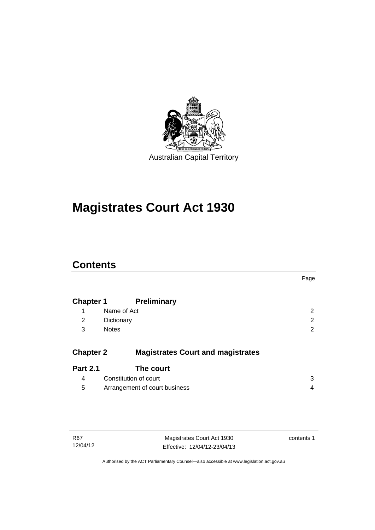

# **Magistrates Court Act 1930**

### **Contents**

|                  |                                          | Page           |
|------------------|------------------------------------------|----------------|
| <b>Chapter 1</b> | <b>Preliminary</b>                       |                |
| 1                | Name of Act                              | $\overline{2}$ |
| 2                | Dictionary                               | 2              |
| 3                | <b>Notes</b>                             | 2              |
|                  |                                          |                |
| <b>Chapter 2</b> | <b>Magistrates Court and magistrates</b> |                |
| <b>Part 2.1</b>  | The court                                |                |
| 4                | Constitution of court                    | 3              |
| 5                | Arrangement of court business            | 4              |
|                  |                                          |                |

Magistrates Court Act 1930 Effective: 12/04/12-23/04/13 contents 1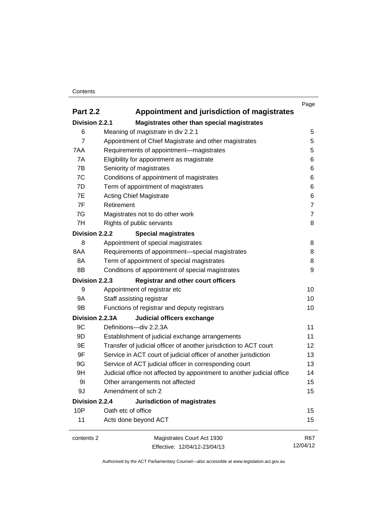#### **Contents**

|                                                             |                                                                        | Page           |
|-------------------------------------------------------------|------------------------------------------------------------------------|----------------|
| <b>Part 2.2</b>                                             | Appointment and jurisdiction of magistrates                            |                |
| Division 2.2.1                                              | Magistrates other than special magistrates                             |                |
| 6                                                           | Meaning of <i>magistrate</i> in div 2.2.1                              | 5              |
| 7                                                           | Appointment of Chief Magistrate and other magistrates                  | 5              |
| 7AA                                                         | Requirements of appointment-magistrates                                | 5              |
| 7A                                                          | Eligibility for appointment as magistrate                              | 6              |
| 7B                                                          | Seniority of magistrates                                               | 6              |
| 7C                                                          | Conditions of appointment of magistrates                               | 6              |
| 7D                                                          | Term of appointment of magistrates                                     | 6              |
| 7E                                                          | <b>Acting Chief Magistrate</b>                                         | 6              |
| 7F                                                          | Retirement                                                             | $\overline{7}$ |
| 7G                                                          | Magistrates not to do other work                                       | $\overline{7}$ |
| 7H                                                          | Rights of public servants                                              | 8              |
| Division 2.2.2                                              | <b>Special magistrates</b>                                             |                |
| 8                                                           | Appointment of special magistrates                                     | 8              |
| 8AA                                                         | Requirements of appointment-special magistrates                        | 8              |
| 8A                                                          | Term of appointment of special magistrates                             | 8              |
| 8B                                                          | Conditions of appointment of special magistrates                       | 9              |
| Division 2.2.3<br><b>Registrar and other court officers</b> |                                                                        |                |
| 9                                                           | Appointment of registrar etc                                           | 10             |
| <b>9A</b>                                                   | Staff assisting registrar                                              | 10             |
| 9B                                                          | Functions of registrar and deputy registrars                           | 10             |
| Division 2.2.3A                                             | Judicial officers exchange                                             |                |
| 9C                                                          | Definitions-div 2.2.3A                                                 | 11             |
| 9D                                                          | Establishment of judicial exchange arrangements                        | 11             |
| 9E                                                          | Transfer of judicial officer of another jurisdiction to ACT court      | 12             |
| 9F                                                          | Service in ACT court of judicial officer of another jurisdiction       | 13             |
| 9G                                                          | Service of ACT judicial officer in corresponding court                 | 13             |
| 9H                                                          | Judicial office not affected by appointment to another judicial office | 14             |
| 9 <sub>l</sub>                                              | Other arrangements not affected                                        | 15             |
| 9J                                                          | Amendment of sch 2                                                     | 15             |
| Division 2.2.4                                              | <b>Jurisdiction of magistrates</b>                                     |                |
| 10P                                                         | Oath etc of office                                                     | 15             |
| 11                                                          | Acts done beyond ACT                                                   | 15             |
| contents 2                                                  | Magistrates Court Act 1930                                             | R67            |
|                                                             | Effective: 12/04/12-23/04/13                                           | 12/04/12       |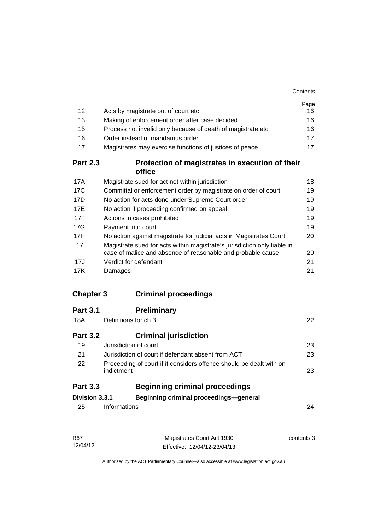| 12               |                                                                                                                                         | Page<br>16 |
|------------------|-----------------------------------------------------------------------------------------------------------------------------------------|------------|
| 13               | Acts by magistrate out of court etc<br>Making of enforcement order after case decided                                                   | 16         |
| 15               | Process not invalid only because of death of magistrate etc                                                                             | 16         |
| 16               | Order instead of mandamus order                                                                                                         | 17         |
| 17               | Magistrates may exercise functions of justices of peace                                                                                 | 17         |
| <b>Part 2.3</b>  | Protection of magistrates in execution of their                                                                                         |            |
|                  | office                                                                                                                                  |            |
| 17A              | Magistrate sued for act not within jurisdiction                                                                                         | 18         |
| 17C              | Committal or enforcement order by magistrate on order of court                                                                          | 19         |
| 17D              | No action for acts done under Supreme Court order                                                                                       | 19         |
| 17E              | No action if proceeding confirmed on appeal                                                                                             | 19         |
| 17F              | Actions in cases prohibited                                                                                                             | 19         |
| 17G              | Payment into court                                                                                                                      | 19         |
| 17H              | No action against magistrate for judicial acts in Magistrates Court                                                                     | 20         |
| 17 <sup>1</sup>  | Magistrate sued for acts within magistrate's jurisdiction only liable in<br>case of malice and absence of reasonable and probable cause | 20         |
| 17J              | Verdict for defendant                                                                                                                   | 21         |
| 17K              | Damages                                                                                                                                 | 21         |
|                  |                                                                                                                                         |            |
| <b>Chapter 3</b> | <b>Criminal proceedings</b>                                                                                                             |            |
| <b>Part 3.1</b>  | <b>Preliminary</b>                                                                                                                      |            |
| 18A              | Definitions for ch 3                                                                                                                    | 22         |
| <b>Part 3.2</b>  | <b>Criminal jurisdiction</b>                                                                                                            |            |
| 19               | Jurisdiction of court                                                                                                                   | 23         |
| 21               | Jurisdiction of court if defendant absent from ACT                                                                                      | 23         |
| 22               | Proceeding of court if it considers offence should be dealt with on<br>indictment                                                       | 23         |
| <b>Part 3.3</b>  | <b>Beginning criminal proceedings</b>                                                                                                   |            |
| Division 3.3.1   | Beginning criminal proceedings-general                                                                                                  |            |
| 25               | Informations                                                                                                                            | 24         |
|                  |                                                                                                                                         |            |
|                  |                                                                                                                                         |            |

| R67      | Magistrates Court Act 1930   | contents 3 |
|----------|------------------------------|------------|
| 12/04/12 | Effective: 12/04/12-23/04/13 |            |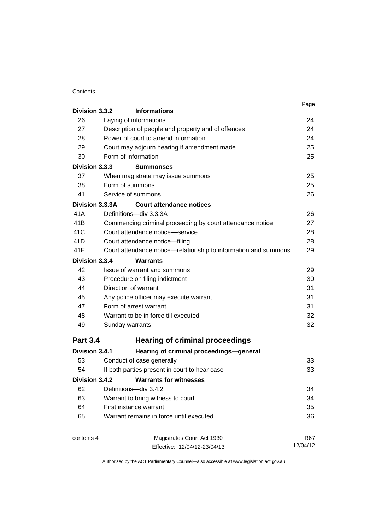#### **Contents**

| Division 3.3.2  | <b>Informations</b>                                                                | Page       |
|-----------------|------------------------------------------------------------------------------------|------------|
| 26              | Laying of informations                                                             | 24         |
| 27              | Description of people and property and of offences                                 | 24         |
| 28              | Power of court to amend information<br>Court may adjourn hearing if amendment made | 24<br>25   |
| 29              |                                                                                    |            |
| 30              | Form of information                                                                | 25         |
| Division 3.3.3  | <b>Summonses</b>                                                                   |            |
| 37              | When magistrate may issue summons                                                  | 25         |
| 38              | Form of summons                                                                    | 25         |
| 41              | Service of summons                                                                 | 26         |
| Division 3.3.3A | <b>Court attendance notices</b>                                                    |            |
| 41 A            | Definitions-div 3.3.3A                                                             | 26         |
| 41B             | Commencing criminal proceeding by court attendance notice                          | 27         |
| 41C             | Court attendance notice-service                                                    | 28         |
| 41D             | Court attendance notice-filing                                                     | 28         |
| 41E             | Court attendance notice—relationship to information and summons                    | 29         |
| Division 3.3.4  | <b>Warrants</b>                                                                    |            |
| 42              | Issue of warrant and summons                                                       | 29         |
| 43              | Procedure on filing indictment                                                     | 30         |
| 44              | Direction of warrant                                                               | 31         |
| 45              | Any police officer may execute warrant                                             | 31         |
| 47              | Form of arrest warrant                                                             | 31         |
| 48              | Warrant to be in force till executed                                               | 32         |
| 49              | Sunday warrants                                                                    | 32         |
| <b>Part 3.4</b> | <b>Hearing of criminal proceedings</b>                                             |            |
| Division 3.4.1  | Hearing of criminal proceedings-general                                            |            |
| 53              | Conduct of case generally                                                          | 33         |
| 54              | If both parties present in court to hear case                                      | 33         |
| Division 3.4.2  | <b>Warrants for witnesses</b>                                                      |            |
| 62              | Definitions-div 3.4.2                                                              | 34         |
| 63              | Warrant to bring witness to court                                                  | 34         |
| 64              | First instance warrant                                                             | 35         |
| 65              | Warrant remains in force until executed                                            | 36         |
| contents 4      | Magistrates Court Act 1930                                                         | <b>R67</b> |
|                 | Effective: 12/04/12-23/04/13                                                       | 12/04/12   |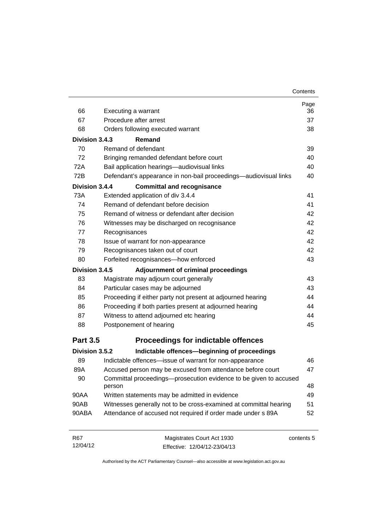| 66              | Executing a warrant                                                         | Page<br>36 |
|-----------------|-----------------------------------------------------------------------------|------------|
| 67              | Procedure after arrest                                                      | 37         |
| 68              | Orders following executed warrant                                           | 38         |
| Division 3.4.3  | Remand                                                                      |            |
| 70              | Remand of defendant                                                         | 39         |
| 72              | Bringing remanded defendant before court                                    | 40         |
| 72A             | Bail application hearings-audiovisual links                                 | 40         |
| 72B             | Defendant's appearance in non-bail proceedings—audiovisual links            | 40         |
| Division 3.4.4  | <b>Committal and recognisance</b>                                           |            |
| 73A             | Extended application of div 3.4.4                                           | 41         |
| 74              | Remand of defendant before decision                                         | 41         |
| 75              | Remand of witness or defendant after decision                               | 42         |
| 76              | Witnesses may be discharged on recognisance                                 | 42         |
| 77              | Recognisances                                                               | 42         |
| 78              | Issue of warrant for non-appearance                                         | 42         |
| 79              | Recognisances taken out of court                                            | 42         |
| 80              | Forfeited recognisances-how enforced                                        | 43         |
| Division 3.4.5  | Adjournment of criminal proceedings                                         |            |
| 83              | Magistrate may adjourn court generally                                      | 43         |
| 84              | Particular cases may be adjourned                                           | 43         |
| 85              | Proceeding if either party not present at adjourned hearing                 | 44         |
| 86              | Proceeding if both parties present at adjourned hearing                     | 44         |
| 87              | Witness to attend adjourned etc hearing                                     | 44         |
| 88              | Postponement of hearing                                                     | 45         |
| <b>Part 3.5</b> | <b>Proceedings for indictable offences</b>                                  |            |
| Division 3.5.2  | Indictable offences-beginning of proceedings                                |            |
| 89              | Indictable offences-issue of warrant for non-appearance                     | 46         |
| 89A             | Accused person may be excused from attendance before court                  | 47         |
| 90              | Committal proceedings-prosecution evidence to be given to accused<br>person | 48         |
| 90AA            | Written statements may be admitted in evidence                              | 49         |
| 90AB            | Witnesses generally not to be cross-examined at committal hearing           | 51         |
| 90ABA           | Attendance of accused not required if order made under s 89A                | 52         |
| R67             | Magistrates Court Act 1930                                                  | contents 5 |

Authorised by the ACT Parliamentary Counsel—also accessible at www.legislation.act.gov.au

Effective: 12/04/12-23/04/13

12/04/12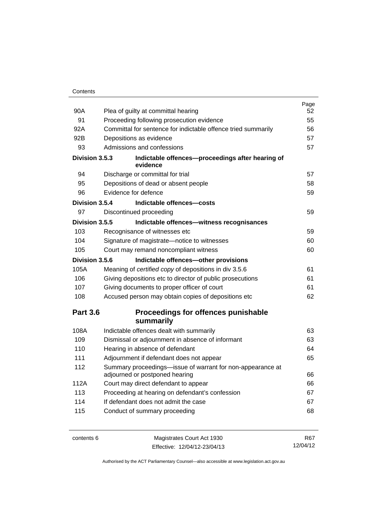| 90A             | Plea of guilty at committal hearing                           | Page<br>52 |
|-----------------|---------------------------------------------------------------|------------|
| 91              | Proceeding following prosecution evidence                     | 55         |
| 92A             | Committal for sentence for indictable offence tried summarily | 56         |
| 92B             | Depositions as evidence                                       | 57         |
| 93              | Admissions and confessions                                    | 57         |
|                 |                                                               |            |
| Division 3.5.3  | Indictable offences-proceedings after hearing of<br>evidence  |            |
| 94              | Discharge or committal for trial                              | 57         |
| 95              | Depositions of dead or absent people                          | 58         |
| 96              | Evidence for defence                                          | 59         |
| Division 3.5.4  | Indictable offences-costs                                     |            |
| 97              | Discontinued proceeding                                       | 59         |
| Division 3.5.5  | Indictable offences-witness recognisances                     |            |
| 103             | Recognisance of witnesses etc                                 | 59         |
| 104             | Signature of magistrate-notice to witnesses                   | 60         |
| 105             | Court may remand noncompliant witness                         | 60         |
| Division 3.5.6  | Indictable offences-other provisions                          |            |
| 105A            | Meaning of certified copy of depositions in div 3.5.6         | 61         |
| 106             | Giving depositions etc to director of public prosecutions     | 61         |
| 107             | Giving documents to proper officer of court                   | 61         |
| 108             | Accused person may obtain copies of depositions etc           | 62         |
| <b>Part 3.6</b> | Proceedings for offences punishable                           |            |
|                 | summarily                                                     |            |
| 108A            | Indictable offences dealt with summarily                      | 63         |
| 109             | Dismissal or adjournment in absence of informant              | 63         |
| 110             | Hearing in absence of defendant                               | 64         |
| 111             | Adjournment if defendant does not appear                      | 65         |
| 112             | Summary proceedings-issue of warrant for non-appearance at    |            |
|                 | adjourned or postponed hearing                                | 66         |
| 112A            | Court may direct defendant to appear                          | 66         |
| 113             | Proceeding at hearing on defendant's confession               | 67         |
| 114             | If defendant does not admit the case                          | 67         |
| 115             | Conduct of summary proceeding                                 | 68         |
|                 |                                                               |            |

contents 6 Magistrates Court Act 1930 Effective: 12/04/12-23/04/13

R67 12/04/12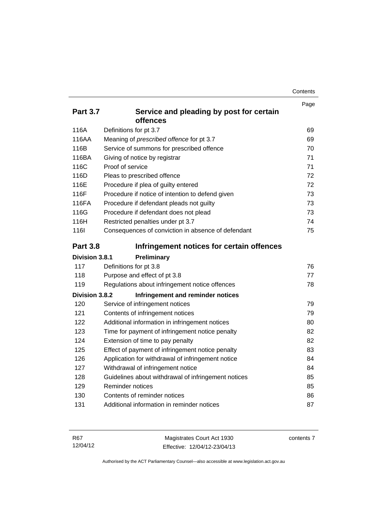| Contents |
|----------|
|----------|

|                 |                                                     | Page |
|-----------------|-----------------------------------------------------|------|
| <b>Part 3.7</b> | Service and pleading by post for certain            |      |
|                 | offences                                            |      |
| 116A            | Definitions for pt 3.7                              | 69   |
| 116AA           | Meaning of prescribed offence for pt 3.7            | 69   |
| 116B            | Service of summons for prescribed offence           | 70   |
| 116BA           | Giving of notice by registrar                       | 71   |
| 116C            | Proof of service                                    | 71   |
| 116D            | Pleas to prescribed offence                         | 72   |
| 116E            | Procedure if plea of guilty entered                 | 72   |
| 116F            | Procedure if notice of intention to defend given    | 73   |
| 116FA           | Procedure if defendant pleads not guilty            | 73   |
| 116G            | Procedure if defendant does not plead               | 73   |
| 116H            | Restricted penalties under pt 3.7                   | 74   |
| 116I            | Consequences of conviction in absence of defendant  | 75   |
| <b>Part 3.8</b> | Infringement notices for certain offences           |      |
| Division 3.8.1  | Preliminary                                         |      |
| 117             | Definitions for pt 3.8                              | 76   |
| 118             | Purpose and effect of pt 3.8                        | 77   |
| 119             | Regulations about infringement notice offences      | 78   |
| Division 3.8.2  | Infringement and reminder notices                   |      |
| 120             | Service of infringement notices                     | 79   |
| 121             | Contents of infringement notices                    | 79   |
| 122             | Additional information in infringement notices      | 80   |
| 123             | Time for payment of infringement notice penalty     | 82   |
| 124             | Extension of time to pay penalty                    | 82   |
| 125             | Effect of payment of infringement notice penalty    | 83   |
| 126             | Application for withdrawal of infringement notice   | 84   |
| 127             | Withdrawal of infringement notice                   | 84   |
| 128             | Guidelines about withdrawal of infringement notices | 85   |
| 129             | Reminder notices                                    | 85   |
| 130             | Contents of reminder notices                        | 86   |
| 131             | Additional information in reminder notices          | 87   |
|                 |                                                     |      |

| R67      | Magistrates Court Act 1930   | contents 7 |
|----------|------------------------------|------------|
| 12/04/12 | Effective: 12/04/12-23/04/13 |            |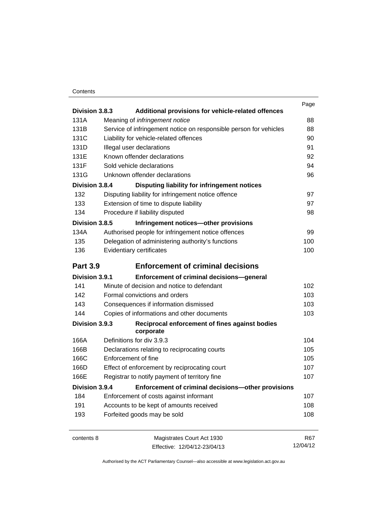#### **Contents**

| Division 3.8.3<br>Additional provisions for vehicle-related offences |                                                                                                                                                                                                      | Page       |
|----------------------------------------------------------------------|------------------------------------------------------------------------------------------------------------------------------------------------------------------------------------------------------|------------|
| 131A                                                                 |                                                                                                                                                                                                      | 88         |
|                                                                      | Meaning of <i>infringement notice</i>                                                                                                                                                                |            |
| 131B                                                                 | Service of infringement notice on responsible person for vehicles<br>Liability for vehicle-related offences<br>Illegal user declarations<br>Known offender declarations<br>Sold vehicle declarations | 88         |
| 131C                                                                 |                                                                                                                                                                                                      | 90         |
| 131D                                                                 |                                                                                                                                                                                                      | 91         |
| 131E                                                                 |                                                                                                                                                                                                      | 92         |
| 131F                                                                 |                                                                                                                                                                                                      | 94         |
| 131G                                                                 | Unknown offender declarations                                                                                                                                                                        | 96         |
| Division 3.8.4                                                       | Disputing liability for infringement notices                                                                                                                                                         |            |
| 132                                                                  | Disputing liability for infringement notice offence                                                                                                                                                  | 97         |
| 133                                                                  | Extension of time to dispute liability                                                                                                                                                               | 97         |
| 134                                                                  | Procedure if liability disputed                                                                                                                                                                      | 98         |
| Division 3.8.5                                                       | Infringement notices-other provisions                                                                                                                                                                |            |
| 134A                                                                 | Authorised people for infringement notice offences                                                                                                                                                   | 99         |
| 135                                                                  | Delegation of administering authority's functions                                                                                                                                                    | 100        |
| 136                                                                  | Evidentiary certificates                                                                                                                                                                             | 100        |
| <b>Part 3.9</b>                                                      | <b>Enforcement of criminal decisions</b>                                                                                                                                                             |            |
| Division 3.9.1                                                       | Enforcement of criminal decisions-general                                                                                                                                                            |            |
| 141                                                                  | Minute of decision and notice to defendant                                                                                                                                                           | 102        |
| 142                                                                  | Formal convictions and orders                                                                                                                                                                        | 103        |
| 143                                                                  | Consequences if information dismissed                                                                                                                                                                | 103        |
| 144                                                                  | Copies of informations and other documents                                                                                                                                                           | 103        |
| Division 3.9.3                                                       | Reciprocal enforcement of fines against bodies<br>corporate                                                                                                                                          |            |
| 166A                                                                 | Definitions for div 3.9.3                                                                                                                                                                            | 104        |
| 166B                                                                 | Declarations relating to reciprocating courts                                                                                                                                                        | 105        |
| 166C                                                                 | Enforcement of fine<br>Effect of enforcement by reciprocating court<br>Registrar to notify payment of territory fine                                                                                 | 105        |
| 166D                                                                 |                                                                                                                                                                                                      | 107        |
| 166E                                                                 |                                                                                                                                                                                                      | 107        |
| Division 3.9.4                                                       | Enforcement of criminal decisions-other provisions                                                                                                                                                   |            |
| 184                                                                  | Enforcement of costs against informant                                                                                                                                                               | 107        |
| 191                                                                  | Accounts to be kept of amounts received                                                                                                                                                              | 108        |
| 193                                                                  | Forfeited goods may be sold                                                                                                                                                                          | 108        |
| contents 8                                                           | Magistrates Court Act 1930                                                                                                                                                                           | <b>R67</b> |
|                                                                      | Effective: 12/04/12-23/04/13                                                                                                                                                                         | 12/04/12   |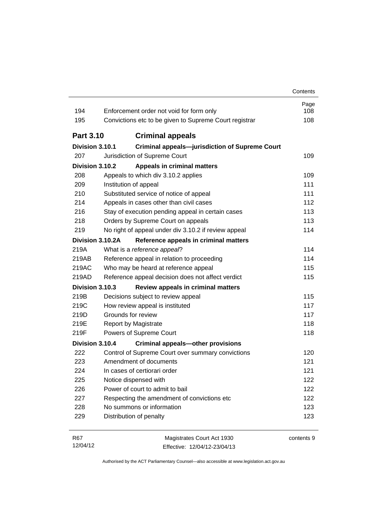| 194              | Enforcement order not void for form only               | Page<br>108 |
|------------------|--------------------------------------------------------|-------------|
| 195              | Convictions etc to be given to Supreme Court registrar | 108         |
| <b>Part 3.10</b> | <b>Criminal appeals</b>                                |             |
| Division 3.10.1  | <b>Criminal appeals-jurisdiction of Supreme Court</b>  |             |
| 207              | Jurisdiction of Supreme Court                          | 109         |
| Division 3.10.2  | <b>Appeals in criminal matters</b>                     |             |
| 208              | Appeals to which div 3.10.2 applies                    | 109         |
| 209              | Institution of appeal                                  | 111         |
| 210              | Substituted service of notice of appeal                | 111         |
| 214              | Appeals in cases other than civil cases                | 112         |
| 216              | Stay of execution pending appeal in certain cases      | 113         |
| 218              | Orders by Supreme Court on appeals                     | 113         |
| 219              | No right of appeal under div 3.10.2 if review appeal   | 114         |
| Division 3.10.2A | Reference appeals in criminal matters                  |             |
| 219A             | What is a reference appeal?                            | 114         |
| 219AB            | Reference appeal in relation to proceeding             | 114         |
| 219AC            | Who may be heard at reference appeal                   | 115         |
| 219AD            | Reference appeal decision does not affect verdict      | 115         |
| Division 3.10.3  | Review appeals in criminal matters                     |             |
| 219B             | Decisions subject to review appeal                     | 115         |
| 219C             | How review appeal is instituted                        | 117         |
| 219D             | Grounds for review                                     | 117         |
| 219E             | Report by Magistrate                                   | 118         |
| 219F             | Powers of Supreme Court                                | 118         |
| Division 3.10.4  | <b>Criminal appeals-other provisions</b>               |             |
| 222              | Control of Supreme Court over summary convictions      | 120         |
| 223              | Amendment of documents                                 | 121         |
| 224              | In cases of certiorari order                           | 121         |
| 225              | Notice dispensed with                                  | 122         |
| 226              | Power of court to admit to bail                        | 122         |
| 227              | Respecting the amendment of convictions etc            | 122         |
| 228              | No summons or information                              | 123         |
|                  | Distribution of penalty                                | 123         |

| R67      | Magistrates Court Act 1930   | contents 9 |
|----------|------------------------------|------------|
| 12/04/12 | Effective: 12/04/12-23/04/13 |            |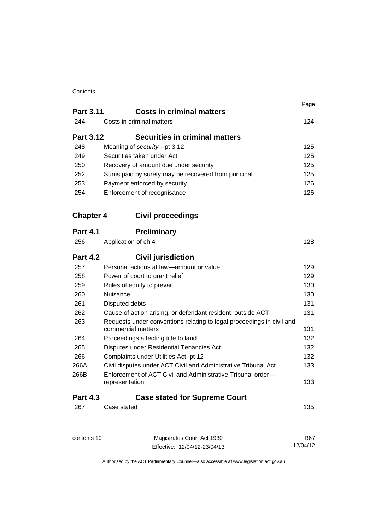#### **Contents**

|                  | <b>Costs in criminal matters</b>                                                            | Page |
|------------------|---------------------------------------------------------------------------------------------|------|
| <b>Part 3.11</b> | Costs in criminal matters                                                                   |      |
| 244              |                                                                                             | 124  |
| <b>Part 3.12</b> | <b>Securities in criminal matters</b>                                                       |      |
| 248              | Meaning of security-pt 3.12                                                                 | 125  |
| 249              | Securities taken under Act                                                                  | 125  |
| 250              | Recovery of amount due under security                                                       | 125  |
| 252              | Sums paid by surety may be recovered from principal                                         | 125  |
| 253              | Payment enforced by security                                                                | 126  |
| 254              | Enforcement of recognisance                                                                 | 126  |
| <b>Chapter 4</b> | <b>Civil proceedings</b>                                                                    |      |
| <b>Part 4.1</b>  | <b>Preliminary</b>                                                                          |      |
| 256              | Application of ch 4                                                                         | 128  |
| <b>Part 4.2</b>  | <b>Civil jurisdiction</b>                                                                   |      |
| 257              | Personal actions at law—amount or value                                                     | 129  |
| 258              | Power of court to grant relief                                                              | 129  |
| 259              | 130<br>Rules of equity to prevail                                                           |      |
| 260              | Nuisance                                                                                    | 130  |
| 261              | Disputed debts                                                                              | 131  |
| 262              | 131<br>Cause of action arising, or defendant resident, outside ACT                          |      |
| 263              | Requests under conventions relating to legal proceedings in civil and<br>commercial matters | 131  |
| 264              | Proceedings affecting title to land                                                         | 132  |
| 265              | Disputes under Residential Tenancies Act                                                    | 132  |
| 266              | Complaints under Utilities Act, pt 12                                                       | 132  |
| 266A             | Civil disputes under ACT Civil and Administrative Tribunal Act                              | 133  |
| 266B             | Enforcement of ACT Civil and Administrative Tribunal order-<br>representation               | 133  |
| <b>Part 4.3</b>  | <b>Case stated for Supreme Court</b>                                                        |      |
| 267              | Case stated                                                                                 | 135  |
|                  |                                                                                             |      |

contents 10 Magistrates Court Act 1930 Effective: 12/04/12-23/04/13 R67 12/04/12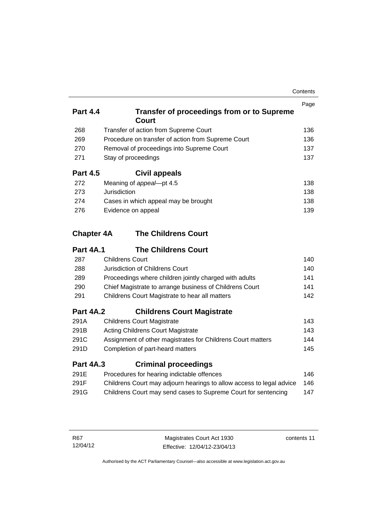| Contents |
|----------|
|----------|

| <b>Part 4.4</b>   | <b>Transfer of proceedings from or to Supreme</b><br>Court           | Page |
|-------------------|----------------------------------------------------------------------|------|
| 268               | Transfer of action from Supreme Court                                | 136  |
| 269               | Procedure on transfer of action from Supreme Court                   | 136  |
| 270               | Removal of proceedings into Supreme Court                            | 137  |
| 271               | Stay of proceedings                                                  | 137  |
| <b>Part 4.5</b>   | Civil appeals                                                        |      |
| 272               | Meaning of appeal-pt 4.5                                             | 138  |
| 273               | Jurisdiction                                                         | 138  |
| 274               | Cases in which appeal may be brought                                 | 138  |
| 276               | Evidence on appeal                                                   |      |
| <b>Chapter 4A</b> | <b>The Childrens Court</b>                                           |      |
| Part 4A.1         | <b>The Childrens Court</b>                                           |      |
| 287               | <b>Childrens Court</b>                                               | 140  |
| 288               | Jurisdiction of Childrens Court                                      | 140  |
| 289               | Proceedings where children jointly charged with adults               | 141  |
| 290               | Chief Magistrate to arrange business of Childrens Court              | 141  |
| 291               | Childrens Court Magistrate to hear all matters                       |      |
| <b>Part 4A.2</b>  | <b>Childrens Court Magistrate</b>                                    |      |
| 291A              | <b>Childrens Court Magistrate</b>                                    | 143  |
| 291B              | <b>Acting Childrens Court Magistrate</b>                             | 143  |
| 291C              | Assignment of other magistrates for Childrens Court matters          | 144  |
| 291D              | Completion of part-heard matters                                     | 145  |
| <b>Part 4A.3</b>  | <b>Criminal proceedings</b>                                          |      |
| 291E              | Procedures for hearing indictable offences                           | 146  |
| 291F              | Childrens Court may adjourn hearings to allow access to legal advice | 146  |
| 291G              | Childrens Court may send cases to Supreme Court for sentencing       | 147  |

contents 11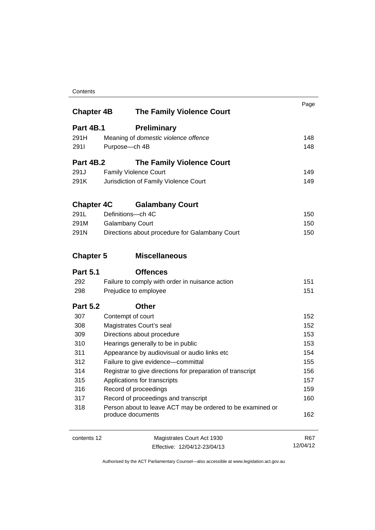#### **Contents**

| <b>Chapter 4B</b> | <b>The Family Violence Court</b>                                                          | Page       |
|-------------------|-------------------------------------------------------------------------------------------|------------|
| <b>Part 4B.1</b>  | <b>Preliminary</b>                                                                        |            |
| 291H              | Meaning of domestic violence offence                                                      | 148        |
| 2911              | Purpose-ch 4B                                                                             | 148        |
| <b>Part 4B.2</b>  | <b>The Family Violence Court</b>                                                          |            |
| 291J              | <b>Family Violence Court</b>                                                              | 149        |
| 291K              | Jurisdiction of Family Violence Court                                                     | 149        |
| <b>Chapter 4C</b> | <b>Galambany Court</b>                                                                    |            |
| 291L              | Definitions-ch 4C                                                                         | 150        |
| 291M              | <b>Galambany Court</b>                                                                    | 150        |
| 291N              | Directions about procedure for Galambany Court                                            | 150        |
| <b>Chapter 5</b>  | <b>Miscellaneous</b>                                                                      |            |
| <b>Part 5.1</b>   | <b>Offences</b>                                                                           |            |
| 292               | Failure to comply with order in nuisance action                                           | 151        |
| 298               | Prejudice to employee                                                                     | 151        |
| <b>Part 5.2</b>   | <b>Other</b>                                                                              |            |
| 307               | Contempt of court                                                                         | 152        |
| 308               | Magistrates Court's seal                                                                  | 152        |
| 309               | Directions about procedure                                                                | 153        |
| 310               | Hearings generally to be in public                                                        | 153        |
| 311               | Appearance by audiovisual or audio links etc<br>Failure to give evidence-committal<br>312 |            |
|                   |                                                                                           |            |
| 314               | Registrar to give directions for preparation of transcript                                | 156        |
| 315               | Applications for transcripts                                                              | 157        |
| 316               | Record of proceedings                                                                     | 159        |
| 317               | Record of proceedings and transcript                                                      | 160        |
| 318               | Person about to leave ACT may be ordered to be examined or<br>produce documents           | 162        |
| contents 12       | Magistrates Court Act 1930                                                                | <b>R67</b> |
|                   | Effective: 12/04/12-23/04/13                                                              | 12/04/12   |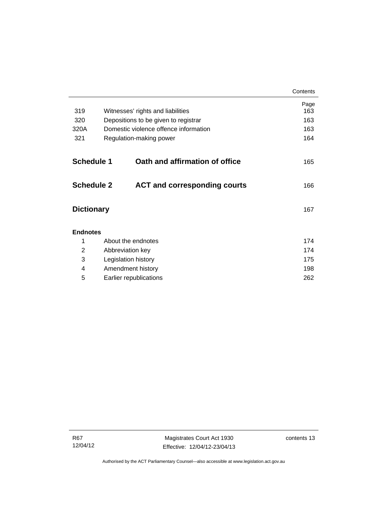|                   |                        |                                       | Contents    |
|-------------------|------------------------|---------------------------------------|-------------|
| 319               |                        | Witnesses' rights and liabilities     | Page<br>163 |
| 320               |                        | Depositions to be given to registrar  | 163         |
| 320A              |                        | Domestic violence offence information | 163         |
| 321               |                        | Regulation-making power               | 164         |
| <b>Schedule 1</b> |                        | Oath and affirmation of office        |             |
|                   |                        |                                       | 165         |
| <b>Schedule 2</b> |                        | <b>ACT and corresponding courts</b>   | 166         |
| <b>Dictionary</b> |                        |                                       | 167         |
| <b>Endnotes</b>   |                        |                                       |             |
| 1                 |                        | About the endnotes                    | 174         |
| 2                 |                        | Abbreviation key                      | 174         |
| 3                 |                        | Legislation history                   | 175         |
| 4                 |                        | Amendment history                     | 198         |
| 5                 | Earlier republications |                                       | 262         |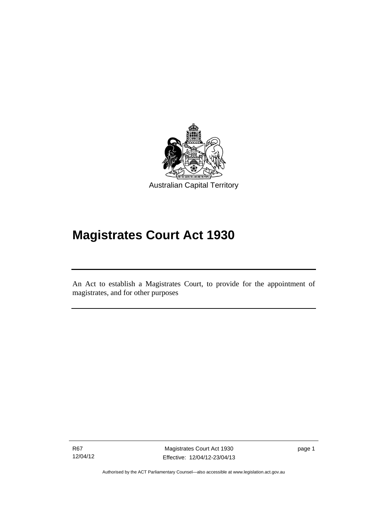

# **Magistrates Court Act 1930**

An Act to establish a Magistrates Court, to provide for the appointment of magistrates, and for other purposes

R67 12/04/12

l

Magistrates Court Act 1930 Effective: 12/04/12-23/04/13 page 1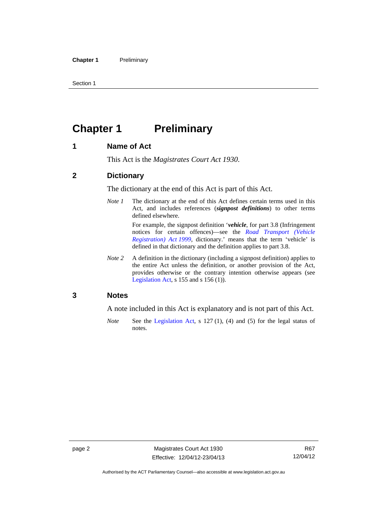Section 1

## <span id="page-17-0"></span>**Chapter 1** Preliminary

#### <span id="page-17-1"></span>**1 Name of Act**

This Act is the *Magistrates Court Act 1930*.

#### <span id="page-17-2"></span>**2 Dictionary**

The dictionary at the end of this Act is part of this Act.

*Note 1* The dictionary at the end of this Act defines certain terms used in this Act, and includes references (*signpost definitions*) to other terms defined elsewhere.

> For example, the signpost definition '*vehicle*, for part 3.8 (Infringement notices for certain offences)—see the *[Road Transport \(Vehicle](http://www.legislation.act.gov.au/a/1999-81)  [Registration\) Act 1999](http://www.legislation.act.gov.au/a/1999-81)*, dictionary.' means that the term 'vehicle' is defined in that dictionary and the definition applies to part 3.8.

*Note 2* A definition in the dictionary (including a signpost definition) applies to the entire Act unless the definition, or another provision of the Act, provides otherwise or the contrary intention otherwise appears (see [Legislation Act,](http://www.legislation.act.gov.au/a/2001-14) s  $155$  and s  $156$  (1)).

#### <span id="page-17-3"></span>**3 Notes**

A note included in this Act is explanatory and is not part of this Act.

*Note* See the [Legislation Act,](http://www.legislation.act.gov.au/a/2001-14) s 127 (1), (4) and (5) for the legal status of notes.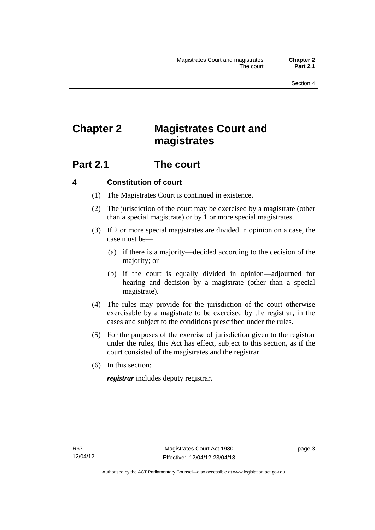## <span id="page-18-0"></span>**Chapter 2 Magistrates Court and magistrates**

### <span id="page-18-1"></span>**Part 2.1 The court**

#### <span id="page-18-2"></span>**4 Constitution of court**

- (1) The Magistrates Court is continued in existence.
- (2) The jurisdiction of the court may be exercised by a magistrate (other than a special magistrate) or by 1 or more special magistrates.
- (3) If 2 or more special magistrates are divided in opinion on a case, the case must be—
	- (a) if there is a majority—decided according to the decision of the majority; or
	- (b) if the court is equally divided in opinion—adjourned for hearing and decision by a magistrate (other than a special magistrate).
- (4) The rules may provide for the jurisdiction of the court otherwise exercisable by a magistrate to be exercised by the registrar, in the cases and subject to the conditions prescribed under the rules.
- (5) For the purposes of the exercise of jurisdiction given to the registrar under the rules, this Act has effect, subject to this section, as if the court consisted of the magistrates and the registrar.
- (6) In this section:

*registrar* includes deputy registrar.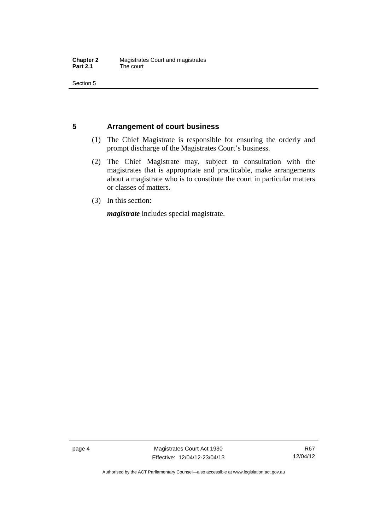Section 5

#### <span id="page-19-0"></span>**5 Arrangement of court business**

- (1) The Chief Magistrate is responsible for ensuring the orderly and prompt discharge of the Magistrates Court's business.
- (2) The Chief Magistrate may, subject to consultation with the magistrates that is appropriate and practicable, make arrangements about a magistrate who is to constitute the court in particular matters or classes of matters.
- (3) In this section:

*magistrate* includes special magistrate.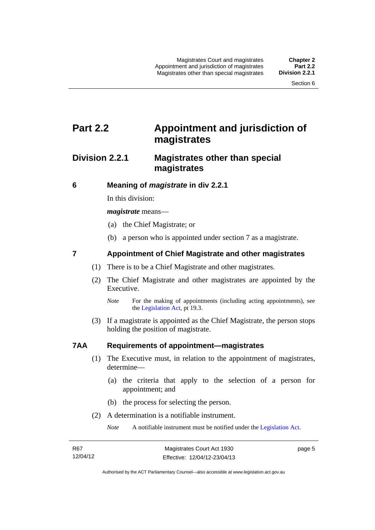### <span id="page-20-0"></span>**Part 2.2 Appointment and jurisdiction of magistrates**

### <span id="page-20-1"></span>**Division 2.2.1 Magistrates other than special magistrates**

<span id="page-20-2"></span>**6 Meaning of** *magistrate* **in div 2.2.1** 

In this division:

*magistrate* means—

- (a) the Chief Magistrate; or
- (b) a person who is appointed under section 7 as a magistrate.

#### <span id="page-20-3"></span>**7 Appointment of Chief Magistrate and other magistrates**

- (1) There is to be a Chief Magistrate and other magistrates.
- (2) The Chief Magistrate and other magistrates are appointed by the Executive.

 (3) If a magistrate is appointed as the Chief Magistrate, the person stops holding the position of magistrate.

#### <span id="page-20-4"></span>**7AA Requirements of appointment—magistrates**

- (1) The Executive must, in relation to the appointment of magistrates, determine—
	- (a) the criteria that apply to the selection of a person for appointment; and
	- (b) the process for selecting the person.
- (2) A determination is a notifiable instrument.

*Note* A notifiable instrument must be notified under the [Legislation Act](http://www.legislation.act.gov.au/a/2001-14).

page 5

*Note* For the making of appointments (including acting appointments), see the [Legislation Act,](http://www.legislation.act.gov.au/a/2001-14) pt 19.3.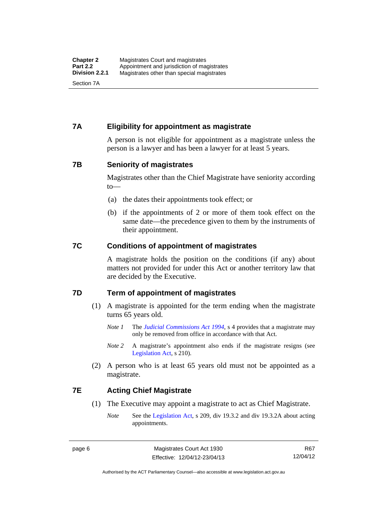#### <span id="page-21-0"></span>**7A Eligibility for appointment as magistrate**

A person is not eligible for appointment as a magistrate unless the person is a lawyer and has been a lawyer for at least 5 years.

#### <span id="page-21-1"></span>**7B Seniority of magistrates**

Magistrates other than the Chief Magistrate have seniority according to—

- (a) the dates their appointments took effect; or
- (b) if the appointments of 2 or more of them took effect on the same date—the precedence given to them by the instruments of their appointment.

#### <span id="page-21-2"></span>**7C Conditions of appointment of magistrates**

A magistrate holds the position on the conditions (if any) about matters not provided for under this Act or another territory law that are decided by the Executive.

#### <span id="page-21-3"></span>**7D Term of appointment of magistrates**

- (1) A magistrate is appointed for the term ending when the magistrate turns 65 years old.
	- *Note 1* The *[Judicial Commissions Act 1994](http://www.legislation.act.gov.au/a/1994-9)*, s 4 provides that a magistrate may only be removed from office in accordance with that Act.
	- *Note* 2 A magistrate's appointment also ends if the magistrate resigns (see [Legislation Act,](http://www.legislation.act.gov.au/a/2001-14) s 210).
- (2) A person who is at least 65 years old must not be appointed as a magistrate.

#### <span id="page-21-4"></span>**7E Acting Chief Magistrate**

- (1) The Executive may appoint a magistrate to act as Chief Magistrate.
	- *Note* See the [Legislation Act](http://www.legislation.act.gov.au/a/2001-14), s 209, div 19.3.2 and div 19.3.2A about acting appointments.

R67 12/04/12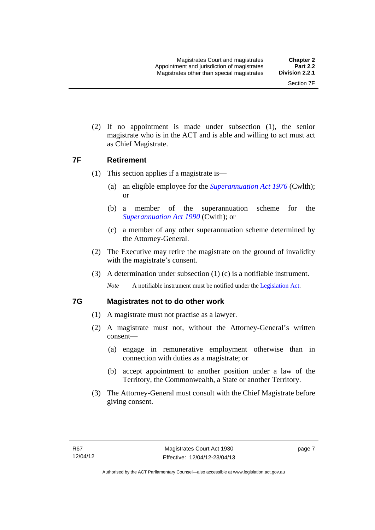(2) If no appointment is made under subsection (1), the senior magistrate who is in the ACT and is able and willing to act must act as Chief Magistrate.

#### <span id="page-22-0"></span>**7F Retirement**

- (1) This section applies if a magistrate is—
	- (a) an eligible employee for the *[Superannuation Act 1976](http://www.comlaw.gov.au/Details/C2013C00038)* (Cwlth); or
	- (b) a member of the superannuation scheme for the *[Superannuation Act 1990](http://www.comlaw.gov.au/Details/C2012C00825)* (Cwlth); or
	- (c) a member of any other superannuation scheme determined by the Attorney-General.
- (2) The Executive may retire the magistrate on the ground of invalidity with the magistrate's consent.
- (3) A determination under subsection (1) (c) is a notifiable instrument.

*Note* A notifiable instrument must be notified under the [Legislation Act](http://www.legislation.act.gov.au/a/2001-14).

#### <span id="page-22-1"></span>**7G Magistrates not to do other work**

- (1) A magistrate must not practise as a lawyer.
- (2) A magistrate must not, without the Attorney-General's written consent—
	- (a) engage in remunerative employment otherwise than in connection with duties as a magistrate; or
	- (b) accept appointment to another position under a law of the Territory, the Commonwealth, a State or another Territory.
- (3) The Attorney-General must consult with the Chief Magistrate before giving consent.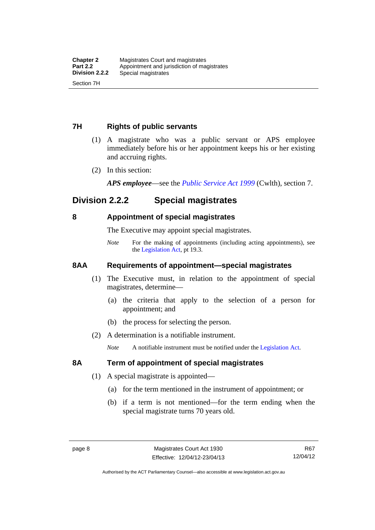#### <span id="page-23-0"></span>**7H Rights of public servants**

- (1) A magistrate who was a public servant or APS employee immediately before his or her appointment keeps his or her existing and accruing rights.
- (2) In this section:

*APS employee*—see the *[Public Service Act 1999](http://www.comlaw.gov.au/Details/C2012C00319)* (Cwlth), section 7.

### <span id="page-23-1"></span>**Division 2.2.2 Special magistrates**

#### <span id="page-23-2"></span>**8 Appointment of special magistrates**

The Executive may appoint special magistrates.

*Note* For the making of appointments (including acting appointments), see the [Legislation Act,](http://www.legislation.act.gov.au/a/2001-14) pt 19.3.

#### <span id="page-23-3"></span>**8AA Requirements of appointment—special magistrates**

- (1) The Executive must, in relation to the appointment of special magistrates, determine—
	- (a) the criteria that apply to the selection of a person for appointment; and
	- (b) the process for selecting the person.
- (2) A determination is a notifiable instrument.

*Note* A notifiable instrument must be notified under the [Legislation Act](http://www.legislation.act.gov.au/a/2001-14).

#### <span id="page-23-4"></span>**8A Term of appointment of special magistrates**

- (1) A special magistrate is appointed—
	- (a) for the term mentioned in the instrument of appointment; or
	- (b) if a term is not mentioned—for the term ending when the special magistrate turns 70 years old.

Authorised by the ACT Parliamentary Counsel—also accessible at www.legislation.act.gov.au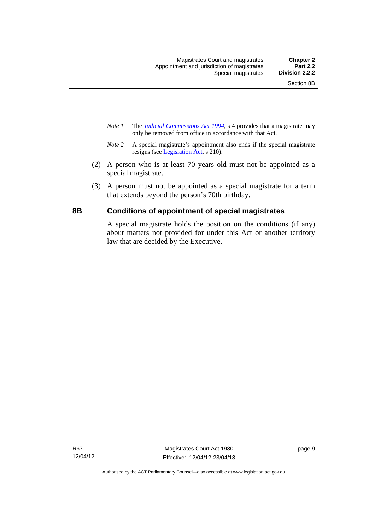- *Note 1* The *[Judicial Commissions Act 1994](http://www.legislation.act.gov.au/a/1994-9)*, s 4 provides that a magistrate may only be removed from office in accordance with that Act.
- *Note 2* A special magistrate's appointment also ends if the special magistrate resigns (see [Legislation Act](http://www.legislation.act.gov.au/a/2001-14), s 210).
- (2) A person who is at least 70 years old must not be appointed as a special magistrate.
- (3) A person must not be appointed as a special magistrate for a term that extends beyond the person's 70th birthday.

#### <span id="page-24-0"></span>**8B Conditions of appointment of special magistrates**

A special magistrate holds the position on the conditions (if any) about matters not provided for under this Act or another territory law that are decided by the Executive.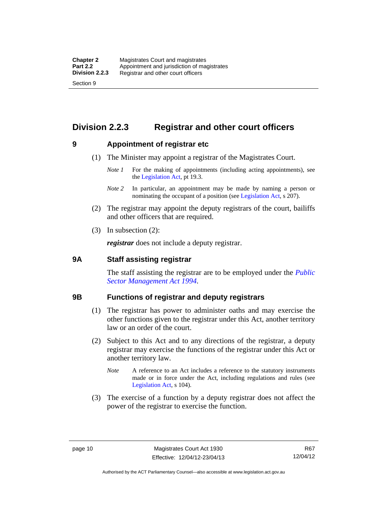### <span id="page-25-0"></span>**Division 2.2.3 Registrar and other court officers**

#### <span id="page-25-1"></span>**9 Appointment of registrar etc**

- (1) The Minister may appoint a registrar of the Magistrates Court.
	- *Note 1* For the making of appointments (including acting appointments), see the [Legislation Act,](http://www.legislation.act.gov.au/a/2001-14) pt 19.3.
	- *Note 2* In particular, an appointment may be made by naming a person or nominating the occupant of a position (see [Legislation Act](http://www.legislation.act.gov.au/a/2001-14), s 207).
- (2) The registrar may appoint the deputy registrars of the court, bailiffs and other officers that are required.
- (3) In subsection (2):

*registrar* does not include a deputy registrar.

#### <span id="page-25-2"></span>**9A Staff assisting registrar**

The staff assisting the registrar are to be employed under the *[Public](http://www.legislation.act.gov.au/a/1994-37)  [Sector Management Act 1994](http://www.legislation.act.gov.au/a/1994-37)*.

#### <span id="page-25-3"></span>**9B Functions of registrar and deputy registrars**

- (1) The registrar has power to administer oaths and may exercise the other functions given to the registrar under this Act, another territory law or an order of the court.
- (2) Subject to this Act and to any directions of the registrar, a deputy registrar may exercise the functions of the registrar under this Act or another territory law.
	- *Note* A reference to an Act includes a reference to the statutory instruments made or in force under the Act, including regulations and rules (see [Legislation Act,](http://www.legislation.act.gov.au/a/2001-14) s 104).
- (3) The exercise of a function by a deputy registrar does not affect the power of the registrar to exercise the function.

R67 12/04/12

Authorised by the ACT Parliamentary Counsel—also accessible at www.legislation.act.gov.au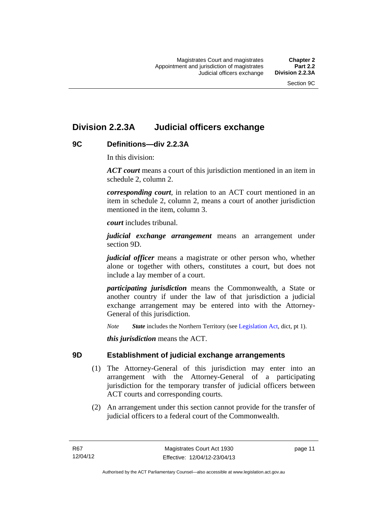### <span id="page-26-0"></span>**Division 2.2.3A Judicial officers exchange**

#### <span id="page-26-1"></span>**9C Definitions—div 2.2.3A**

In this division:

*ACT court* means a court of this jurisdiction mentioned in an item in schedule 2, column 2.

*corresponding court*, in relation to an ACT court mentioned in an item in schedule 2, column 2, means a court of another jurisdiction mentioned in the item, column 3.

*court* includes tribunal.

*judicial exchange arrangement* means an arrangement under section 9D.

*judicial officer* means a magistrate or other person who, whether alone or together with others, constitutes a court, but does not include a lay member of a court.

*participating jurisdiction* means the Commonwealth, a State or another country if under the law of that jurisdiction a judicial exchange arrangement may be entered into with the Attorney-General of this jurisdiction.

*Note State* includes the Northern Territory (see [Legislation Act](http://www.legislation.act.gov.au/a/2001-14), dict, pt 1).

*this jurisdiction* means the ACT.

#### <span id="page-26-2"></span>**9D Establishment of judicial exchange arrangements**

- (1) The Attorney-General of this jurisdiction may enter into an arrangement with the Attorney-General of a participating jurisdiction for the temporary transfer of judicial officers between ACT courts and corresponding courts.
- (2) An arrangement under this section cannot provide for the transfer of judicial officers to a federal court of the Commonwealth.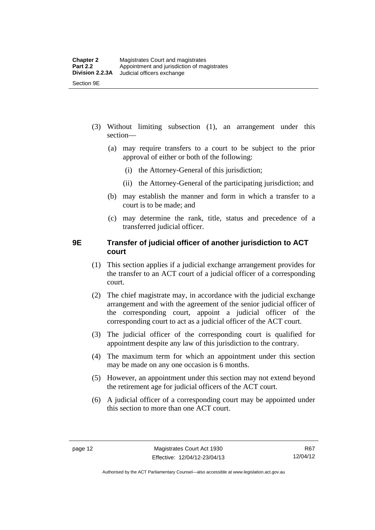- (3) Without limiting subsection (1), an arrangement under this section—
	- (a) may require transfers to a court to be subject to the prior approval of either or both of the following:
		- (i) the Attorney-General of this jurisdiction;
		- (ii) the Attorney-General of the participating jurisdiction; and
	- (b) may establish the manner and form in which a transfer to a court is to be made; and
	- (c) may determine the rank, title, status and precedence of a transferred judicial officer.

#### <span id="page-27-0"></span>**9E Transfer of judicial officer of another jurisdiction to ACT court**

- (1) This section applies if a judicial exchange arrangement provides for the transfer to an ACT court of a judicial officer of a corresponding court.
- (2) The chief magistrate may, in accordance with the judicial exchange arrangement and with the agreement of the senior judicial officer of the corresponding court, appoint a judicial officer of the corresponding court to act as a judicial officer of the ACT court.
- (3) The judicial officer of the corresponding court is qualified for appointment despite any law of this jurisdiction to the contrary.
- (4) The maximum term for which an appointment under this section may be made on any one occasion is 6 months.
- (5) However, an appointment under this section may not extend beyond the retirement age for judicial officers of the ACT court.
- (6) A judicial officer of a corresponding court may be appointed under this section to more than one ACT court.

Authorised by the ACT Parliamentary Counsel—also accessible at www.legislation.act.gov.au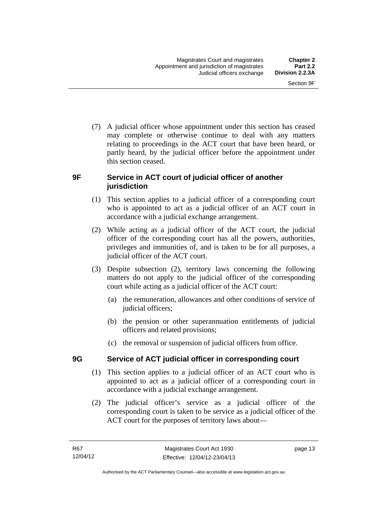(7) A judicial officer whose appointment under this section has ceased may complete or otherwise continue to deal with any matters relating to proceedings in the ACT court that have been heard, or partly heard, by the judicial officer before the appointment under this section ceased.

#### <span id="page-28-0"></span>**9F Service in ACT court of judicial officer of another jurisdiction**

- (1) This section applies to a judicial officer of a corresponding court who is appointed to act as a judicial officer of an ACT court in accordance with a judicial exchange arrangement.
- (2) While acting as a judicial officer of the ACT court, the judicial officer of the corresponding court has all the powers, authorities, privileges and immunities of, and is taken to be for all purposes, a judicial officer of the ACT court.
- (3) Despite subsection (2), territory laws concerning the following matters do not apply to the judicial officer of the corresponding court while acting as a judicial officer of the ACT court:
	- (a) the remuneration, allowances and other conditions of service of judicial officers;
	- (b) the pension or other superannuation entitlements of judicial officers and related provisions;
	- (c) the removal or suspension of judicial officers from office.

#### <span id="page-28-1"></span>**9G Service of ACT judicial officer in corresponding court**

- (1) This section applies to a judicial officer of an ACT court who is appointed to act as a judicial officer of a corresponding court in accordance with a judicial exchange arrangement.
- (2) The judicial officer's service as a judicial officer of the corresponding court is taken to be service as a judicial officer of the ACT court for the purposes of territory laws about—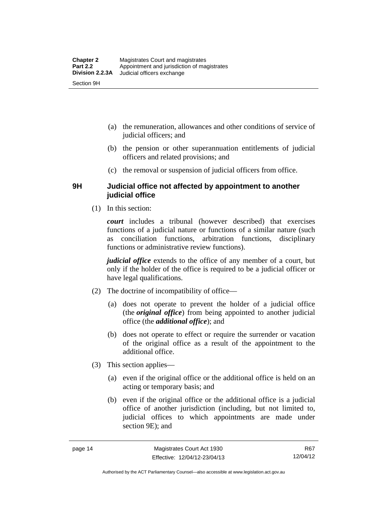- (a) the remuneration, allowances and other conditions of service of judicial officers; and
- (b) the pension or other superannuation entitlements of judicial officers and related provisions; and
- (c) the removal or suspension of judicial officers from office.

#### <span id="page-29-0"></span>**9H Judicial office not affected by appointment to another judicial office**

(1) In this section:

*court* includes a tribunal (however described) that exercises functions of a judicial nature or functions of a similar nature (such as conciliation functions, arbitration functions, disciplinary functions or administrative review functions).

*judicial office* extends to the office of any member of a court, but only if the holder of the office is required to be a judicial officer or have legal qualifications.

- (2) The doctrine of incompatibility of office—
	- (a) does not operate to prevent the holder of a judicial office (the *original office*) from being appointed to another judicial office (the *additional office*); and
	- (b) does not operate to effect or require the surrender or vacation of the original office as a result of the appointment to the additional office.
- (3) This section applies—
	- (a) even if the original office or the additional office is held on an acting or temporary basis; and
	- (b) even if the original office or the additional office is a judicial office of another jurisdiction (including, but not limited to, judicial offices to which appointments are made under section 9E); and

Authorised by the ACT Parliamentary Counsel—also accessible at www.legislation.act.gov.au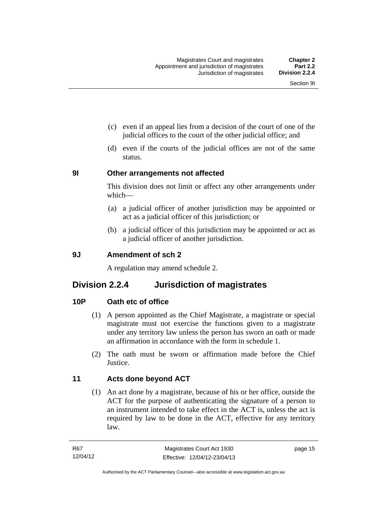- (c) even if an appeal lies from a decision of the court of one of the judicial offices to the court of the other judicial office; and
- (d) even if the courts of the judicial offices are not of the same status.

#### <span id="page-30-0"></span>**9I Other arrangements not affected**

This division does not limit or affect any other arrangements under which—

- (a) a judicial officer of another jurisdiction may be appointed or act as a judicial officer of this jurisdiction; or
- (b) a judicial officer of this jurisdiction may be appointed or act as a judicial officer of another jurisdiction.

#### <span id="page-30-1"></span>**9J Amendment of sch 2**

A regulation may amend schedule 2.

#### <span id="page-30-2"></span>**Division 2.2.4 Jurisdiction of magistrates**

#### <span id="page-30-3"></span>**10P Oath etc of office**

- (1) A person appointed as the Chief Magistrate, a magistrate or special magistrate must not exercise the functions given to a magistrate under any territory law unless the person has sworn an oath or made an affirmation in accordance with the form in schedule 1.
- (2) The oath must be sworn or affirmation made before the Chief **Justice**

#### <span id="page-30-4"></span>**11 Acts done beyond ACT**

(1) An act done by a magistrate, because of his or her office, outside the ACT for the purpose of authenticating the signature of a person to an instrument intended to take effect in the ACT is, unless the act is required by law to be done in the ACT, effective for any territory law.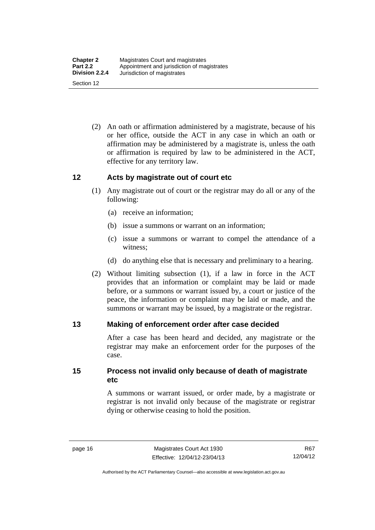(2) An oath or affirmation administered by a magistrate, because of his or her office, outside the ACT in any case in which an oath or affirmation may be administered by a magistrate is, unless the oath or affirmation is required by law to be administered in the ACT, effective for any territory law.

#### <span id="page-31-0"></span>**12 Acts by magistrate out of court etc**

- (1) Any magistrate out of court or the registrar may do all or any of the following:
	- (a) receive an information;
	- (b) issue a summons or warrant on an information;
	- (c) issue a summons or warrant to compel the attendance of a witness;
	- (d) do anything else that is necessary and preliminary to a hearing.
- (2) Without limiting subsection (1), if a law in force in the ACT provides that an information or complaint may be laid or made before, or a summons or warrant issued by, a court or justice of the peace, the information or complaint may be laid or made, and the summons or warrant may be issued, by a magistrate or the registrar.

#### <span id="page-31-1"></span>**13 Making of enforcement order after case decided**

After a case has been heard and decided, any magistrate or the registrar may make an enforcement order for the purposes of the case.

<span id="page-31-2"></span>**15 Process not invalid only because of death of magistrate etc** 

> A summons or warrant issued, or order made, by a magistrate or registrar is not invalid only because of the magistrate or registrar dying or otherwise ceasing to hold the position.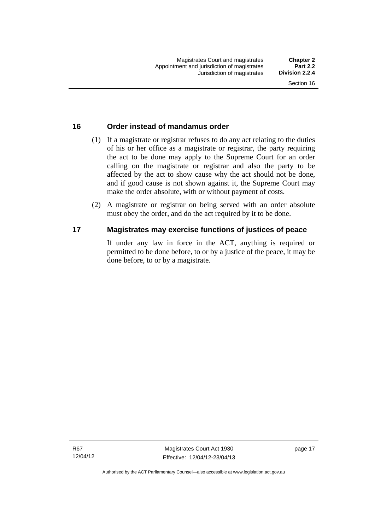#### <span id="page-32-0"></span>**16 Order instead of mandamus order**

- (1) If a magistrate or registrar refuses to do any act relating to the duties of his or her office as a magistrate or registrar, the party requiring the act to be done may apply to the Supreme Court for an order calling on the magistrate or registrar and also the party to be affected by the act to show cause why the act should not be done, and if good cause is not shown against it, the Supreme Court may make the order absolute, with or without payment of costs.
- (2) A magistrate or registrar on being served with an order absolute must obey the order, and do the act required by it to be done.

#### <span id="page-32-1"></span>**17 Magistrates may exercise functions of justices of peace**

If under any law in force in the ACT, anything is required or permitted to be done before, to or by a justice of the peace, it may be done before, to or by a magistrate.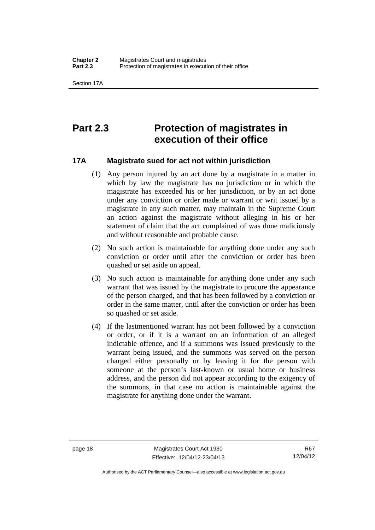### <span id="page-33-0"></span>**Part 2.3 Protection of magistrates in execution of their office**

#### <span id="page-33-1"></span>**17A Magistrate sued for act not within jurisdiction**

- (1) Any person injured by an act done by a magistrate in a matter in which by law the magistrate has no jurisdiction or in which the magistrate has exceeded his or her jurisdiction, or by an act done under any conviction or order made or warrant or writ issued by a magistrate in any such matter, may maintain in the Supreme Court an action against the magistrate without alleging in his or her statement of claim that the act complained of was done maliciously and without reasonable and probable cause.
- (2) No such action is maintainable for anything done under any such conviction or order until after the conviction or order has been quashed or set aside on appeal.
- (3) No such action is maintainable for anything done under any such warrant that was issued by the magistrate to procure the appearance of the person charged, and that has been followed by a conviction or order in the same matter, until after the conviction or order has been so quashed or set aside.
- (4) If the lastmentioned warrant has not been followed by a conviction or order, or if it is a warrant on an information of an alleged indictable offence, and if a summons was issued previously to the warrant being issued, and the summons was served on the person charged either personally or by leaving it for the person with someone at the person's last-known or usual home or business address, and the person did not appear according to the exigency of the summons, in that case no action is maintainable against the magistrate for anything done under the warrant.

R67 12/04/12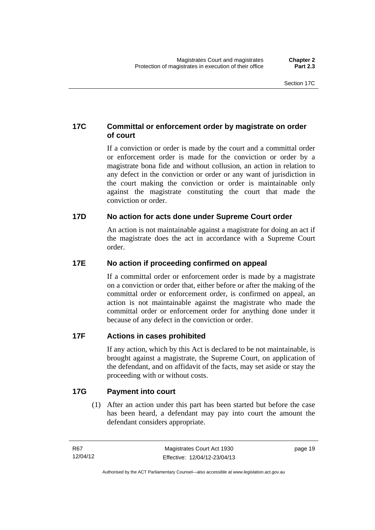#### <span id="page-34-0"></span>**17C Committal or enforcement order by magistrate on order of court**

If a conviction or order is made by the court and a committal order or enforcement order is made for the conviction or order by a magistrate bona fide and without collusion, an action in relation to any defect in the conviction or order or any want of jurisdiction in the court making the conviction or order is maintainable only against the magistrate constituting the court that made the conviction or order.

#### <span id="page-34-1"></span>**17D No action for acts done under Supreme Court order**

An action is not maintainable against a magistrate for doing an act if the magistrate does the act in accordance with a Supreme Court order.

#### <span id="page-34-2"></span>**17E No action if proceeding confirmed on appeal**

If a committal order or enforcement order is made by a magistrate on a conviction or order that, either before or after the making of the committal order or enforcement order, is confirmed on appeal, an action is not maintainable against the magistrate who made the committal order or enforcement order for anything done under it because of any defect in the conviction or order.

#### <span id="page-34-3"></span>**17F Actions in cases prohibited**

If any action, which by this Act is declared to be not maintainable, is brought against a magistrate, the Supreme Court, on application of the defendant, and on affidavit of the facts, may set aside or stay the proceeding with or without costs.

#### <span id="page-34-4"></span>**17G Payment into court**

(1) After an action under this part has been started but before the case has been heard, a defendant may pay into court the amount the defendant considers appropriate.

page 19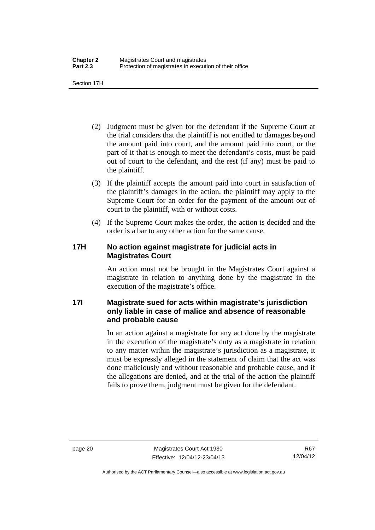Section 17H

- (2) Judgment must be given for the defendant if the Supreme Court at the trial considers that the plaintiff is not entitled to damages beyond the amount paid into court, and the amount paid into court, or the part of it that is enough to meet the defendant's costs, must be paid out of court to the defendant, and the rest (if any) must be paid to the plaintiff.
- (3) If the plaintiff accepts the amount paid into court in satisfaction of the plaintiff's damages in the action, the plaintiff may apply to the Supreme Court for an order for the payment of the amount out of court to the plaintiff, with or without costs.
- (4) If the Supreme Court makes the order, the action is decided and the order is a bar to any other action for the same cause.

#### <span id="page-35-0"></span>**17H No action against magistrate for judicial acts in Magistrates Court**

An action must not be brought in the Magistrates Court against a magistrate in relation to anything done by the magistrate in the execution of the magistrate's office.

#### <span id="page-35-1"></span>**17I Magistrate sued for acts within magistrate's jurisdiction only liable in case of malice and absence of reasonable and probable cause**

In an action against a magistrate for any act done by the magistrate in the execution of the magistrate's duty as a magistrate in relation to any matter within the magistrate's jurisdiction as a magistrate, it must be expressly alleged in the statement of claim that the act was done maliciously and without reasonable and probable cause, and if the allegations are denied, and at the trial of the action the plaintiff fails to prove them, judgment must be given for the defendant.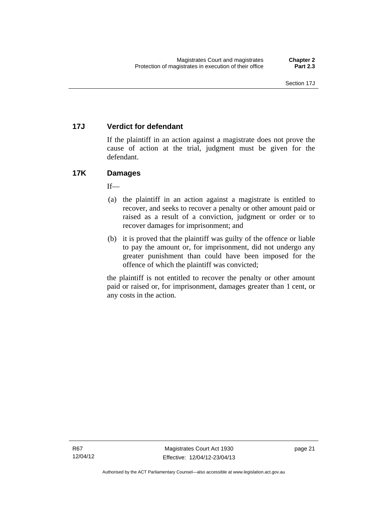# **17J Verdict for defendant**

If the plaintiff in an action against a magistrate does not prove the cause of action at the trial, judgment must be given for the defendant.

# **17K Damages**

 $If$ <sub>—</sub>

- (a) the plaintiff in an action against a magistrate is entitled to recover, and seeks to recover a penalty or other amount paid or raised as a result of a conviction, judgment or order or to recover damages for imprisonment; and
- (b) it is proved that the plaintiff was guilty of the offence or liable to pay the amount or, for imprisonment, did not undergo any greater punishment than could have been imposed for the offence of which the plaintiff was convicted;

the plaintiff is not entitled to recover the penalty or other amount paid or raised or, for imprisonment, damages greater than 1 cent, or any costs in the action.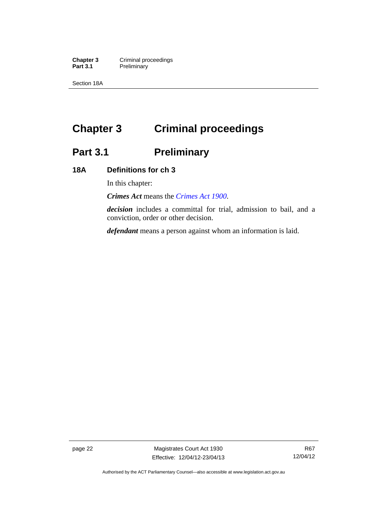**Chapter 3 Criminal proceedings**<br>**Part 3.1 Preliminary Preliminary** 

Section 18A

# **Chapter 3 Criminal proceedings**

# **Part 3.1 Preliminary**

# **18A Definitions for ch 3**

In this chapter:

*Crimes Act* means the *[Crimes Act 1900](http://www.legislation.act.gov.au/a/1900-40)*.

*decision* includes a committal for trial, admission to bail, and a conviction, order or other decision.

*defendant* means a person against whom an information is laid.

page 22 Magistrates Court Act 1930 Effective: 12/04/12-23/04/13

Authorised by the ACT Parliamentary Counsel—also accessible at www.legislation.act.gov.au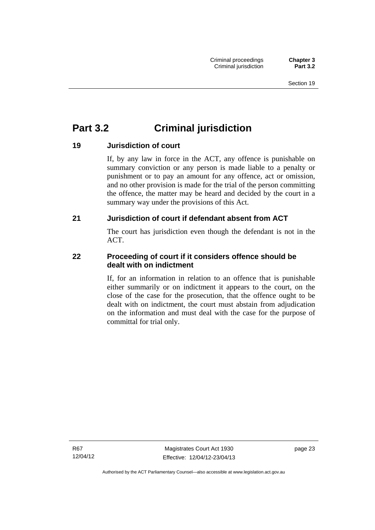# **Part 3.2 Criminal jurisdiction**

# **19 Jurisdiction of court**

If, by any law in force in the ACT, any offence is punishable on summary conviction or any person is made liable to a penalty or punishment or to pay an amount for any offence, act or omission, and no other provision is made for the trial of the person committing the offence, the matter may be heard and decided by the court in a summary way under the provisions of this Act.

# **21 Jurisdiction of court if defendant absent from ACT**

The court has jurisdiction even though the defendant is not in the ACT.

# **22 Proceeding of court if it considers offence should be dealt with on indictment**

If, for an information in relation to an offence that is punishable either summarily or on indictment it appears to the court, on the close of the case for the prosecution, that the offence ought to be dealt with on indictment, the court must abstain from adjudication on the information and must deal with the case for the purpose of committal for trial only.

R67 12/04/12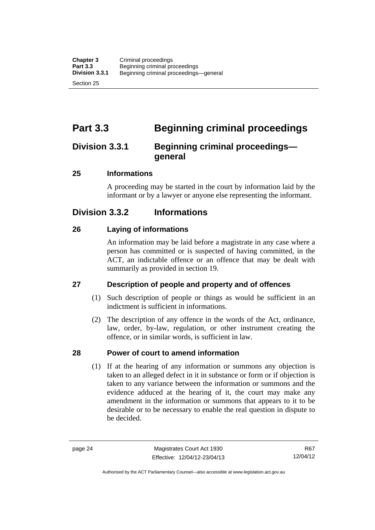# **Part 3.3 Beginning criminal proceedings**

# **Division 3.3.1 Beginning criminal proceedings general**

# **25 Informations**

A proceeding may be started in the court by information laid by the informant or by a lawyer or anyone else representing the informant.

# **Division 3.3.2 Informations**

# **26 Laying of informations**

An information may be laid before a magistrate in any case where a person has committed or is suspected of having committed, in the ACT, an indictable offence or an offence that may be dealt with summarily as provided in section 19.

# **27 Description of people and property and of offences**

- (1) Such description of people or things as would be sufficient in an indictment is sufficient in informations.
- (2) The description of any offence in the words of the Act, ordinance, law, order, by-law, regulation, or other instrument creating the offence, or in similar words, is sufficient in law.

# **28 Power of court to amend information**

(1) If at the hearing of any information or summons any objection is taken to an alleged defect in it in substance or form or if objection is taken to any variance between the information or summons and the evidence adduced at the hearing of it, the court may make any amendment in the information or summons that appears to it to be desirable or to be necessary to enable the real question in dispute to be decided.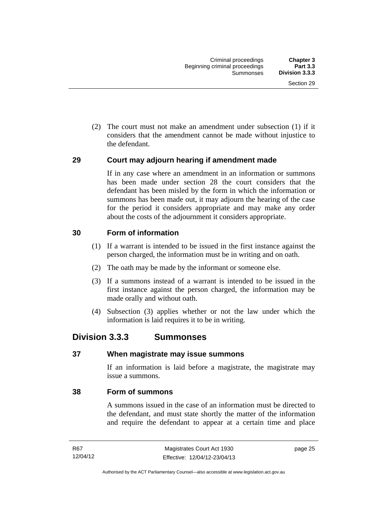(2) The court must not make an amendment under subsection (1) if it considers that the amendment cannot be made without injustice to the defendant.

# **29 Court may adjourn hearing if amendment made**

If in any case where an amendment in an information or summons has been made under section 28 the court considers that the defendant has been misled by the form in which the information or summons has been made out, it may adjourn the hearing of the case for the period it considers appropriate and may make any order about the costs of the adjournment it considers appropriate.

# **30 Form of information**

- (1) If a warrant is intended to be issued in the first instance against the person charged, the information must be in writing and on oath.
- (2) The oath may be made by the informant or someone else.
- (3) If a summons instead of a warrant is intended to be issued in the first instance against the person charged, the information may be made orally and without oath.
- (4) Subsection (3) applies whether or not the law under which the information is laid requires it to be in writing.

# **Division 3.3.3 Summonses**

## **37 When magistrate may issue summons**

If an information is laid before a magistrate, the magistrate may issue a summons.

# **38 Form of summons**

A summons issued in the case of an information must be directed to the defendant, and must state shortly the matter of the information and require the defendant to appear at a certain time and place

page 25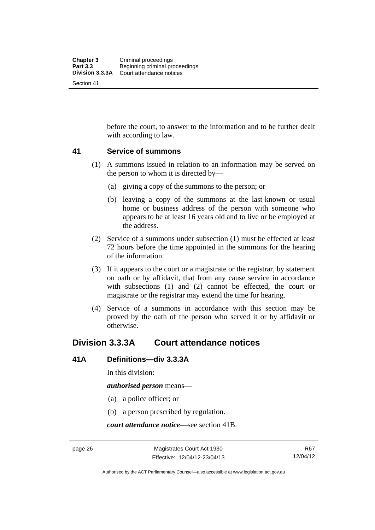before the court, to answer to the information and to be further dealt with according to law.

## **41 Service of summons**

- (1) A summons issued in relation to an information may be served on the person to whom it is directed by—
	- (a) giving a copy of the summons to the person; or
	- (b) leaving a copy of the summons at the last-known or usual home or business address of the person with someone who appears to be at least 16 years old and to live or be employed at the address.
- (2) Service of a summons under subsection (1) must be effected at least 72 hours before the time appointed in the summons for the hearing of the information.
- (3) If it appears to the court or a magistrate or the registrar, by statement on oath or by affidavit, that from any cause service in accordance with subsections (1) and (2) cannot be effected, the court or magistrate or the registrar may extend the time for hearing.
- (4) Service of a summons in accordance with this section may be proved by the oath of the person who served it or by affidavit or otherwise.

# **Division 3.3.3A Court attendance notices**

## **41A Definitions—div 3.3.3A**

In this division:

*authorised person* means—

- (a) a police officer; or
- (b) a person prescribed by regulation.

*court attendance notice*—see section 41B.

R67 12/04/12

Authorised by the ACT Parliamentary Counsel—also accessible at www.legislation.act.gov.au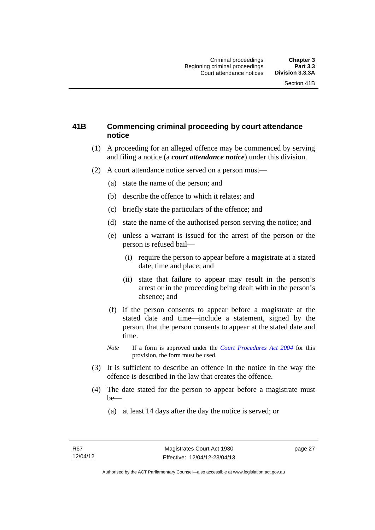# **41B Commencing criminal proceeding by court attendance notice**

- (1) A proceeding for an alleged offence may be commenced by serving and filing a notice (a *court attendance notice*) under this division.
- (2) A court attendance notice served on a person must––
	- (a) state the name of the person; and
	- (b) describe the offence to which it relates; and
	- (c) briefly state the particulars of the offence; and
	- (d) state the name of the authorised person serving the notice; and
	- (e) unless a warrant is issued for the arrest of the person or the person is refused bail—
		- (i) require the person to appear before a magistrate at a stated date, time and place; and
		- (ii) state that failure to appear may result in the person's arrest or in the proceeding being dealt with in the person's absence; and
	- (f) if the person consents to appear before a magistrate at the stated date and time—include a statement, signed by the person, that the person consents to appear at the stated date and time.
	- *Note* If a form is approved under the *[Court Procedures Act 2004](http://www.legislation.act.gov.au/a/2004-59)* for this provision, the form must be used.
- (3) It is sufficient to describe an offence in the notice in the way the offence is described in the law that creates the offence.
- (4) The date stated for the person to appear before a magistrate must be—
	- (a) at least 14 days after the day the notice is served; or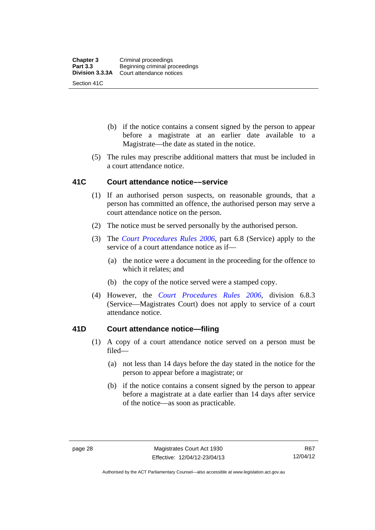- (b) if the notice contains a consent signed by the person to appear before a magistrate at an earlier date available to a Magistrate—the date as stated in the notice.
- (5) The rules may prescribe additional matters that must be included in a court attendance notice.

## **41C Court attendance notice––service**

- (1) If an authorised person suspects, on reasonable grounds, that a person has committed an offence, the authorised person may serve a court attendance notice on the person.
- (2) The notice must be served personally by the authorised person.
- (3) The *[Court Procedures Rules 2006](http://www.legislation.act.gov.au/sl/2006-29),* part 6.8 (Service) apply to the service of a court attendance notice as if—
	- (a) the notice were a document in the proceeding for the offence to which it relates; and
	- (b) the copy of the notice served were a stamped copy.
- (4) However, the *[Court Procedures Rules 2006,](http://www.legislation.act.gov.au/sl/2006-29)* division 6.8.3 (Service—Magistrates Court) does not apply to service of a court attendance notice.

# **41D Court attendance notice—filing**

- (1) A copy of a court attendance notice served on a person must be filed—
	- (a) not less than 14 days before the day stated in the notice for the person to appear before a magistrate; or
	- (b) if the notice contains a consent signed by the person to appear before a magistrate at a date earlier than 14 days after service of the notice—as soon as practicable.

Authorised by the ACT Parliamentary Counsel—also accessible at www.legislation.act.gov.au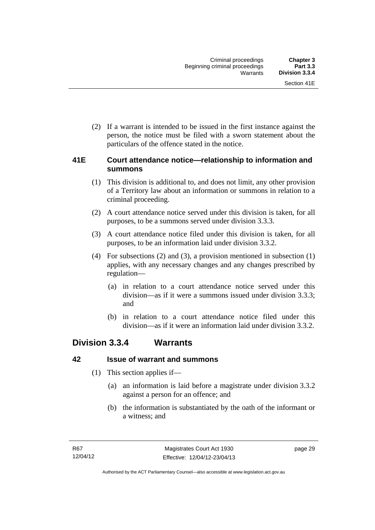(2) If a warrant is intended to be issued in the first instance against the person, the notice must be filed with a sworn statement about the particulars of the offence stated in the notice.

# **41E Court attendance notice—relationship to information and summons**

- (1) This division is additional to, and does not limit, any other provision of a Territory law about an information or summons in relation to a criminal proceeding.
- (2) A court attendance notice served under this division is taken, for all purposes, to be a summons served under division 3.3.3.
- (3) A court attendance notice filed under this division is taken, for all purposes, to be an information laid under division 3.3.2.
- (4) For subsections (2) and (3), a provision mentioned in subsection (1) applies, with any necessary changes and any changes prescribed by regulation—
	- (a) in relation to a court attendance notice served under this division—as if it were a summons issued under division 3.3.3; and
	- (b) in relation to a court attendance notice filed under this division—as if it were an information laid under division 3.3.2.

# **Division 3.3.4 Warrants**

# **42 Issue of warrant and summons**

- (1) This section applies if—
	- (a) an information is laid before a magistrate under division 3.3.2 against a person for an offence; and
	- (b) the information is substantiated by the oath of the informant or a witness; and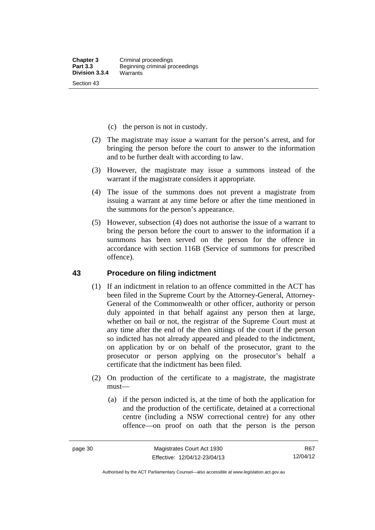- (c) the person is not in custody.
- (2) The magistrate may issue a warrant for the person's arrest, and for bringing the person before the court to answer to the information and to be further dealt with according to law.
- (3) However, the magistrate may issue a summons instead of the warrant if the magistrate considers it appropriate.
- (4) The issue of the summons does not prevent a magistrate from issuing a warrant at any time before or after the time mentioned in the summons for the person's appearance.
- (5) However, subsection (4) does not authorise the issue of a warrant to bring the person before the court to answer to the information if a summons has been served on the person for the offence in accordance with section 116B (Service of summons for prescribed offence).

#### **43 Procedure on filing indictment**

- (1) If an indictment in relation to an offence committed in the ACT has been filed in the Supreme Court by the Attorney-General, Attorney-General of the Commonwealth or other officer, authority or person duly appointed in that behalf against any person then at large, whether on bail or not, the registrar of the Supreme Court must at any time after the end of the then sittings of the court if the person so indicted has not already appeared and pleaded to the indictment, on application by or on behalf of the prosecutor, grant to the prosecutor or person applying on the prosecutor's behalf a certificate that the indictment has been filed.
- (2) On production of the certificate to a magistrate, the magistrate must—
	- (a) if the person indicted is, at the time of both the application for and the production of the certificate, detained at a correctional centre (including a NSW correctional centre) for any other offence—on proof on oath that the person is the person

R67 12/04/12

Authorised by the ACT Parliamentary Counsel—also accessible at www.legislation.act.gov.au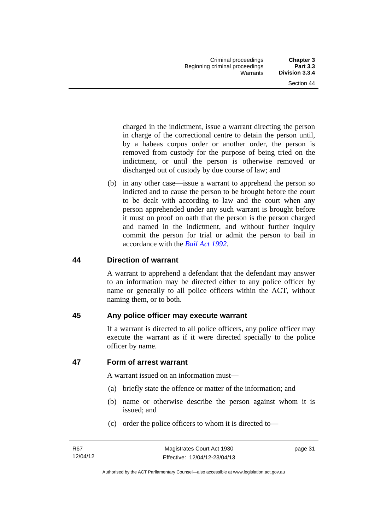charged in the indictment, issue a warrant directing the person in charge of the correctional centre to detain the person until, by a habeas corpus order or another order, the person is removed from custody for the purpose of being tried on the indictment, or until the person is otherwise removed or discharged out of custody by due course of law; and

 (b) in any other case—issue a warrant to apprehend the person so indicted and to cause the person to be brought before the court to be dealt with according to law and the court when any person apprehended under any such warrant is brought before it must on proof on oath that the person is the person charged and named in the indictment, and without further inquiry commit the person for trial or admit the person to bail in accordance with the *[Bail Act 1992](http://www.legislation.act.gov.au/a/1992-8)*.

# **44 Direction of warrant**

A warrant to apprehend a defendant that the defendant may answer to an information may be directed either to any police officer by name or generally to all police officers within the ACT, without naming them, or to both.

# **45 Any police officer may execute warrant**

If a warrant is directed to all police officers, any police officer may execute the warrant as if it were directed specially to the police officer by name.

# **47 Form of arrest warrant**

A warrant issued on an information must—

- (a) briefly state the offence or matter of the information; and
- (b) name or otherwise describe the person against whom it is issued; and
- (c) order the police officers to whom it is directed to—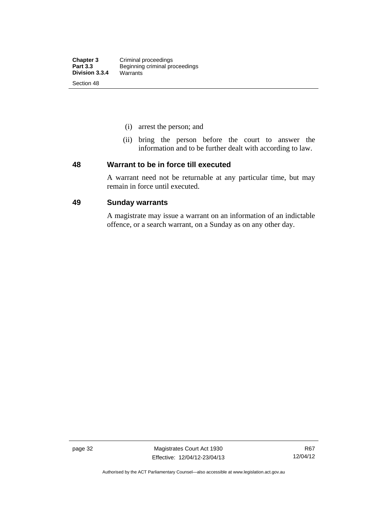- (i) arrest the person; and
- (ii) bring the person before the court to answer the information and to be further dealt with according to law.

### **48 Warrant to be in force till executed**

A warrant need not be returnable at any particular time, but may remain in force until executed.

### **49 Sunday warrants**

A magistrate may issue a warrant on an information of an indictable offence, or a search warrant, on a Sunday as on any other day.

page 32 Magistrates Court Act 1930 Effective: 12/04/12-23/04/13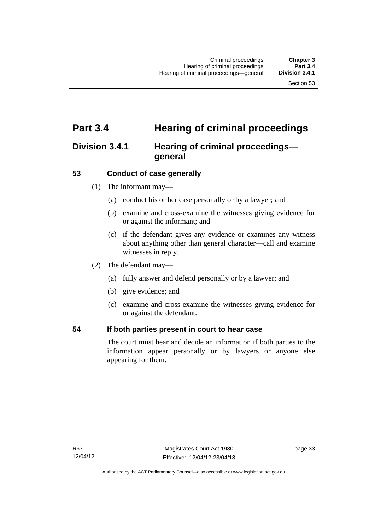# **Part 3.4 Hearing of criminal proceedings**

# **Division 3.4.1 Hearing of criminal proceedings general**

# **53 Conduct of case generally**

- (1) The informant may—
	- (a) conduct his or her case personally or by a lawyer; and
	- (b) examine and cross-examine the witnesses giving evidence for or against the informant; and
	- (c) if the defendant gives any evidence or examines any witness about anything other than general character—call and examine witnesses in reply.
- (2) The defendant may—
	- (a) fully answer and defend personally or by a lawyer; and
	- (b) give evidence; and
	- (c) examine and cross-examine the witnesses giving evidence for or against the defendant.

## **54 If both parties present in court to hear case**

The court must hear and decide an information if both parties to the information appear personally or by lawyers or anyone else appearing for them.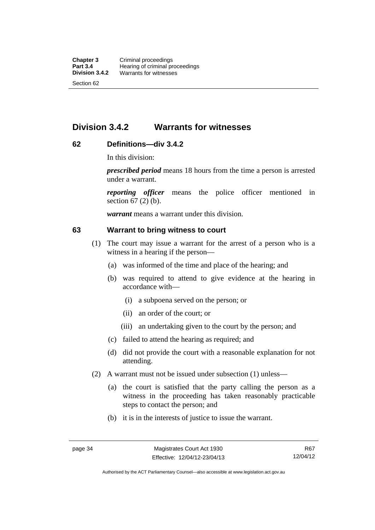# **Division 3.4.2 Warrants for witnesses**

# **62 Definitions—div 3.4.2**

In this division:

*prescribed period* means 18 hours from the time a person is arrested under a warrant.

*reporting officer* means the police officer mentioned in section 67 (2) (b).

*warrant* means a warrant under this division.

### **63 Warrant to bring witness to court**

- (1) The court may issue a warrant for the arrest of a person who is a witness in a hearing if the person—
	- (a) was informed of the time and place of the hearing; and
	- (b) was required to attend to give evidence at the hearing in accordance with—
		- (i) a subpoena served on the person; or
		- (ii) an order of the court; or
		- (iii) an undertaking given to the court by the person; and
	- (c) failed to attend the hearing as required; and
	- (d) did not provide the court with a reasonable explanation for not attending.
- (2) A warrant must not be issued under subsection (1) unless—
	- (a) the court is satisfied that the party calling the person as a witness in the proceeding has taken reasonably practicable steps to contact the person; and
	- (b) it is in the interests of justice to issue the warrant.

Authorised by the ACT Parliamentary Counsel—also accessible at www.legislation.act.gov.au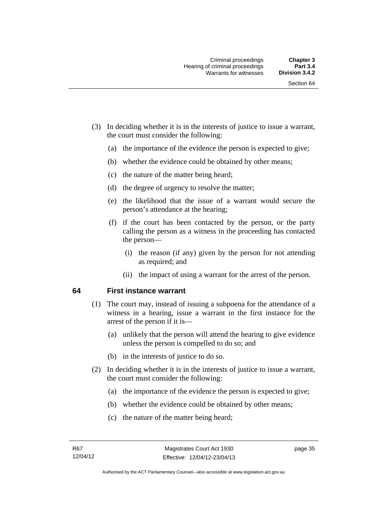- (3) In deciding whether it is in the interests of justice to issue a warrant, the court must consider the following:
	- (a) the importance of the evidence the person is expected to give;
	- (b) whether the evidence could be obtained by other means;
	- (c) the nature of the matter being heard;
	- (d) the degree of urgency to resolve the matter;
	- (e) the likelihood that the issue of a warrant would secure the person's attendance at the hearing;
	- (f) if the court has been contacted by the person, or the party calling the person as a witness in the proceeding has contacted the person—
		- (i) the reason (if any) given by the person for not attending as required; and
		- (ii) the impact of using a warrant for the arrest of the person.

#### **64 First instance warrant**

- (1) The court may, instead of issuing a subpoena for the attendance of a witness in a hearing, issue a warrant in the first instance for the arrest of the person if it is—
	- (a) unlikely that the person will attend the hearing to give evidence unless the person is compelled to do so; and
	- (b) in the interests of justice to do so.
- (2) In deciding whether it is in the interests of justice to issue a warrant, the court must consider the following:
	- (a) the importance of the evidence the person is expected to give;
	- (b) whether the evidence could be obtained by other means;
	- (c) the nature of the matter being heard;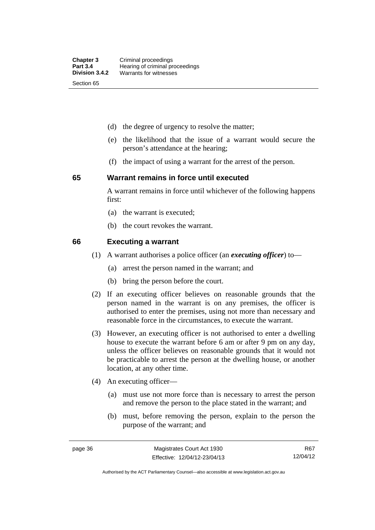- (d) the degree of urgency to resolve the matter;
- (e) the likelihood that the issue of a warrant would secure the person's attendance at the hearing;
- (f) the impact of using a warrant for the arrest of the person.

#### **65 Warrant remains in force until executed**

A warrant remains in force until whichever of the following happens first:

- (a) the warrant is executed;
- (b) the court revokes the warrant.

#### **66 Executing a warrant**

- (1) A warrant authorises a police officer (an *executing officer*) to—
	- (a) arrest the person named in the warrant; and
	- (b) bring the person before the court.
- (2) If an executing officer believes on reasonable grounds that the person named in the warrant is on any premises, the officer is authorised to enter the premises, using not more than necessary and reasonable force in the circumstances, to execute the warrant.
- (3) However, an executing officer is not authorised to enter a dwelling house to execute the warrant before 6 am or after 9 pm on any day, unless the officer believes on reasonable grounds that it would not be practicable to arrest the person at the dwelling house, or another location, at any other time.
- (4) An executing officer—
	- (a) must use not more force than is necessary to arrest the person and remove the person to the place stated in the warrant; and
	- (b) must, before removing the person, explain to the person the purpose of the warrant; and

R67 12/04/12

Authorised by the ACT Parliamentary Counsel—also accessible at www.legislation.act.gov.au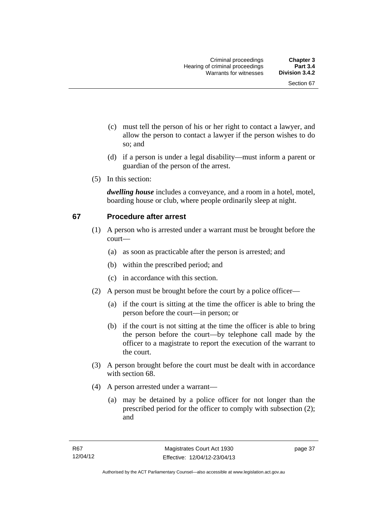- (c) must tell the person of his or her right to contact a lawyer, and allow the person to contact a lawyer if the person wishes to do so; and
- (d) if a person is under a legal disability—must inform a parent or guardian of the person of the arrest.
- (5) In this section:

*dwelling house* includes a conveyance, and a room in a hotel, motel, boarding house or club, where people ordinarily sleep at night.

# **67 Procedure after arrest**

- (1) A person who is arrested under a warrant must be brought before the court—
	- (a) as soon as practicable after the person is arrested; and
	- (b) within the prescribed period; and
	- (c) in accordance with this section.
- (2) A person must be brought before the court by a police officer—
	- (a) if the court is sitting at the time the officer is able to bring the person before the court—in person; or
	- (b) if the court is not sitting at the time the officer is able to bring the person before the court—by telephone call made by the officer to a magistrate to report the execution of the warrant to the court.
- (3) A person brought before the court must be dealt with in accordance with section 68.
- (4) A person arrested under a warrant—
	- (a) may be detained by a police officer for not longer than the prescribed period for the officer to comply with subsection (2); and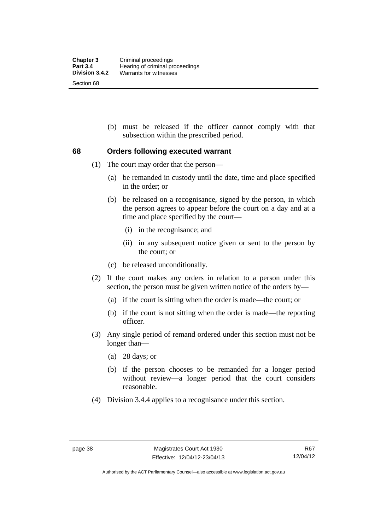(b) must be released if the officer cannot comply with that subsection within the prescribed period.

# **68 Orders following executed warrant**

- (1) The court may order that the person—
	- (a) be remanded in custody until the date, time and place specified in the order; or
	- (b) be released on a recognisance, signed by the person, in which the person agrees to appear before the court on a day and at a time and place specified by the court—
		- (i) in the recognisance; and
		- (ii) in any subsequent notice given or sent to the person by the court; or
	- (c) be released unconditionally.
- (2) If the court makes any orders in relation to a person under this section, the person must be given written notice of the orders by—
	- (a) if the court is sitting when the order is made—the court; or
	- (b) if the court is not sitting when the order is made—the reporting officer.
- (3) Any single period of remand ordered under this section must not be longer than—
	- (a) 28 days; or
	- (b) if the person chooses to be remanded for a longer period without review—a longer period that the court considers reasonable.
- (4) Division 3.4.4 applies to a recognisance under this section.

Authorised by the ACT Parliamentary Counsel—also accessible at www.legislation.act.gov.au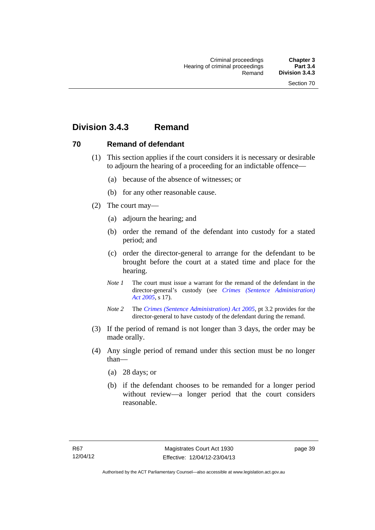# **Division 3.4.3 Remand**

# **70 Remand of defendant**

- (1) This section applies if the court considers it is necessary or desirable to adjourn the hearing of a proceeding for an indictable offence—
	- (a) because of the absence of witnesses; or
	- (b) for any other reasonable cause.
- (2) The court may—
	- (a) adjourn the hearing; and
	- (b) order the remand of the defendant into custody for a stated period; and
	- (c) order the director-general to arrange for the defendant to be brought before the court at a stated time and place for the hearing.
	- *Note 1* The court must issue a warrant for the remand of the defendant in the director-general's custody (see *[Crimes \(Sentence Administration\)](http://www.legislation.act.gov.au/a/2005-59)  [Act 2005](http://www.legislation.act.gov.au/a/2005-59)*, s 17).
	- *Note 2* The *[Crimes \(Sentence Administration\) Act 2005](http://www.legislation.act.gov.au/a/2005-59)*, pt 3.2 provides for the director-general to have custody of the defendant during the remand.
- (3) If the period of remand is not longer than 3 days, the order may be made orally.
- (4) Any single period of remand under this section must be no longer than—
	- (a) 28 days; or
	- (b) if the defendant chooses to be remanded for a longer period without review—a longer period that the court considers reasonable.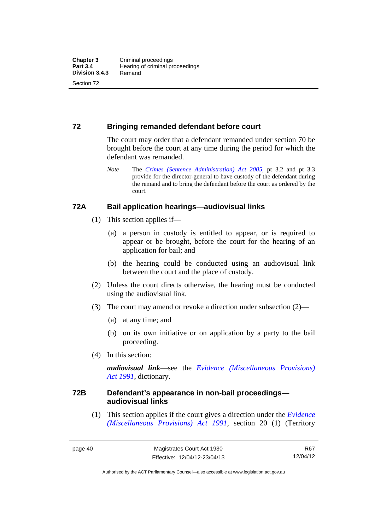# **72 Bringing remanded defendant before court**

The court may order that a defendant remanded under section 70 be brought before the court at any time during the period for which the defendant was remanded.

*Note* The *[Crimes \(Sentence Administration\) Act 2005](http://www.legislation.act.gov.au/a/2005-59)*, pt 3.2 and pt 3.3 provide for the director-general to have custody of the defendant during the remand and to bring the defendant before the court as ordered by the court.

# **72A Bail application hearings—audiovisual links**

- (1) This section applies if—
	- (a) a person in custody is entitled to appear, or is required to appear or be brought, before the court for the hearing of an application for bail; and
	- (b) the hearing could be conducted using an audiovisual link between the court and the place of custody.
- (2) Unless the court directs otherwise, the hearing must be conducted using the audiovisual link.
- (3) The court may amend or revoke a direction under subsection (2)—
	- (a) at any time; and
	- (b) on its own initiative or on application by a party to the bail proceeding.
- (4) In this section:

*audiovisual link*—see the *[Evidence \(Miscellaneous Provisions\)](http://www.legislation.act.gov.au/a/1991-34)  [Act 1991](http://www.legislation.act.gov.au/a/1991-34)*, dictionary.

# **72B Defendant's appearance in non-bail proceedings audiovisual links**

(1) This section applies if the court gives a direction under the *[Evidence](http://www.legislation.act.gov.au/a/1991-34)  [\(Miscellaneous Provisions\) Act 1991](http://www.legislation.act.gov.au/a/1991-34)*, section 20 (1) (Territory

R67 12/04/12

Authorised by the ACT Parliamentary Counsel—also accessible at www.legislation.act.gov.au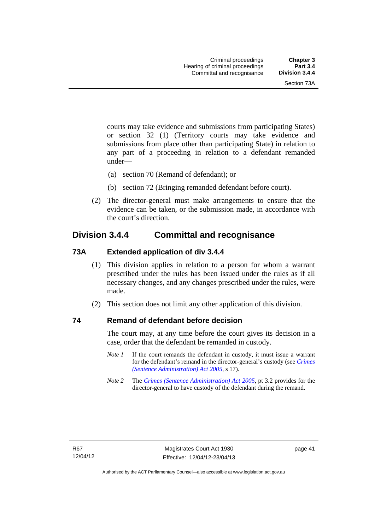courts may take evidence and submissions from participating States) or section 32 (1) (Territory courts may take evidence and submissions from place other than participating State) in relation to any part of a proceeding in relation to a defendant remanded under—

- (a) section 70 (Remand of defendant); or
- (b) section 72 (Bringing remanded defendant before court).
- (2) The director-general must make arrangements to ensure that the evidence can be taken, or the submission made, in accordance with the court's direction.

# **Division 3.4.4 Committal and recognisance**

## **73A Extended application of div 3.4.4**

- (1) This division applies in relation to a person for whom a warrant prescribed under the rules has been issued under the rules as if all necessary changes, and any changes prescribed under the rules, were made.
- (2) This section does not limit any other application of this division.

## **74 Remand of defendant before decision**

The court may, at any time before the court gives its decision in a case, order that the defendant be remanded in custody.

- *Note 1* If the court remands the defendant in custody, it must issue a warrant for the defendant's remand in the director-general's custody (see *[Crimes](http://www.legislation.act.gov.au/a/2005-59)  [\(Sentence Administration\) Act 2005](http://www.legislation.act.gov.au/a/2005-59)*, s 17).
- *Note 2* The *[Crimes \(Sentence Administration\) Act 2005](http://www.legislation.act.gov.au/a/2005-59)*, pt 3.2 provides for the director-general to have custody of the defendant during the remand.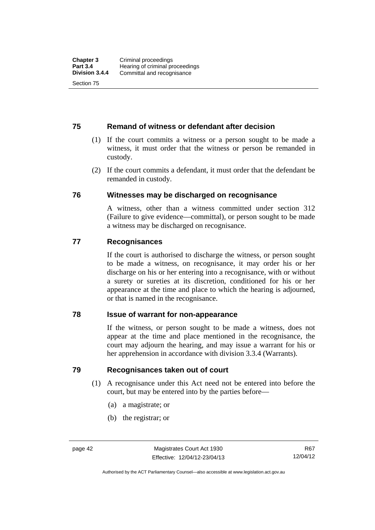# **75 Remand of witness or defendant after decision**

- (1) If the court commits a witness or a person sought to be made a witness, it must order that the witness or person be remanded in custody.
- (2) If the court commits a defendant, it must order that the defendant be remanded in custody.

## **76 Witnesses may be discharged on recognisance**

A witness, other than a witness committed under section 312 (Failure to give evidence—committal), or person sought to be made a witness may be discharged on recognisance.

## **77 Recognisances**

If the court is authorised to discharge the witness, or person sought to be made a witness, on recognisance, it may order his or her discharge on his or her entering into a recognisance, with or without a surety or sureties at its discretion, conditioned for his or her appearance at the time and place to which the hearing is adjourned, or that is named in the recognisance.

## **78 Issue of warrant for non-appearance**

If the witness, or person sought to be made a witness, does not appear at the time and place mentioned in the recognisance, the court may adjourn the hearing, and may issue a warrant for his or her apprehension in accordance with division 3.3.4 (Warrants).

## **79 Recognisances taken out of court**

- (1) A recognisance under this Act need not be entered into before the court, but may be entered into by the parties before—
	- (a) a magistrate; or
	- (b) the registrar; or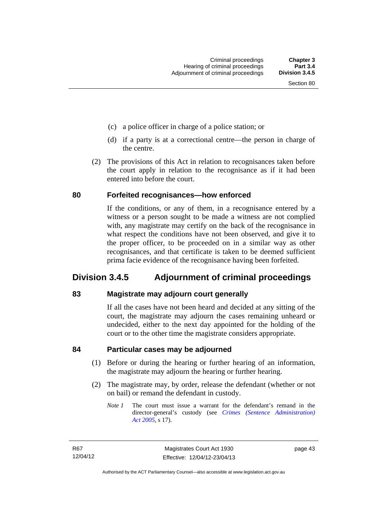- (c) a police officer in charge of a police station; or
- (d) if a party is at a correctional centre—the person in charge of the centre.
- (2) The provisions of this Act in relation to recognisances taken before the court apply in relation to the recognisance as if it had been entered into before the court.

### **80 Forfeited recognisances—how enforced**

If the conditions, or any of them, in a recognisance entered by a witness or a person sought to be made a witness are not complied with, any magistrate may certify on the back of the recognisance in what respect the conditions have not been observed, and give it to the proper officer, to be proceeded on in a similar way as other recognisances, and that certificate is taken to be deemed sufficient prima facie evidence of the recognisance having been forfeited.

# **Division 3.4.5 Adjournment of criminal proceedings**

## **83 Magistrate may adjourn court generally**

If all the cases have not been heard and decided at any sitting of the court, the magistrate may adjourn the cases remaining unheard or undecided, either to the next day appointed for the holding of the court or to the other time the magistrate considers appropriate.

## **84 Particular cases may be adjourned**

- (1) Before or during the hearing or further hearing of an information, the magistrate may adjourn the hearing or further hearing.
- (2) The magistrate may, by order, release the defendant (whether or not on bail) or remand the defendant in custody.
	- *Note 1* The court must issue a warrant for the defendant's remand in the director-general's custody (see *[Crimes \(Sentence Administration\)](http://www.legislation.act.gov.au/a/2005-59)  [Act 2005](http://www.legislation.act.gov.au/a/2005-59)*, s 17).

page 43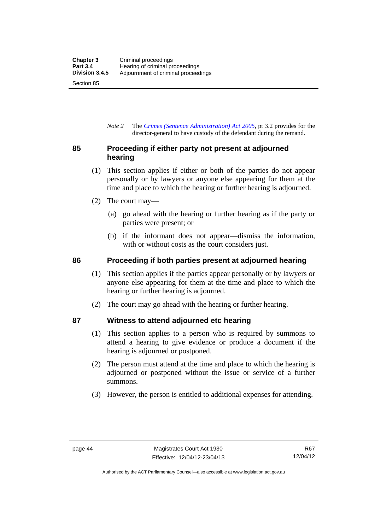*Note 2* The *[Crimes \(Sentence Administration\) Act 2005](http://www.legislation.act.gov.au/a/2005-59)*, pt 3.2 provides for the director-general to have custody of the defendant during the remand.

# **85 Proceeding if either party not present at adjourned hearing**

- (1) This section applies if either or both of the parties do not appear personally or by lawyers or anyone else appearing for them at the time and place to which the hearing or further hearing is adjourned.
- (2) The court may—
	- (a) go ahead with the hearing or further hearing as if the party or parties were present; or
	- (b) if the informant does not appear—dismiss the information, with or without costs as the court considers just.

# **86 Proceeding if both parties present at adjourned hearing**

- (1) This section applies if the parties appear personally or by lawyers or anyone else appearing for them at the time and place to which the hearing or further hearing is adjourned.
- (2) The court may go ahead with the hearing or further hearing.

# **87 Witness to attend adjourned etc hearing**

- (1) This section applies to a person who is required by summons to attend a hearing to give evidence or produce a document if the hearing is adjourned or postponed.
- (2) The person must attend at the time and place to which the hearing is adjourned or postponed without the issue or service of a further summons.
- (3) However, the person is entitled to additional expenses for attending.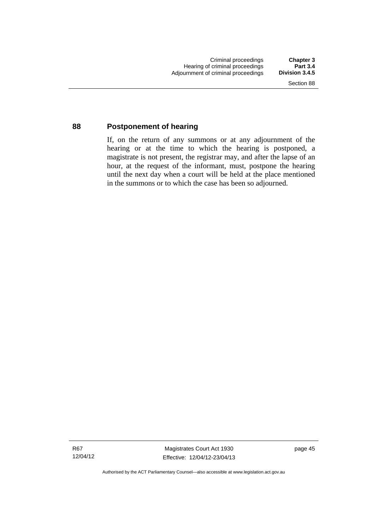## **88 Postponement of hearing**

If, on the return of any summons or at any adjournment of the hearing or at the time to which the hearing is postponed, a magistrate is not present, the registrar may, and after the lapse of an hour, at the request of the informant, must, postpone the hearing until the next day when a court will be held at the place mentioned in the summons or to which the case has been so adjourned.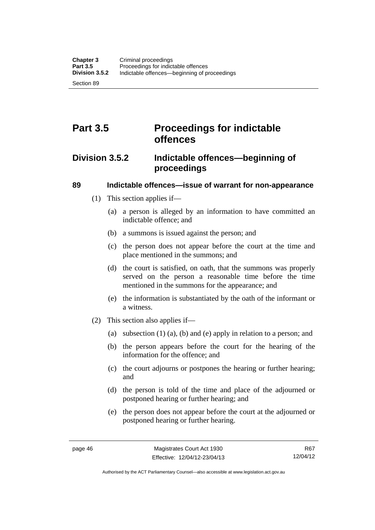# **Part 3.5 Proceedings for indictable offences**

# **Division 3.5.2 Indictable offences—beginning of proceedings**

# **89 Indictable offences—issue of warrant for non-appearance**

- (1) This section applies if—
	- (a) a person is alleged by an information to have committed an indictable offence; and
	- (b) a summons is issued against the person; and
	- (c) the person does not appear before the court at the time and place mentioned in the summons; and
	- (d) the court is satisfied, on oath, that the summons was properly served on the person a reasonable time before the time mentioned in the summons for the appearance; and
	- (e) the information is substantiated by the oath of the informant or a witness.
- (2) This section also applies if—
	- (a) subsection (1) (a), (b) and (e) apply in relation to a person; and
	- (b) the person appears before the court for the hearing of the information for the offence; and
	- (c) the court adjourns or postpones the hearing or further hearing; and
	- (d) the person is told of the time and place of the adjourned or postponed hearing or further hearing; and
	- (e) the person does not appear before the court at the adjourned or postponed hearing or further hearing.

Authorised by the ACT Parliamentary Counsel—also accessible at www.legislation.act.gov.au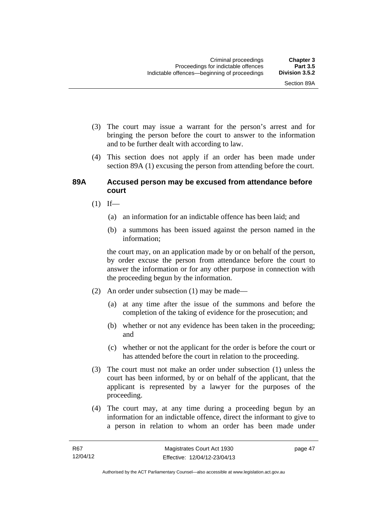- (3) The court may issue a warrant for the person's arrest and for bringing the person before the court to answer to the information and to be further dealt with according to law.
- (4) This section does not apply if an order has been made under section 89A (1) excusing the person from attending before the court.

### **89A Accused person may be excused from attendance before court**

- $(1)$  If—
	- (a) an information for an indictable offence has been laid; and
	- (b) a summons has been issued against the person named in the information;

the court may, on an application made by or on behalf of the person, by order excuse the person from attendance before the court to answer the information or for any other purpose in connection with the proceeding begun by the information.

- (2) An order under subsection (1) may be made—
	- (a) at any time after the issue of the summons and before the completion of the taking of evidence for the prosecution; and
	- (b) whether or not any evidence has been taken in the proceeding; and
	- (c) whether or not the applicant for the order is before the court or has attended before the court in relation to the proceeding.
- (3) The court must not make an order under subsection (1) unless the court has been informed, by or on behalf of the applicant, that the applicant is represented by a lawyer for the purposes of the proceeding.
- (4) The court may, at any time during a proceeding begun by an information for an indictable offence, direct the informant to give to a person in relation to whom an order has been made under

page 47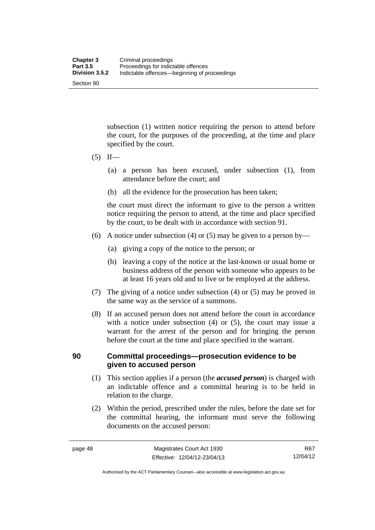subsection (1) written notice requiring the person to attend before the court, for the purposes of the proceeding, at the time and place specified by the court.

- $(5)$  If—
	- (a) a person has been excused, under subsection (1), from attendance before the court; and
	- (b) all the evidence for the prosecution has been taken;

the court must direct the informant to give to the person a written notice requiring the person to attend, at the time and place specified by the court, to be dealt with in accordance with section 91.

- (6) A notice under subsection (4) or (5) may be given to a person by—
	- (a) giving a copy of the notice to the person; or
	- (b) leaving a copy of the notice at the last-known or usual home or business address of the person with someone who appears to be at least 16 years old and to live or be employed at the address.
- (7) The giving of a notice under subsection (4) or (5) may be proved in the same way as the service of a summons.
- (8) If an accused person does not attend before the court in accordance with a notice under subsection (4) or (5), the court may issue a warrant for the arrest of the person and for bringing the person before the court at the time and place specified in the warrant.

# **90 Committal proceedings—prosecution evidence to be given to accused person**

- (1) This section applies if a person (the *accused person*) is charged with an indictable offence and a committal hearing is to be held in relation to the charge.
- (2) Within the period, prescribed under the rules, before the date set for the committal hearing, the informant must serve the following documents on the accused person:

R67 12/04/12

Authorised by the ACT Parliamentary Counsel—also accessible at www.legislation.act.gov.au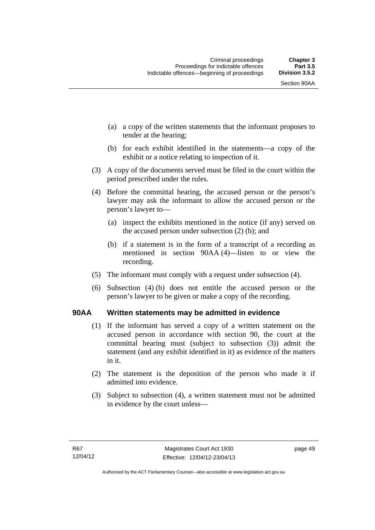Section 90AA

- (a) a copy of the written statements that the informant proposes to tender at the hearing;
- (b) for each exhibit identified in the statements—a copy of the exhibit or a notice relating to inspection of it.
- (3) A copy of the documents served must be filed in the court within the period prescribed under the rules.
- (4) Before the committal hearing, the accused person or the person's lawyer may ask the informant to allow the accused person or the person's lawyer to—
	- (a) inspect the exhibits mentioned in the notice (if any) served on the accused person under subsection (2) (b); and
	- (b) if a statement is in the form of a transcript of a recording as mentioned in section 90AA (4)—listen to or view the recording.
- (5) The informant must comply with a request under subsection (4).
- (6) Subsection (4) (b) does not entitle the accused person or the person's lawyer to be given or make a copy of the recording.

# **90AA Written statements may be admitted in evidence**

- (1) If the informant has served a copy of a written statement on the accused person in accordance with section 90, the court at the committal hearing must (subject to subsection (3)) admit the statement (and any exhibit identified in it) as evidence of the matters in it.
- (2) The statement is the deposition of the person who made it if admitted into evidence.
- (3) Subject to subsection (4), a written statement must not be admitted in evidence by the court unless—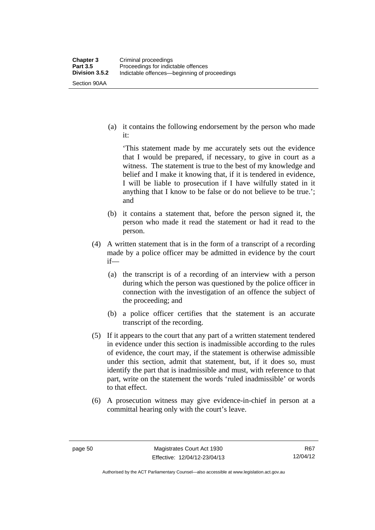it:

Section 90AA

(a) it contains the following endorsement by the person who made

'This statement made by me accurately sets out the evidence that I would be prepared, if necessary, to give in court as a witness. The statement is true to the best of my knowledge and belief and I make it knowing that, if it is tendered in evidence, I will be liable to prosecution if I have wilfully stated in it anything that I know to be false or do not believe to be true.'; and

- (b) it contains a statement that, before the person signed it, the person who made it read the statement or had it read to the person.
- (4) A written statement that is in the form of a transcript of a recording made by a police officer may be admitted in evidence by the court if—
	- (a) the transcript is of a recording of an interview with a person during which the person was questioned by the police officer in connection with the investigation of an offence the subject of the proceeding; and
	- (b) a police officer certifies that the statement is an accurate transcript of the recording.
- (5) If it appears to the court that any part of a written statement tendered in evidence under this section is inadmissible according to the rules of evidence, the court may, if the statement is otherwise admissible under this section, admit that statement, but, if it does so, must identify the part that is inadmissible and must, with reference to that part, write on the statement the words 'ruled inadmissible' or words to that effect.
- (6) A prosecution witness may give evidence-in-chief in person at a committal hearing only with the court's leave.

R67 12/04/12

Authorised by the ACT Parliamentary Counsel—also accessible at www.legislation.act.gov.au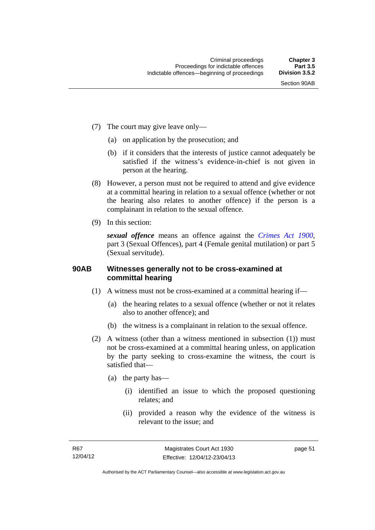- (7) The court may give leave only—
	- (a) on application by the prosecution; and
	- (b) if it considers that the interests of justice cannot adequately be satisfied if the witness's evidence-in-chief is not given in person at the hearing.
- (8) However, a person must not be required to attend and give evidence at a committal hearing in relation to a sexual offence (whether or not the hearing also relates to another offence) if the person is a complainant in relation to the sexual offence.
- (9) In this section:

*sexual offence* means an offence against the *[Crimes Act 1900](http://www.legislation.act.gov.au/a/1900-40)*, part 3 (Sexual Offences), part 4 (Female genital mutilation) or part 5 (Sexual servitude).

# **90AB Witnesses generally not to be cross-examined at committal hearing**

- (1) A witness must not be cross-examined at a committal hearing if—
	- (a) the hearing relates to a sexual offence (whether or not it relates also to another offence); and
	- (b) the witness is a complainant in relation to the sexual offence.
- (2) A witness (other than a witness mentioned in subsection (1)) must not be cross-examined at a committal hearing unless, on application by the party seeking to cross-examine the witness, the court is satisfied that—
	- (a) the party has—
		- (i) identified an issue to which the proposed questioning relates; and
		- (ii) provided a reason why the evidence of the witness is relevant to the issue; and

page 51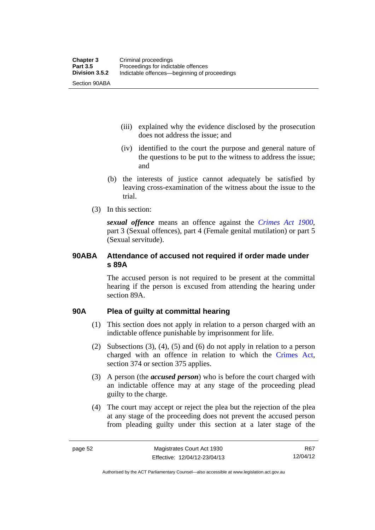(iii) explained why the evidence disclosed by the prosecution does not address the issue; and

- (iv) identified to the court the purpose and general nature of the questions to be put to the witness to address the issue; and
- (b) the interests of justice cannot adequately be satisfied by leaving cross-examination of the witness about the issue to the trial.
- (3) In this section:

*sexual offence* means an offence against the *[Crimes Act 1900](http://www.legislation.act.gov.au/a/1900-40)*, part 3 (Sexual offences), part 4 (Female genital mutilation) or part 5 (Sexual servitude).

# **90ABA Attendance of accused not required if order made under s 89A**

The accused person is not required to be present at the committal hearing if the person is excused from attending the hearing under section 89A.

# **90A Plea of guilty at committal hearing**

- (1) This section does not apply in relation to a person charged with an indictable offence punishable by imprisonment for life.
- (2) Subsections (3), (4), (5) and (6) do not apply in relation to a person charged with an offence in relation to which the [Crimes Act](http://www.legislation.act.gov.au/a/1900-40/default.asp), section 374 or section 375 applies.
- (3) A person (the *accused person*) who is before the court charged with an indictable offence may at any stage of the proceeding plead guilty to the charge.
- (4) The court may accept or reject the plea but the rejection of the plea at any stage of the proceeding does not prevent the accused person from pleading guilty under this section at a later stage of the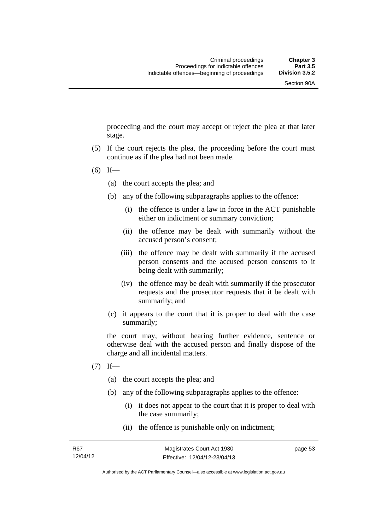proceeding and the court may accept or reject the plea at that later stage.

- (5) If the court rejects the plea, the proceeding before the court must continue as if the plea had not been made.
- $(6)$  If—
	- (a) the court accepts the plea; and
	- (b) any of the following subparagraphs applies to the offence:
		- (i) the offence is under a law in force in the ACT punishable either on indictment or summary conviction;
		- (ii) the offence may be dealt with summarily without the accused person's consent;
		- (iii) the offence may be dealt with summarily if the accused person consents and the accused person consents to it being dealt with summarily;
		- (iv) the offence may be dealt with summarily if the prosecutor requests and the prosecutor requests that it be dealt with summarily; and
	- (c) it appears to the court that it is proper to deal with the case summarily;

the court may, without hearing further evidence, sentence or otherwise deal with the accused person and finally dispose of the charge and all incidental matters.

- $(7)$  If—
	- (a) the court accepts the plea; and
	- (b) any of the following subparagraphs applies to the offence:
		- (i) it does not appear to the court that it is proper to deal with the case summarily;
		- (ii) the offence is punishable only on indictment;

page 53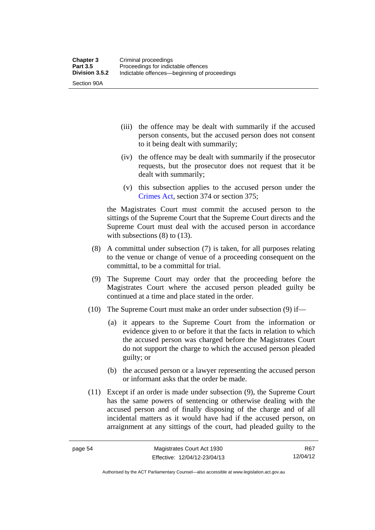- (iii) the offence may be dealt with summarily if the accused person consents, but the accused person does not consent to it being dealt with summarily;
- (iv) the offence may be dealt with summarily if the prosecutor requests, but the prosecutor does not request that it be dealt with summarily;
- (v) this subsection applies to the accused person under the [Crimes Act,](http://www.legislation.act.gov.au/a/1900-40/default.asp) section 374 or section 375;

the Magistrates Court must commit the accused person to the sittings of the Supreme Court that the Supreme Court directs and the Supreme Court must deal with the accused person in accordance with subsections (8) to (13).

- (8) A committal under subsection (7) is taken, for all purposes relating to the venue or change of venue of a proceeding consequent on the committal, to be a committal for trial.
- (9) The Supreme Court may order that the proceeding before the Magistrates Court where the accused person pleaded guilty be continued at a time and place stated in the order.
- (10) The Supreme Court must make an order under subsection (9) if—
	- (a) it appears to the Supreme Court from the information or evidence given to or before it that the facts in relation to which the accused person was charged before the Magistrates Court do not support the charge to which the accused person pleaded guilty; or
	- (b) the accused person or a lawyer representing the accused person or informant asks that the order be made.
- (11) Except if an order is made under subsection (9), the Supreme Court has the same powers of sentencing or otherwise dealing with the accused person and of finally disposing of the charge and of all incidental matters as it would have had if the accused person, on arraignment at any sittings of the court, had pleaded guilty to the

R67 12/04/12

Authorised by the ACT Parliamentary Counsel—also accessible at www.legislation.act.gov.au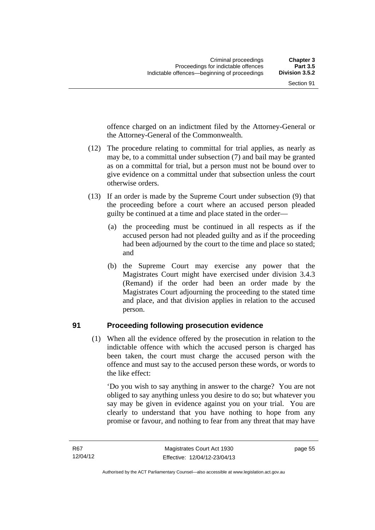offence charged on an indictment filed by the Attorney-General or the Attorney-General of the Commonwealth.

- (12) The procedure relating to committal for trial applies, as nearly as may be, to a committal under subsection (7) and bail may be granted as on a committal for trial, but a person must not be bound over to give evidence on a committal under that subsection unless the court otherwise orders.
- (13) If an order is made by the Supreme Court under subsection (9) that the proceeding before a court where an accused person pleaded guilty be continued at a time and place stated in the order—
	- (a) the proceeding must be continued in all respects as if the accused person had not pleaded guilty and as if the proceeding had been adjourned by the court to the time and place so stated; and
	- (b) the Supreme Court may exercise any power that the Magistrates Court might have exercised under division 3.4.3 (Remand) if the order had been an order made by the Magistrates Court adjourning the proceeding to the stated time and place, and that division applies in relation to the accused person.

## **91 Proceeding following prosecution evidence**

 (1) When all the evidence offered by the prosecution in relation to the indictable offence with which the accused person is charged has been taken, the court must charge the accused person with the offence and must say to the accused person these words, or words to the like effect:

'Do you wish to say anything in answer to the charge? You are not obliged to say anything unless you desire to do so; but whatever you say may be given in evidence against you on your trial. You are clearly to understand that you have nothing to hope from any promise or favour, and nothing to fear from any threat that may have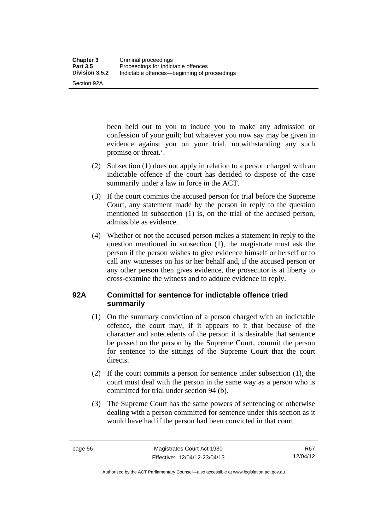Section 92A

been held out to you to induce you to make any admission or confession of your guilt; but whatever you now say may be given in evidence against you on your trial, notwithstanding any such promise or threat.'.

- (2) Subsection (1) does not apply in relation to a person charged with an indictable offence if the court has decided to dispose of the case summarily under a law in force in the ACT.
- (3) If the court commits the accused person for trial before the Supreme Court, any statement made by the person in reply to the question mentioned in subsection (1) is, on the trial of the accused person, admissible as evidence.
- (4) Whether or not the accused person makes a statement in reply to the question mentioned in subsection (1), the magistrate must ask the person if the person wishes to give evidence himself or herself or to call any witnesses on his or her behalf and, if the accused person or any other person then gives evidence, the prosecutor is at liberty to cross-examine the witness and to adduce evidence in reply.

# **92A Committal for sentence for indictable offence tried summarily**

- (1) On the summary conviction of a person charged with an indictable offence, the court may, if it appears to it that because of the character and antecedents of the person it is desirable that sentence be passed on the person by the Supreme Court, commit the person for sentence to the sittings of the Supreme Court that the court directs.
- (2) If the court commits a person for sentence under subsection (1), the court must deal with the person in the same way as a person who is committed for trial under section 94 (b).
- (3) The Supreme Court has the same powers of sentencing or otherwise dealing with a person committed for sentence under this section as it would have had if the person had been convicted in that court.

R67 12/04/12

Authorised by the ACT Parliamentary Counsel—also accessible at www.legislation.act.gov.au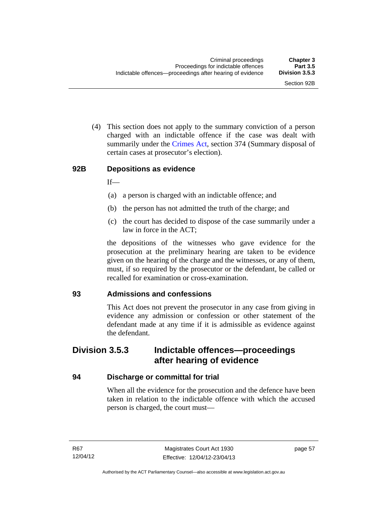(4) This section does not apply to the summary conviction of a person charged with an indictable offence if the case was dealt with summarily under the [Crimes Act,](http://www.legislation.act.gov.au/a/1900-40/default.asp) section 374 (Summary disposal of certain cases at prosecutor's election).

#### **92B Depositions as evidence**

 $If$ —

- (a) a person is charged with an indictable offence; and
- (b) the person has not admitted the truth of the charge; and
- (c) the court has decided to dispose of the case summarily under a law in force in the ACT;

the depositions of the witnesses who gave evidence for the prosecution at the preliminary hearing are taken to be evidence given on the hearing of the charge and the witnesses, or any of them, must, if so required by the prosecutor or the defendant, be called or recalled for examination or cross-examination.

# **93 Admissions and confessions**

This Act does not prevent the prosecutor in any case from giving in evidence any admission or confession or other statement of the defendant made at any time if it is admissible as evidence against the defendant.

# **Division 3.5.3 Indictable offences—proceedings after hearing of evidence**

# **94 Discharge or committal for trial**

When all the evidence for the prosecution and the defence have been taken in relation to the indictable offence with which the accused person is charged, the court must—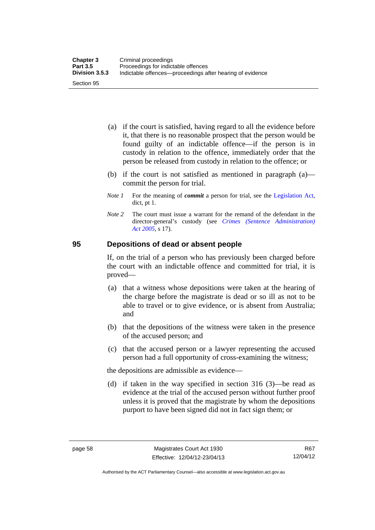- (a) if the court is satisfied, having regard to all the evidence before it, that there is no reasonable prospect that the person would be found guilty of an indictable offence—if the person is in custody in relation to the offence, immediately order that the person be released from custody in relation to the offence; or
- (b) if the court is not satisfied as mentioned in paragraph (a) commit the person for trial.
- *Note 1* For the meaning of *commit* a person for trial, see the [Legislation Act,](http://www.legislation.act.gov.au/a/2001-14) dict, pt 1.
- *Note 2* The court must issue a warrant for the remand of the defendant in the director-general's custody (see *[Crimes \(Sentence Administration\)](http://www.legislation.act.gov.au/a/2005-59)  [Act 2005](http://www.legislation.act.gov.au/a/2005-59)*, s 17).

# **95 Depositions of dead or absent people**

If, on the trial of a person who has previously been charged before the court with an indictable offence and committed for trial, it is proved—

- (a) that a witness whose depositions were taken at the hearing of the charge before the magistrate is dead or so ill as not to be able to travel or to give evidence, or is absent from Australia; and
- (b) that the depositions of the witness were taken in the presence of the accused person; and
- (c) that the accused person or a lawyer representing the accused person had a full opportunity of cross-examining the witness;

the depositions are admissible as evidence—

 (d) if taken in the way specified in section 316 (3)—be read as evidence at the trial of the accused person without further proof unless it is proved that the magistrate by whom the depositions purport to have been signed did not in fact sign them; or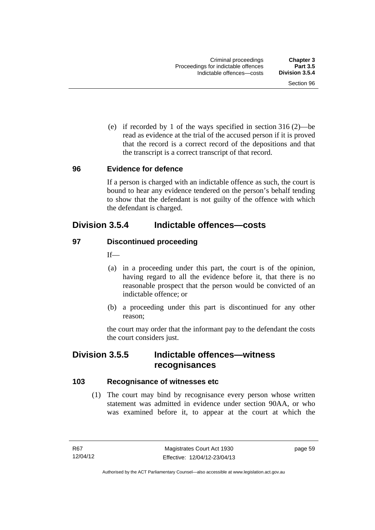(e) if recorded by 1 of the ways specified in section 316 (2)—be read as evidence at the trial of the accused person if it is proved that the record is a correct record of the depositions and that the transcript is a correct transcript of that record.

#### **96 Evidence for defence**

If a person is charged with an indictable offence as such, the court is bound to hear any evidence tendered on the person's behalf tending to show that the defendant is not guilty of the offence with which the defendant is charged.

# **Division 3.5.4 Indictable offences—costs**

# **97 Discontinued proceeding**

If—

- (a) in a proceeding under this part, the court is of the opinion, having regard to all the evidence before it, that there is no reasonable prospect that the person would be convicted of an indictable offence; or
- (b) a proceeding under this part is discontinued for any other reason;

the court may order that the informant pay to the defendant the costs the court considers just.

# **Division 3.5.5 Indictable offences—witness recognisances**

# **103 Recognisance of witnesses etc**

 (1) The court may bind by recognisance every person whose written statement was admitted in evidence under section 90AA, or who was examined before it, to appear at the court at which the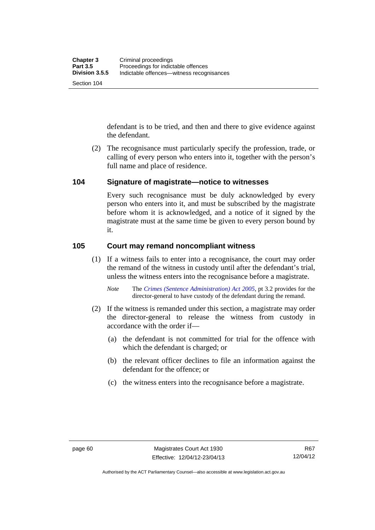defendant is to be tried, and then and there to give evidence against the defendant.

 (2) The recognisance must particularly specify the profession, trade, or calling of every person who enters into it, together with the person's full name and place of residence.

# **104 Signature of magistrate—notice to witnesses**

Every such recognisance must be duly acknowledged by every person who enters into it, and must be subscribed by the magistrate before whom it is acknowledged, and a notice of it signed by the magistrate must at the same time be given to every person bound by it.

# **105 Court may remand noncompliant witness**

(1) If a witness fails to enter into a recognisance, the court may order the remand of the witness in custody until after the defendant's trial, unless the witness enters into the recognisance before a magistrate.

- (2) If the witness is remanded under this section, a magistrate may order the director-general to release the witness from custody in accordance with the order if—
	- (a) the defendant is not committed for trial for the offence with which the defendant is charged; or
	- (b) the relevant officer declines to file an information against the defendant for the offence; or
	- (c) the witness enters into the recognisance before a magistrate.

*Note* The *[Crimes \(Sentence Administration\) Act 2005](http://www.legislation.act.gov.au/a/2005-59)*, pt 3.2 provides for the director-general to have custody of the defendant during the remand.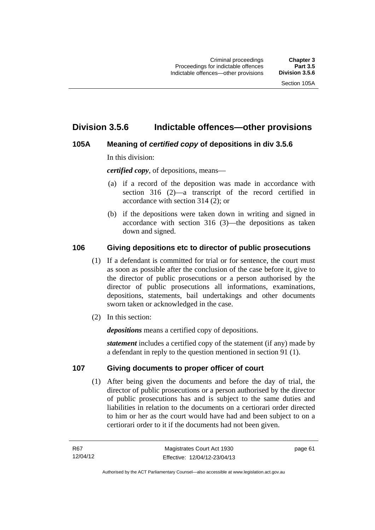# **Division 3.5.6 Indictable offences—other provisions**

# **105A Meaning of** *certified copy* **of depositions in div 3.5.6**

In this division:

*certified copy*, of depositions, means—

- (a) if a record of the deposition was made in accordance with section 316 (2)—a transcript of the record certified in accordance with section 314 (2); or
- (b) if the depositions were taken down in writing and signed in accordance with section 316 (3)—the depositions as taken down and signed.

# **106 Giving depositions etc to director of public prosecutions**

- (1) If a defendant is committed for trial or for sentence, the court must as soon as possible after the conclusion of the case before it, give to the director of public prosecutions or a person authorised by the director of public prosecutions all informations, examinations, depositions, statements, bail undertakings and other documents sworn taken or acknowledged in the case.
- (2) In this section:

*depositions* means a certified copy of depositions.

*statement* includes a certified copy of the statement (if any) made by a defendant in reply to the question mentioned in section 91 (1).

# **107 Giving documents to proper officer of court**

(1) After being given the documents and before the day of trial, the director of public prosecutions or a person authorised by the director of public prosecutions has and is subject to the same duties and liabilities in relation to the documents on a certiorari order directed to him or her as the court would have had and been subject to on a certiorari order to it if the documents had not been given.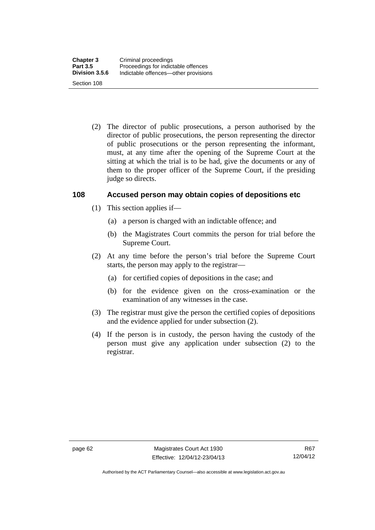(2) The director of public prosecutions, a person authorised by the director of public prosecutions, the person representing the director of public prosecutions or the person representing the informant, must, at any time after the opening of the Supreme Court at the sitting at which the trial is to be had, give the documents or any of them to the proper officer of the Supreme Court, if the presiding judge so directs.

# **108 Accused person may obtain copies of depositions etc**

- (1) This section applies if—
	- (a) a person is charged with an indictable offence; and
	- (b) the Magistrates Court commits the person for trial before the Supreme Court.
- (2) At any time before the person's trial before the Supreme Court starts, the person may apply to the registrar—
	- (a) for certified copies of depositions in the case; and
	- (b) for the evidence given on the cross-examination or the examination of any witnesses in the case.
- (3) The registrar must give the person the certified copies of depositions and the evidence applied for under subsection (2).
- (4) If the person is in custody, the person having the custody of the person must give any application under subsection (2) to the registrar.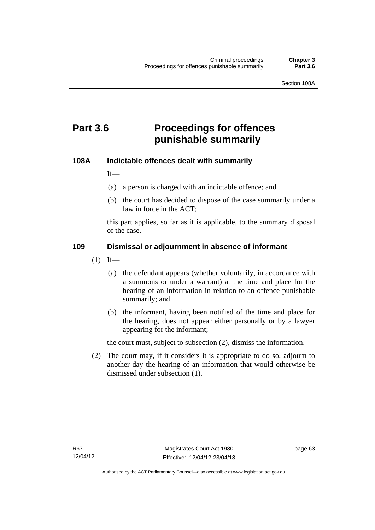# **Part 3.6 Proceedings for offences punishable summarily**

# **108A Indictable offences dealt with summarily**

If—

- (a) a person is charged with an indictable offence; and
- (b) the court has decided to dispose of the case summarily under a law in force in the ACT;

this part applies, so far as it is applicable, to the summary disposal of the case.

# **109 Dismissal or adjournment in absence of informant**

- $(1)$  If—
	- (a) the defendant appears (whether voluntarily, in accordance with a summons or under a warrant) at the time and place for the hearing of an information in relation to an offence punishable summarily; and
	- (b) the informant, having been notified of the time and place for the hearing, does not appear either personally or by a lawyer appearing for the informant;

the court must, subject to subsection (2), dismiss the information.

 (2) The court may, if it considers it is appropriate to do so, adjourn to another day the hearing of an information that would otherwise be dismissed under subsection (1).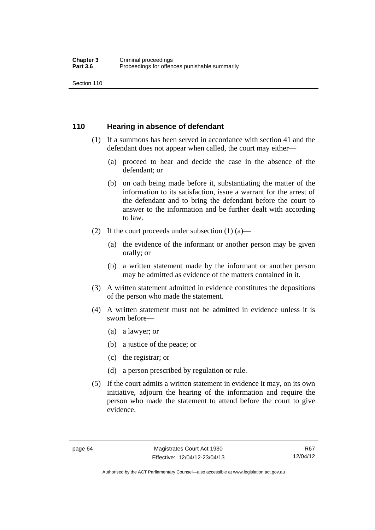Section 110

# **110 Hearing in absence of defendant**

- (1) If a summons has been served in accordance with section 41 and the defendant does not appear when called, the court may either—
	- (a) proceed to hear and decide the case in the absence of the defendant; or
	- (b) on oath being made before it, substantiating the matter of the information to its satisfaction, issue a warrant for the arrest of the defendant and to bring the defendant before the court to answer to the information and be further dealt with according to law.
- (2) If the court proceeds under subsection  $(1)$   $(a)$ 
	- (a) the evidence of the informant or another person may be given orally; or
	- (b) a written statement made by the informant or another person may be admitted as evidence of the matters contained in it.
- (3) A written statement admitted in evidence constitutes the depositions of the person who made the statement.
- (4) A written statement must not be admitted in evidence unless it is sworn before—
	- (a) a lawyer; or
	- (b) a justice of the peace; or
	- (c) the registrar; or
	- (d) a person prescribed by regulation or rule.
- (5) If the court admits a written statement in evidence it may, on its own initiative, adjourn the hearing of the information and require the person who made the statement to attend before the court to give evidence.

Authorised by the ACT Parliamentary Counsel—also accessible at www.legislation.act.gov.au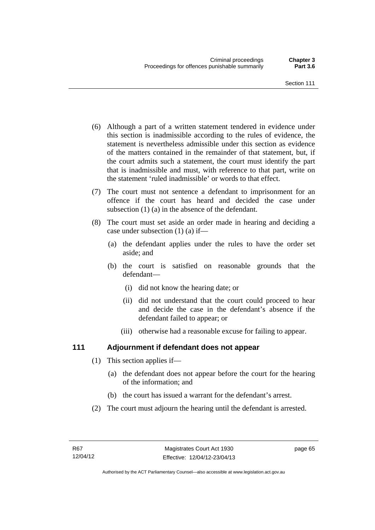- (6) Although a part of a written statement tendered in evidence under this section is inadmissible according to the rules of evidence, the statement is nevertheless admissible under this section as evidence of the matters contained in the remainder of that statement, but, if the court admits such a statement, the court must identify the part that is inadmissible and must, with reference to that part, write on the statement 'ruled inadmissible' or words to that effect.
- (7) The court must not sentence a defendant to imprisonment for an offence if the court has heard and decided the case under subsection (1) (a) in the absence of the defendant.
- (8) The court must set aside an order made in hearing and deciding a case under subsection (1) (a) if—
	- (a) the defendant applies under the rules to have the order set aside; and
	- (b) the court is satisfied on reasonable grounds that the defendant—
		- (i) did not know the hearing date; or
		- (ii) did not understand that the court could proceed to hear and decide the case in the defendant's absence if the defendant failed to appear; or
		- (iii) otherwise had a reasonable excuse for failing to appear.

# **111 Adjournment if defendant does not appear**

- (1) This section applies if—
	- (a) the defendant does not appear before the court for the hearing of the information; and
	- (b) the court has issued a warrant for the defendant's arrest.
- (2) The court must adjourn the hearing until the defendant is arrested.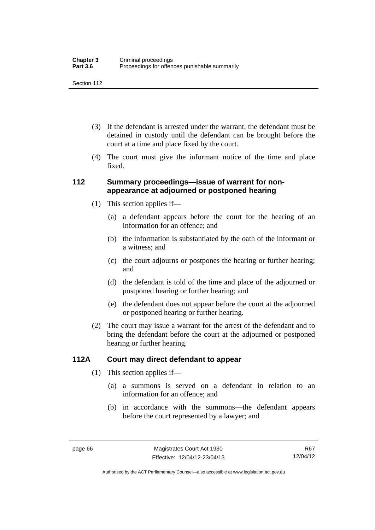Section 112

- (3) If the defendant is arrested under the warrant, the defendant must be detained in custody until the defendant can be brought before the court at a time and place fixed by the court.
- (4) The court must give the informant notice of the time and place fixed.

# **112 Summary proceedings—issue of warrant for nonappearance at adjourned or postponed hearing**

- (1) This section applies if—
	- (a) a defendant appears before the court for the hearing of an information for an offence; and
	- (b) the information is substantiated by the oath of the informant or a witness; and
	- (c) the court adjourns or postpones the hearing or further hearing; and
	- (d) the defendant is told of the time and place of the adjourned or postponed hearing or further hearing; and
	- (e) the defendant does not appear before the court at the adjourned or postponed hearing or further hearing.
- (2) The court may issue a warrant for the arrest of the defendant and to bring the defendant before the court at the adjourned or postponed hearing or further hearing.

# **112A Court may direct defendant to appear**

- (1) This section applies if—
	- (a) a summons is served on a defendant in relation to an information for an offence; and
	- (b) in accordance with the summons—the defendant appears before the court represented by a lawyer; and

Authorised by the ACT Parliamentary Counsel—also accessible at www.legislation.act.gov.au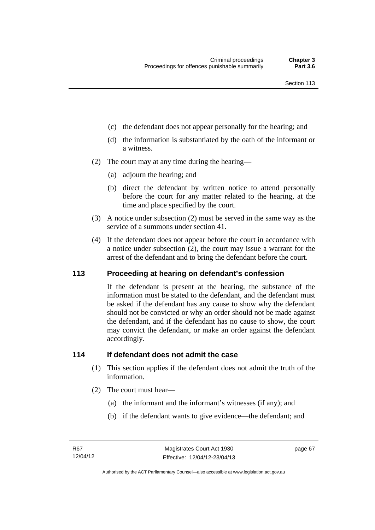- (c) the defendant does not appear personally for the hearing; and
- (d) the information is substantiated by the oath of the informant or a witness.
- (2) The court may at any time during the hearing—
	- (a) adjourn the hearing; and
	- (b) direct the defendant by written notice to attend personally before the court for any matter related to the hearing, at the time and place specified by the court.
- (3) A notice under subsection (2) must be served in the same way as the service of a summons under section 41.
- (4) If the defendant does not appear before the court in accordance with a notice under subsection (2), the court may issue a warrant for the arrest of the defendant and to bring the defendant before the court.

# **113 Proceeding at hearing on defendant's confession**

If the defendant is present at the hearing, the substance of the information must be stated to the defendant, and the defendant must be asked if the defendant has any cause to show why the defendant should not be convicted or why an order should not be made against the defendant, and if the defendant has no cause to show, the court may convict the defendant, or make an order against the defendant accordingly.

# **114 If defendant does not admit the case**

- (1) This section applies if the defendant does not admit the truth of the information.
- (2) The court must hear—
	- (a) the informant and the informant's witnesses (if any); and
	- (b) if the defendant wants to give evidence—the defendant; and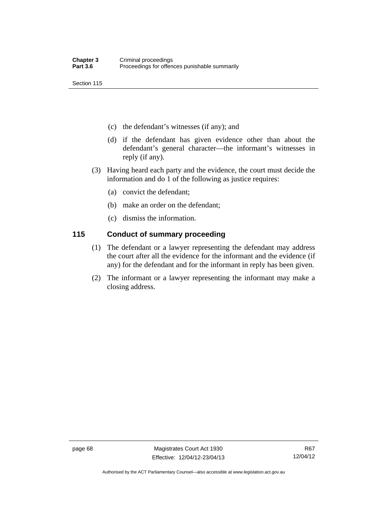Section 115

- (c) the defendant's witnesses (if any); and
- (d) if the defendant has given evidence other than about the defendant's general character—the informant's witnesses in reply (if any).
- (3) Having heard each party and the evidence, the court must decide the information and do 1 of the following as justice requires:
	- (a) convict the defendant;
	- (b) make an order on the defendant;
	- (c) dismiss the information.

# **115 Conduct of summary proceeding**

- (1) The defendant or a lawyer representing the defendant may address the court after all the evidence for the informant and the evidence (if any) for the defendant and for the informant in reply has been given.
- (2) The informant or a lawyer representing the informant may make a closing address.

Authorised by the ACT Parliamentary Counsel—also accessible at www.legislation.act.gov.au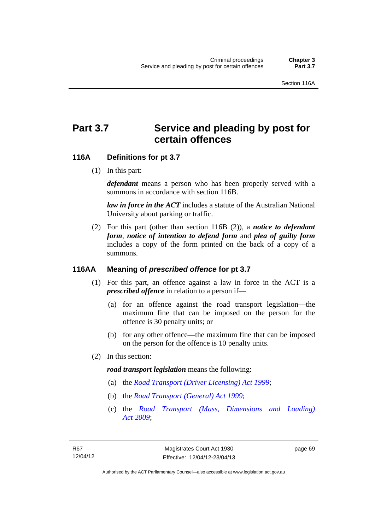# Part 3.7 Service and pleading by post for **certain offences**

# **116A Definitions for pt 3.7**

(1) In this part:

*defendant* means a person who has been properly served with a summons in accordance with section 116B.

*law in force in the ACT* includes a statute of the Australian National University about parking or traffic.

 (2) For this part (other than section 116B (2)), a *notice to defendant form*, *notice of intention to defend form* and *plea of guilty form* includes a copy of the form printed on the back of a copy of a summons.

# **116AA Meaning of** *prescribed offence* **for pt 3.7**

- (1) For this part, an offence against a law in force in the ACT is a *prescribed offence* in relation to a person if—
	- (a) for an offence against the road transport legislation—the maximum fine that can be imposed on the person for the offence is 30 penalty units; or
	- (b) for any other offence—the maximum fine that can be imposed on the person for the offence is 10 penalty units.
- (2) In this section:

#### *road transport legislation* means the following:

- (a) the *[Road Transport \(Driver Licensing\) Act 1999](http://www.legislation.act.gov.au/a/1999-78)*;
- (b) the *[Road Transport \(General\) Act 1999](http://www.legislation.act.gov.au/a/1999-77)*;
- (c) the *[Road Transport \(Mass, Dimensions and Loading\)](http://www.legislation.act.gov.au/a/2009-22)  [Act 2009](http://www.legislation.act.gov.au/a/2009-22)*;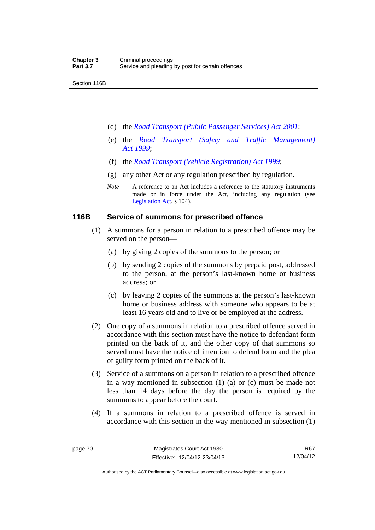Section 116B

- (d) the *[Road Transport \(Public Passenger Services\) Act 2001](http://www.legislation.act.gov.au/a/2001-62)*;
- (e) the *[Road Transport \(Safety and Traffic Management\)](http://www.legislation.act.gov.au/a/1999-80)  [Act 1999](http://www.legislation.act.gov.au/a/1999-80)*;
- (f) the *[Road Transport \(Vehicle Registration\) Act 1999](http://www.legislation.act.gov.au/a/1999-81)*;
- (g) any other Act or any regulation prescribed by regulation.
- *Note* A reference to an Act includes a reference to the statutory instruments made or in force under the Act, including any regulation (see [Legislation Act,](http://www.legislation.act.gov.au/a/2001-14) s 104).

#### **116B Service of summons for prescribed offence**

- (1) A summons for a person in relation to a prescribed offence may be served on the person—
	- (a) by giving 2 copies of the summons to the person; or
	- (b) by sending 2 copies of the summons by prepaid post, addressed to the person, at the person's last-known home or business address; or
	- (c) by leaving 2 copies of the summons at the person's last-known home or business address with someone who appears to be at least 16 years old and to live or be employed at the address.
- (2) One copy of a summons in relation to a prescribed offence served in accordance with this section must have the notice to defendant form printed on the back of it, and the other copy of that summons so served must have the notice of intention to defend form and the plea of guilty form printed on the back of it.
- (3) Service of a summons on a person in relation to a prescribed offence in a way mentioned in subsection (1) (a) or (c) must be made not less than 14 days before the day the person is required by the summons to appear before the court.
- (4) If a summons in relation to a prescribed offence is served in accordance with this section in the way mentioned in subsection (1)

R67 12/04/12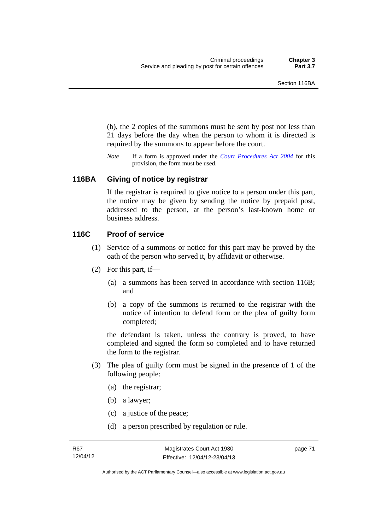(b), the 2 copies of the summons must be sent by post not less than 21 days before the day when the person to whom it is directed is required by the summons to appear before the court.

*Note* If a form is approved under the *[Court Procedures Act 2004](http://www.legislation.act.gov.au/a/2004-59)* for this provision, the form must be used.

# **116BA Giving of notice by registrar**

If the registrar is required to give notice to a person under this part, the notice may be given by sending the notice by prepaid post, addressed to the person, at the person's last-known home or business address.

#### **116C Proof of service**

- (1) Service of a summons or notice for this part may be proved by the oath of the person who served it, by affidavit or otherwise.
- (2) For this part, if—
	- (a) a summons has been served in accordance with section 116B; and
	- (b) a copy of the summons is returned to the registrar with the notice of intention to defend form or the plea of guilty form completed;

the defendant is taken, unless the contrary is proved, to have completed and signed the form so completed and to have returned the form to the registrar.

- (3) The plea of guilty form must be signed in the presence of 1 of the following people:
	- (a) the registrar;
	- (b) a lawyer;
	- (c) a justice of the peace;
	- (d) a person prescribed by regulation or rule.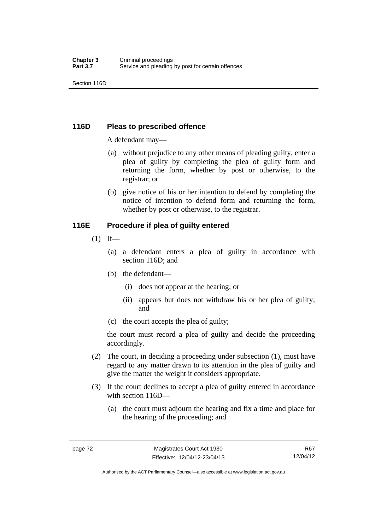Section 116D

# **116D Pleas to prescribed offence**

A defendant may—

- (a) without prejudice to any other means of pleading guilty, enter a plea of guilty by completing the plea of guilty form and returning the form, whether by post or otherwise, to the registrar; or
- (b) give notice of his or her intention to defend by completing the notice of intention to defend form and returning the form, whether by post or otherwise, to the registrar.

# **116E Procedure if plea of guilty entered**

- $(1)$  If—
	- (a) a defendant enters a plea of guilty in accordance with section 116D; and
	- (b) the defendant—
		- (i) does not appear at the hearing; or
		- (ii) appears but does not withdraw his or her plea of guilty; and
	- (c) the court accepts the plea of guilty;

the court must record a plea of guilty and decide the proceeding accordingly.

- (2) The court, in deciding a proceeding under subsection (1), must have regard to any matter drawn to its attention in the plea of guilty and give the matter the weight it considers appropriate.
- (3) If the court declines to accept a plea of guilty entered in accordance with section 116D—
	- (a) the court must adjourn the hearing and fix a time and place for the hearing of the proceeding; and

R67 12/04/12

Authorised by the ACT Parliamentary Counsel—also accessible at www.legislation.act.gov.au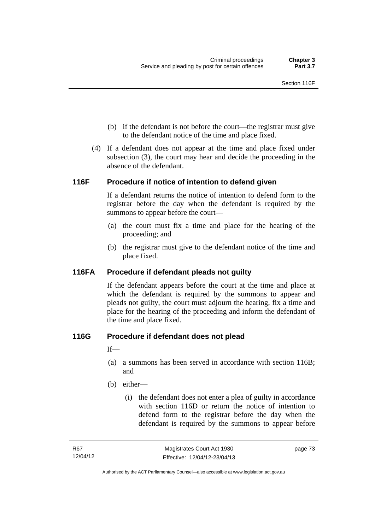- (b) if the defendant is not before the court—the registrar must give to the defendant notice of the time and place fixed.
- (4) If a defendant does not appear at the time and place fixed under subsection (3), the court may hear and decide the proceeding in the absence of the defendant.

# **116F Procedure if notice of intention to defend given**

If a defendant returns the notice of intention to defend form to the registrar before the day when the defendant is required by the summons to appear before the court—

- (a) the court must fix a time and place for the hearing of the proceeding; and
- (b) the registrar must give to the defendant notice of the time and place fixed.

# **116FA Procedure if defendant pleads not guilty**

If the defendant appears before the court at the time and place at which the defendant is required by the summons to appear and pleads not guilty, the court must adjourn the hearing, fix a time and place for the hearing of the proceeding and inform the defendant of the time and place fixed.

# **116G Procedure if defendant does not plead**

If—

- (a) a summons has been served in accordance with section 116B; and
- (b) either—
	- (i) the defendant does not enter a plea of guilty in accordance with section 116D or return the notice of intention to defend form to the registrar before the day when the defendant is required by the summons to appear before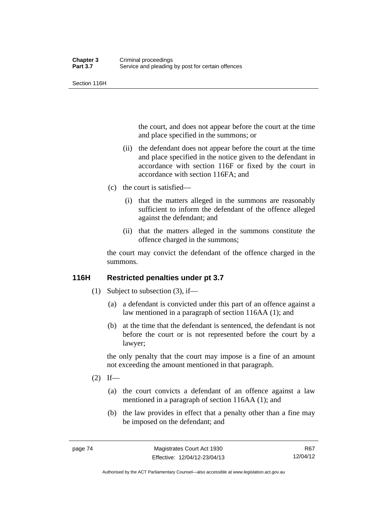Section 116H

the court, and does not appear before the court at the time and place specified in the summons; or

- (ii) the defendant does not appear before the court at the time and place specified in the notice given to the defendant in accordance with section 116F or fixed by the court in accordance with section 116FA; and
- (c) the court is satisfied—
	- (i) that the matters alleged in the summons are reasonably sufficient to inform the defendant of the offence alleged against the defendant; and
	- (ii) that the matters alleged in the summons constitute the offence charged in the summons;

the court may convict the defendant of the offence charged in the summons.

# **116H Restricted penalties under pt 3.7**

- (1) Subject to subsection (3), if—
	- (a) a defendant is convicted under this part of an offence against a law mentioned in a paragraph of section 116AA (1); and
	- (b) at the time that the defendant is sentenced, the defendant is not before the court or is not represented before the court by a lawyer;

the only penalty that the court may impose is a fine of an amount not exceeding the amount mentioned in that paragraph.

- $(2)$  If—
	- (a) the court convicts a defendant of an offence against a law mentioned in a paragraph of section 116AA (1); and
	- (b) the law provides in effect that a penalty other than a fine may be imposed on the defendant; and

Authorised by the ACT Parliamentary Counsel—also accessible at www.legislation.act.gov.au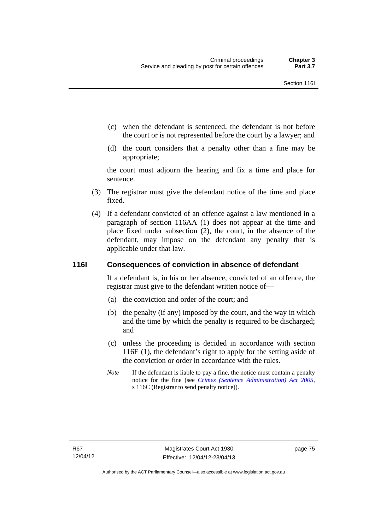- (c) when the defendant is sentenced, the defendant is not before the court or is not represented before the court by a lawyer; and
- (d) the court considers that a penalty other than a fine may be appropriate;

the court must adjourn the hearing and fix a time and place for sentence.

- (3) The registrar must give the defendant notice of the time and place fixed.
- (4) If a defendant convicted of an offence against a law mentioned in a paragraph of section 116AA (1) does not appear at the time and place fixed under subsection (2), the court, in the absence of the defendant, may impose on the defendant any penalty that is applicable under that law.

# **116I Consequences of conviction in absence of defendant**

If a defendant is, in his or her absence, convicted of an offence, the registrar must give to the defendant written notice of—

- (a) the conviction and order of the court; and
- (b) the penalty (if any) imposed by the court, and the way in which and the time by which the penalty is required to be discharged; and
- (c) unless the proceeding is decided in accordance with section 116E (1), the defendant's right to apply for the setting aside of the conviction or order in accordance with the rules.
- *Note* If the defendant is liable to pay a fine, the notice must contain a penalty notice for the fine (see *[Crimes \(Sentence Administration\) Act 2005](http://www.legislation.act.gov.au/a/2005-59)*, s 116C (Registrar to send penalty notice)).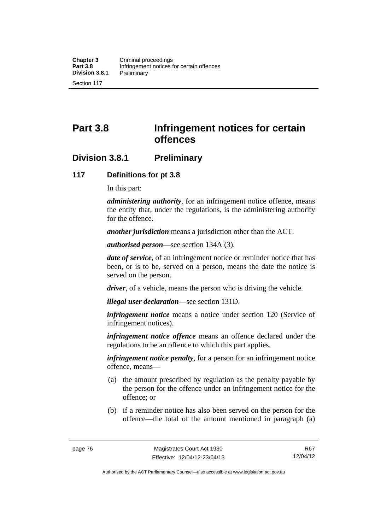# **Part 3.8 Infringement notices for certain offences**

# **Division 3.8.1 Preliminary**

# **117 Definitions for pt 3.8**

In this part:

*administering authority*, for an infringement notice offence, means the entity that, under the regulations, is the administering authority for the offence.

*another jurisdiction* means a jurisdiction other than the ACT.

*authorised person*—see section 134A (3).

*date of service*, of an infringement notice or reminder notice that has been, or is to be, served on a person, means the date the notice is served on the person.

*driver*, of a vehicle, means the person who is driving the vehicle.

*illegal user declaration*—see section 131D.

*infringement notice* means a notice under section 120 (Service of infringement notices).

*infringement notice offence* means an offence declared under the regulations to be an offence to which this part applies.

*infringement notice penalty*, for a person for an infringement notice offence, means—

- (a) the amount prescribed by regulation as the penalty payable by the person for the offence under an infringement notice for the offence; or
- (b) if a reminder notice has also been served on the person for the offence—the total of the amount mentioned in paragraph (a)

Authorised by the ACT Parliamentary Counsel—also accessible at www.legislation.act.gov.au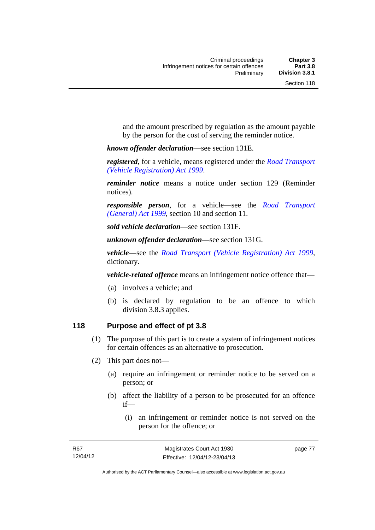and the amount prescribed by regulation as the amount payable by the person for the cost of serving the reminder notice.

*known offender declaration*—see section 131E.

*registered*, for a vehicle, means registered under the *[Road Transport](http://www.legislation.act.gov.au/a/1999-81)  [\(Vehicle Registration\) Act 1999](http://www.legislation.act.gov.au/a/1999-81)*.

*reminder notice* means a notice under section 129 (Reminder notices).

*responsible person*, for a vehicle—see the *[Road Transport](http://www.legislation.act.gov.au/a/1999-77)  [\(General\) Act 1999](http://www.legislation.act.gov.au/a/1999-77)*, section 10 and section 11.

*sold vehicle declaration*—see section 131F.

*unknown offender declaration*—see section 131G.

*vehicle*—see the *[Road Transport \(Vehicle Registration\) Act 1999](http://www.legislation.act.gov.au/a/1999-81)*, dictionary.

*vehicle-related offence* means an infringement notice offence that—

- (a) involves a vehicle; and
- (b) is declared by regulation to be an offence to which division 3.8.3 applies.

# **118 Purpose and effect of pt 3.8**

- (1) The purpose of this part is to create a system of infringement notices for certain offences as an alternative to prosecution.
- (2) This part does not—
	- (a) require an infringement or reminder notice to be served on a person; or
	- (b) affect the liability of a person to be prosecuted for an offence if—
		- (i) an infringement or reminder notice is not served on the person for the offence; or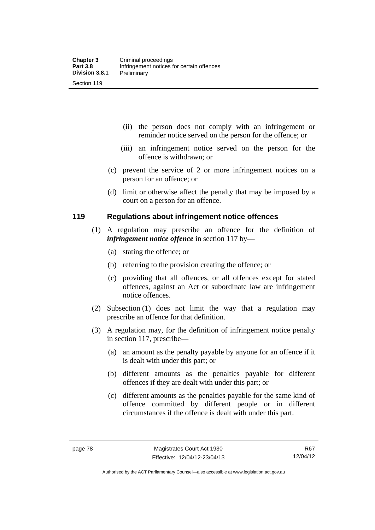- (ii) the person does not comply with an infringement or reminder notice served on the person for the offence; or
- (iii) an infringement notice served on the person for the offence is withdrawn; or
- (c) prevent the service of 2 or more infringement notices on a person for an offence; or
- (d) limit or otherwise affect the penalty that may be imposed by a court on a person for an offence.

# **119 Regulations about infringement notice offences**

- (1) A regulation may prescribe an offence for the definition of *infringement notice offence* in section 117 by—
	- (a) stating the offence; or
	- (b) referring to the provision creating the offence; or
	- (c) providing that all offences, or all offences except for stated offences, against an Act or subordinate law are infringement notice offences.
- (2) Subsection (1) does not limit the way that a regulation may prescribe an offence for that definition.
- (3) A regulation may, for the definition of infringement notice penalty in section 117, prescribe—
	- (a) an amount as the penalty payable by anyone for an offence if it is dealt with under this part; or
	- (b) different amounts as the penalties payable for different offences if they are dealt with under this part; or
	- (c) different amounts as the penalties payable for the same kind of offence committed by different people or in different circumstances if the offence is dealt with under this part.

Authorised by the ACT Parliamentary Counsel—also accessible at www.legislation.act.gov.au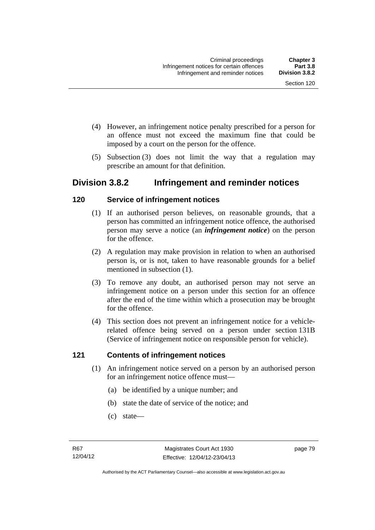- (4) However, an infringement notice penalty prescribed for a person for an offence must not exceed the maximum fine that could be imposed by a court on the person for the offence.
- (5) Subsection (3) does not limit the way that a regulation may prescribe an amount for that definition.

# **Division 3.8.2 Infringement and reminder notices**

# **120 Service of infringement notices**

- (1) If an authorised person believes, on reasonable grounds, that a person has committed an infringement notice offence, the authorised person may serve a notice (an *infringement notice*) on the person for the offence.
- (2) A regulation may make provision in relation to when an authorised person is, or is not, taken to have reasonable grounds for a belief mentioned in subsection (1).
- (3) To remove any doubt, an authorised person may not serve an infringement notice on a person under this section for an offence after the end of the time within which a prosecution may be brought for the offence.
- (4) This section does not prevent an infringement notice for a vehiclerelated offence being served on a person under section 131B (Service of infringement notice on responsible person for vehicle).

# **121 Contents of infringement notices**

- (1) An infringement notice served on a person by an authorised person for an infringement notice offence must—
	- (a) be identified by a unique number; and
	- (b) state the date of service of the notice; and
	- (c) state—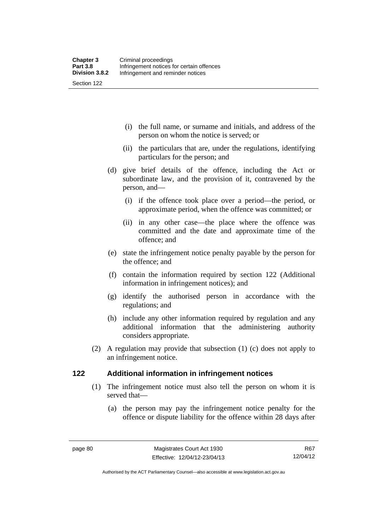(i) the full name, or surname and initials, and address of the person on whom the notice is served; or

- (ii) the particulars that are, under the regulations, identifying particulars for the person; and
- (d) give brief details of the offence, including the Act or subordinate law, and the provision of it, contravened by the person, and—
	- (i) if the offence took place over a period—the period, or approximate period, when the offence was committed; or
	- (ii) in any other case—the place where the offence was committed and the date and approximate time of the offence; and
- (e) state the infringement notice penalty payable by the person for the offence; and
- (f) contain the information required by section 122 (Additional information in infringement notices); and
- (g) identify the authorised person in accordance with the regulations; and
- (h) include any other information required by regulation and any additional information that the administering authority considers appropriate.
- (2) A regulation may provide that subsection (1) (c) does not apply to an infringement notice.

# **122 Additional information in infringement notices**

- (1) The infringement notice must also tell the person on whom it is served that—
	- (a) the person may pay the infringement notice penalty for the offence or dispute liability for the offence within 28 days after

Authorised by the ACT Parliamentary Counsel—also accessible at www.legislation.act.gov.au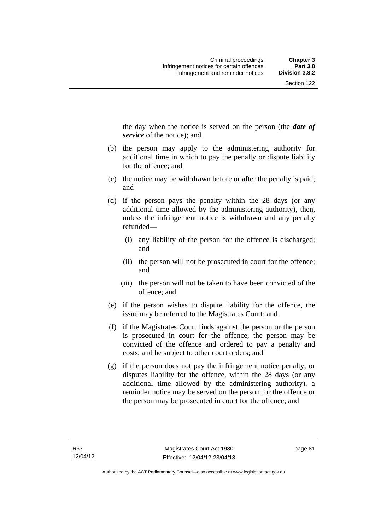the day when the notice is served on the person (the *date of service* of the notice); and

- (b) the person may apply to the administering authority for additional time in which to pay the penalty or dispute liability for the offence; and
- (c) the notice may be withdrawn before or after the penalty is paid; and
- (d) if the person pays the penalty within the 28 days (or any additional time allowed by the administering authority), then, unless the infringement notice is withdrawn and any penalty refunded—
	- (i) any liability of the person for the offence is discharged; and
	- (ii) the person will not be prosecuted in court for the offence; and
	- (iii) the person will not be taken to have been convicted of the offence; and
- (e) if the person wishes to dispute liability for the offence, the issue may be referred to the Magistrates Court; and
- (f) if the Magistrates Court finds against the person or the person is prosecuted in court for the offence, the person may be convicted of the offence and ordered to pay a penalty and costs, and be subject to other court orders; and
- (g) if the person does not pay the infringement notice penalty, or disputes liability for the offence, within the 28 days (or any additional time allowed by the administering authority), a reminder notice may be served on the person for the offence or the person may be prosecuted in court for the offence; and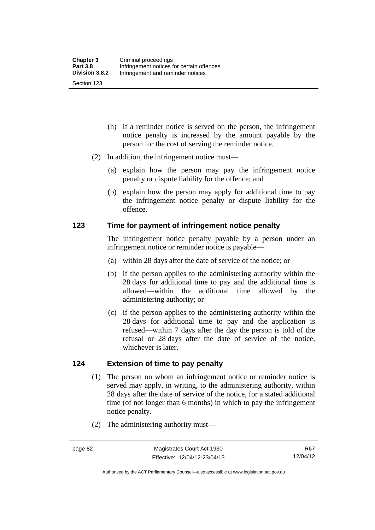- (h) if a reminder notice is served on the person, the infringement notice penalty is increased by the amount payable by the person for the cost of serving the reminder notice.
- (2) In addition, the infringement notice must—
	- (a) explain how the person may pay the infringement notice penalty or dispute liability for the offence; and
	- (b) explain how the person may apply for additional time to pay the infringement notice penalty or dispute liability for the offence.

# **123 Time for payment of infringement notice penalty**

The infringement notice penalty payable by a person under an infringement notice or reminder notice is payable—

- (a) within 28 days after the date of service of the notice; or
- (b) if the person applies to the administering authority within the 28 days for additional time to pay and the additional time is allowed—within the additional time allowed by the administering authority; or
- (c) if the person applies to the administering authority within the 28 days for additional time to pay and the application is refused—within 7 days after the day the person is told of the refusal or 28 days after the date of service of the notice, whichever is later.

# **124 Extension of time to pay penalty**

- (1) The person on whom an infringement notice or reminder notice is served may apply, in writing, to the administering authority, within 28 days after the date of service of the notice, for a stated additional time (of not longer than 6 months) in which to pay the infringement notice penalty.
- (2) The administering authority must—

R67 12/04/12

Authorised by the ACT Parliamentary Counsel—also accessible at www.legislation.act.gov.au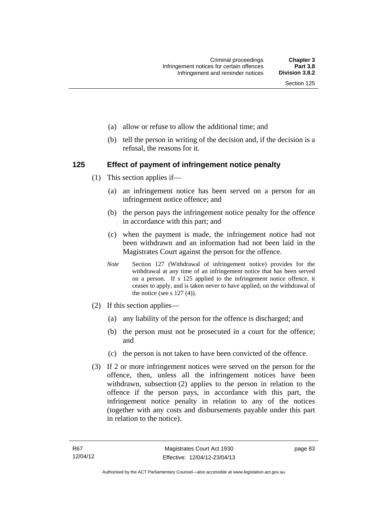- (a) allow or refuse to allow the additional time; and
- (b) tell the person in writing of the decision and, if the decision is a refusal, the reasons for it.

# **125 Effect of payment of infringement notice penalty**

- (1) This section applies if—
	- (a) an infringement notice has been served on a person for an infringement notice offence; and
	- (b) the person pays the infringement notice penalty for the offence in accordance with this part; and
	- (c) when the payment is made, the infringement notice had not been withdrawn and an information had not been laid in the Magistrates Court against the person for the offence.
	- *Note* Section 127 (Withdrawal of infringement notice) provides for the withdrawal at any time of an infringement notice that has been served on a person. If s 125 applied to the infringement notice offence, it ceases to apply, and is taken never to have applied, on the withdrawal of the notice (see s  $127(4)$ ).
- (2) If this section applies—
	- (a) any liability of the person for the offence is discharged; and
	- (b) the person must not be prosecuted in a court for the offence; and
	- (c) the person is not taken to have been convicted of the offence.
- (3) If 2 or more infringement notices were served on the person for the offence, then, unless all the infringement notices have been withdrawn, subsection (2) applies to the person in relation to the offence if the person pays, in accordance with this part, the infringement notice penalty in relation to any of the notices (together with any costs and disbursements payable under this part in relation to the notice).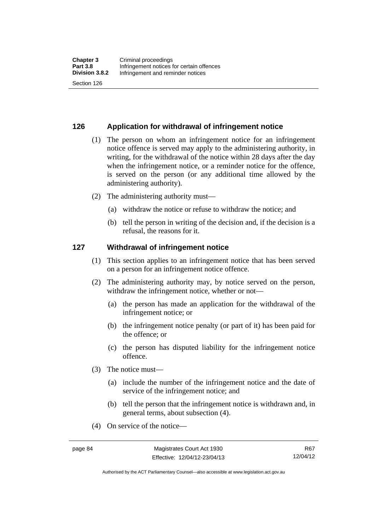# **126 Application for withdrawal of infringement notice**

- (1) The person on whom an infringement notice for an infringement notice offence is served may apply to the administering authority, in writing, for the withdrawal of the notice within 28 days after the day when the infringement notice, or a reminder notice for the offence, is served on the person (or any additional time allowed by the administering authority).
- (2) The administering authority must—
	- (a) withdraw the notice or refuse to withdraw the notice; and
	- (b) tell the person in writing of the decision and, if the decision is a refusal, the reasons for it.

#### **127 Withdrawal of infringement notice**

- (1) This section applies to an infringement notice that has been served on a person for an infringement notice offence.
- (2) The administering authority may, by notice served on the person, withdraw the infringement notice, whether or not—
	- (a) the person has made an application for the withdrawal of the infringement notice; or
	- (b) the infringement notice penalty (or part of it) has been paid for the offence; or
	- (c) the person has disputed liability for the infringement notice offence.
- (3) The notice must—
	- (a) include the number of the infringement notice and the date of service of the infringement notice; and
	- (b) tell the person that the infringement notice is withdrawn and, in general terms, about subsection (4).
- (4) On service of the notice—

R67 12/04/12

Authorised by the ACT Parliamentary Counsel—also accessible at www.legislation.act.gov.au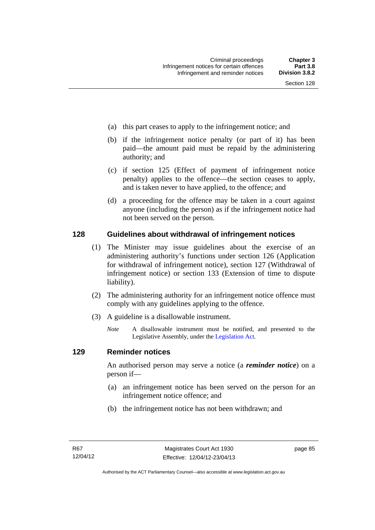- (a) this part ceases to apply to the infringement notice; and
- (b) if the infringement notice penalty (or part of it) has been paid—the amount paid must be repaid by the administering authority; and
- (c) if section 125 (Effect of payment of infringement notice penalty) applies to the offence—the section ceases to apply, and is taken never to have applied, to the offence; and
- (d) a proceeding for the offence may be taken in a court against anyone (including the person) as if the infringement notice had not been served on the person.

# **128 Guidelines about withdrawal of infringement notices**

- (1) The Minister may issue guidelines about the exercise of an administering authority's functions under section 126 (Application for withdrawal of infringement notice), section 127 (Withdrawal of infringement notice) or section 133 (Extension of time to dispute liability).
- (2) The administering authority for an infringement notice offence must comply with any guidelines applying to the offence.
- (3) A guideline is a disallowable instrument.
	- *Note* A disallowable instrument must be notified, and presented to the Legislative Assembly, under the [Legislation Act](http://www.legislation.act.gov.au/a/2001-14)*.*

#### **129 Reminder notices**

An authorised person may serve a notice (a *reminder notice*) on a person if—

- (a) an infringement notice has been served on the person for an infringement notice offence; and
- (b) the infringement notice has not been withdrawn; and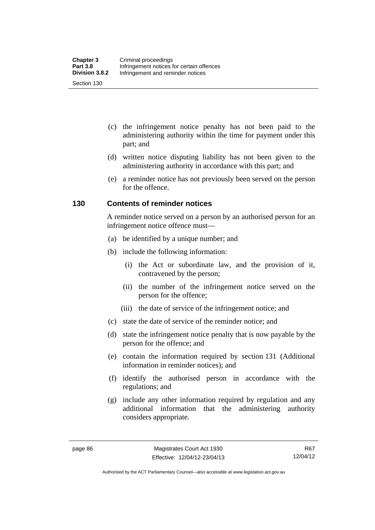- (c) the infringement notice penalty has not been paid to the administering authority within the time for payment under this part; and
- (d) written notice disputing liability has not been given to the administering authority in accordance with this part; and
- (e) a reminder notice has not previously been served on the person for the offence.

# **130 Contents of reminder notices**

A reminder notice served on a person by an authorised person for an infringement notice offence must—

- (a) be identified by a unique number; and
- (b) include the following information:
	- (i) the Act or subordinate law, and the provision of it, contravened by the person;
	- (ii) the number of the infringement notice served on the person for the offence;
	- (iii) the date of service of the infringement notice; and
- (c) state the date of service of the reminder notice; and
- (d) state the infringement notice penalty that is now payable by the person for the offence; and
- (e) contain the information required by section 131 (Additional information in reminder notices); and
- (f) identify the authorised person in accordance with the regulations; and
- (g) include any other information required by regulation and any additional information that the administering authority considers appropriate.

Authorised by the ACT Parliamentary Counsel—also accessible at www.legislation.act.gov.au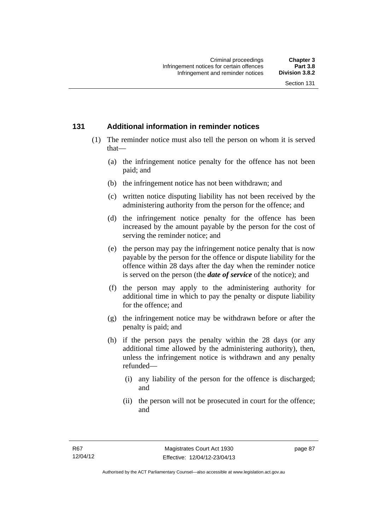# **131 Additional information in reminder notices**

- (1) The reminder notice must also tell the person on whom it is served that—
	- (a) the infringement notice penalty for the offence has not been paid; and
	- (b) the infringement notice has not been withdrawn; and
	- (c) written notice disputing liability has not been received by the administering authority from the person for the offence; and
	- (d) the infringement notice penalty for the offence has been increased by the amount payable by the person for the cost of serving the reminder notice; and
	- (e) the person may pay the infringement notice penalty that is now payable by the person for the offence or dispute liability for the offence within 28 days after the day when the reminder notice is served on the person (the *date of service* of the notice); and
	- (f) the person may apply to the administering authority for additional time in which to pay the penalty or dispute liability for the offence; and
	- (g) the infringement notice may be withdrawn before or after the penalty is paid; and
	- (h) if the person pays the penalty within the 28 days (or any additional time allowed by the administering authority), then, unless the infringement notice is withdrawn and any penalty refunded—
		- (i) any liability of the person for the offence is discharged; and
		- (ii) the person will not be prosecuted in court for the offence; and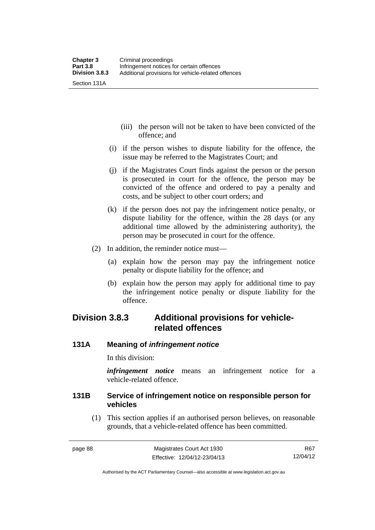- (iii) the person will not be taken to have been convicted of the offence; and
- (i) if the person wishes to dispute liability for the offence, the issue may be referred to the Magistrates Court; and
- (j) if the Magistrates Court finds against the person or the person is prosecuted in court for the offence, the person may be convicted of the offence and ordered to pay a penalty and costs, and be subject to other court orders; and
- (k) if the person does not pay the infringement notice penalty, or dispute liability for the offence, within the 28 days (or any additional time allowed by the administering authority), the person may be prosecuted in court for the offence.
- (2) In addition, the reminder notice must—
	- (a) explain how the person may pay the infringement notice penalty or dispute liability for the offence; and
	- (b) explain how the person may apply for additional time to pay the infringement notice penalty or dispute liability for the offence.

# **Division 3.8.3 Additional provisions for vehiclerelated offences**

# **131A Meaning of** *infringement notice*

In this division:

*infringement notice* means an infringement notice for a vehicle-related offence.

# **131B Service of infringement notice on responsible person for vehicles**

(1) This section applies if an authorised person believes, on reasonable grounds, that a vehicle-related offence has been committed.

R67 12/04/12

Authorised by the ACT Parliamentary Counsel—also accessible at www.legislation.act.gov.au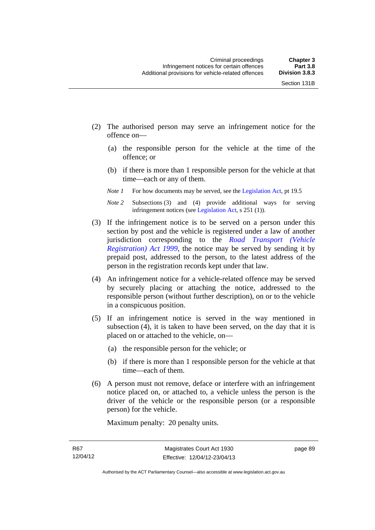- (2) The authorised person may serve an infringement notice for the offence on—
	- (a) the responsible person for the vehicle at the time of the offence; or
	- (b) if there is more than 1 responsible person for the vehicle at that time—each or any of them.
	- *Note 1* For how documents may be served, see the [Legislation Act,](http://www.legislation.act.gov.au/a/2001-14) pt 19.5
	- *Note 2* Subsections (3) and (4) provide additional ways for serving infringement notices (see [Legislation Act,](http://www.legislation.act.gov.au/a/2001-14) s 251 (1)).
- (3) If the infringement notice is to be served on a person under this section by post and the vehicle is registered under a law of another jurisdiction corresponding to the *[Road Transport \(Vehicle](http://www.legislation.act.gov.au/a/1999-81)  [Registration\) Act 1999](http://www.legislation.act.gov.au/a/1999-81)*, the notice may be served by sending it by prepaid post, addressed to the person, to the latest address of the person in the registration records kept under that law.
- (4) An infringement notice for a vehicle-related offence may be served by securely placing or attaching the notice, addressed to the responsible person (without further description), on or to the vehicle in a conspicuous position.
- (5) If an infringement notice is served in the way mentioned in subsection (4), it is taken to have been served, on the day that it is placed on or attached to the vehicle, on—
	- (a) the responsible person for the vehicle; or
	- (b) if there is more than 1 responsible person for the vehicle at that time—each of them.
- (6) A person must not remove, deface or interfere with an infringement notice placed on, or attached to, a vehicle unless the person is the driver of the vehicle or the responsible person (or a responsible person) for the vehicle.

Maximum penalty: 20 penalty units.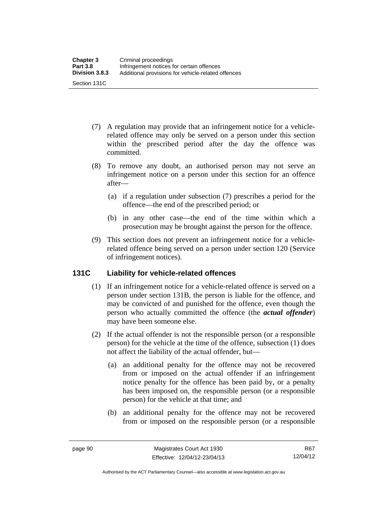- (7) A regulation may provide that an infringement notice for a vehiclerelated offence may only be served on a person under this section within the prescribed period after the day the offence was committed.
- (8) To remove any doubt, an authorised person may not serve an infringement notice on a person under this section for an offence after—
	- (a) if a regulation under subsection (7) prescribes a period for the offence—the end of the prescribed period; or
	- (b) in any other case—the end of the time within which a prosecution may be brought against the person for the offence.
- (9) This section does not prevent an infringement notice for a vehiclerelated offence being served on a person under section 120 (Service of infringement notices).

# **131C Liability for vehicle-related offences**

- (1) If an infringement notice for a vehicle-related offence is served on a person under section 131B, the person is liable for the offence, and may be convicted of and punished for the offence, even though the person who actually committed the offence (the *actual offender*) may have been someone else.
- (2) If the actual offender is not the responsible person (or a responsible person) for the vehicle at the time of the offence, subsection (1) does not affect the liability of the actual offender, but—
	- (a) an additional penalty for the offence may not be recovered from or imposed on the actual offender if an infringement notice penalty for the offence has been paid by, or a penalty has been imposed on, the responsible person (or a responsible person) for the vehicle at that time; and
	- (b) an additional penalty for the offence may not be recovered from or imposed on the responsible person (or a responsible

R67 12/04/12

Authorised by the ACT Parliamentary Counsel—also accessible at www.legislation.act.gov.au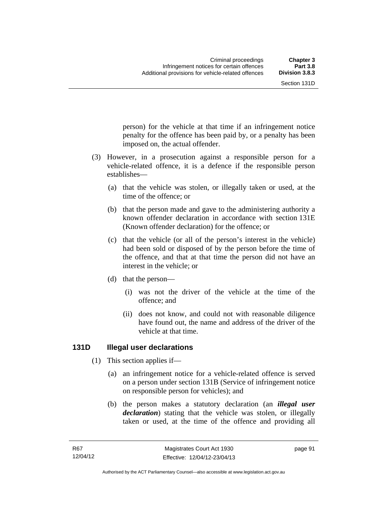person) for the vehicle at that time if an infringement notice penalty for the offence has been paid by, or a penalty has been

 (3) However, in a prosecution against a responsible person for a vehicle-related offence, it is a defence if the responsible person establishes—

imposed on, the actual offender.

- (a) that the vehicle was stolen, or illegally taken or used, at the time of the offence; or
- (b) that the person made and gave to the administering authority a known offender declaration in accordance with section 131E (Known offender declaration) for the offence; or
- (c) that the vehicle (or all of the person's interest in the vehicle) had been sold or disposed of by the person before the time of the offence, and that at that time the person did not have an interest in the vehicle; or
- (d) that the person—
	- (i) was not the driver of the vehicle at the time of the offence; and
	- (ii) does not know, and could not with reasonable diligence have found out, the name and address of the driver of the vehicle at that time.

# **131D Illegal user declarations**

- (1) This section applies if—
	- (a) an infringement notice for a vehicle-related offence is served on a person under section 131B (Service of infringement notice on responsible person for vehicles); and
	- (b) the person makes a statutory declaration (an *illegal user declaration*) stating that the vehicle was stolen, or illegally taken or used, at the time of the offence and providing all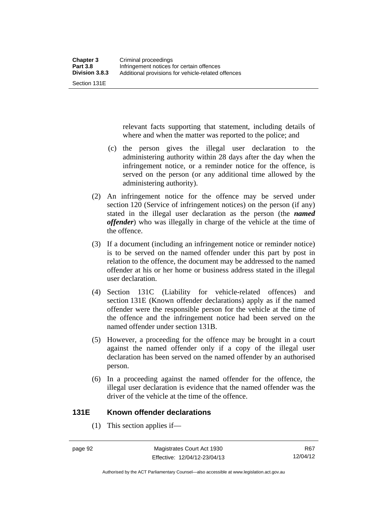Section 131E

relevant facts supporting that statement, including details of where and when the matter was reported to the police; and

- (c) the person gives the illegal user declaration to the administering authority within 28 days after the day when the infringement notice, or a reminder notice for the offence, is served on the person (or any additional time allowed by the administering authority).
- (2) An infringement notice for the offence may be served under section 120 (Service of infringement notices) on the person (if any) stated in the illegal user declaration as the person (the *named offender*) who was illegally in charge of the vehicle at the time of the offence.
- (3) If a document (including an infringement notice or reminder notice) is to be served on the named offender under this part by post in relation to the offence, the document may be addressed to the named offender at his or her home or business address stated in the illegal user declaration.
- (4) Section 131C (Liability for vehicle-related offences) and section 131E (Known offender declarations) apply as if the named offender were the responsible person for the vehicle at the time of the offence and the infringement notice had been served on the named offender under section 131B.
- (5) However, a proceeding for the offence may be brought in a court against the named offender only if a copy of the illegal user declaration has been served on the named offender by an authorised person.
- (6) In a proceeding against the named offender for the offence, the illegal user declaration is evidence that the named offender was the driver of the vehicle at the time of the offence.

# **131E Known offender declarations**

(1) This section applies if—

Authorised by the ACT Parliamentary Counsel—also accessible at www.legislation.act.gov.au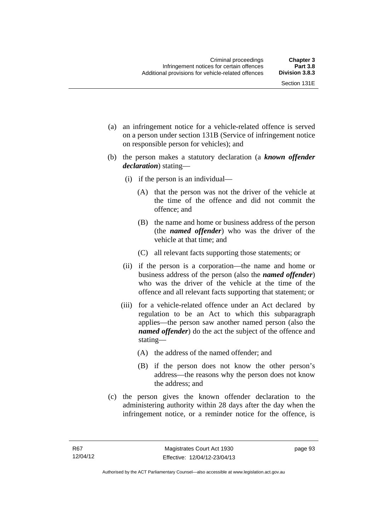- (a) an infringement notice for a vehicle-related offence is served on a person under section 131B (Service of infringement notice on responsible person for vehicles); and
- (b) the person makes a statutory declaration (a *known offender declaration*) stating—
	- (i) if the person is an individual—
		- (A) that the person was not the driver of the vehicle at the time of the offence and did not commit the offence; and
		- (B) the name and home or business address of the person (the *named offender*) who was the driver of the vehicle at that time; and
		- (C) all relevant facts supporting those statements; or
	- (ii) if the person is a corporation—the name and home or business address of the person (also the *named offender*) who was the driver of the vehicle at the time of the offence and all relevant facts supporting that statement; or
	- (iii) for a vehicle-related offence under an Act declared by regulation to be an Act to which this subparagraph applies—the person saw another named person (also the *named offender*) do the act the subject of the offence and stating—
		- (A) the address of the named offender; and
		- (B) if the person does not know the other person's address—the reasons why the person does not know the address; and
- (c) the person gives the known offender declaration to the administering authority within 28 days after the day when the infringement notice, or a reminder notice for the offence, is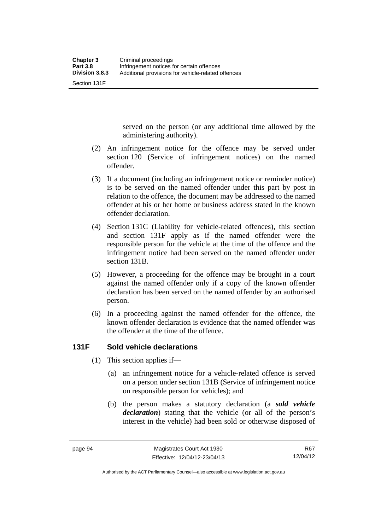Section 131F

served on the person (or any additional time allowed by the administering authority).

- (2) An infringement notice for the offence may be served under section 120 (Service of infringement notices) on the named offender.
- (3) If a document (including an infringement notice or reminder notice) is to be served on the named offender under this part by post in relation to the offence, the document may be addressed to the named offender at his or her home or business address stated in the known offender declaration.
- (4) Section 131C (Liability for vehicle-related offences), this section and section 131F apply as if the named offender were the responsible person for the vehicle at the time of the offence and the infringement notice had been served on the named offender under section 131B.
- (5) However, a proceeding for the offence may be brought in a court against the named offender only if a copy of the known offender declaration has been served on the named offender by an authorised person.
- (6) In a proceeding against the named offender for the offence, the known offender declaration is evidence that the named offender was the offender at the time of the offence.

## **131F Sold vehicle declarations**

- (1) This section applies if—
	- (a) an infringement notice for a vehicle-related offence is served on a person under section 131B (Service of infringement notice on responsible person for vehicles); and
	- (b) the person makes a statutory declaration (a *sold vehicle declaration*) stating that the vehicle (or all of the person's interest in the vehicle) had been sold or otherwise disposed of

Authorised by the ACT Parliamentary Counsel—also accessible at www.legislation.act.gov.au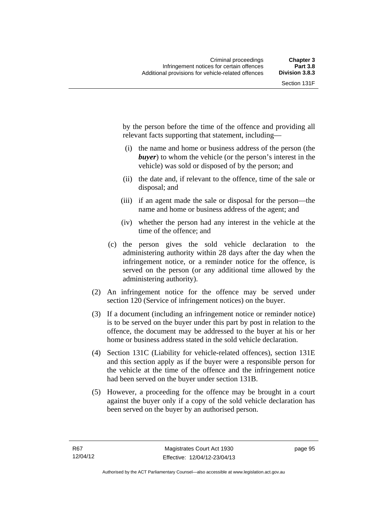by the person before the time of the offence and providing all relevant facts supporting that statement, including—

- (i) the name and home or business address of the person (the *buyer*) to whom the vehicle (or the person's interest in the vehicle) was sold or disposed of by the person; and
- (ii) the date and, if relevant to the offence, time of the sale or disposal; and
- (iii) if an agent made the sale or disposal for the person—the name and home or business address of the agent; and
- (iv) whether the person had any interest in the vehicle at the time of the offence; and
- (c) the person gives the sold vehicle declaration to the administering authority within 28 days after the day when the infringement notice, or a reminder notice for the offence, is served on the person (or any additional time allowed by the administering authority).
- (2) An infringement notice for the offence may be served under section 120 (Service of infringement notices) on the buyer.
- (3) If a document (including an infringement notice or reminder notice) is to be served on the buyer under this part by post in relation to the offence, the document may be addressed to the buyer at his or her home or business address stated in the sold vehicle declaration.
- (4) Section 131C (Liability for vehicle-related offences), section 131E and this section apply as if the buyer were a responsible person for the vehicle at the time of the offence and the infringement notice had been served on the buyer under section 131B.
- (5) However, a proceeding for the offence may be brought in a court against the buyer only if a copy of the sold vehicle declaration has been served on the buyer by an authorised person.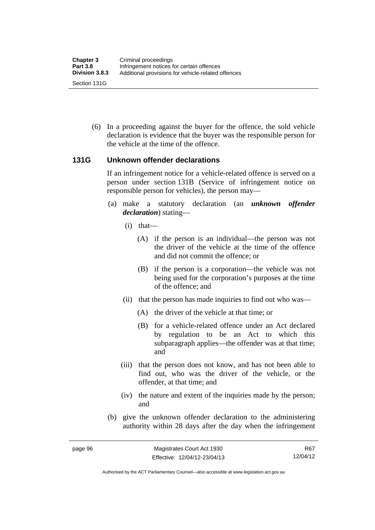(6) In a proceeding against the buyer for the offence, the sold vehicle declaration is evidence that the buyer was the responsible person for the vehicle at the time of the offence.

#### **131G Unknown offender declarations**

If an infringement notice for a vehicle-related offence is served on a person under section 131B (Service of infringement notice on responsible person for vehicles), the person may—

- (a) make a statutory declaration (an *unknown offender declaration*) stating—
	- (i) that—
		- (A) if the person is an individual—the person was not the driver of the vehicle at the time of the offence and did not commit the offence; or
		- (B) if the person is a corporation—the vehicle was not being used for the corporation's purposes at the time of the offence; and
	- (ii) that the person has made inquiries to find out who was—
		- (A) the driver of the vehicle at that time; or
		- (B) for a vehicle-related offence under an Act declared by regulation to be an Act to which this subparagraph applies—the offender was at that time; and
	- (iii) that the person does not know, and has not been able to find out, who was the driver of the vehicle, or the offender, at that time; and
	- (iv) the nature and extent of the inquiries made by the person; and
- (b) give the unknown offender declaration to the administering authority within 28 days after the day when the infringement

R67 12/04/12

Authorised by the ACT Parliamentary Counsel—also accessible at www.legislation.act.gov.au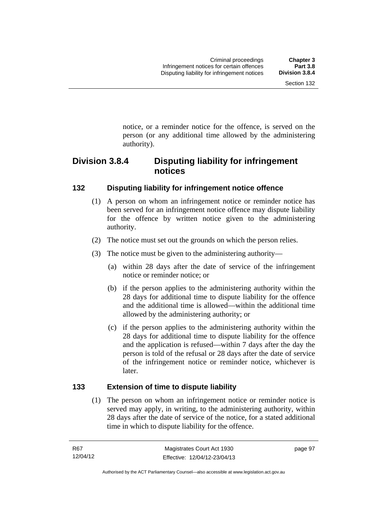notice, or a reminder notice for the offence, is served on the person (or any additional time allowed by the administering

# **Division 3.8.4 Disputing liability for infringement notices**

## **132 Disputing liability for infringement notice offence**

authority).

- (1) A person on whom an infringement notice or reminder notice has been served for an infringement notice offence may dispute liability for the offence by written notice given to the administering authority.
- (2) The notice must set out the grounds on which the person relies.
- (3) The notice must be given to the administering authority—
	- (a) within 28 days after the date of service of the infringement notice or reminder notice; or
	- (b) if the person applies to the administering authority within the 28 days for additional time to dispute liability for the offence and the additional time is allowed—within the additional time allowed by the administering authority; or
	- (c) if the person applies to the administering authority within the 28 days for additional time to dispute liability for the offence and the application is refused—within 7 days after the day the person is told of the refusal or 28 days after the date of service of the infringement notice or reminder notice, whichever is later.

## **133 Extension of time to dispute liability**

(1) The person on whom an infringement notice or reminder notice is served may apply, in writing, to the administering authority, within 28 days after the date of service of the notice, for a stated additional time in which to dispute liability for the offence.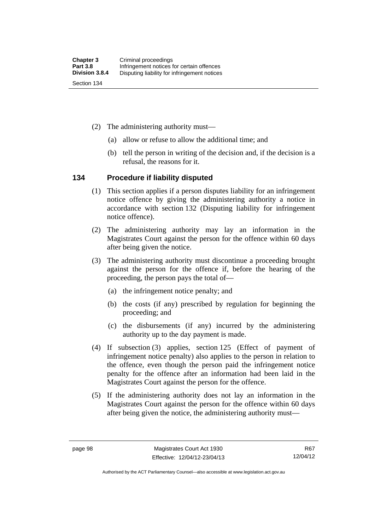- (2) The administering authority must—
	- (a) allow or refuse to allow the additional time; and
	- (b) tell the person in writing of the decision and, if the decision is a refusal, the reasons for it.

#### **134 Procedure if liability disputed**

- (1) This section applies if a person disputes liability for an infringement notice offence by giving the administering authority a notice in accordance with section 132 (Disputing liability for infringement notice offence).
- (2) The administering authority may lay an information in the Magistrates Court against the person for the offence within 60 days after being given the notice.
- (3) The administering authority must discontinue a proceeding brought against the person for the offence if, before the hearing of the proceeding, the person pays the total of—
	- (a) the infringement notice penalty; and
	- (b) the costs (if any) prescribed by regulation for beginning the proceeding; and
	- (c) the disbursements (if any) incurred by the administering authority up to the day payment is made.
- (4) If subsection (3) applies, section 125 (Effect of payment of infringement notice penalty) also applies to the person in relation to the offence, even though the person paid the infringement notice penalty for the offence after an information had been laid in the Magistrates Court against the person for the offence.
- (5) If the administering authority does not lay an information in the Magistrates Court against the person for the offence within 60 days after being given the notice, the administering authority must—

Authorised by the ACT Parliamentary Counsel—also accessible at www.legislation.act.gov.au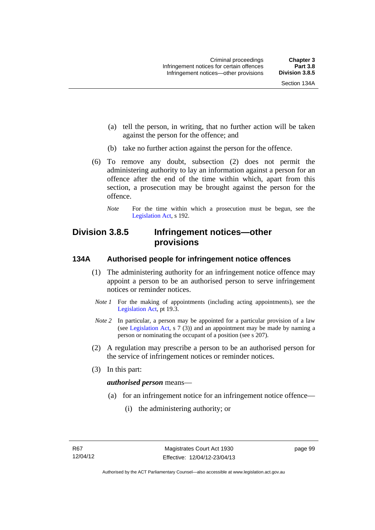- (a) tell the person, in writing, that no further action will be taken against the person for the offence; and
- (b) take no further action against the person for the offence.
- (6) To remove any doubt, subsection (2) does not permit the administering authority to lay an information against a person for an offence after the end of the time within which, apart from this section, a prosecution may be brought against the person for the offence.
	- *Note* For the time within which a prosecution must be begun, see the [Legislation Act,](http://www.legislation.act.gov.au/a/2001-14) s 192.

# **Division 3.8.5 Infringement notices—other provisions**

## **134A Authorised people for infringement notice offences**

- (1) The administering authority for an infringement notice offence may appoint a person to be an authorised person to serve infringement notices or reminder notices.
- *Note 1* For the making of appointments (including acting appointments), see the [Legislation Act,](http://www.legislation.act.gov.au/a/2001-14) pt 19.3.
- *Note 2* In particular, a person may be appointed for a particular provision of a law (see [Legislation Act,](http://www.legislation.act.gov.au/a/2001-14) s 7 (3)) and an appointment may be made by naming a person or nominating the occupant of a position (see s 207).
- (2) A regulation may prescribe a person to be an authorised person for the service of infringement notices or reminder notices.
- (3) In this part:

#### *authorised person* means—

- (a) for an infringement notice for an infringement notice offence—
	- (i) the administering authority; or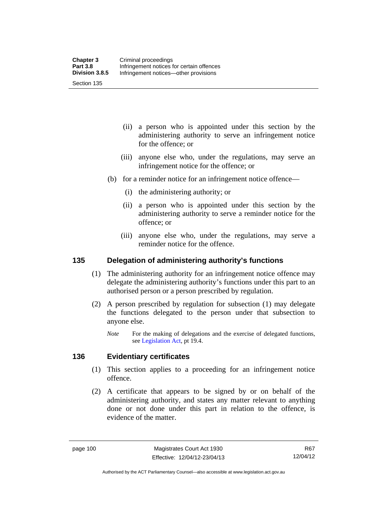Section 135

- (ii) a person who is appointed under this section by the administering authority to serve an infringement notice for the offence; or
- (iii) anyone else who, under the regulations, may serve an infringement notice for the offence; or
- (b) for a reminder notice for an infringement notice offence—
	- (i) the administering authority; or
	- (ii) a person who is appointed under this section by the administering authority to serve a reminder notice for the offence; or
	- (iii) anyone else who, under the regulations, may serve a reminder notice for the offence.

#### **135 Delegation of administering authority's functions**

- (1) The administering authority for an infringement notice offence may delegate the administering authority's functions under this part to an authorised person or a person prescribed by regulation.
- (2) A person prescribed by regulation for subsection (1) may delegate the functions delegated to the person under that subsection to anyone else.
	- *Note* For the making of delegations and the exercise of delegated functions, see [Legislation Act](http://www.legislation.act.gov.au/a/2001-14), pt 19.4.

#### **136 Evidentiary certificates**

- (1) This section applies to a proceeding for an infringement notice offence.
- (2) A certificate that appears to be signed by or on behalf of the administering authority, and states any matter relevant to anything done or not done under this part in relation to the offence, is evidence of the matter.

R67 12/04/12

Authorised by the ACT Parliamentary Counsel—also accessible at www.legislation.act.gov.au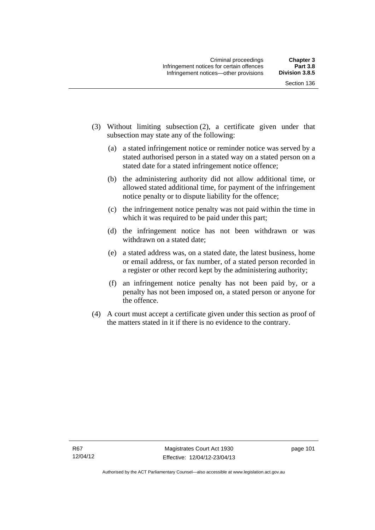- (3) Without limiting subsection (2), a certificate given under that subsection may state any of the following:
	- (a) a stated infringement notice or reminder notice was served by a stated authorised person in a stated way on a stated person on a stated date for a stated infringement notice offence;
	- (b) the administering authority did not allow additional time, or allowed stated additional time, for payment of the infringement notice penalty or to dispute liability for the offence;
	- (c) the infringement notice penalty was not paid within the time in which it was required to be paid under this part;
	- (d) the infringement notice has not been withdrawn or was withdrawn on a stated date;
	- (e) a stated address was, on a stated date, the latest business, home or email address, or fax number, of a stated person recorded in a register or other record kept by the administering authority;
	- (f) an infringement notice penalty has not been paid by, or a penalty has not been imposed on, a stated person or anyone for the offence.
- (4) A court must accept a certificate given under this section as proof of the matters stated in it if there is no evidence to the contrary.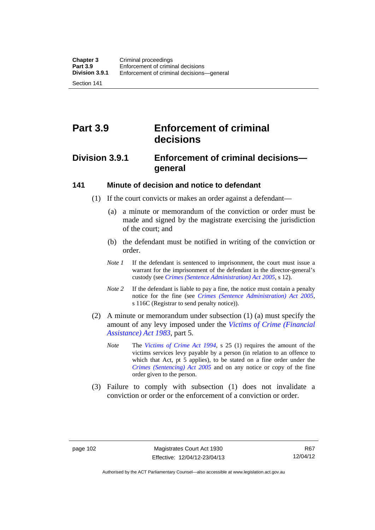Section 141

# **Part 3.9 Enforcement of criminal decisions**

# **Division 3.9.1 Enforcement of criminal decisions general**

#### **141 Minute of decision and notice to defendant**

- (1) If the court convicts or makes an order against a defendant—
	- (a) a minute or memorandum of the conviction or order must be made and signed by the magistrate exercising the jurisdiction of the court; and
	- (b) the defendant must be notified in writing of the conviction or order.
	- *Note 1* If the defendant is sentenced to imprisonment, the court must issue a warrant for the imprisonment of the defendant in the director-general's custody (see *[Crimes \(Sentence Administration\) Act 2005](http://www.legislation.act.gov.au/a/2005-59)*, s 12).
	- *Note* 2 If the defendant is liable to pay a fine, the notice must contain a penalty notice for the fine (see *[Crimes \(Sentence Administration\) Act 2005](http://www.legislation.act.gov.au/a/2005-59)*, s 116C (Registrar to send penalty notice)).
- (2) A minute or memorandum under subsection (1) (a) must specify the amount of any levy imposed under the *[Victims of Crime \(Financial](http://www.legislation.act.gov.au/a/1983-11)  [Assistance\) Act 1983](http://www.legislation.act.gov.au/a/1983-11)*, part 5.
	- *Note* The *[Victims of Crime Act 1994](http://www.legislation.act.gov.au/a/1994-83)*, s 25 (1) requires the amount of the victims services levy payable by a person (in relation to an offence to which that Act, pt 5 applies), to be stated on a fine order under the *[Crimes \(Sentencing\) Act 2005](http://www.legislation.act.gov.au/a/2005-58)* and on any notice or copy of the fine order given to the person.
- (3) Failure to comply with subsection (1) does not invalidate a conviction or order or the enforcement of a conviction or order.

Authorised by the ACT Parliamentary Counsel—also accessible at www.legislation.act.gov.au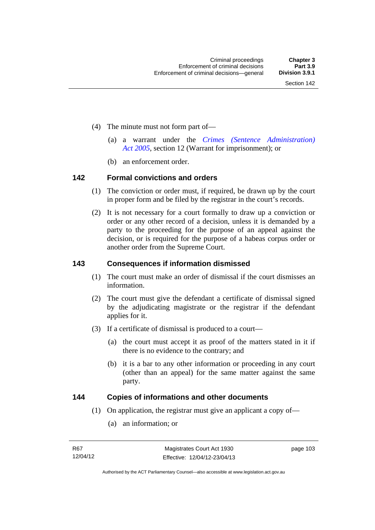- (4) The minute must not form part of—
	- (a) a warrant under the *[Crimes \(Sentence Administration\)](http://www.legislation.act.gov.au/a/2005-59)  [Act 2005](http://www.legislation.act.gov.au/a/2005-59)*, section 12 (Warrant for imprisonment); or
	- (b) an enforcement order.

#### **142 Formal convictions and orders**

- (1) The conviction or order must, if required, be drawn up by the court in proper form and be filed by the registrar in the court's records.
- (2) It is not necessary for a court formally to draw up a conviction or order or any other record of a decision, unless it is demanded by a party to the proceeding for the purpose of an appeal against the decision, or is required for the purpose of a habeas corpus order or another order from the Supreme Court.

#### **143 Consequences if information dismissed**

- (1) The court must make an order of dismissal if the court dismisses an information.
- (2) The court must give the defendant a certificate of dismissal signed by the adjudicating magistrate or the registrar if the defendant applies for it.
- (3) If a certificate of dismissal is produced to a court—
	- (a) the court must accept it as proof of the matters stated in it if there is no evidence to the contrary; and
	- (b) it is a bar to any other information or proceeding in any court (other than an appeal) for the same matter against the same party.

## **144 Copies of informations and other documents**

- (1) On application, the registrar must give an applicant a copy of—
	- (a) an information; or

page 103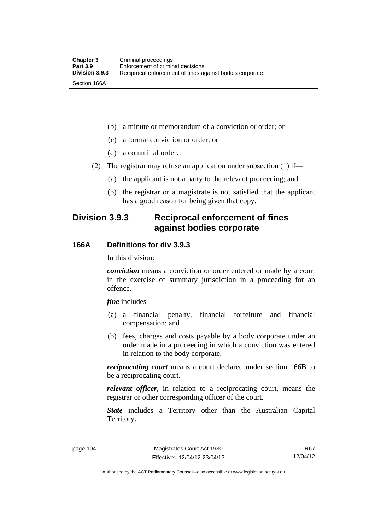(b) a minute or memorandum of a conviction or order; or

(c) a formal conviction or order; or

(d) a committal order.

(2) The registrar may refuse an application under subsection (1) if—

(a) the applicant is not a party to the relevant proceeding; and

 (b) the registrar or a magistrate is not satisfied that the applicant has a good reason for being given that copy.

## **Division 3.9.3 Reciprocal enforcement of fines against bodies corporate**

## **166A Definitions for div 3.9.3**

In this division:

*conviction* means a conviction or order entered or made by a court in the exercise of summary jurisdiction in a proceeding for an offence.

*fine* includes—

- (a) a financial penalty, financial forfeiture and financial compensation; and
- (b) fees, charges and costs payable by a body corporate under an order made in a proceeding in which a conviction was entered in relation to the body corporate.

*reciprocating court* means a court declared under section 166B to be a reciprocating court.

*relevant officer*, in relation to a reciprocating court, means the registrar or other corresponding officer of the court.

*State* includes a Territory other than the Australian Capital Territory.

Authorised by the ACT Parliamentary Counsel—also accessible at www.legislation.act.gov.au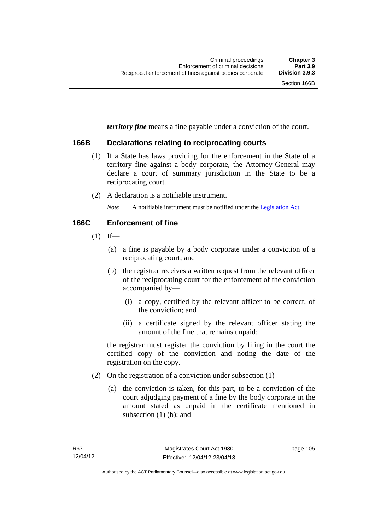*territory fine* means a fine payable under a conviction of the court.

#### **166B Declarations relating to reciprocating courts**

- (1) If a State has laws providing for the enforcement in the State of a territory fine against a body corporate, the Attorney-General may declare a court of summary jurisdiction in the State to be a reciprocating court.
- (2) A declaration is a notifiable instrument.

*Note* A notifiable instrument must be notified under the [Legislation Act](http://www.legislation.act.gov.au/a/2001-14).

#### **166C Enforcement of fine**

- $(1)$  If—
	- (a) a fine is payable by a body corporate under a conviction of a reciprocating court; and
	- (b) the registrar receives a written request from the relevant officer of the reciprocating court for the enforcement of the conviction accompanied by—
		- (i) a copy, certified by the relevant officer to be correct, of the conviction; and
		- (ii) a certificate signed by the relevant officer stating the amount of the fine that remains unpaid;

the registrar must register the conviction by filing in the court the certified copy of the conviction and noting the date of the registration on the copy.

- (2) On the registration of a conviction under subsection (1)—
	- (a) the conviction is taken, for this part, to be a conviction of the court adjudging payment of a fine by the body corporate in the amount stated as unpaid in the certificate mentioned in subsection  $(1)$  (b); and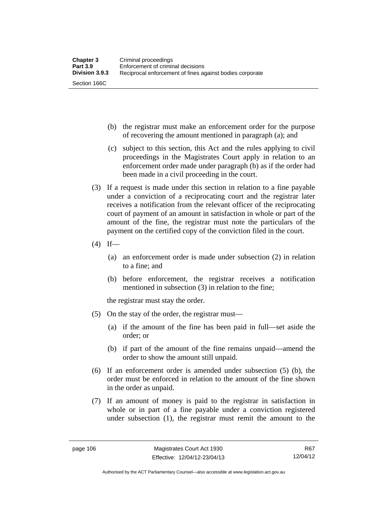- (b) the registrar must make an enforcement order for the purpose of recovering the amount mentioned in paragraph (a); and
- (c) subject to this section, this Act and the rules applying to civil proceedings in the Magistrates Court apply in relation to an enforcement order made under paragraph (b) as if the order had been made in a civil proceeding in the court.
- (3) If a request is made under this section in relation to a fine payable under a conviction of a reciprocating court and the registrar later receives a notification from the relevant officer of the reciprocating court of payment of an amount in satisfaction in whole or part of the amount of the fine, the registrar must note the particulars of the payment on the certified copy of the conviction filed in the court.
- $(4)$  If—
	- (a) an enforcement order is made under subsection (2) in relation to a fine; and
	- (b) before enforcement, the registrar receives a notification mentioned in subsection (3) in relation to the fine;

the registrar must stay the order.

- (5) On the stay of the order, the registrar must—
	- (a) if the amount of the fine has been paid in full—set aside the order; or
	- (b) if part of the amount of the fine remains unpaid—amend the order to show the amount still unpaid.
- (6) If an enforcement order is amended under subsection (5) (b), the order must be enforced in relation to the amount of the fine shown in the order as unpaid.
- (7) If an amount of money is paid to the registrar in satisfaction in whole or in part of a fine payable under a conviction registered under subsection (1), the registrar must remit the amount to the

R67 12/04/12

Authorised by the ACT Parliamentary Counsel—also accessible at www.legislation.act.gov.au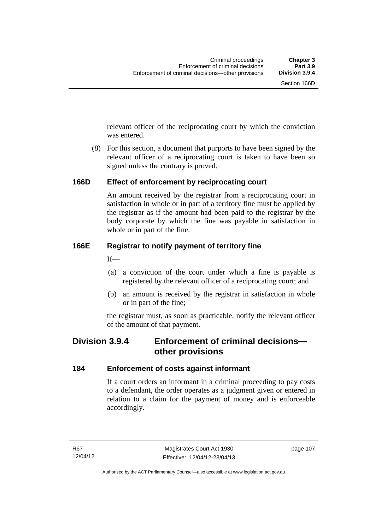relevant officer of the reciprocating court by which the conviction was entered.

 (8) For this section, a document that purports to have been signed by the relevant officer of a reciprocating court is taken to have been so signed unless the contrary is proved.

## **166D Effect of enforcement by reciprocating court**

An amount received by the registrar from a reciprocating court in satisfaction in whole or in part of a territory fine must be applied by the registrar as if the amount had been paid to the registrar by the body corporate by which the fine was payable in satisfaction in whole or in part of the fine.

## **166E Registrar to notify payment of territory fine**

 $If$ —

- (a) a conviction of the court under which a fine is payable is registered by the relevant officer of a reciprocating court; and
- (b) an amount is received by the registrar in satisfaction in whole or in part of the fine;

the registrar must, as soon as practicable, notify the relevant officer of the amount of that payment.

# **Division 3.9.4 Enforcement of criminal decisions other provisions**

## **184 Enforcement of costs against informant**

If a court orders an informant in a criminal proceeding to pay costs to a defendant, the order operates as a judgment given or entered in relation to a claim for the payment of money and is enforceable accordingly.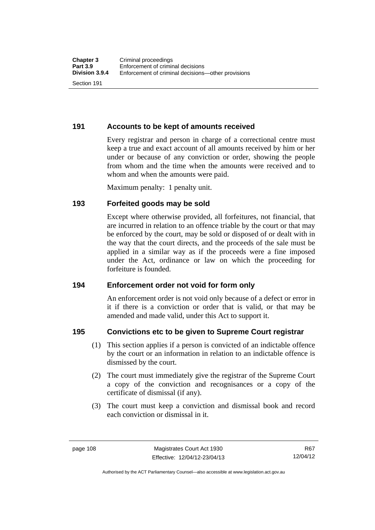**191 Accounts to be kept of amounts received** 

Every registrar and person in charge of a correctional centre must keep a true and exact account of all amounts received by him or her under or because of any conviction or order, showing the people from whom and the time when the amounts were received and to whom and when the amounts were paid.

Maximum penalty: 1 penalty unit.

## **193 Forfeited goods may be sold**

Except where otherwise provided, all forfeitures, not financial, that are incurred in relation to an offence triable by the court or that may be enforced by the court, may be sold or disposed of or dealt with in the way that the court directs, and the proceeds of the sale must be applied in a similar way as if the proceeds were a fine imposed under the Act, ordinance or law on which the proceeding for forfeiture is founded.

## **194 Enforcement order not void for form only**

An enforcement order is not void only because of a defect or error in it if there is a conviction or order that is valid, or that may be amended and made valid, under this Act to support it.

## **195 Convictions etc to be given to Supreme Court registrar**

- (1) This section applies if a person is convicted of an indictable offence by the court or an information in relation to an indictable offence is dismissed by the court.
- (2) The court must immediately give the registrar of the Supreme Court a copy of the conviction and recognisances or a copy of the certificate of dismissal (if any).
- (3) The court must keep a conviction and dismissal book and record each conviction or dismissal in it.

Authorised by the ACT Parliamentary Counsel—also accessible at www.legislation.act.gov.au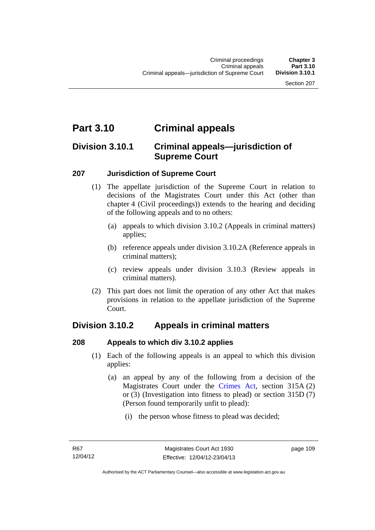# **Part 3.10 Criminal appeals**

## **Division 3.10.1 Criminal appeals—jurisdiction of Supreme Court**

## **207 Jurisdiction of Supreme Court**

- (1) The appellate jurisdiction of the Supreme Court in relation to decisions of the Magistrates Court under this Act (other than chapter 4 (Civil proceedings)) extends to the hearing and deciding of the following appeals and to no others:
	- (a) appeals to which division 3.10.2 (Appeals in criminal matters) applies;
	- (b) reference appeals under division 3.10.2A (Reference appeals in criminal matters);
	- (c) review appeals under division 3.10.3 (Review appeals in criminal matters).
- (2) This part does not limit the operation of any other Act that makes provisions in relation to the appellate jurisdiction of the Supreme Court.

# **Division 3.10.2 Appeals in criminal matters**

## **208 Appeals to which div 3.10.2 applies**

- (1) Each of the following appeals is an appeal to which this division applies:
	- (a) an appeal by any of the following from a decision of the Magistrates Court under the [Crimes Act](http://www.legislation.act.gov.au/a/1900-40/default.asp), section 315A (2) or (3) (Investigation into fitness to plead) or section 315D (7) (Person found temporarily unfit to plead):
		- (i) the person whose fitness to plead was decided;

page 109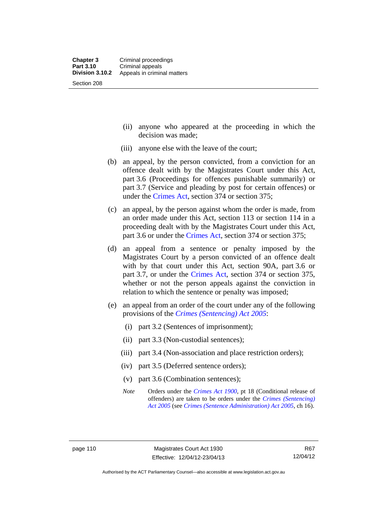- (ii) anyone who appeared at the proceeding in which the decision was made;
- (iii) anyone else with the leave of the court;
- (b) an appeal, by the person convicted, from a conviction for an offence dealt with by the Magistrates Court under this Act, part 3.6 (Proceedings for offences punishable summarily) or part 3.7 (Service and pleading by post for certain offences) or under the [Crimes Act,](http://www.legislation.act.gov.au/a/1900-40/default.asp) section 374 or section 375;
- (c) an appeal, by the person against whom the order is made, from an order made under this Act, section 113 or section 114 in a proceeding dealt with by the Magistrates Court under this Act, part 3.6 or under the [Crimes Act,](http://www.legislation.act.gov.au/a/1900-40/default.asp) section 374 or section 375;
- (d) an appeal from a sentence or penalty imposed by the Magistrates Court by a person convicted of an offence dealt with by that court under this Act, section 90A, part 3.6 or part 3.7, or under the [Crimes Act,](http://www.legislation.act.gov.au/a/1900-40/default.asp) section 374 or section 375, whether or not the person appeals against the conviction in relation to which the sentence or penalty was imposed;
- (e) an appeal from an order of the court under any of the following provisions of the *[Crimes \(Sentencing\) Act 2005](http://www.legislation.act.gov.au/a/2005-58)*:
	- (i) part 3.2 (Sentences of imprisonment);
	- (ii) part 3.3 (Non-custodial sentences);
	- (iii) part 3.4 (Non-association and place restriction orders);
	- (iv) part 3.5 (Deferred sentence orders);
	- (v) part 3.6 (Combination sentences);
	- *Note* Orders under the *[Crimes Act 1900](http://www.legislation.act.gov.au/a/1900-40)*, pt 18 (Conditional release of offenders) are taken to be orders under the *[Crimes \(Sentencing\)](http://www.legislation.act.gov.au/a/2005-58)  [Act 2005](http://www.legislation.act.gov.au/a/2005-58)* (see *[Crimes \(Sentence Administration\) Act 2005](http://www.legislation.act.gov.au/a/2005-59)*, ch 16).

R67 12/04/12

Authorised by the ACT Parliamentary Counsel—also accessible at www.legislation.act.gov.au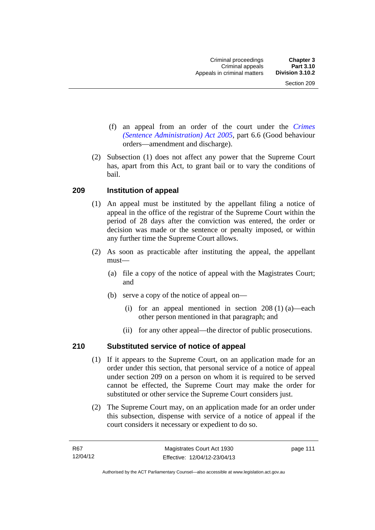- (f) an appeal from an order of the court under the *[Crimes](http://www.legislation.act.gov.au/a/2005-59)  [\(Sentence Administration\) Act 2005](http://www.legislation.act.gov.au/a/2005-59),* part 6.6 (Good behaviour orders—amendment and discharge).
- (2) Subsection (1) does not affect any power that the Supreme Court has, apart from this Act, to grant bail or to vary the conditions of bail.

## **209 Institution of appeal**

- (1) An appeal must be instituted by the appellant filing a notice of appeal in the office of the registrar of the Supreme Court within the period of 28 days after the conviction was entered, the order or decision was made or the sentence or penalty imposed, or within any further time the Supreme Court allows.
- (2) As soon as practicable after instituting the appeal, the appellant must—
	- (a) file a copy of the notice of appeal with the Magistrates Court; and
	- (b) serve a copy of the notice of appeal on—
		- (i) for an appeal mentioned in section 208 (1) (a)—each other person mentioned in that paragraph; and
		- (ii) for any other appeal—the director of public prosecutions.

## **210 Substituted service of notice of appeal**

- (1) If it appears to the Supreme Court, on an application made for an order under this section, that personal service of a notice of appeal under section 209 on a person on whom it is required to be served cannot be effected, the Supreme Court may make the order for substituted or other service the Supreme Court considers just.
- (2) The Supreme Court may, on an application made for an order under this subsection, dispense with service of a notice of appeal if the court considers it necessary or expedient to do so.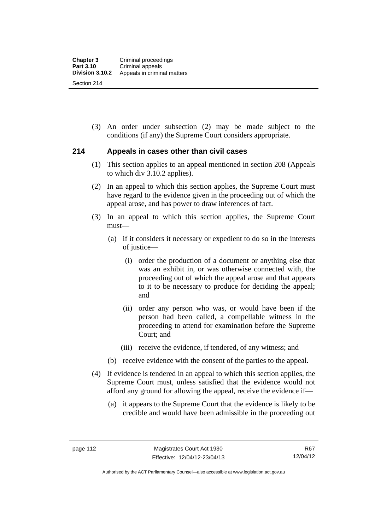(3) An order under subsection (2) may be made subject to the conditions (if any) the Supreme Court considers appropriate.

#### **214 Appeals in cases other than civil cases**

- (1) This section applies to an appeal mentioned in section 208 (Appeals to which div 3.10.2 applies).
- (2) In an appeal to which this section applies, the Supreme Court must have regard to the evidence given in the proceeding out of which the appeal arose, and has power to draw inferences of fact.
- (3) In an appeal to which this section applies, the Supreme Court must—
	- (a) if it considers it necessary or expedient to do so in the interests of justice—
		- (i) order the production of a document or anything else that was an exhibit in, or was otherwise connected with, the proceeding out of which the appeal arose and that appears to it to be necessary to produce for deciding the appeal; and
		- (ii) order any person who was, or would have been if the person had been called, a compellable witness in the proceeding to attend for examination before the Supreme Court; and
		- (iii) receive the evidence, if tendered, of any witness; and
	- (b) receive evidence with the consent of the parties to the appeal.
- (4) If evidence is tendered in an appeal to which this section applies, the Supreme Court must, unless satisfied that the evidence would not afford any ground for allowing the appeal, receive the evidence if—
	- (a) it appears to the Supreme Court that the evidence is likely to be credible and would have been admissible in the proceeding out

Authorised by the ACT Parliamentary Counsel—also accessible at www.legislation.act.gov.au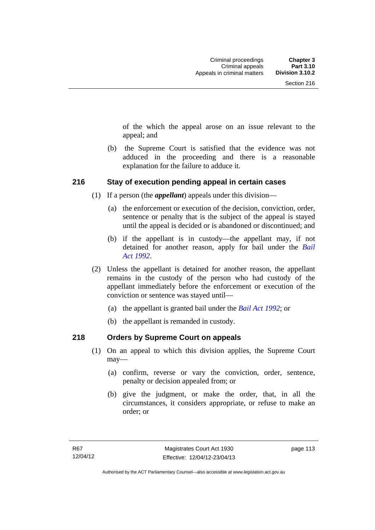of the which the appeal arose on an issue relevant to the appeal; and

 (b) the Supreme Court is satisfied that the evidence was not adduced in the proceeding and there is a reasonable explanation for the failure to adduce it.

#### **216 Stay of execution pending appeal in certain cases**

- (1) If a person (the *appellant*) appeals under this division—
	- (a) the enforcement or execution of the decision, conviction, order, sentence or penalty that is the subject of the appeal is stayed until the appeal is decided or is abandoned or discontinued; and
	- (b) if the appellant is in custody—the appellant may, if not detained for another reason, apply for bail under the *[Bail](http://www.legislation.act.gov.au/a/1992-8)  [Act 1992](http://www.legislation.act.gov.au/a/1992-8)*.
- (2) Unless the appellant is detained for another reason, the appellant remains in the custody of the person who had custody of the appellant immediately before the enforcement or execution of the conviction or sentence was stayed until—
	- (a) the appellant is granted bail under the *[Bail Act 1992](http://www.legislation.act.gov.au/a/1992-8)*; or
	- (b) the appellant is remanded in custody.

## **218 Orders by Supreme Court on appeals**

- (1) On an appeal to which this division applies, the Supreme Court may—
	- (a) confirm, reverse or vary the conviction, order, sentence, penalty or decision appealed from; or
	- (b) give the judgment, or make the order, that, in all the circumstances, it considers appropriate, or refuse to make an order; or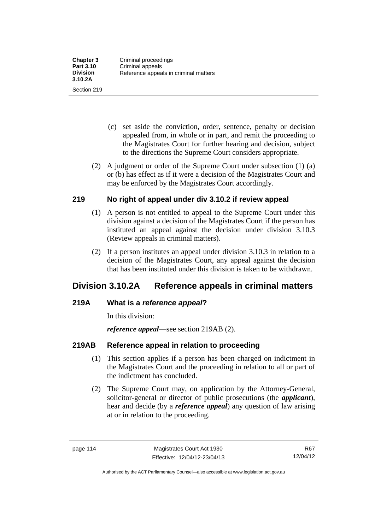- (c) set aside the conviction, order, sentence, penalty or decision appealed from, in whole or in part, and remit the proceeding to the Magistrates Court for further hearing and decision, subject to the directions the Supreme Court considers appropriate.
- (2) A judgment or order of the Supreme Court under subsection (1) (a) or (b) has effect as if it were a decision of the Magistrates Court and may be enforced by the Magistrates Court accordingly.

## **219 No right of appeal under div 3.10.2 if review appeal**

- (1) A person is not entitled to appeal to the Supreme Court under this division against a decision of the Magistrates Court if the person has instituted an appeal against the decision under division 3.10.3 (Review appeals in criminal matters).
- (2) If a person institutes an appeal under division 3.10.3 in relation to a decision of the Magistrates Court, any appeal against the decision that has been instituted under this division is taken to be withdrawn.

# **Division 3.10.2A Reference appeals in criminal matters**

## **219A What is a** *reference appeal***?**

In this division:

*reference appeal*—see section 219AB (2).

## **219AB Reference appeal in relation to proceeding**

- (1) This section applies if a person has been charged on indictment in the Magistrates Court and the proceeding in relation to all or part of the indictment has concluded.
- (2) The Supreme Court may, on application by the Attorney-General, solicitor-general or director of public prosecutions (the *applicant*), hear and decide (by a *reference appeal*) any question of law arising at or in relation to the proceeding.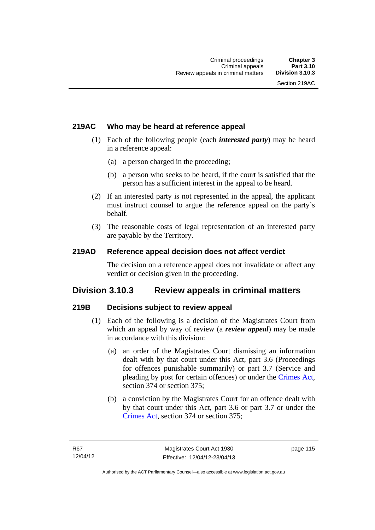## **219AC Who may be heard at reference appeal**

- (1) Each of the following people (each *interested party*) may be heard in a reference appeal:
	- (a) a person charged in the proceeding;
	- (b) a person who seeks to be heard, if the court is satisfied that the person has a sufficient interest in the appeal to be heard.
- (2) If an interested party is not represented in the appeal, the applicant must instruct counsel to argue the reference appeal on the party's behalf.
- (3) The reasonable costs of legal representation of an interested party are payable by the Territory.

#### **219AD Reference appeal decision does not affect verdict**

The decision on a reference appeal does not invalidate or affect any verdict or decision given in the proceeding.

## **Division 3.10.3 Review appeals in criminal matters**

## **219B Decisions subject to review appeal**

- (1) Each of the following is a decision of the Magistrates Court from which an appeal by way of review (a *review appeal*) may be made in accordance with this division:
	- (a) an order of the Magistrates Court dismissing an information dealt with by that court under this Act, part 3.6 (Proceedings for offences punishable summarily) or part 3.7 (Service and pleading by post for certain offences) or under the [Crimes Act](http://www.legislation.act.gov.au/a/1900-40/default.asp), section 374 or section 375;
	- (b) a conviction by the Magistrates Court for an offence dealt with by that court under this Act, part 3.6 or part 3.7 or under the [Crimes Act,](http://www.legislation.act.gov.au/a/1900-40/default.asp) section 374 or section 375;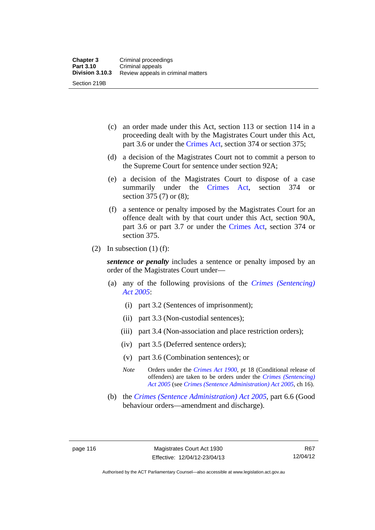- (c) an order made under this Act, section 113 or section 114 in a proceeding dealt with by the Magistrates Court under this Act, part 3.6 or under the [Crimes Act,](http://www.legislation.act.gov.au/a/1900-40/default.asp) section 374 or section 375;
- (d) a decision of the Magistrates Court not to commit a person to the Supreme Court for sentence under section 92A;
- (e) a decision of the Magistrates Court to dispose of a case summarily under the [Crimes Act,](http://www.legislation.act.gov.au/a/1900-40/default.asp) section 374 or section 375 (7) or (8);
- (f) a sentence or penalty imposed by the Magistrates Court for an offence dealt with by that court under this Act, section 90A, part 3.6 or part 3.7 or under the [Crimes Act,](http://www.legislation.act.gov.au/a/1900-40/default.asp) section 374 or section 375.
- (2) In subsection  $(1)$  (f):

*sentence or penalty* includes a sentence or penalty imposed by an order of the Magistrates Court under—

- (a) any of the following provisions of the *[Crimes \(Sentencing\)](http://www.legislation.act.gov.au/a/2005-58)  [Act 2005](http://www.legislation.act.gov.au/a/2005-58)*:
	- (i) part 3.2 (Sentences of imprisonment);
	- (ii) part 3.3 (Non-custodial sentences);
	- (iii) part 3.4 (Non-association and place restriction orders);
	- (iv) part 3.5 (Deferred sentence orders);
	- (v) part 3.6 (Combination sentences); or
	- *Note* Orders under the *[Crimes Act 1900](http://www.legislation.act.gov.au/a/1900-40)*, pt 18 (Conditional release of offenders) are taken to be orders under the *[Crimes \(Sentencing\)](http://www.legislation.act.gov.au/a/2005-58)  [Act 2005](http://www.legislation.act.gov.au/a/2005-58)* (see *[Crimes \(Sentence Administration\) Act 2005](http://www.legislation.act.gov.au/a/2005-59)*, ch 16).
- (b) the *[Crimes \(Sentence Administration\) Act 2005](http://www.legislation.act.gov.au/a/2005-59),* part 6.6 (Good behaviour orders—amendment and discharge).

R67 12/04/12

Authorised by the ACT Parliamentary Counsel—also accessible at www.legislation.act.gov.au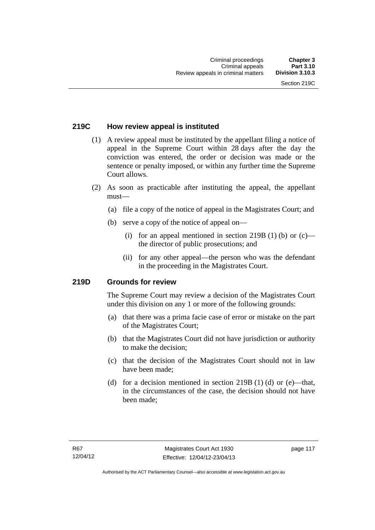## **219C How review appeal is instituted**

- (1) A review appeal must be instituted by the appellant filing a notice of appeal in the Supreme Court within 28 days after the day the conviction was entered, the order or decision was made or the sentence or penalty imposed, or within any further time the Supreme Court allows.
- (2) As soon as practicable after instituting the appeal, the appellant must—
	- (a) file a copy of the notice of appeal in the Magistrates Court; and
	- (b) serve a copy of the notice of appeal on—
		- (i) for an appeal mentioned in section 219B (1) (b) or  $(c)$  the director of public prosecutions; and
		- (ii) for any other appeal—the person who was the defendant in the proceeding in the Magistrates Court.

#### **219D Grounds for review**

The Supreme Court may review a decision of the Magistrates Court under this division on any 1 or more of the following grounds:

- (a) that there was a prima facie case of error or mistake on the part of the Magistrates Court;
- (b) that the Magistrates Court did not have jurisdiction or authority to make the decision;
- (c) that the decision of the Magistrates Court should not in law have been made;
- (d) for a decision mentioned in section 219B (1) (d) or (e)—that, in the circumstances of the case, the decision should not have been made;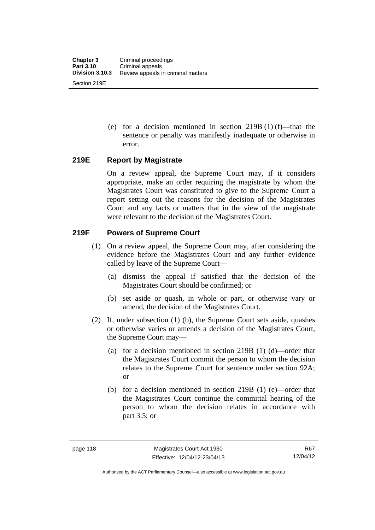(e) for a decision mentioned in section 219B (1) (f)—that the sentence or penalty was manifestly inadequate or otherwise in error.

#### **219E Report by Magistrate**

On a review appeal, the Supreme Court may, if it considers appropriate, make an order requiring the magistrate by whom the Magistrates Court was constituted to give to the Supreme Court a report setting out the reasons for the decision of the Magistrates Court and any facts or matters that in the view of the magistrate were relevant to the decision of the Magistrates Court.

## **219F Powers of Supreme Court**

- (1) On a review appeal, the Supreme Court may, after considering the evidence before the Magistrates Court and any further evidence called by leave of the Supreme Court—
	- (a) dismiss the appeal if satisfied that the decision of the Magistrates Court should be confirmed; or
	- (b) set aside or quash, in whole or part, or otherwise vary or amend, the decision of the Magistrates Court.
- (2) If, under subsection (1) (b), the Supreme Court sets aside, quashes or otherwise varies or amends a decision of the Magistrates Court, the Supreme Court may—
	- (a) for a decision mentioned in section 219B (1) (d)—order that the Magistrates Court commit the person to whom the decision relates to the Supreme Court for sentence under section 92A; or
	- (b) for a decision mentioned in section 219B (1) (e)—order that the Magistrates Court continue the committal hearing of the person to whom the decision relates in accordance with part 3.5; or

Authorised by the ACT Parliamentary Counsel—also accessible at www.legislation.act.gov.au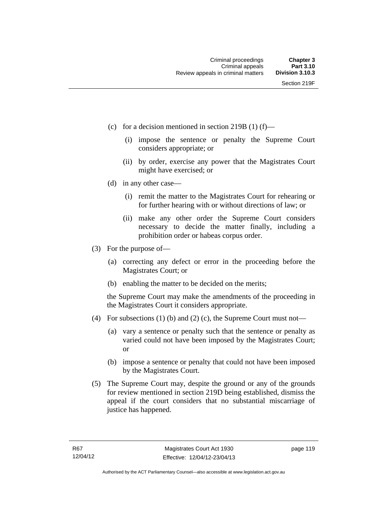- (c) for a decision mentioned in section 219B (1) (f)—
	- (i) impose the sentence or penalty the Supreme Court considers appropriate; or
	- (ii) by order, exercise any power that the Magistrates Court might have exercised; or
- (d) in any other case—
	- (i) remit the matter to the Magistrates Court for rehearing or for further hearing with or without directions of law; or
	- (ii) make any other order the Supreme Court considers necessary to decide the matter finally, including a prohibition order or habeas corpus order.
- (3) For the purpose of—
	- (a) correcting any defect or error in the proceeding before the Magistrates Court; or
	- (b) enabling the matter to be decided on the merits;

the Supreme Court may make the amendments of the proceeding in the Magistrates Court it considers appropriate.

- (4) For subsections (1) (b) and (2) (c), the Supreme Court must not—
	- (a) vary a sentence or penalty such that the sentence or penalty as varied could not have been imposed by the Magistrates Court; or
	- (b) impose a sentence or penalty that could not have been imposed by the Magistrates Court.
- (5) The Supreme Court may, despite the ground or any of the grounds for review mentioned in section 219D being established, dismiss the appeal if the court considers that no substantial miscarriage of justice has happened.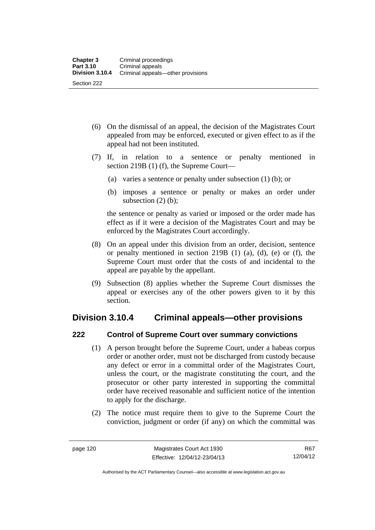- (6) On the dismissal of an appeal, the decision of the Magistrates Court appealed from may be enforced, executed or given effect to as if the appeal had not been instituted.
- (7) If, in relation to a sentence or penalty mentioned in section 219B (1) (f), the Supreme Court—
	- (a) varies a sentence or penalty under subsection (1) (b); or
	- (b) imposes a sentence or penalty or makes an order under subsection (2) (b);

the sentence or penalty as varied or imposed or the order made has effect as if it were a decision of the Magistrates Court and may be enforced by the Magistrates Court accordingly.

- (8) On an appeal under this division from an order, decision, sentence or penalty mentioned in section 219B (1) (a), (d), (e) or (f), the Supreme Court must order that the costs of and incidental to the appeal are payable by the appellant.
- (9) Subsection (8) applies whether the Supreme Court dismisses the appeal or exercises any of the other powers given to it by this section.

## **Division 3.10.4 Criminal appeals—other provisions**

## **222 Control of Supreme Court over summary convictions**

- (1) A person brought before the Supreme Court, under a habeas corpus order or another order, must not be discharged from custody because any defect or error in a committal order of the Magistrates Court, unless the court, or the magistrate constituting the court, and the prosecutor or other party interested in supporting the committal order have received reasonable and sufficient notice of the intention to apply for the discharge.
- (2) The notice must require them to give to the Supreme Court the conviction, judgment or order (if any) on which the committal was

R67 12/04/12

Authorised by the ACT Parliamentary Counsel—also accessible at www.legislation.act.gov.au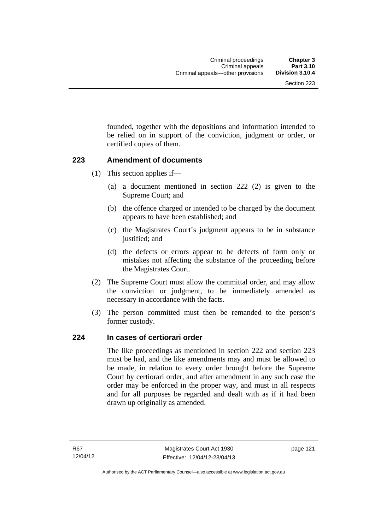founded, together with the depositions and information intended to be relied on in support of the conviction, judgment or order, or certified copies of them.

#### **223 Amendment of documents**

- (1) This section applies if—
	- (a) a document mentioned in section 222 (2) is given to the Supreme Court; and
	- (b) the offence charged or intended to be charged by the document appears to have been established; and
	- (c) the Magistrates Court's judgment appears to be in substance justified; and
	- (d) the defects or errors appear to be defects of form only or mistakes not affecting the substance of the proceeding before the Magistrates Court.
- (2) The Supreme Court must allow the committal order, and may allow the conviction or judgment, to be immediately amended as necessary in accordance with the facts.
- (3) The person committed must then be remanded to the person's former custody.

#### **224 In cases of certiorari order**

The like proceedings as mentioned in section 222 and section 223 must be had, and the like amendments may and must be allowed to be made, in relation to every order brought before the Supreme Court by certiorari order, and after amendment in any such case the order may be enforced in the proper way, and must in all respects and for all purposes be regarded and dealt with as if it had been drawn up originally as amended.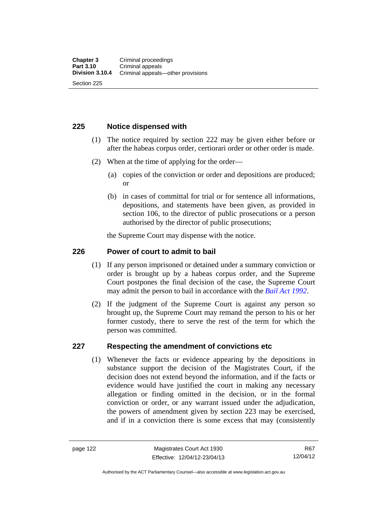#### **225 Notice dispensed with**

- (1) The notice required by section 222 may be given either before or after the habeas corpus order, certiorari order or other order is made.
- (2) When at the time of applying for the order—
	- (a) copies of the conviction or order and depositions are produced; or
	- (b) in cases of committal for trial or for sentence all informations, depositions, and statements have been given, as provided in section 106, to the director of public prosecutions or a person authorised by the director of public prosecutions;

the Supreme Court may dispense with the notice.

#### **226 Power of court to admit to bail**

- (1) If any person imprisoned or detained under a summary conviction or order is brought up by a habeas corpus order, and the Supreme Court postpones the final decision of the case, the Supreme Court may admit the person to bail in accordance with the *[Bail Act 1992](http://www.legislation.act.gov.au/a/1992-8)*.
- (2) If the judgment of the Supreme Court is against any person so brought up, the Supreme Court may remand the person to his or her former custody, there to serve the rest of the term for which the person was committed.

#### **227 Respecting the amendment of convictions etc**

(1) Whenever the facts or evidence appearing by the depositions in substance support the decision of the Magistrates Court, if the decision does not extend beyond the information, and if the facts or evidence would have justified the court in making any necessary allegation or finding omitted in the decision, or in the formal conviction or order, or any warrant issued under the adjudication, the powers of amendment given by section 223 may be exercised, and if in a conviction there is some excess that may (consistently

R67 12/04/12

Authorised by the ACT Parliamentary Counsel—also accessible at www.legislation.act.gov.au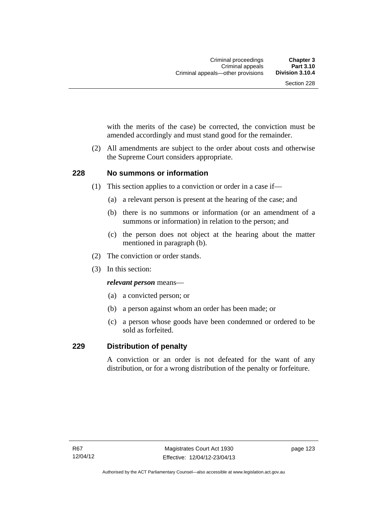with the merits of the case) be corrected, the conviction must be amended accordingly and must stand good for the remainder.

 (2) All amendments are subject to the order about costs and otherwise the Supreme Court considers appropriate.

#### **228 No summons or information**

- (1) This section applies to a conviction or order in a case if—
	- (a) a relevant person is present at the hearing of the case; and
	- (b) there is no summons or information (or an amendment of a summons or information) in relation to the person; and
	- (c) the person does not object at the hearing about the matter mentioned in paragraph (b).
- (2) The conviction or order stands.
- (3) In this section:

*relevant person* means—

- (a) a convicted person; or
- (b) a person against whom an order has been made; or
- (c) a person whose goods have been condemned or ordered to be sold as forfeited.

#### **229 Distribution of penalty**

A conviction or an order is not defeated for the want of any distribution, or for a wrong distribution of the penalty or forfeiture.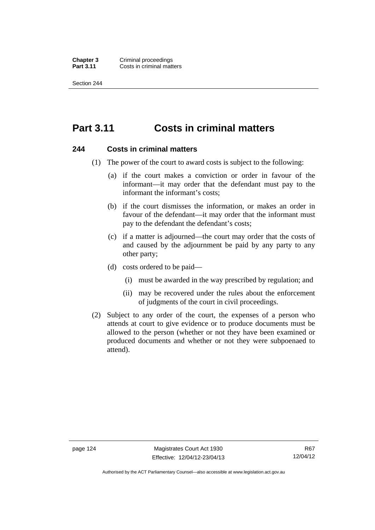**Chapter 3 Criminal proceedings**<br>**Part 3.11 Costs in criminal matt Costs in criminal matters** 

Section 244

# **Part 3.11 Costs in criminal matters**

#### **244 Costs in criminal matters**

- (1) The power of the court to award costs is subject to the following:
	- (a) if the court makes a conviction or order in favour of the informant—it may order that the defendant must pay to the informant the informant's costs;
	- (b) if the court dismisses the information, or makes an order in favour of the defendant—it may order that the informant must pay to the defendant the defendant's costs;
	- (c) if a matter is adjourned—the court may order that the costs of and caused by the adjournment be paid by any party to any other party;
	- (d) costs ordered to be paid—
		- (i) must be awarded in the way prescribed by regulation; and
		- (ii) may be recovered under the rules about the enforcement of judgments of the court in civil proceedings.
- (2) Subject to any order of the court, the expenses of a person who attends at court to give evidence or to produce documents must be allowed to the person (whether or not they have been examined or produced documents and whether or not they were subpoenaed to attend).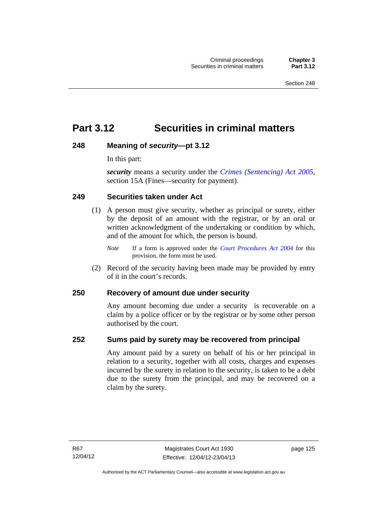# **Part 3.12 Securities in criminal matters**

## **248 Meaning of** *security***—pt 3.12**

In this part:

*security* means a security under the *[Crimes \(Sentencing\) Act 2005](http://www.legislation.act.gov.au/a/2005-58)*, section 15A (Fines—security for payment).

#### **249 Securities taken under Act**

- (1) A person must give security, whether as principal or surety, either by the deposit of an amount with the registrar, or by an oral or written acknowledgment of the undertaking or condition by which, and of the amount for which, the person is bound.
	- *Note* If a form is approved under the *[Court Procedures Act 2004](http://www.legislation.act.gov.au/a/2004-59)* for this provision, the form must be used.
- (2) Record of the security having been made may be provided by entry of it in the court's records.

## **250 Recovery of amount due under security**

Any amount becoming due under a security is recoverable on a claim by a police officer or by the registrar or by some other person authorised by the court.

#### **252 Sums paid by surety may be recovered from principal**

Any amount paid by a surety on behalf of his or her principal in relation to a security, together with all costs, charges and expenses incurred by the surety in relation to the security, is taken to be a debt due to the surety from the principal, and may be recovered on a claim by the surety.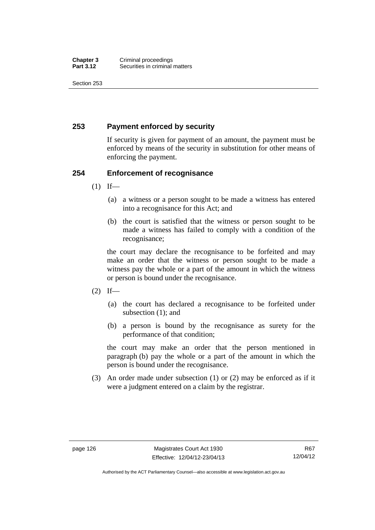Section 253

## **253 Payment enforced by security**

If security is given for payment of an amount, the payment must be enforced by means of the security in substitution for other means of enforcing the payment.

## **254 Enforcement of recognisance**

- $(1)$  If—
	- (a) a witness or a person sought to be made a witness has entered into a recognisance for this Act; and
	- (b) the court is satisfied that the witness or person sought to be made a witness has failed to comply with a condition of the recognisance;

the court may declare the recognisance to be forfeited and may make an order that the witness or person sought to be made a witness pay the whole or a part of the amount in which the witness or person is bound under the recognisance.

- $(2)$  If—
	- (a) the court has declared a recognisance to be forfeited under subsection (1); and
	- (b) a person is bound by the recognisance as surety for the performance of that condition;

the court may make an order that the person mentioned in paragraph (b) pay the whole or a part of the amount in which the person is bound under the recognisance.

 (3) An order made under subsection (1) or (2) may be enforced as if it were a judgment entered on a claim by the registrar.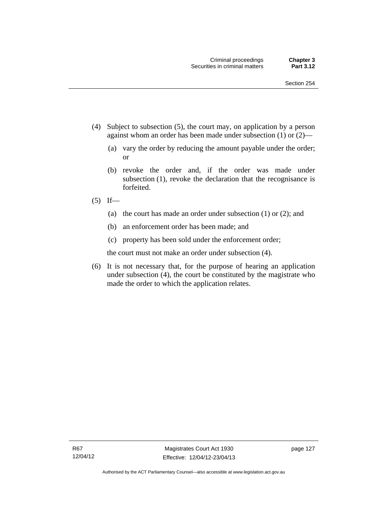- (4) Subject to subsection (5), the court may, on application by a person against whom an order has been made under subsection (1) or (2)—
	- (a) vary the order by reducing the amount payable under the order; or
	- (b) revoke the order and, if the order was made under subsection (1), revoke the declaration that the recognisance is forfeited.
- $(5)$  If—
	- (a) the court has made an order under subsection (1) or (2); and
	- (b) an enforcement order has been made; and
	- (c) property has been sold under the enforcement order;

the court must not make an order under subsection (4).

 (6) It is not necessary that, for the purpose of hearing an application under subsection (4), the court be constituted by the magistrate who made the order to which the application relates.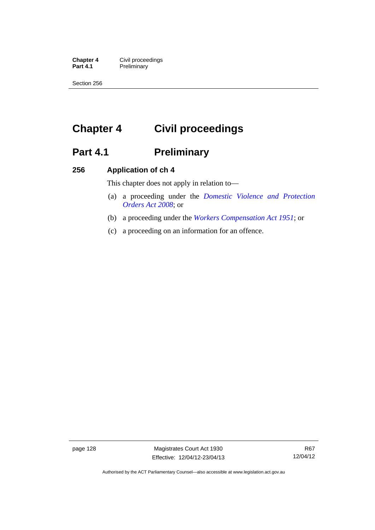**Chapter 4 Civil proceedings**<br>**Part 4.1 Preliminary Preliminary** 

Section 256

# **Chapter 4 Civil proceedings**

# Part 4.1 **Preliminary**

#### **256 Application of ch 4**

This chapter does not apply in relation to—

- (a) a proceeding under the *[Domestic Violence and Protection](http://www.legislation.act.gov.au/a/2008-46)  [Orders Act 2008](http://www.legislation.act.gov.au/a/2008-46)*; or
- (b) a proceeding under the *[Workers Compensation Act 1951](http://www.legislation.act.gov.au/a/1951-2)*; or
- (c) a proceeding on an information for an offence.

page 128 Magistrates Court Act 1930 Effective: 12/04/12-23/04/13

R67 12/04/12

Authorised by the ACT Parliamentary Counsel—also accessible at www.legislation.act.gov.au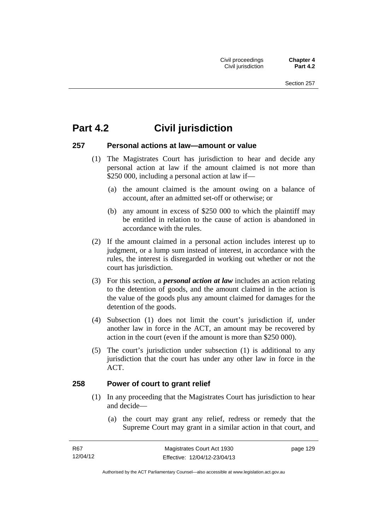# **Part 4.2 Civil jurisdiction**

#### **257 Personal actions at law—amount or value**

- (1) The Magistrates Court has jurisdiction to hear and decide any personal action at law if the amount claimed is not more than \$250 000, including a personal action at law if—
	- (a) the amount claimed is the amount owing on a balance of account, after an admitted set-off or otherwise; or
	- (b) any amount in excess of \$250 000 to which the plaintiff may be entitled in relation to the cause of action is abandoned in accordance with the rules.
- (2) If the amount claimed in a personal action includes interest up to judgment, or a lump sum instead of interest, in accordance with the rules, the interest is disregarded in working out whether or not the court has jurisdiction.
- (3) For this section, a *personal action at law* includes an action relating to the detention of goods, and the amount claimed in the action is the value of the goods plus any amount claimed for damages for the detention of the goods.
- (4) Subsection (1) does not limit the court's jurisdiction if, under another law in force in the ACT, an amount may be recovered by action in the court (even if the amount is more than \$250 000).
- (5) The court's jurisdiction under subsection (1) is additional to any jurisdiction that the court has under any other law in force in the ACT.

#### **258 Power of court to grant relief**

- (1) In any proceeding that the Magistrates Court has jurisdiction to hear and decide—
	- (a) the court may grant any relief, redress or remedy that the Supreme Court may grant in a similar action in that court, and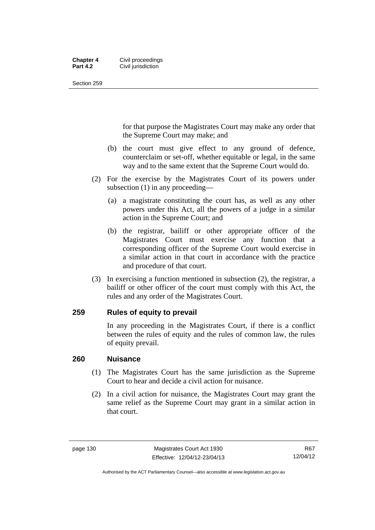#### **Chapter 4 Civil proceedings**<br>**Part 4.2 Civil iurisdiction Civil jurisdiction**

Section 259

for that purpose the Magistrates Court may make any order that the Supreme Court may make; and

- (b) the court must give effect to any ground of defence, counterclaim or set-off, whether equitable or legal, in the same way and to the same extent that the Supreme Court would do.
- (2) For the exercise by the Magistrates Court of its powers under subsection (1) in any proceeding—
	- (a) a magistrate constituting the court has, as well as any other powers under this Act, all the powers of a judge in a similar action in the Supreme Court; and
	- (b) the registrar, bailiff or other appropriate officer of the Magistrates Court must exercise any function that a corresponding officer of the Supreme Court would exercise in a similar action in that court in accordance with the practice and procedure of that court.
- (3) In exercising a function mentioned in subsection (2), the registrar, a bailiff or other officer of the court must comply with this Act, the rules and any order of the Magistrates Court.

## **259 Rules of equity to prevail**

In any proceeding in the Magistrates Court, if there is a conflict between the rules of equity and the rules of common law, the rules of equity prevail.

#### **260 Nuisance**

- (1) The Magistrates Court has the same jurisdiction as the Supreme Court to hear and decide a civil action for nuisance.
- (2) In a civil action for nuisance, the Magistrates Court may grant the same relief as the Supreme Court may grant in a similar action in that court.

Authorised by the ACT Parliamentary Counsel—also accessible at www.legislation.act.gov.au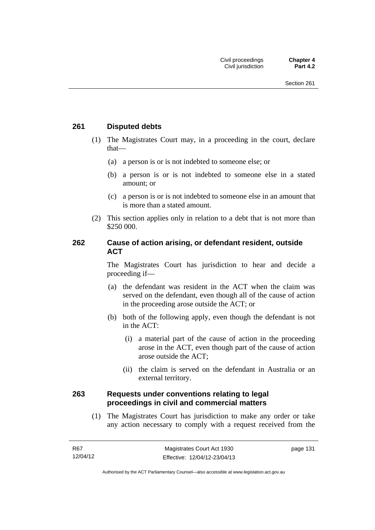#### **261 Disputed debts**

- (1) The Magistrates Court may, in a proceeding in the court, declare that—
	- (a) a person is or is not indebted to someone else; or
	- (b) a person is or is not indebted to someone else in a stated amount; or
	- (c) a person is or is not indebted to someone else in an amount that is more than a stated amount.
- (2) This section applies only in relation to a debt that is not more than \$250 000.

#### **262 Cause of action arising, or defendant resident, outside ACT**

The Magistrates Court has jurisdiction to hear and decide a proceeding if—

- (a) the defendant was resident in the ACT when the claim was served on the defendant, even though all of the cause of action in the proceeding arose outside the ACT; or
- (b) both of the following apply, even though the defendant is not in the ACT:
	- (i) a material part of the cause of action in the proceeding arose in the ACT, even though part of the cause of action arose outside the ACT;
	- (ii) the claim is served on the defendant in Australia or an external territory.

#### **263 Requests under conventions relating to legal proceedings in civil and commercial matters**

 (1) The Magistrates Court has jurisdiction to make any order or take any action necessary to comply with a request received from the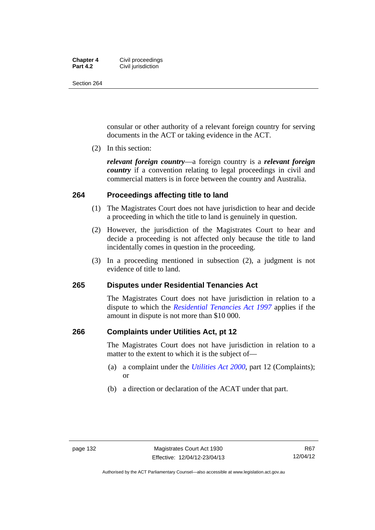#### **Chapter 4 Civil proceedings**<br>**Part 4.2 Civil iurisdiction Civil jurisdiction**

Section 264

consular or other authority of a relevant foreign country for serving documents in the ACT or taking evidence in the ACT.

(2) In this section:

*relevant foreign country*—a foreign country is a *relevant foreign country* if a convention relating to legal proceedings in civil and commercial matters is in force between the country and Australia.

#### **264 Proceedings affecting title to land**

- (1) The Magistrates Court does not have jurisdiction to hear and decide a proceeding in which the title to land is genuinely in question.
- (2) However, the jurisdiction of the Magistrates Court to hear and decide a proceeding is not affected only because the title to land incidentally comes in question in the proceeding.
- (3) In a proceeding mentioned in subsection (2), a judgment is not evidence of title to land.

#### **265 Disputes under Residential Tenancies Act**

The Magistrates Court does not have jurisdiction in relation to a dispute to which the *[Residential Tenancies Act 1997](http://www.legislation.act.gov.au/a/1997-84)* applies if the amount in dispute is not more than \$10 000.

#### **266 Complaints under Utilities Act, pt 12**

The Magistrates Court does not have jurisdiction in relation to a matter to the extent to which it is the subject of—

- (a) a complaint under the *[Utilities Act 2000](http://www.legislation.act.gov.au/a/2000-65)*, part 12 (Complaints); or
- (b) a direction or declaration of the ACAT under that part.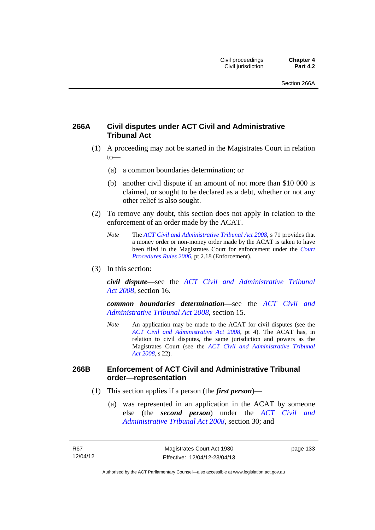## **266A Civil disputes under ACT Civil and Administrative Tribunal Act**

- (1) A proceeding may not be started in the Magistrates Court in relation to—
	- (a) a common boundaries determination; or
	- (b) another civil dispute if an amount of not more than \$10 000 is claimed, or sought to be declared as a debt, whether or not any other relief is also sought.
- (2) To remove any doubt, this section does not apply in relation to the enforcement of an order made by the ACAT.
	- *Note* The *[ACT Civil and Administrative Tribunal Act 2008](http://www.legislation.act.gov.au/a/2008-35)*, s 71 provides that a money order or non-money order made by the ACAT is taken to have been filed in the Magistrates Court for enforcement under the *[Court](http://www.legislation.act.gov.au/sl/2006-29)  [Procedures Rules 2006](http://www.legislation.act.gov.au/sl/2006-29)*, pt 2.18 (Enforcement).
- (3) In this section:

*civil dispute*—see the *[ACT Civil and Administrative Tribunal](http://www.legislation.act.gov.au/a/2008-35)  [Act 2008](http://www.legislation.act.gov.au/a/2008-35)*, section 16.

*common boundaries determination*—see the *[ACT Civil and](http://www.legislation.act.gov.au/a/2008-35)  [Administrative Tribunal Act 2008](http://www.legislation.act.gov.au/a/2008-35)*, section 15.

*Note* An application may be made to the ACAT for civil disputes (see the *[ACT Civil and Administrative Act 2008](http://www.legislation.act.gov.au/a/2008-35/default.asp)*, pt 4). The ACAT has, in relation to civil disputes, the same jurisdiction and powers as the Magistrates Court (see the *[ACT Civil and Administrative Tribunal](http://www.legislation.act.gov.au/a/2008-35)  [Act 2008](http://www.legislation.act.gov.au/a/2008-35)*, s 22).

#### **266B Enforcement of ACT Civil and Administrative Tribunal order—representation**

- (1) This section applies if a person (the *first person*)—
	- (a) was represented in an application in the ACAT by someone else (the *second person*) under the *[ACT Civil and](http://www.legislation.act.gov.au/a/2008-35)  [Administrative Tribunal Act 2008](http://www.legislation.act.gov.au/a/2008-35)*, section 30; and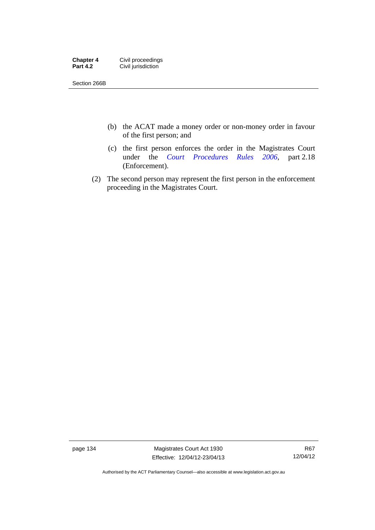| <b>Chapter 4</b> | Civil proceedings  |
|------------------|--------------------|
| <b>Part 4.2</b>  | Civil jurisdiction |

Section 266B

- (b) the ACAT made a money order or non-money order in favour of the first person; and
- (c) the first person enforces the order in the Magistrates Court under the *[Court Procedures Rules 2006](http://www.legislation.act.gov.au/sl/2006-29)*, part 2.18 (Enforcement).
- (2) The second person may represent the first person in the enforcement proceeding in the Magistrates Court.

page 134 Magistrates Court Act 1930 Effective: 12/04/12-23/04/13

R67 12/04/12

Authorised by the ACT Parliamentary Counsel—also accessible at www.legislation.act.gov.au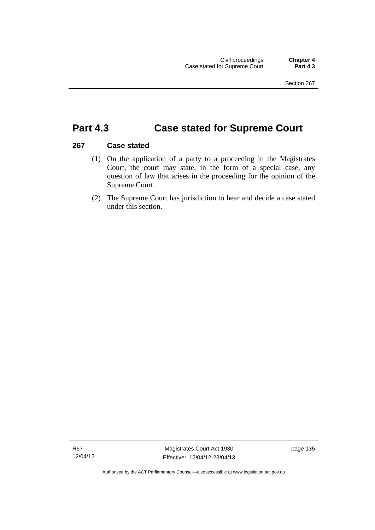# **Part 4.3 Case stated for Supreme Court**

#### **267 Case stated**

- (1) On the application of a party to a proceeding in the Magistrates Court, the court may state, in the form of a special case, any question of law that arises in the proceeding for the opinion of the Supreme Court.
- (2) The Supreme Court has jurisdiction to hear and decide a case stated under this section.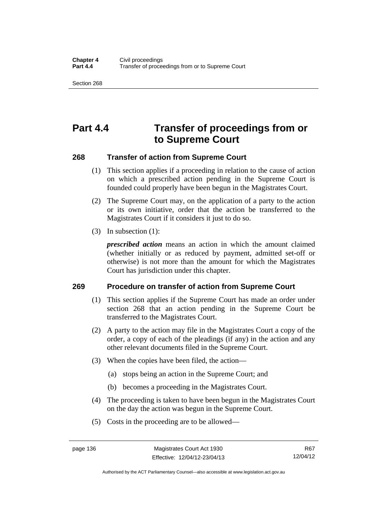Section 268

# **Part 4.4 Transfer of proceedings from or to Supreme Court**

#### **268 Transfer of action from Supreme Court**

- (1) This section applies if a proceeding in relation to the cause of action on which a prescribed action pending in the Supreme Court is founded could properly have been begun in the Magistrates Court.
- (2) The Supreme Court may, on the application of a party to the action or its own initiative, order that the action be transferred to the Magistrates Court if it considers it just to do so.
- (3) In subsection (1):

*prescribed action* means an action in which the amount claimed (whether initially or as reduced by payment, admitted set-off or otherwise) is not more than the amount for which the Magistrates Court has jurisdiction under this chapter.

## **269 Procedure on transfer of action from Supreme Court**

- (1) This section applies if the Supreme Court has made an order under section 268 that an action pending in the Supreme Court be transferred to the Magistrates Court.
- (2) A party to the action may file in the Magistrates Court a copy of the order, a copy of each of the pleadings (if any) in the action and any other relevant documents filed in the Supreme Court.
- (3) When the copies have been filed, the action—
	- (a) stops being an action in the Supreme Court; and
	- (b) becomes a proceeding in the Magistrates Court.
- (4) The proceeding is taken to have been begun in the Magistrates Court on the day the action was begun in the Supreme Court.
- (5) Costs in the proceeding are to be allowed—

Authorised by the ACT Parliamentary Counsel—also accessible at www.legislation.act.gov.au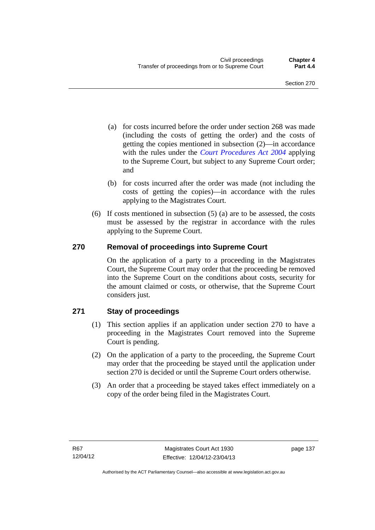- (a) for costs incurred before the order under section 268 was made (including the costs of getting the order) and the costs of getting the copies mentioned in subsection (2)—in accordance with the rules under the *[Court Procedures Act 2004](http://www.legislation.act.gov.au/a/2004-59)* applying to the Supreme Court, but subject to any Supreme Court order; and
- (b) for costs incurred after the order was made (not including the costs of getting the copies)—in accordance with the rules applying to the Magistrates Court.
- (6) If costs mentioned in subsection (5) (a) are to be assessed, the costs must be assessed by the registrar in accordance with the rules applying to the Supreme Court.

## **270 Removal of proceedings into Supreme Court**

On the application of a party to a proceeding in the Magistrates Court, the Supreme Court may order that the proceeding be removed into the Supreme Court on the conditions about costs, security for the amount claimed or costs, or otherwise, that the Supreme Court considers just.

## **271 Stay of proceedings**

- (1) This section applies if an application under section 270 to have a proceeding in the Magistrates Court removed into the Supreme Court is pending.
- (2) On the application of a party to the proceeding, the Supreme Court may order that the proceeding be stayed until the application under section 270 is decided or until the Supreme Court orders otherwise.
- (3) An order that a proceeding be stayed takes effect immediately on a copy of the order being filed in the Magistrates Court.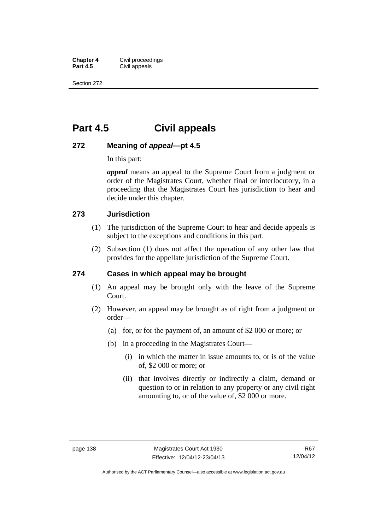**Chapter 4 Civil proceedings**<br>**Part 4.5 Civil appeals Civil appeals** 

Section 272

# **Part 4.5 Civil appeals**

## **272 Meaning of** *appeal***—pt 4.5**

In this part:

*appeal* means an appeal to the Supreme Court from a judgment or order of the Magistrates Court, whether final or interlocutory, in a proceeding that the Magistrates Court has jurisdiction to hear and decide under this chapter.

#### **273 Jurisdiction**

- (1) The jurisdiction of the Supreme Court to hear and decide appeals is subject to the exceptions and conditions in this part.
- (2) Subsection (1) does not affect the operation of any other law that provides for the appellate jurisdiction of the Supreme Court.

#### **274 Cases in which appeal may be brought**

- (1) An appeal may be brought only with the leave of the Supreme Court.
- (2) However, an appeal may be brought as of right from a judgment or order—
	- (a) for, or for the payment of, an amount of \$2 000 or more; or
	- (b) in a proceeding in the Magistrates Court—
		- (i) in which the matter in issue amounts to, or is of the value of, \$2 000 or more; or
		- (ii) that involves directly or indirectly a claim, demand or question to or in relation to any property or any civil right amounting to, or of the value of, \$2 000 or more.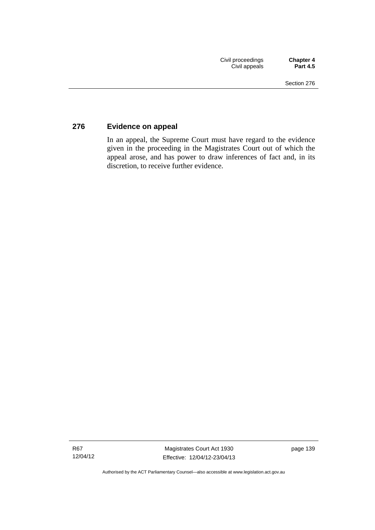## **276 Evidence on appeal**

In an appeal, the Supreme Court must have regard to the evidence given in the proceeding in the Magistrates Court out of which the appeal arose, and has power to draw inferences of fact and, in its discretion, to receive further evidence.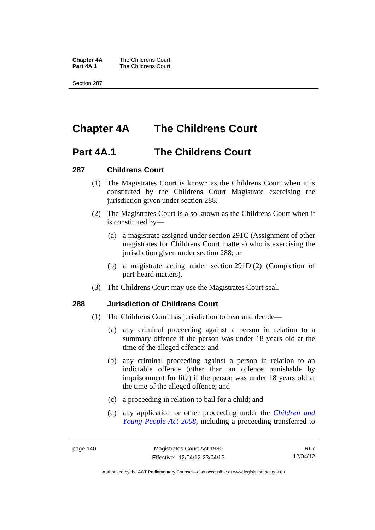**Chapter 4A** The Childrens Court<br>**Part 4A.1** The Childrens Court **The Childrens Court** 

Section 287

# **Chapter 4A The Childrens Court**

## **Part 4A.1 The Childrens Court**

#### **287 Childrens Court**

- (1) The Magistrates Court is known as the Childrens Court when it is constituted by the Childrens Court Magistrate exercising the jurisdiction given under section 288.
- (2) The Magistrates Court is also known as the Childrens Court when it is constituted by—
	- (a) a magistrate assigned under section 291C (Assignment of other magistrates for Childrens Court matters) who is exercising the jurisdiction given under section 288; or
	- (b) a magistrate acting under section 291D (2) (Completion of part-heard matters).
- (3) The Childrens Court may use the Magistrates Court seal.

#### **288 Jurisdiction of Childrens Court**

- (1) The Childrens Court has jurisdiction to hear and decide—
	- (a) any criminal proceeding against a person in relation to a summary offence if the person was under 18 years old at the time of the alleged offence; and
	- (b) any criminal proceeding against a person in relation to an indictable offence (other than an offence punishable by imprisonment for life) if the person was under 18 years old at the time of the alleged offence; and
	- (c) a proceeding in relation to bail for a child; and
	- (d) any application or other proceeding under the *[Children and](http://www.legislation.act.gov.au/a/2008-19)  [Young People Act 2008](http://www.legislation.act.gov.au/a/2008-19)*, including a proceeding transferred to

R67 12/04/12

Authorised by the ACT Parliamentary Counsel—also accessible at www.legislation.act.gov.au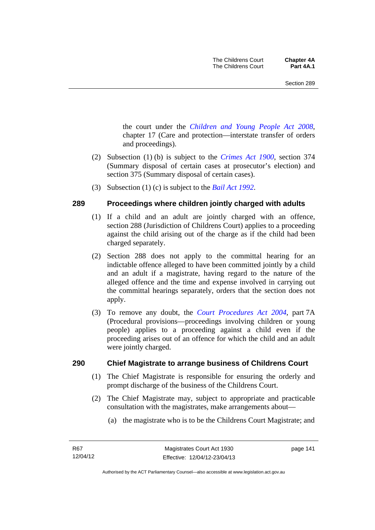the court under the *[Children and Young People Act 2008](http://www.legislation.act.gov.au/a/2008-19)*, chapter 17 (Care and protection—interstate transfer of orders and proceedings).

- (2) Subsection (1) (b) is subject to the *[Crimes Act 1900](http://www.legislation.act.gov.au/a/1900-40)*, section 374 (Summary disposal of certain cases at prosecutor's election) and section 375 (Summary disposal of certain cases).
- (3) Subsection (1) (c) is subject to the *[Bail Act 1992](http://www.legislation.act.gov.au/a/1992-8)*.

## **289 Proceedings where children jointly charged with adults**

- (1) If a child and an adult are jointly charged with an offence, section 288 (Jurisdiction of Childrens Court) applies to a proceeding against the child arising out of the charge as if the child had been charged separately.
- (2) Section 288 does not apply to the committal hearing for an indictable offence alleged to have been committed jointly by a child and an adult if a magistrate, having regard to the nature of the alleged offence and the time and expense involved in carrying out the committal hearings separately, orders that the section does not apply.
- (3) To remove any doubt, the *[Court Procedures Act 2004](http://www.legislation.act.gov.au/a/2004-59)*, part 7A (Procedural provisions—proceedings involving children or young people) applies to a proceeding against a child even if the proceeding arises out of an offence for which the child and an adult were jointly charged.

## **290 Chief Magistrate to arrange business of Childrens Court**

- (1) The Chief Magistrate is responsible for ensuring the orderly and prompt discharge of the business of the Childrens Court.
- (2) The Chief Magistrate may, subject to appropriate and practicable consultation with the magistrates, make arrangements about—
	- (a) the magistrate who is to be the Childrens Court Magistrate; and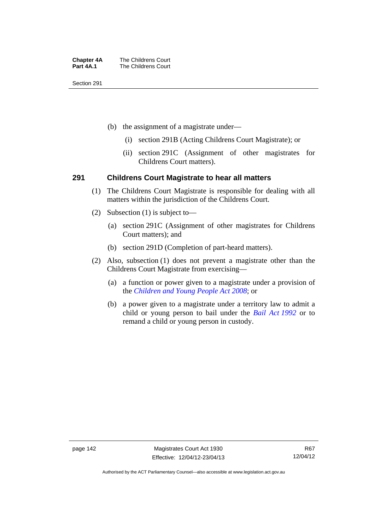| <b>Chapter 4A</b> | The Childrens Court |
|-------------------|---------------------|
| Part 4A.1         | The Childrens Court |

Section 291

- (b) the assignment of a magistrate under—
	- (i) section 291B (Acting Childrens Court Magistrate); or
	- (ii) section 291C (Assignment of other magistrates for Childrens Court matters).

#### **291 Childrens Court Magistrate to hear all matters**

- (1) The Childrens Court Magistrate is responsible for dealing with all matters within the jurisdiction of the Childrens Court.
- (2) Subsection (1) is subject to—
	- (a) section 291C (Assignment of other magistrates for Childrens Court matters); and
	- (b) section 291D (Completion of part-heard matters).
- (2) Also, subsection (1) does not prevent a magistrate other than the Childrens Court Magistrate from exercising—
	- (a) a function or power given to a magistrate under a provision of the *[Children and Young People Act 2008](http://www.legislation.act.gov.au/a/2008-19)*; or
	- (b) a power given to a magistrate under a territory law to admit a child or young person to bail under the *[Bail Act 1992](http://www.legislation.act.gov.au/a/1992-8)* or to remand a child or young person in custody.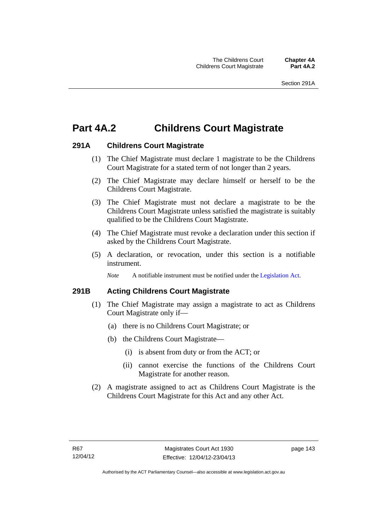# **Part 4A.2 Childrens Court Magistrate**

#### **291A Childrens Court Magistrate**

- (1) The Chief Magistrate must declare 1 magistrate to be the Childrens Court Magistrate for a stated term of not longer than 2 years.
- (2) The Chief Magistrate may declare himself or herself to be the Childrens Court Magistrate.
- (3) The Chief Magistrate must not declare a magistrate to be the Childrens Court Magistrate unless satisfied the magistrate is suitably qualified to be the Childrens Court Magistrate.
- (4) The Chief Magistrate must revoke a declaration under this section if asked by the Childrens Court Magistrate.
- (5) A declaration, or revocation, under this section is a notifiable instrument.

*Note* A notifiable instrument must be notified under the [Legislation Act](http://www.legislation.act.gov.au/a/2001-14).

## **291B Acting Childrens Court Magistrate**

- (1) The Chief Magistrate may assign a magistrate to act as Childrens Court Magistrate only if—
	- (a) there is no Childrens Court Magistrate; or
	- (b) the Childrens Court Magistrate—
		- (i) is absent from duty or from the ACT; or
		- (ii) cannot exercise the functions of the Childrens Court Magistrate for another reason.
- (2) A magistrate assigned to act as Childrens Court Magistrate is the Childrens Court Magistrate for this Act and any other Act.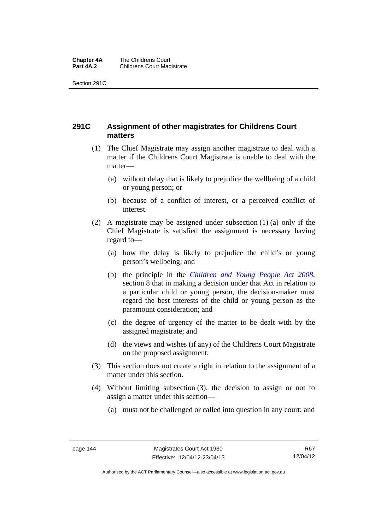#### **Chapter 4A** The Childrens Court<br>**Part 4A.2** Childrens Court Mag **Childrens Court Magistrate**

Section 291C

## **291C Assignment of other magistrates for Childrens Court matters**

- (1) The Chief Magistrate may assign another magistrate to deal with a matter if the Childrens Court Magistrate is unable to deal with the matter—
	- (a) without delay that is likely to prejudice the wellbeing of a child or young person; or
	- (b) because of a conflict of interest, or a perceived conflict of interest.
- (2) A magistrate may be assigned under subsection (1) (a) only if the Chief Magistrate is satisfied the assignment is necessary having regard to—
	- (a) how the delay is likely to prejudice the child's or young person's wellbeing; and
	- (b) the principle in the *[Children and Young People Act 2008](http://www.legislation.act.gov.au/a/2008-19)*, section 8 that in making a decision under that Act in relation to a particular child or young person, the decision-maker must regard the best interests of the child or young person as the paramount consideration; and
	- (c) the degree of urgency of the matter to be dealt with by the assigned magistrate; and
	- (d) the views and wishes (if any) of the Childrens Court Magistrate on the proposed assignment.
- (3) This section does not create a right in relation to the assignment of a matter under this section.
- (4) Without limiting subsection (3), the decision to assign or not to assign a matter under this section—
	- (a) must not be challenged or called into question in any court; and

Authorised by the ACT Parliamentary Counsel—also accessible at www.legislation.act.gov.au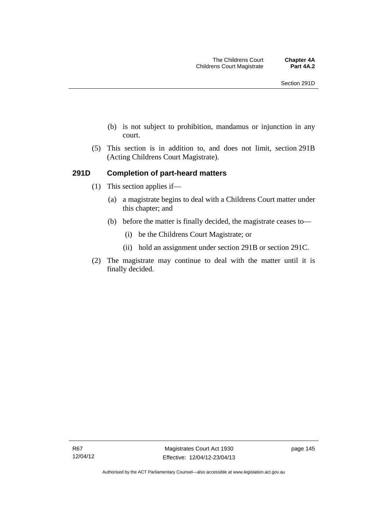- (b) is not subject to prohibition, mandamus or injunction in any court.
- (5) This section is in addition to, and does not limit, section 291B (Acting Childrens Court Magistrate).

#### **291D Completion of part-heard matters**

- (1) This section applies if—
	- (a) a magistrate begins to deal with a Childrens Court matter under this chapter; and
	- (b) before the matter is finally decided, the magistrate ceases to—
		- (i) be the Childrens Court Magistrate; or
		- (ii) hold an assignment under section 291B or section 291C.
- (2) The magistrate may continue to deal with the matter until it is finally decided.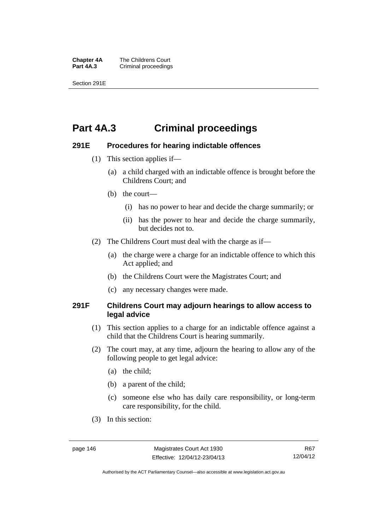**Chapter 4A** The Childrens Court<br>**Part 4A.3** Criminal proceedings **Criminal proceedings** 

Section 291E

# **Part 4A.3 Criminal proceedings**

#### **291E Procedures for hearing indictable offences**

- (1) This section applies if—
	- (a) a child charged with an indictable offence is brought before the Childrens Court; and
	- (b) the court—
		- (i) has no power to hear and decide the charge summarily; or
		- (ii) has the power to hear and decide the charge summarily, but decides not to.
- (2) The Childrens Court must deal with the charge as if—
	- (a) the charge were a charge for an indictable offence to which this Act applied; and
	- (b) the Childrens Court were the Magistrates Court; and
	- (c) any necessary changes were made.

#### **291F Childrens Court may adjourn hearings to allow access to legal advice**

- (1) This section applies to a charge for an indictable offence against a child that the Childrens Court is hearing summarily.
- (2) The court may, at any time, adjourn the hearing to allow any of the following people to get legal advice:
	- (a) the child;
	- (b) a parent of the child;
	- (c) someone else who has daily care responsibility, or long-term care responsibility, for the child.
- (3) In this section:

Authorised by the ACT Parliamentary Counsel—also accessible at www.legislation.act.gov.au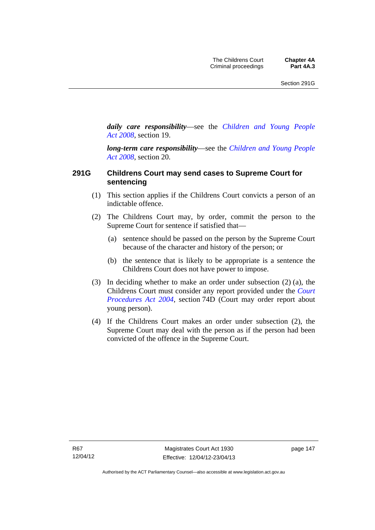*daily care responsibility*—see the *[Children and Young People](http://www.legislation.act.gov.au/a/2008-19)  [Act 2008](http://www.legislation.act.gov.au/a/2008-19)*, section 19.

*long-term care responsibility*—see the *[Children and Young People](http://www.legislation.act.gov.au/a/2008-19)  [Act 2008](http://www.legislation.act.gov.au/a/2008-19)*, section 20.

#### **291G Childrens Court may send cases to Supreme Court for sentencing**

- (1) This section applies if the Childrens Court convicts a person of an indictable offence.
- (2) The Childrens Court may, by order, commit the person to the Supreme Court for sentence if satisfied that—
	- (a) sentence should be passed on the person by the Supreme Court because of the character and history of the person; or
	- (b) the sentence that is likely to be appropriate is a sentence the Childrens Court does not have power to impose.
- (3) In deciding whether to make an order under subsection (2) (a), the Childrens Court must consider any report provided under the *[Court](http://www.legislation.act.gov.au/a/2004-59)  [Procedures Act 2004](http://www.legislation.act.gov.au/a/2004-59)*, section 74D (Court may order report about young person).
- (4) If the Childrens Court makes an order under subsection (2), the Supreme Court may deal with the person as if the person had been convicted of the offence in the Supreme Court.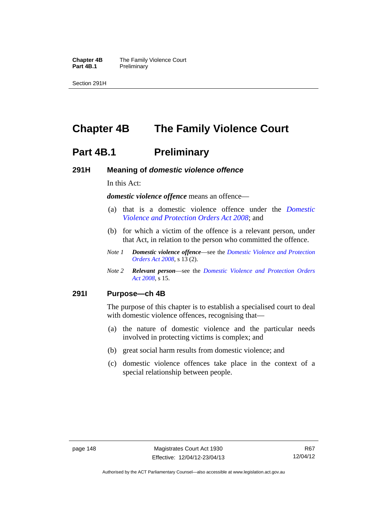**Chapter 4B** The Family Violence Court<br>**Part 4B.1** Preliminary **Preliminary** 

Section 291H

# **Chapter 4B The Family Violence Court**

## **Part 4B.1** Preliminary

#### **291H Meaning of** *domestic violence offence*

In this Act:

*domestic violence offence* means an offence—

- (a) that is a domestic violence offence under the *[Domestic](http://www.legislation.act.gov.au/a/2008-46)  [Violence and Protection Orders Act 2008](http://www.legislation.act.gov.au/a/2008-46)*; and
- (b) for which a victim of the offence is a relevant person, under that Act, in relation to the person who committed the offence.
- *Note 1 Domestic violence offence*—see the *[Domestic Violence and Protection](http://www.legislation.act.gov.au/a/2008-46)  [Orders Act 2008](http://www.legislation.act.gov.au/a/2008-46)*, s 13 (2).
- *Note 2 Relevant person*—see the *[Domestic Violence and Protection Orders](http://www.legislation.act.gov.au/a/2008-46)  [Act 2008](http://www.legislation.act.gov.au/a/2008-46)*, s 15.

#### **291I Purpose—ch 4B**

The purpose of this chapter is to establish a specialised court to deal with domestic violence offences, recognising that—

- (a) the nature of domestic violence and the particular needs involved in protecting victims is complex; and
- (b) great social harm results from domestic violence; and
- (c) domestic violence offences take place in the context of a special relationship between people.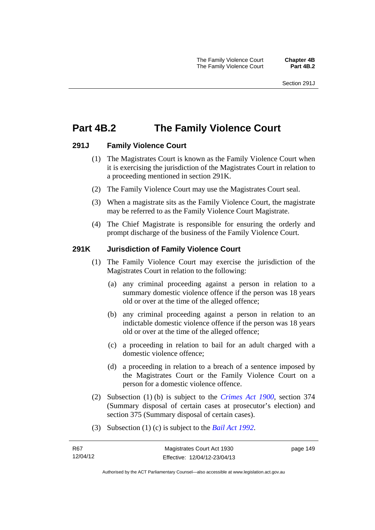# **Part 4B.2 The Family Violence Court**

#### **291J Family Violence Court**

- (1) The Magistrates Court is known as the Family Violence Court when it is exercising the jurisdiction of the Magistrates Court in relation to a proceeding mentioned in section 291K.
- (2) The Family Violence Court may use the Magistrates Court seal.
- (3) When a magistrate sits as the Family Violence Court, the magistrate may be referred to as the Family Violence Court Magistrate.
- (4) The Chief Magistrate is responsible for ensuring the orderly and prompt discharge of the business of the Family Violence Court.

#### **291K Jurisdiction of Family Violence Court**

- (1) The Family Violence Court may exercise the jurisdiction of the Magistrates Court in relation to the following:
	- (a) any criminal proceeding against a person in relation to a summary domestic violence offence if the person was 18 years old or over at the time of the alleged offence;
	- (b) any criminal proceeding against a person in relation to an indictable domestic violence offence if the person was 18 years old or over at the time of the alleged offence;
	- (c) a proceeding in relation to bail for an adult charged with a domestic violence offence;
	- (d) a proceeding in relation to a breach of a sentence imposed by the Magistrates Court or the Family Violence Court on a person for a domestic violence offence.
- (2) Subsection (1) (b) is subject to the *[Crimes Act 1900](http://www.legislation.act.gov.au/a/1900-40)*, section 374 (Summary disposal of certain cases at prosecutor's election) and section 375 (Summary disposal of certain cases).
- (3) Subsection (1) (c) is subject to the *[Bail Act 1992](http://www.legislation.act.gov.au/a/1992-8)*.

page 149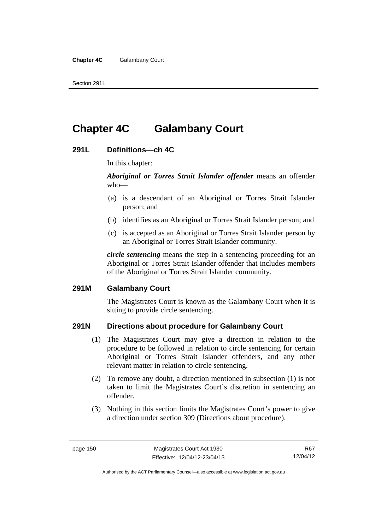Section 291L

# **Chapter 4C Galambany Court**

#### **291L Definitions—ch 4C**

In this chapter:

*Aboriginal or Torres Strait Islander offender* means an offender who—

- (a) is a descendant of an Aboriginal or Torres Strait Islander person; and
- (b) identifies as an Aboriginal or Torres Strait Islander person; and
- (c) is accepted as an Aboriginal or Torres Strait Islander person by an Aboriginal or Torres Strait Islander community.

*circle sentencing* means the step in a sentencing proceeding for an Aboriginal or Torres Strait Islander offender that includes members of the Aboriginal or Torres Strait Islander community.

#### **291M Galambany Court**

The Magistrates Court is known as the Galambany Court when it is sitting to provide circle sentencing.

#### **291N Directions about procedure for Galambany Court**

- (1) The Magistrates Court may give a direction in relation to the procedure to be followed in relation to circle sentencing for certain Aboriginal or Torres Strait Islander offenders, and any other relevant matter in relation to circle sentencing.
- (2) To remove any doubt, a direction mentioned in subsection (1) is not taken to limit the Magistrates Court's discretion in sentencing an offender.
- (3) Nothing in this section limits the Magistrates Court's power to give a direction under section 309 (Directions about procedure).

R67 12/04/12

Authorised by the ACT Parliamentary Counsel—also accessible at www.legislation.act.gov.au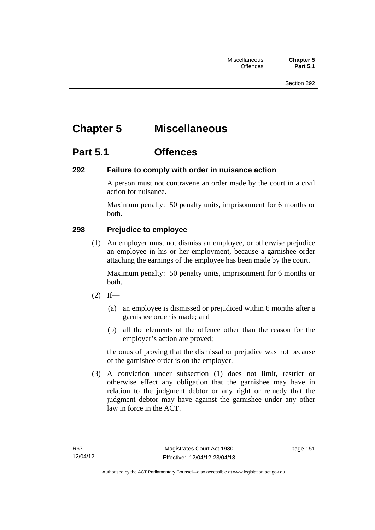# **Chapter 5 Miscellaneous**

## **Part 5.1 Offences**

## **292 Failure to comply with order in nuisance action**

A person must not contravene an order made by the court in a civil action for nuisance.

Maximum penalty: 50 penalty units, imprisonment for 6 months or both.

## **298 Prejudice to employee**

(1) An employer must not dismiss an employee, or otherwise prejudice an employee in his or her employment, because a garnishee order attaching the earnings of the employee has been made by the court.

Maximum penalty: 50 penalty units, imprisonment for 6 months or both.

- $(2)$  If—
	- (a) an employee is dismissed or prejudiced within 6 months after a garnishee order is made; and
	- (b) all the elements of the offence other than the reason for the employer's action are proved;

the onus of proving that the dismissal or prejudice was not because of the garnishee order is on the employer.

 (3) A conviction under subsection (1) does not limit, restrict or otherwise effect any obligation that the garnishee may have in relation to the judgment debtor or any right or remedy that the judgment debtor may have against the garnishee under any other law in force in the ACT.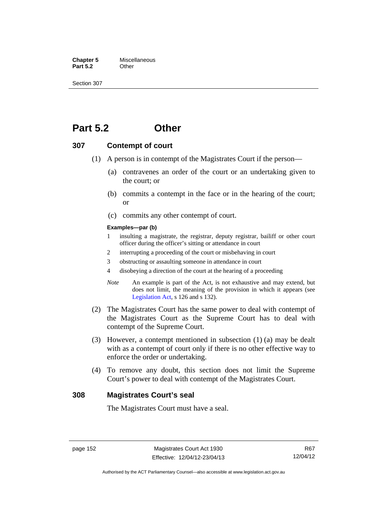**Chapter 5** Miscellaneous<br>**Part 5.2** Other **Part 5.2** 

Section 307

## **Part 5.2 Other**

#### **307 Contempt of court**

- (1) A person is in contempt of the Magistrates Court if the person—
	- (a) contravenes an order of the court or an undertaking given to the court; or
	- (b) commits a contempt in the face or in the hearing of the court; or
	- (c) commits any other contempt of court.

#### **Examples—par (b)**

- 1 insulting a magistrate, the registrar, deputy registrar, bailiff or other court officer during the officer's sitting or attendance in court
- 2 interrupting a proceeding of the court or misbehaving in court
- 3 obstructing or assaulting someone in attendance in court
- 4 disobeying a direction of the court at the hearing of a proceeding
- *Note* An example is part of the Act, is not exhaustive and may extend, but does not limit, the meaning of the provision in which it appears (see [Legislation Act,](http://www.legislation.act.gov.au/a/2001-14) s 126 and s 132).
- (2) The Magistrates Court has the same power to deal with contempt of the Magistrates Court as the Supreme Court has to deal with contempt of the Supreme Court.
- (3) However, a contempt mentioned in subsection (1) (a) may be dealt with as a contempt of court only if there is no other effective way to enforce the order or undertaking.
- (4) To remove any doubt, this section does not limit the Supreme Court's power to deal with contempt of the Magistrates Court.

#### **308 Magistrates Court's seal**

The Magistrates Court must have a seal.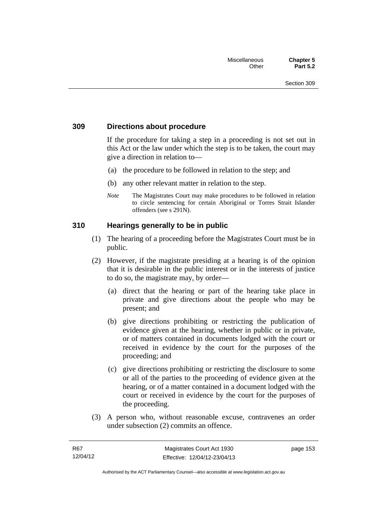#### **309 Directions about procedure**

If the procedure for taking a step in a proceeding is not set out in this Act or the law under which the step is to be taken, the court may give a direction in relation to—

- (a) the procedure to be followed in relation to the step; and
- (b) any other relevant matter in relation to the step.
- *Note* The Magistrates Court may make procedures to be followed in relation to circle sentencing for certain Aboriginal or Torres Strait Islander offenders (see s 291N).

#### **310 Hearings generally to be in public**

- (1) The hearing of a proceeding before the Magistrates Court must be in public.
- (2) However, if the magistrate presiding at a hearing is of the opinion that it is desirable in the public interest or in the interests of justice to do so, the magistrate may, by order—
	- (a) direct that the hearing or part of the hearing take place in private and give directions about the people who may be present; and
	- (b) give directions prohibiting or restricting the publication of evidence given at the hearing, whether in public or in private, or of matters contained in documents lodged with the court or received in evidence by the court for the purposes of the proceeding; and
	- (c) give directions prohibiting or restricting the disclosure to some or all of the parties to the proceeding of evidence given at the hearing, or of a matter contained in a document lodged with the court or received in evidence by the court for the purposes of the proceeding.
- (3) A person who, without reasonable excuse, contravenes an order under subsection (2) commits an offence.

page 153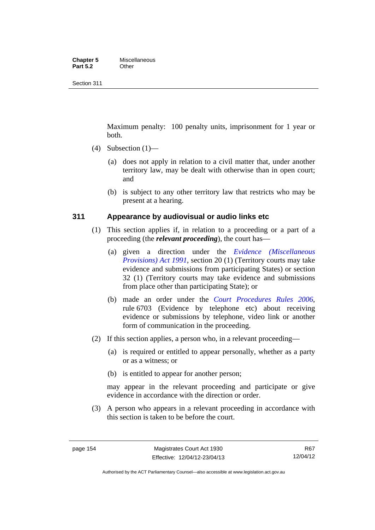#### **Chapter 5** Miscellaneous<br>**Part 5.2** Other **Part 5.2**

Section 311

Maximum penalty: 100 penalty units, imprisonment for 1 year or both.

- (4) Subsection  $(1)$ 
	- (a) does not apply in relation to a civil matter that, under another territory law, may be dealt with otherwise than in open court; and
	- (b) is subject to any other territory law that restricts who may be present at a hearing.

#### **311 Appearance by audiovisual or audio links etc**

- (1) This section applies if, in relation to a proceeding or a part of a proceeding (the *relevant proceeding*), the court has—
	- (a) given a direction under the *[Evidence \(Miscellaneous](http://www.legislation.act.gov.au/a/1991-34)  [Provisions\) Act 1991](http://www.legislation.act.gov.au/a/1991-34)*, section 20 (1) (Territory courts may take evidence and submissions from participating States) or section 32 (1) (Territory courts may take evidence and submissions from place other than participating State); or
	- (b) made an order under the *[Court Procedures Rules 2006](http://www.legislation.act.gov.au/sl/2006-29)*, rule 6703 (Evidence by telephone etc) about receiving evidence or submissions by telephone, video link or another form of communication in the proceeding.
- (2) If this section applies, a person who, in a relevant proceeding—
	- (a) is required or entitled to appear personally, whether as a party or as a witness; or
	- (b) is entitled to appear for another person;

may appear in the relevant proceeding and participate or give evidence in accordance with the direction or order.

 (3) A person who appears in a relevant proceeding in accordance with this section is taken to be before the court.

Authorised by the ACT Parliamentary Counsel—also accessible at www.legislation.act.gov.au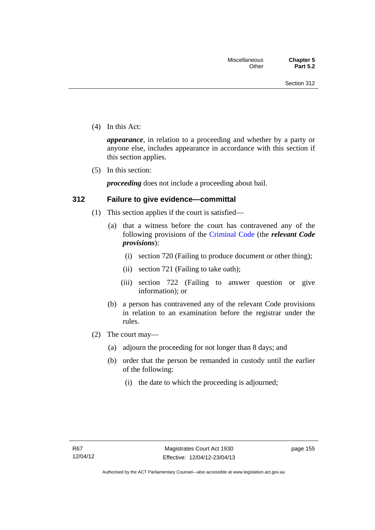(4) In this Act:

*appearance*, in relation to a proceeding and whether by a party or anyone else, includes appearance in accordance with this section if this section applies.

(5) In this section:

*proceeding* does not include a proceeding about bail.

#### **312 Failure to give evidence—committal**

- (1) This section applies if the court is satisfied—
	- (a) that a witness before the court has contravened any of the following provisions of the [Criminal Code](http://www.legislation.act.gov.au/a/2002-51) (the *relevant Code provisions*):
		- (i) section 720 (Failing to produce document or other thing);
		- (ii) section 721 (Failing to take oath);
		- (iii) section 722 (Failing to answer question or give information); or
	- (b) a person has contravened any of the relevant Code provisions in relation to an examination before the registrar under the rules.
- (2) The court may—
	- (a) adjourn the proceeding for not longer than 8 days; and
	- (b) order that the person be remanded in custody until the earlier of the following:
		- (i) the date to which the proceeding is adjourned;

page 155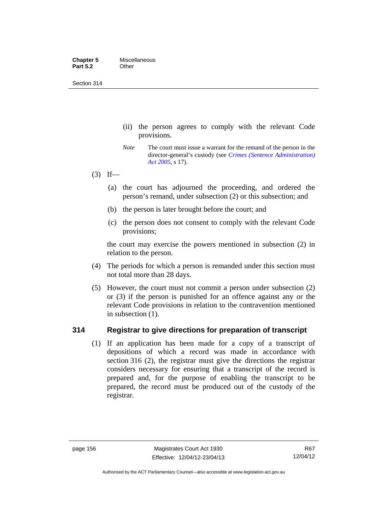Section 314

- (ii) the person agrees to comply with the relevant Code provisions.
- *Note* The court must issue a warrant for the remand of the person in the director-general's custody (see *[Crimes \(Sentence Administration\)](http://www.legislation.act.gov.au/a/2005-59)  [Act 2005](http://www.legislation.act.gov.au/a/2005-59)*, s 17).
- $(3)$  If—
	- (a) the court has adjourned the proceeding, and ordered the person's remand, under subsection (2) or this subsection; and
	- (b) the person is later brought before the court; and
	- (c) the person does not consent to comply with the relevant Code provisions;

the court may exercise the powers mentioned in subsection (2) in relation to the person.

- (4) The periods for which a person is remanded under this section must not total more than 28 days.
- (5) However, the court must not commit a person under subsection (2) or (3) if the person is punished for an offence against any or the relevant Code provisions in relation to the contravention mentioned in subsection (1).

#### **314 Registrar to give directions for preparation of transcript**

(1) If an application has been made for a copy of a transcript of depositions of which a record was made in accordance with section 316 (2), the registrar must give the directions the registrar considers necessary for ensuring that a transcript of the record is prepared and, for the purpose of enabling the transcript to be prepared, the record must be produced out of the custody of the registrar.

R67 12/04/12

Authorised by the ACT Parliamentary Counsel—also accessible at www.legislation.act.gov.au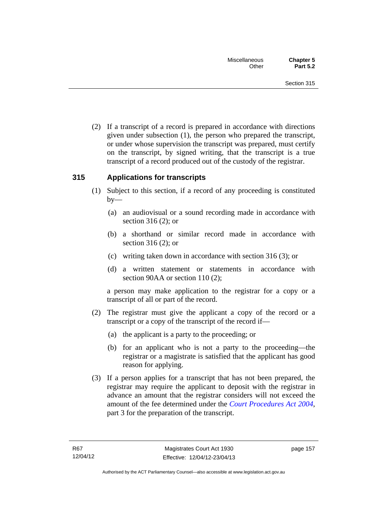(2) If a transcript of a record is prepared in accordance with directions given under subsection (1), the person who prepared the transcript, or under whose supervision the transcript was prepared, must certify on the transcript, by signed writing, that the transcript is a true transcript of a record produced out of the custody of the registrar.

#### **315 Applications for transcripts**

- (1) Subject to this section, if a record of any proceeding is constituted  $by-$ 
	- (a) an audiovisual or a sound recording made in accordance with section 316 (2); or
	- (b) a shorthand or similar record made in accordance with section 316 (2); or
	- (c) writing taken down in accordance with section 316 (3); or
	- (d) a written statement or statements in accordance with section 90AA or section 110 (2);

a person may make application to the registrar for a copy or a transcript of all or part of the record.

- (2) The registrar must give the applicant a copy of the record or a transcript or a copy of the transcript of the record if—
	- (a) the applicant is a party to the proceeding; or
	- (b) for an applicant who is not a party to the proceeding—the registrar or a magistrate is satisfied that the applicant has good reason for applying.
- (3) If a person applies for a transcript that has not been prepared, the registrar may require the applicant to deposit with the registrar in advance an amount that the registrar considers will not exceed the amount of the fee determined under the *[Court Procedures Act 2004](http://www.legislation.act.gov.au/a/2004-59)*, part 3 for the preparation of the transcript.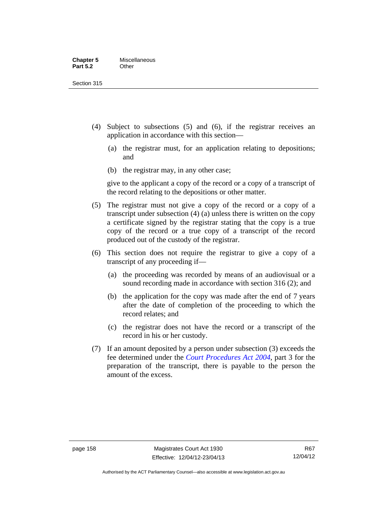Section 315

- (4) Subject to subsections (5) and (6), if the registrar receives an application in accordance with this section—
	- (a) the registrar must, for an application relating to depositions; and
	- (b) the registrar may, in any other case;

give to the applicant a copy of the record or a copy of a transcript of the record relating to the depositions or other matter.

- (5) The registrar must not give a copy of the record or a copy of a transcript under subsection (4) (a) unless there is written on the copy a certificate signed by the registrar stating that the copy is a true copy of the record or a true copy of a transcript of the record produced out of the custody of the registrar.
- (6) This section does not require the registrar to give a copy of a transcript of any proceeding if—
	- (a) the proceeding was recorded by means of an audiovisual or a sound recording made in accordance with section 316 (2); and
	- (b) the application for the copy was made after the end of 7 years after the date of completion of the proceeding to which the record relates; and
	- (c) the registrar does not have the record or a transcript of the record in his or her custody.
- (7) If an amount deposited by a person under subsection (3) exceeds the fee determined under the *[Court Procedures Act 2004](http://www.legislation.act.gov.au/a/2004-59)*, part 3 for the preparation of the transcript, there is payable to the person the amount of the excess.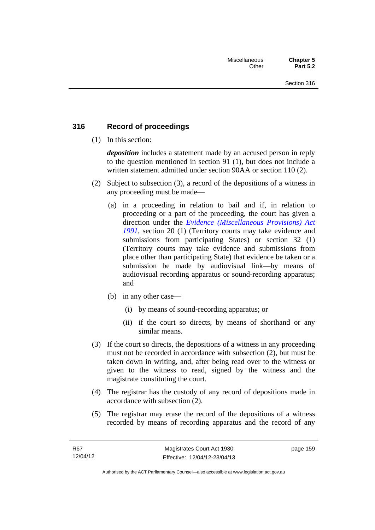## **316 Record of proceedings**

(1) In this section:

*deposition* includes a statement made by an accused person in reply to the question mentioned in section 91 (1), but does not include a written statement admitted under section 90AA or section 110 (2).

- (2) Subject to subsection (3), a record of the depositions of a witness in any proceeding must be made—
	- (a) in a proceeding in relation to bail and if, in relation to proceeding or a part of the proceeding, the court has given a direction under the *[Evidence \(Miscellaneous Provisions\) Act](http://www.legislation.act.gov.au/a/1991-34)  [1991](http://www.legislation.act.gov.au/a/1991-34)*, section 20 (1) (Territory courts may take evidence and submissions from participating States) or section 32 (1) (Territory courts may take evidence and submissions from place other than participating State) that evidence be taken or a submission be made by audiovisual link—by means of audiovisual recording apparatus or sound-recording apparatus; and
	- (b) in any other case—
		- (i) by means of sound-recording apparatus; or
		- (ii) if the court so directs, by means of shorthand or any similar means.
- (3) If the court so directs, the depositions of a witness in any proceeding must not be recorded in accordance with subsection (2), but must be taken down in writing, and, after being read over to the witness or given to the witness to read, signed by the witness and the magistrate constituting the court.
- (4) The registrar has the custody of any record of depositions made in accordance with subsection (2).
- (5) The registrar may erase the record of the depositions of a witness recorded by means of recording apparatus and the record of any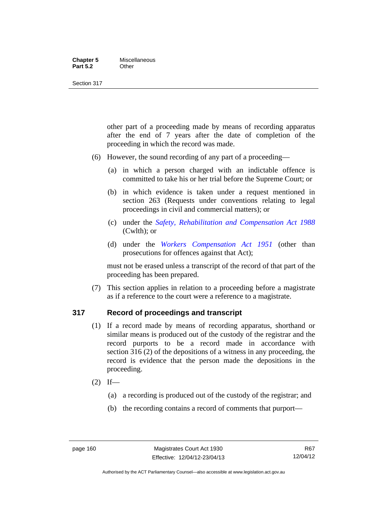#### **Chapter 5** Miscellaneous<br>**Part 5.2** Other **Part 5.2**

#### Section 317

other part of a proceeding made by means of recording apparatus after the end of 7 years after the date of completion of the proceeding in which the record was made.

- (6) However, the sound recording of any part of a proceeding—
	- (a) in which a person charged with an indictable offence is committed to take his or her trial before the Supreme Court; or
	- (b) in which evidence is taken under a request mentioned in section 263 (Requests under conventions relating to legal proceedings in civil and commercial matters); or
	- (c) under the *[Safety, Rehabilitation and Compensation Act 1988](http://www.comlaw.gov.au/Details/C2012C00799)* (Cwlth); or
	- (d) under the *[Workers Compensation Act 1951](http://www.legislation.act.gov.au/a/1951-2)* (other than prosecutions for offences against that Act);

must not be erased unless a transcript of the record of that part of the proceeding has been prepared.

 (7) This section applies in relation to a proceeding before a magistrate as if a reference to the court were a reference to a magistrate.

#### **317 Record of proceedings and transcript**

- (1) If a record made by means of recording apparatus, shorthand or similar means is produced out of the custody of the registrar and the record purports to be a record made in accordance with section 316 (2) of the depositions of a witness in any proceeding, the record is evidence that the person made the depositions in the proceeding.
- $(2)$  If—
	- (a) a recording is produced out of the custody of the registrar; and
	- (b) the recording contains a record of comments that purport—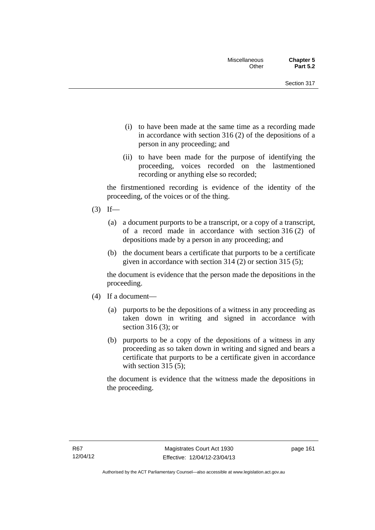- (i) to have been made at the same time as a recording made in accordance with section 316 (2) of the depositions of a person in any proceeding; and
- (ii) to have been made for the purpose of identifying the proceeding, voices recorded on the lastmentioned recording or anything else so recorded;

the firstmentioned recording is evidence of the identity of the proceeding, of the voices or of the thing.

- $(3)$  If—
	- (a) a document purports to be a transcript, or a copy of a transcript, of a record made in accordance with section 316 (2) of depositions made by a person in any proceeding; and
	- (b) the document bears a certificate that purports to be a certificate given in accordance with section 314 (2) or section 315 (5);

the document is evidence that the person made the depositions in the proceeding.

- (4) If a document—
	- (a) purports to be the depositions of a witness in any proceeding as taken down in writing and signed in accordance with section 316 (3); or
	- (b) purports to be a copy of the depositions of a witness in any proceeding as so taken down in writing and signed and bears a certificate that purports to be a certificate given in accordance with section  $315(5)$ ;

the document is evidence that the witness made the depositions in the proceeding.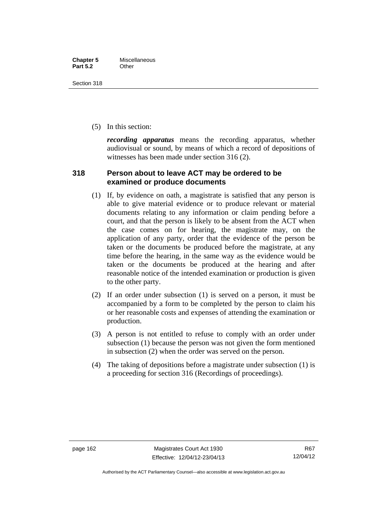Section 318

(5) In this section:

*recording apparatus* means the recording apparatus, whether audiovisual or sound, by means of which a record of depositions of witnesses has been made under section 316 (2).

#### **318 Person about to leave ACT may be ordered to be examined or produce documents**

- (1) If, by evidence on oath, a magistrate is satisfied that any person is able to give material evidence or to produce relevant or material documents relating to any information or claim pending before a court, and that the person is likely to be absent from the ACT when the case comes on for hearing, the magistrate may, on the application of any party, order that the evidence of the person be taken or the documents be produced before the magistrate, at any time before the hearing, in the same way as the evidence would be taken or the documents be produced at the hearing and after reasonable notice of the intended examination or production is given to the other party.
- (2) If an order under subsection (1) is served on a person, it must be accompanied by a form to be completed by the person to claim his or her reasonable costs and expenses of attending the examination or production.
- (3) A person is not entitled to refuse to comply with an order under subsection (1) because the person was not given the form mentioned in subsection (2) when the order was served on the person.
- (4) The taking of depositions before a magistrate under subsection (1) is a proceeding for section 316 (Recordings of proceedings).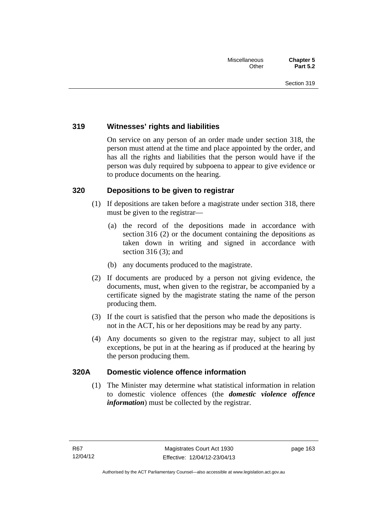## **319 Witnesses' rights and liabilities**

On service on any person of an order made under section 318, the person must attend at the time and place appointed by the order, and has all the rights and liabilities that the person would have if the person was duly required by subpoena to appear to give evidence or to produce documents on the hearing.

## **320 Depositions to be given to registrar**

- (1) If depositions are taken before a magistrate under section 318, there must be given to the registrar—
	- (a) the record of the depositions made in accordance with section 316 (2) or the document containing the depositions as taken down in writing and signed in accordance with section 316 (3); and
	- (b) any documents produced to the magistrate.
- (2) If documents are produced by a person not giving evidence, the documents, must, when given to the registrar, be accompanied by a certificate signed by the magistrate stating the name of the person producing them.
- (3) If the court is satisfied that the person who made the depositions is not in the ACT, his or her depositions may be read by any party.
- (4) Any documents so given to the registrar may, subject to all just exceptions, be put in at the hearing as if produced at the hearing by the person producing them.

## **320A Domestic violence offence information**

(1) The Minister may determine what statistical information in relation to domestic violence offences (the *domestic violence offence information*) must be collected by the registrar.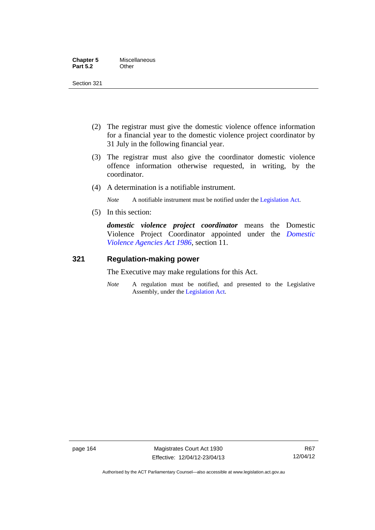| <b>Chapter 5</b> | Miscellaneous |
|------------------|---------------|
| <b>Part 5.2</b>  | Other         |

Section 321

- (2) The registrar must give the domestic violence offence information for a financial year to the domestic violence project coordinator by 31 July in the following financial year.
- (3) The registrar must also give the coordinator domestic violence offence information otherwise requested, in writing, by the coordinator.
- (4) A determination is a notifiable instrument.

*Note* A notifiable instrument must be notified under the [Legislation Act](http://www.legislation.act.gov.au/a/2001-14).

(5) In this section:

*domestic violence project coordinator* means the Domestic Violence Project Coordinator appointed under the *[Domestic](http://www.legislation.act.gov.au/a/1986-52)  [Violence Agencies Act 1986](http://www.legislation.act.gov.au/a/1986-52)*, section 11.

#### **321 Regulation-making power**

The Executive may make regulations for this Act.

*Note* A regulation must be notified, and presented to the Legislative Assembly, under the [Legislation Act](http://www.legislation.act.gov.au/a/2001-14).

page 164 Magistrates Court Act 1930 Effective: 12/04/12-23/04/13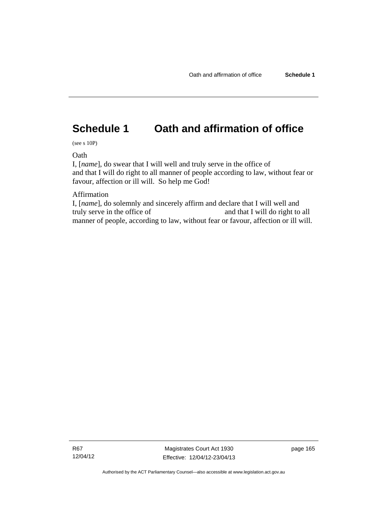# **Schedule 1 Oath and affirmation of office**

(see s 10P)

**Oath** 

I, [*name*], do swear that I will well and truly serve in the office of and that I will do right to all manner of people according to law, without fear or favour, affection or ill will. So help me God!

Affirmation

I, [*name*], do solemnly and sincerely affirm and declare that I will well and truly serve in the office of and that I will do right to all manner of people, according to law, without fear or favour, affection or ill will.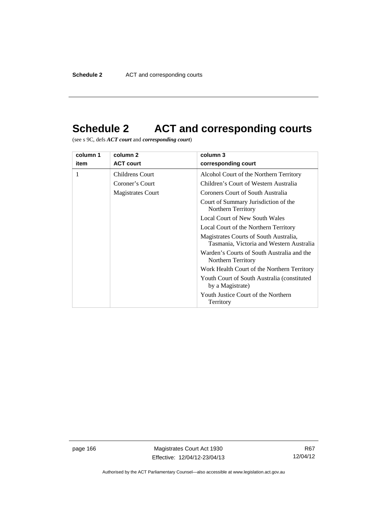# **Schedule 2 ACT and corresponding courts**

(see s 9C, defs *ACT court* and *corresponding court*)

| column 1 | column 2                 | column 3                                                                           |
|----------|--------------------------|------------------------------------------------------------------------------------|
| item     | <b>ACT court</b>         | corresponding court                                                                |
|          | <b>Childrens Court</b>   | Alcohol Court of the Northern Territory                                            |
|          | Coroner's Court          | Children's Court of Western Australia                                              |
|          | <b>Magistrates Court</b> | Coroners Court of South Australia                                                  |
|          |                          | Court of Summary Jurisdiction of the<br>Northern Territory                         |
|          |                          | Local Court of New South Wales                                                     |
|          |                          | Local Court of the Northern Territory                                              |
|          |                          | Magistrates Courts of South Australia,<br>Tasmania, Victoria and Western Australia |
|          |                          | Warden's Courts of South Australia and the<br>Northern Territory                   |
|          |                          | Work Health Court of the Northern Territory                                        |
|          |                          | Youth Court of South Australia (constituted)<br>by a Magistrate)                   |
|          |                          | Youth Justice Court of the Northern<br>Territory                                   |

page 166 Magistrates Court Act 1930 Effective: 12/04/12-23/04/13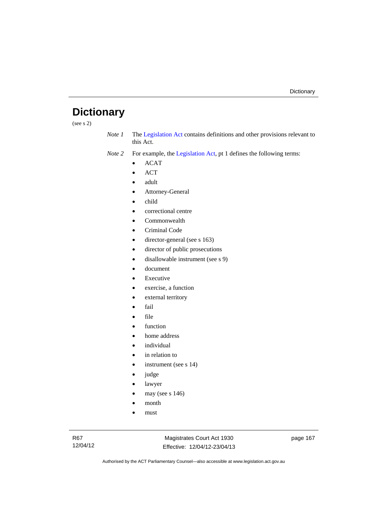# **Dictionary**

(see s 2)

*Note 1* The [Legislation Act](http://www.legislation.act.gov.au/a/2001-14) contains definitions and other provisions relevant to this Act.

*Note 2* For example, the [Legislation Act,](http://www.legislation.act.gov.au/a/2001-14) pt 1 defines the following terms:

- ACAT
- ACT
- adult
- Attorney-General
- child
- correctional centre
- Commonwealth
- Criminal Code
- director-general (see s 163)
- director of public prosecutions
- disallowable instrument (see s 9)
- document
- Executive
- exercise, a function
- external territory
- fail
- file
- function
- home address
- individual
- in relation to
- instrument (see s 14)
- judge
- lawyer
- may (see s 146)
- month
- must

Magistrates Court Act 1930 Effective: 12/04/12-23/04/13 page 167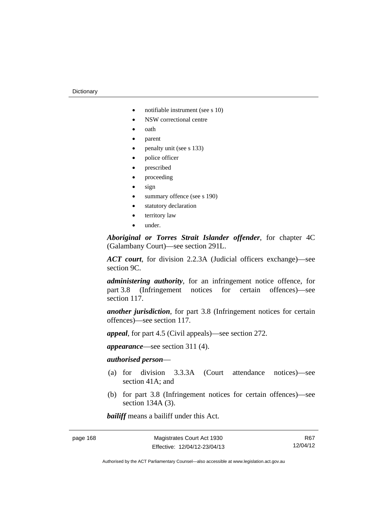- notifiable instrument (see s 10)
- NSW correctional centre
- oath
- parent
- penalty unit (see s 133)
- police officer
- prescribed
- proceeding
- sign
- summary offence (see s 190)
- statutory declaration
- territory law
- under.

*Aboriginal or Torres Strait Islander offender*, for chapter 4C (Galambany Court)—see section 291L.

*ACT court*, for division 2.2.3A (Judicial officers exchange)—see section 9C.

*administering authority*, for an infringement notice offence, for part 3.8 (Infringement notices for certain offences)—see section 117.

*another jurisdiction*, for part 3.8 (Infringement notices for certain offences)—see section 117.

*appeal*, for part 4.5 (Civil appeals)—see section 272.

*appearance*—see section 311 (4).

# *authorised person*—

- (a) for division 3.3.3A (Court attendance notices)—see section 41A; and
- (b) for part 3.8 (Infringement notices for certain offences)—see section 134A (3).

*bailiff* means a bailiff under this Act.

R67 12/04/12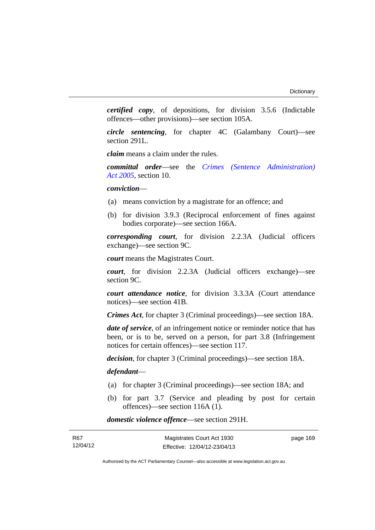page 169

*certified copy*, of depositions, for division 3.5.6 (Indictable offences—other provisions)—see section 105A.

*circle sentencing*, for chapter 4C (Galambany Court)—see section 291L.

*claim* means a claim under the rules.

*committal order*—see the *[Crimes \(Sentence Administration\)](http://www.legislation.act.gov.au/a/2005-59)  [Act 2005](http://www.legislation.act.gov.au/a/2005-59)*, section 10.

*conviction*—

- (a) means conviction by a magistrate for an offence; and
- (b) for division 3.9.3 (Reciprocal enforcement of fines against bodies corporate)—see section 166A.

*corresponding court*, for division 2.2.3A (Judicial officers exchange)—see section 9C.

*court* means the Magistrates Court.

*court*, for division 2.2.3A (Judicial officers exchange)—see section 9C.

*court attendance notice*, for division 3.3.3A (Court attendance notices)—see section 41B.

*Crimes Act*, for chapter 3 (Criminal proceedings)—see section 18A.

*date of service*, of an infringement notice or reminder notice that has been, or is to be, served on a person, for part 3.8 (Infringement notices for certain offences)—see section 117.

*decision*, for chapter 3 (Criminal proceedings)—see section 18A.

### *defendant*—

- (a) for chapter 3 (Criminal proceedings)—see section 18A; and
- (b) for part 3.7 (Service and pleading by post for certain offences)—see section 116A (1).

*domestic violence offence*—see section 291H.

| R67      | Magistrates Court Act 1930   |
|----------|------------------------------|
| 12/04/12 | Effective: 12/04/12-23/04/13 |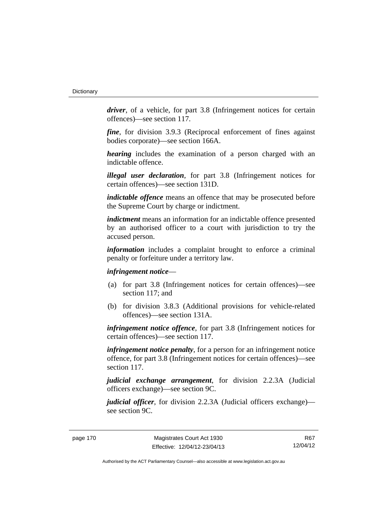*driver*, of a vehicle, for part 3.8 (Infringement notices for certain offences)—see section 117.

*fine*, for division 3.9.3 (Reciprocal enforcement of fines against bodies corporate)—see section 166A.

*hearing* includes the examination of a person charged with an indictable offence.

*illegal user declaration*, for part 3.8 (Infringement notices for certain offences)—see section 131D.

*indictable offence* means an offence that may be prosecuted before the Supreme Court by charge or indictment.

*indictment* means an information for an indictable offence presented by an authorised officer to a court with jurisdiction to try the accused person.

*information* includes a complaint brought to enforce a criminal penalty or forfeiture under a territory law.

# *infringement notice*—

- (a) for part 3.8 (Infringement notices for certain offences)—see section 117; and
- (b) for division 3.8.3 (Additional provisions for vehicle-related offences)—see section 131A.

*infringement notice offence*, for part 3.8 (Infringement notices for certain offences)—see section 117.

*infringement notice penalty*, for a person for an infringement notice offence, for part 3.8 (Infringement notices for certain offences)—see section 117.

*judicial exchange arrangement*, for division 2.2.3A (Judicial officers exchange)—see section 9C.

*judicial officer*, for division 2.2.3A (Judicial officers exchange) see section 9C.

R67 12/04/12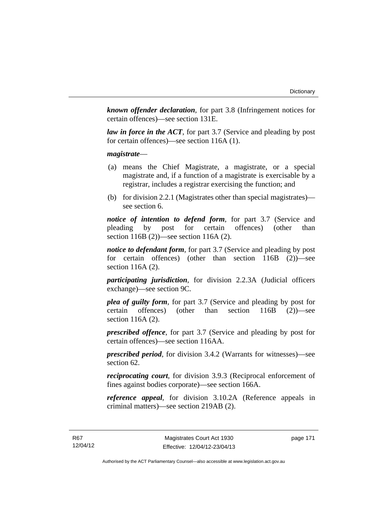*known offender declaration*, for part 3.8 (Infringement notices for certain offences)—see section 131E.

*law in force in the ACT*, for part 3.7 (Service and pleading by post for certain offences)—see section 116A (1).

*magistrate*—

- (a) means the Chief Magistrate, a magistrate, or a special magistrate and, if a function of a magistrate is exercisable by a registrar, includes a registrar exercising the function; and
- (b) for division 2.2.1 (Magistrates other than special magistrates) see section 6.

*notice of intention to defend form*, for part 3.7 (Service and pleading by post for certain offences) (other than section 116B (2))—see section 116A (2).

*notice to defendant form*, for part 3.7 (Service and pleading by post for certain offences) (other than section 116B (2))—see section 116A (2).

*participating jurisdiction*, for division 2.2.3A (Judicial officers exchange)—see section 9C.

*plea of guilty form*, for part 3.7 (Service and pleading by post for certain offences) (other than section 116B (2))—see section 116A (2).

*prescribed offence*, for part 3.7 (Service and pleading by post for certain offences)—see section 116AA.

*prescribed period*, for division 3.4.2 (Warrants for witnesses)—see section 62.

*reciprocating court*, for division 3.9.3 (Reciprocal enforcement of fines against bodies corporate)—see section 166A.

*reference appeal*, for division 3.10.2A (Reference appeals in criminal matters)—see section 219AB (2).

page 171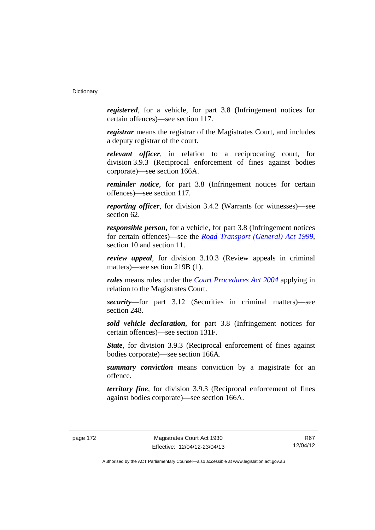*registered*, for a vehicle, for part 3.8 (Infringement notices for certain offences)—see section 117.

*registrar* means the registrar of the Magistrates Court, and includes a deputy registrar of the court.

*relevant officer*, in relation to a reciprocating court, for division 3.9.3 (Reciprocal enforcement of fines against bodies corporate)—see section 166A.

*reminder notice*, for part 3.8 (Infringement notices for certain offences)—see section 117.

*reporting officer*, for division 3.4.2 (Warrants for witnesses)—see section 62.

*responsible person*, for a vehicle, for part 3.8 (Infringement notices for certain offences)—see the *[Road Transport \(General\) Act 1999](http://www.legislation.act.gov.au/a/1999-77)*, section 10 and section 11.

*review appeal*, for division 3.10.3 (Review appeals in criminal matters)—see section 219B (1).

*rules* means rules under the *[Court Procedures Act 2004](http://www.legislation.act.gov.au/a/2004-59)* applying in relation to the Magistrates Court.

*security*—for part 3.12 (Securities in criminal matters)—see section 248.

*sold vehicle declaration*, for part 3.8 (Infringement notices for certain offences)—see section 131F.

*State*, for division 3.9.3 (Reciprocal enforcement of fines against bodies corporate)—see section 166A.

*summary conviction* means conviction by a magistrate for an offence.

*territory fine*, for division 3.9.3 (Reciprocal enforcement of fines against bodies corporate)—see section 166A.

R67 12/04/12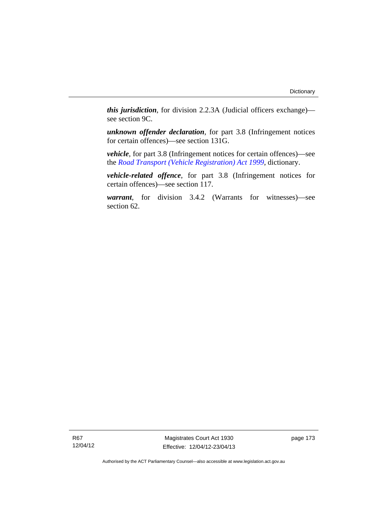*this jurisdiction*, for division 2.2.3A (Judicial officers exchange) see section 9C.

*unknown offender declaration*, for part 3.8 (Infringement notices for certain offences)—see section 131G.

*vehicle*, for part 3.8 (Infringement notices for certain offences)—see the *[Road Transport \(Vehicle Registration\) Act 1999](http://www.legislation.act.gov.au/a/1999-81)*, dictionary.

*vehicle-related offence*, for part 3.8 (Infringement notices for certain offences)—see section 117.

*warrant*, for division 3.4.2 (Warrants for witnesses)—see section 62.

R67 12/04/12

Magistrates Court Act 1930 Effective: 12/04/12-23/04/13 page 173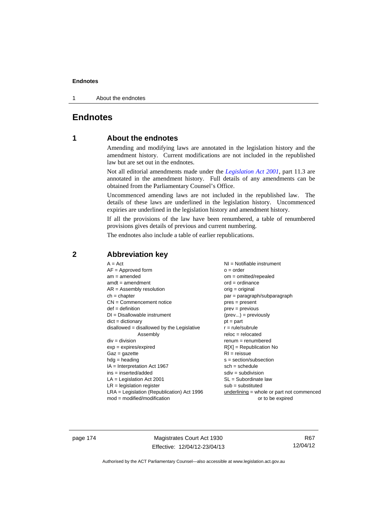1 About the endnotes

# **Endnotes**

# **1 About the endnotes**

Amending and modifying laws are annotated in the legislation history and the amendment history. Current modifications are not included in the republished law but are set out in the endnotes.

Not all editorial amendments made under the *[Legislation Act 2001](http://www.legislation.act.gov.au/a/2001-14)*, part 11.3 are annotated in the amendment history. Full details of any amendments can be obtained from the Parliamentary Counsel's Office.

Uncommenced amending laws are not included in the republished law. The details of these laws are underlined in the legislation history. Uncommenced expiries are underlined in the legislation history and amendment history.

If all the provisions of the law have been renumbered, a table of renumbered provisions gives details of previous and current numbering.

The endnotes also include a table of earlier republications.

# **2 Abbreviation key**

page 174 Magistrates Court Act 1930 Effective: 12/04/12-23/04/13

R67 12/04/12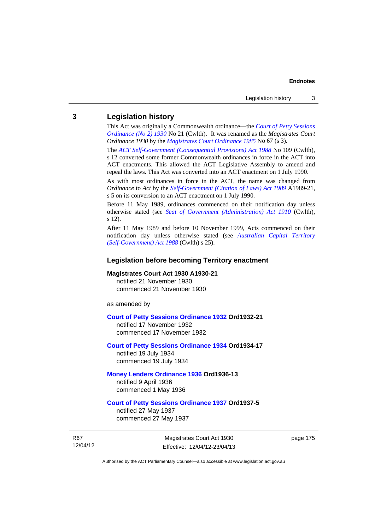# **3 Legislation history**

This Act was originally a Commonwealth ordinance—the *[Court of Petty Sessions](http://www.legislation.act.gov.au/a/1930-21)  [Ordinance \(No 2\) 1930](http://www.legislation.act.gov.au/a/1930-21)* No 21 (Cwlth). It was renamed as the *Magistrates Court Ordinance 1930* by the *[Magistrates Court Ordinance 1985](http://www.legislation.act.gov.au/a/1985-67)* No 67 (s 3).

The *[ACT Self-Government \(Consequential Provisions\) Act 1988](http://www.comlaw.gov.au/Details/C2004A03702)* No 109 (Cwlth), s 12 converted some former Commonwealth ordinances in force in the ACT into ACT enactments. This allowed the ACT Legislative Assembly to amend and repeal the laws. This Act was converted into an ACT enactment on 1 July 1990.

As with most ordinances in force in the ACT, the name was changed from *Ordinance* to *Act* by the *[Self-Government \(Citation of Laws\) Act 1989](http://www.legislation.act.gov.au/a/alt_ord1989-21/default.asp)* A1989-21, s 5 on its conversion to an ACT enactment on 1 July 1990.

Before 11 May 1989, ordinances commenced on their notification day unless otherwise stated (see *[Seat of Government \(Administration\) Act 1910](http://www.comlaw.gov.au/Current/C1910A00025)* (Cwlth), s 12).

After 11 May 1989 and before 10 November 1999, Acts commenced on their notification day unless otherwise stated (see *[Australian Capital Territory](http://www.comlaw.gov.au/Current/C2004A03699)  [\(Self-Government\) Act 1988](http://www.comlaw.gov.au/Current/C2004A03699)* (Cwlth) s 25).

# **Legislation before becoming Territory enactment**

# **Magistrates Court Act 1930 A1930-21**

notified 21 November 1930 commenced 21 November 1930

as amended by

### **[Court of Petty Sessions Ordinance 1932](http://www.legislation.act.gov.au/a/1932-21) Ord1932-21**

notified 17 November 1932 commenced 17 November 1932

# **[Court of Petty Sessions Ordinance 1934](http://www.legislation.act.gov.au/a/1934-17) Ord1934-17**  notified 19 July 1934

commenced 19 July 1934

### **[Money Lenders Ordinance 1936](http://www.legislation.act.gov.au/ord/1936-13) Ord1936-13**  notified 9 April 1936

commenced 1 May 1936

# **[Court of Petty Sessions Ordinance 1937](http://www.legislation.act.gov.au/a/1937-5) Ord1937-5**

notified 27 May 1937 commenced 27 May 1937

R67 12/04/12

Magistrates Court Act 1930 Effective: 12/04/12-23/04/13 page 175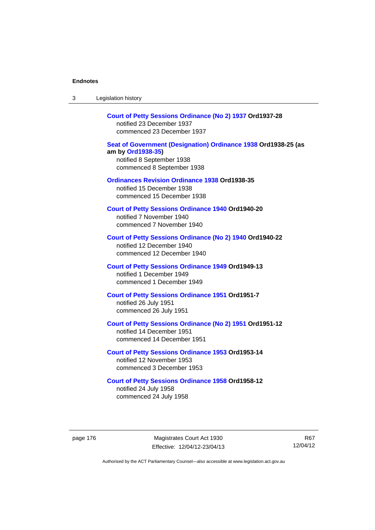| 3        | Legislation history                                                                                                                            |       |
|----------|------------------------------------------------------------------------------------------------------------------------------------------------|-------|
|          | Court of Petty Sessions Ordinance (No 2) 1937 Ord1937-28<br>notified 23 December 1937<br>commenced 23 December 1937                            |       |
|          | Seat of Government (Designation) Ordinance 1938 Ord1938-25 (as<br>am by Ord1938-35)<br>notified 8 September 1938<br>commenced 8 September 1938 |       |
|          | <b>Ordinances Revision Ordinance 1938 Ord1938-35</b><br>notified 15 December 1938<br>commenced 15 December 1938                                |       |
|          | <b>Court of Petty Sessions Ordinance 1940 Ord1940-20</b><br>notified 7 November 1940<br>commenced 7 November 1940                              |       |
|          | Court of Petty Sessions Ordinance (No 2) 1940 Ord1940-22<br>notified 12 December 1940<br>commenced 12 December 1940                            |       |
|          | <b>Court of Petty Sessions Ordinance 1949 Ord1949-13</b><br>notified 1 December 1949<br>commenced 1 December 1949                              |       |
|          | <b>Court of Petty Sessions Ordinance 1951 Ord1951-7</b><br>notified 26 July 1951<br>commenced 26 July 1951                                     |       |
|          | Court of Petty Sessions Ordinance (No 2) 1951 Ord1951-12<br>notified 14 December 1951<br>commenced 14 December 1951                            |       |
|          | <b>Court of Petty Sessions Ordinance 1953 Ord1953-14</b><br>notified 12 November 1953<br>commenced 3 December 1953                             |       |
|          | <b>Court of Petty Sessions Ordinance 1958 Ord1958-12</b><br>notified 24 July 1958<br>commenced 24 July 1958                                    |       |
| page 176 | Magistrates Court Act 1930<br>Effective: 12/04/12-23/04/13                                                                                     | 12/04 |
|          | Authorised by the ACT Parliamentary Counsel-also accessible at www.legislation.act.gov.au                                                      |       |

R67 12/04/12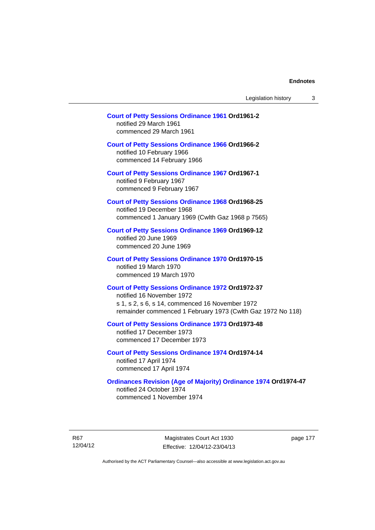| Legislation history |  |
|---------------------|--|
|---------------------|--|

# **[Court of Petty Sessions Ordinance 1961](http://www.legislation.act.gov.au/a/1961-2) Ord1961-2**  notified 29 March 1961

commenced 29 March 1961

# **[Court of Petty Sessions Ordinance 1966](http://www.legislation.act.gov.au/a/1966-2) Ord1966-2**

notified 10 February 1966 commenced 14 February 1966

**[Court of Petty Sessions Ordinance 1967](http://www.legislation.act.gov.au/a/1967-1) Ord1967-1** 

notified 9 February 1967 commenced 9 February 1967

# **[Court of Petty Sessions Ordinance 1968](http://www.legislation.act.gov.au/a/1968-25) Ord1968-25**  notified 19 December 1968

commenced 1 January 1969 (Cwlth Gaz 1968 p 7565)

# **[Court of Petty Sessions Ordinance 1969](http://www.legislation.act.gov.au/a/1969-12) Ord1969-12**  notified 20 June 1969 commenced 20 June 1969

# **[Court of Petty Sessions Ordinance 1970](http://www.legislation.act.gov.au/a/1970-15) Ord1970-15**  notified 19 March 1970 commenced 19 March 1970

### **[Court of Petty Sessions Ordinance 1972](http://www.legislation.act.gov.au/a/1972-37) Ord1972-37**  notified 16 November 1972

s 1, s 2, s 6, s 14, commenced 16 November 1972 remainder commenced 1 February 1973 (Cwlth Gaz 1972 No 118)

### **[Court of Petty Sessions Ordinance 1973](http://www.legislation.act.gov.au/a/1973-48) Ord1973-48**  notified 17 December 1973

commenced 17 December 1973

# **[Court of Petty Sessions Ordinance 1974](http://www.legislation.act.gov.au/a/1974-14) Ord1974-14**  notified 17 April 1974 commenced 17 April 1974

# **[Ordinances Revision \(Age of Majority\) Ordinance 1974](http://www.legislation.act.gov.au/a/1974-47) Ord1974-47**  notified 24 October 1974

commenced 1 November 1974

R67 12/04/12

Magistrates Court Act 1930 Effective: 12/04/12-23/04/13 page 177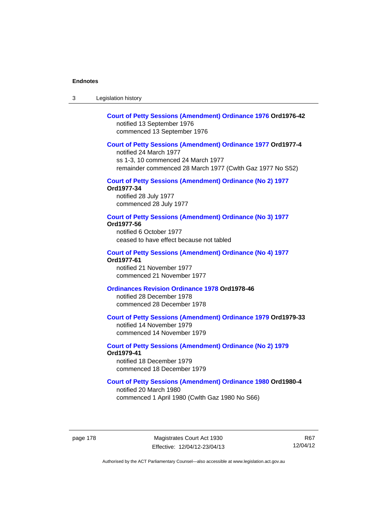3 Legislation history

# **[Court of Petty Sessions \(Amendment\) Ordinance 1976](http://www.legislation.act.gov.au/a/1976-42) Ord1976-42**  notified 13 September 1976 commenced 13 September 1976

# **[Court of Petty Sessions \(Amendment\) Ordinance 1977](http://www.legislation.act.gov.au/a/1977-4) Ord1977-4**

notified 24 March 1977 ss 1-3, 10 commenced 24 March 1977 remainder commenced 28 March 1977 (Cwlth Gaz 1977 No S52)

### **[Court of Petty Sessions \(Amendment\) Ordinance \(No 2\) 1977](http://www.legislation.act.gov.au/a/1977-34)**

**Ord1977-34**  notified 28 July 1977 commenced 28 July 1977

### **[Court of Petty Sessions \(Amendment\) Ordinance \(No 3\) 1977](http://www.legislation.act.gov.au/ord/1977-56)**

**Ord1977-56**  notified 6 October 1977

ceased to have effect because not tabled

### **[Court of Petty Sessions \(Amendment\) Ordinance \(No 4\) 1977](http://www.legislation.act.gov.au/a/1977-61) Ord1977-61**

notified 21 November 1977 commenced 21 November 1977

# **[Ordinances Revision Ordinance 1978](http://www.legislation.act.gov.au/a/1978-46) Ord1978-46**

notified 28 December 1978 commenced 28 December 1978

# **[Court of Petty Sessions \(Amendment\) Ordinance 1979](http://www.legislation.act.gov.au/a/1979-33) Ord1979-33**

notified 14 November 1979 commenced 14 November 1979

# **[Court of Petty Sessions \(Amendment\) Ordinance \(No 2\) 1979](http://www.legislation.act.gov.au/a/1979-41) Ord1979-41**

notified 18 December 1979 commenced 18 December 1979

# **[Court of Petty Sessions \(Amendment\) Ordinance 1980](http://www.legislation.act.gov.au/a/1980-4) Ord1980-4**

notified 20 March 1980 commenced 1 April 1980 (Cwlth Gaz 1980 No S66)

page 178 Magistrates Court Act 1930 Effective: 12/04/12-23/04/13

R67 12/04/12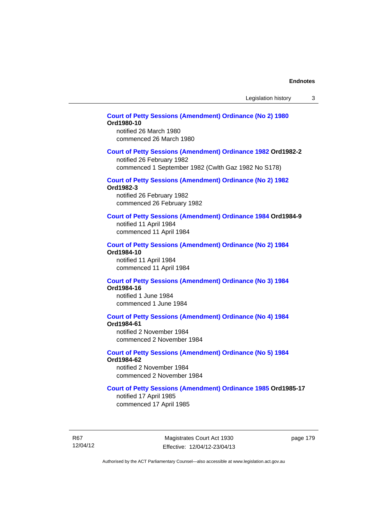# **[Court of Petty Sessions \(Amendment\) Ordinance \(No 2\) 1980](http://www.legislation.act.gov.au/a/1980-10) Ord1980-10**

notified 26 March 1980 commenced 26 March 1980

### **[Court of Petty Sessions \(Amendment\) Ordinance 1982](http://www.legislation.act.gov.au/a/1982-2) Ord1982-2**

notified 26 February 1982 commenced 1 September 1982 (Cwlth Gaz 1982 No S178)

# **[Court of Petty Sessions \(Amendment\) Ordinance \(No 2\) 1982](http://www.legislation.act.gov.au/a/1982-3)**

**Ord1982-3** 

notified 26 February 1982 commenced 26 February 1982

# **[Court of Petty Sessions \(Amendment\) Ordinance 1984](http://www.legislation.act.gov.au/a/1984-9) Ord1984-9**

notified 11 April 1984 commenced 11 April 1984

### **[Court of Petty Sessions \(Amendment\) Ordinance \(No 2\) 1984](http://www.legislation.act.gov.au/a/1984-10) Ord1984-10**

notified 11 April 1984 commenced 11 April 1984

### **[Court of Petty Sessions \(Amendment\) Ordinance \(No 3\) 1984](http://www.legislation.act.gov.au/a/1984-16) Ord1984-16**

notified 1 June 1984 commenced 1 June 1984

# **[Court of Petty Sessions \(Amendment\) Ordinance \(No 4\) 1984](http://www.legislation.act.gov.au/a/1984-61)**

**Ord1984-61** 

notified 2 November 1984 commenced 2 November 1984

# **[Court of Petty Sessions \(Amendment\) Ordinance \(No 5\) 1984](http://www.legislation.act.gov.au/a/1984-62)**

**Ord1984-62** 

notified 2 November 1984 commenced 2 November 1984

# **[Court of Petty Sessions \(Amendment\) Ordinance 1985](http://www.legislation.act.gov.au/a/1985-17) Ord1985-17**

notified 17 April 1985 commenced 17 April 1985

R67 12/04/12

Magistrates Court Act 1930 Effective: 12/04/12-23/04/13 page 179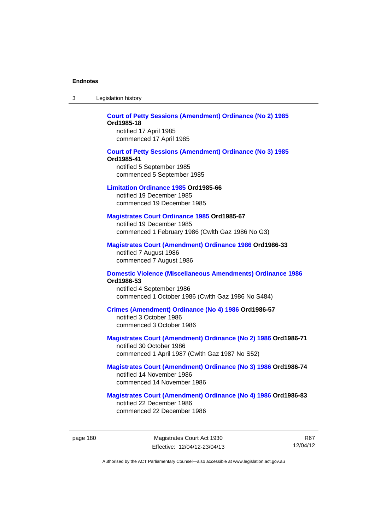| -3 | Legislation history |  |
|----|---------------------|--|
|----|---------------------|--|

# **[Court of Petty Sessions \(Amendment\) Ordinance \(No 2\) 1985](http://www.legislation.act.gov.au/a/1985-18) Ord1985-18**  notified 17 April 1985

commenced 17 April 1985

# **[Court of Petty Sessions \(Amendment\) Ordinance \(No 3\) 1985](http://www.legislation.act.gov.au/a/1985-41) Ord1985-41**  notified 5 September 1985 commenced 5 September 1985

### **[Limitation Ordinance 1985](http://www.legislation.act.gov.au/a/1985-66) Ord1985-66**

notified 19 December 1985 commenced 19 December 1985

# **[Magistrates Court Ordinance 1985](http://www.legislation.act.gov.au/a/1985-67) Ord1985-67**

notified 19 December 1985 commenced 1 February 1986 (Cwlth Gaz 1986 No G3)

# **[Magistrates Court \(Amendment\) Ordinance 1986](http://www.legislation.act.gov.au/a/1986-33) Ord1986-33**

notified 7 August 1986 commenced 7 August 1986

### **[Domestic Violence \(Miscellaneous Amendments\) Ordinance 1986](http://www.legislation.act.gov.au/a/1986-53) Ord1986-53**

notified 4 September 1986 commenced 1 October 1986 (Cwlth Gaz 1986 No S484)

# **[Crimes \(Amendment\) Ordinance \(No 4\) 1986](http://www.legislation.act.gov.au/a/1986-57) Ord1986-57**

notified 3 October 1986 commenced 3 October 1986

# **[Magistrates Court \(Amendment\) Ordinance \(No 2\) 1986](http://www.legislation.act.gov.au/a/1986-71) Ord1986-71**

notified 30 October 1986 commenced 1 April 1987 (Cwlth Gaz 1987 No S52)

### **[Magistrates Court \(Amendment\) Ordinance \(No 3\) 1986](http://www.legislation.act.gov.au/a/1986-74) Ord1986-74**  notified 14 November 1986 commenced 14 November 1986

# **[Magistrates Court \(Amendment\) Ordinance \(No 4\) 1986](http://www.legislation.act.gov.au/a/1986-83) Ord1986-83**

notified 22 December 1986 commenced 22 December 1986

R67 12/04/12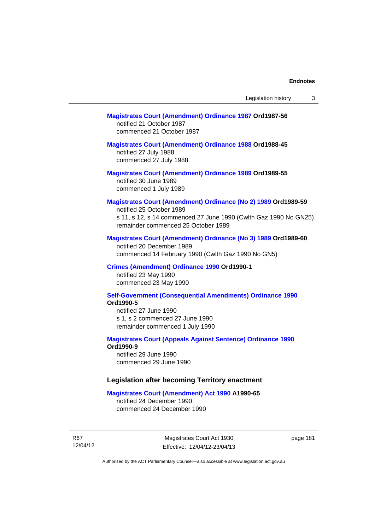# **[Magistrates Court \(Amendment\) Ordinance 1987](http://www.legislation.act.gov.au/a/1987-56) Ord1987-56**  notified 21 October 1987 commenced 21 October 1987

# **[Magistrates Court \(Amendment\) Ordinance 1988](http://www.legislation.act.gov.au/a/1988-45) Ord1988-45**

notified 27 July 1988 commenced 27 July 1988

# **[Magistrates Court \(Amendment\) Ordinance 1989](http://www.legislation.act.gov.au/a/1989-55) Ord1989-55**  notified 30 June 1989 commenced 1 July 1989

# **[Magistrates Court \(Amendment\) Ordinance \(No 2\) 1989](http://www.legislation.act.gov.au/a/1989-59) Ord1989-59**

notified 25 October 1989 s 11, s 12, s 14 commenced 27 June 1990 (Cwlth Gaz 1990 No GN25) remainder commenced 25 October 1989

# **[Magistrates Court \(Amendment\) Ordinance \(No 3\) 1989](http://www.legislation.act.gov.au/a/1989-60) Ord1989-60**

notified 20 December 1989 commenced 14 February 1990 (Cwlth Gaz 1990 No GN5)

### **[Crimes \(Amendment\) Ordinance 1990](http://www.legislation.act.gov.au/a/alt_ord1990-1) Ord1990-1**

notified 23 May 1990 commenced 23 May 1990

### **[Self-Government \(Consequential Amendments\) Ordinance 1990](http://www.legislation.act.gov.au/a/alt_ord1990-5) Ord1990-5**

notified 27 June 1990 s 1, s 2 commenced 27 June 1990 remainder commenced 1 July 1990

### **[Magistrates Court \(Appeals Against Sentence\) Ordinance 1990](http://www.legislation.act.gov.au/a/alt_ord1990-9) Ord1990-9**

notified 29 June 1990 commenced 29 June 1990

# **Legislation after becoming Territory enactment**

### **[Magistrates Court \(Amendment\) Act 1990](http://www.legislation.act.gov.au/a/1990-65) A1990-65**

notified 24 December 1990 commenced 24 December 1990

R67 12/04/12

Magistrates Court Act 1930 Effective: 12/04/12-23/04/13 page 181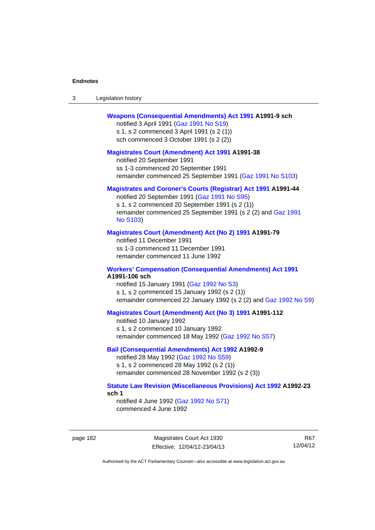| -3 | Legislation history |  |
|----|---------------------|--|
|----|---------------------|--|

# **[Weapons \(Consequential Amendments\) Act 1991](http://www.legislation.act.gov.au/a/1991-9) A1991-9 sch**

notified 3 April 1991 ([Gaz 1991 No S19](http://www.legislation.act.gov.au/gaz/1991-S19/default.asp)) s 1, s 2 commenced 3 April 1991 (s 2 (1)) sch commenced 3 October 1991 (s 2 (2))

### **[Magistrates Court \(Amendment\) Act 1991](http://www.legislation.act.gov.au/a/1991-38) A1991-38**

notified 20 September 1991 ss 1-3 commenced 20 September 1991 remainder commenced 25 September 1991 [\(Gaz 1991 No S103](http://www.legislation.act.gov.au/gaz/1991-S103/default.asp))

# **[Magistrates and Coroner's Courts \(Registrar\) Act 1991](http://www.legislation.act.gov.au/a/1991-44) A1991-44**

notified 20 September 1991 [\(Gaz 1991 No S95\)](http://www.legislation.act.gov.au/gaz/1991-S95/default.asp) s 1, s 2 commenced 20 September 1991 (s 2 (1)) remainder commenced 25 September 1991 (s 2 (2) and [Gaz 1991](http://www.legislation.act.gov.au/gaz/1991-S103/default.asp)  [No S103\)](http://www.legislation.act.gov.au/gaz/1991-S103/default.asp)

### **[Magistrates Court \(Amendment\) Act \(No 2\) 1991](http://www.legislation.act.gov.au/a/1991-79) A1991-79**

notified 11 December 1991 ss 1-3 commenced 11 December 1991 remainder commenced 11 June 1992

### **[Workers' Compensation \(Consequential Amendments\) Act 1991](http://www.legislation.act.gov.au/a/1991-106) A1991-106 sch**

notified 15 January 1991 ([Gaz 1992 No S3\)](http://www.legislation.act.gov.au/gaz/1992-S3/default.asp) s 1, s 2 commenced 15 January 1992 (s 2 (1)) remainder commenced 22 January 1992 (s 2 (2) and [Gaz 1992 No S9](http://www.legislation.act.gov.au/gaz/1992-S9/default.asp))

# **[Magistrates Court \(Amendment\) Act \(No 3\) 1991](http://www.legislation.act.gov.au/a/1991-112) A1991-112**

notified 10 January 1992 s 1, s 2 commenced 10 January 1992 remainder commenced 18 May 1992 [\(Gaz 1992 No S57\)](http://www.legislation.act.gov.au/gaz/1992-S57/default.asp)

# **[Bail \(Consequential Amendments\) Act 1992](http://www.legislation.act.gov.au/a/1992-9) A1992-9**

notified 28 May 1992 ([Gaz 1992 No S59](http://www.legislation.act.gov.au/gaz/1992-S59/default.asp)) s 1, s 2 commenced 28 May 1992 (s 2 (1)) remainder commenced 28 November 1992 (s 2 (3))

# **[Statute Law Revision \(Miscellaneous Provisions\) Act 1992](http://www.legislation.act.gov.au/a/1992-23) A1992-23 sch 1**

notified 4 June 1992 [\(Gaz 1992 No S71\)](http://www.legislation.act.gov.au/gaz/1992-S71/default.asp) commenced 4 June 1992

page 182 Magistrates Court Act 1930 Effective: 12/04/12-23/04/13

R67 12/04/12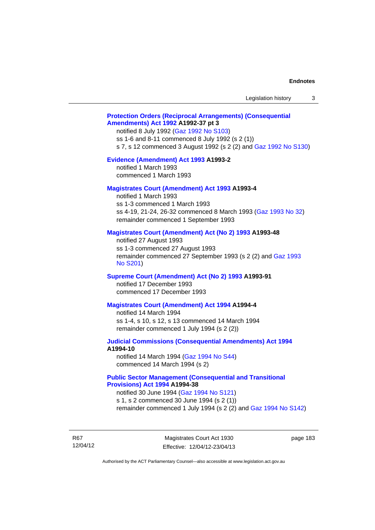# **[Protection Orders \(Reciprocal Arrangements\) \(Consequential](http://www.legislation.act.gov.au/a/1992-37)  [Amendments\) Act 1992](http://www.legislation.act.gov.au/a/1992-37) A1992-37 pt 3**

notified 8 July 1992 [\(Gaz 1992 No S103](http://www.legislation.act.gov.au/gaz/1992-S103/default.asp)) ss 1-6 and 8-11 commenced 8 July 1992 (s 2 (1)) s 7, s 12 commenced 3 August 1992 (s 2 (2) and [Gaz 1992 No S130](http://www.legislation.act.gov.au/gaz/1992-S130/default.asp))

### **[Evidence \(Amendment\) Act 1993](http://www.legislation.act.gov.au/a/1993-2) A1993-2**

notified 1 March 1993 commenced 1 March 1993

## **[Magistrates Court \(Amendment\) Act 1993](http://www.legislation.act.gov.au/a/1993-4) A1993-4**

notified 1 March 1993 ss 1-3 commenced 1 March 1993 ss 4-19, 21-24, 26-32 commenced 8 March 1993 [\(Gaz 1993 No 32](http://www.legislation.act.gov.au/gaz/1993-32/default.asp)) remainder commenced 1 September 1993

# **[Magistrates Court \(Amendment\) Act \(No 2\) 1993](http://www.legislation.act.gov.au/a/1993-48) A1993-48**

notified 27 August 1993 ss 1-3 commenced 27 August 1993 remainder commenced 27 September 1993 (s 2 (2) and [Gaz 1993](http://www.legislation.act.gov.au/gaz/1993-S201/default.asp)  [No S201\)](http://www.legislation.act.gov.au/gaz/1993-S201/default.asp)

### **[Supreme Court \(Amendment\) Act \(No 2\) 1993](http://www.legislation.act.gov.au/a/1993-91) A1993-91**

notified 17 December 1993 commenced 17 December 1993

### **[Magistrates Court \(Amendment\) Act 1994](http://www.legislation.act.gov.au/a/1994-4) A1994-4**

notified 14 March 1994 ss 1-4, s 10, s 12, s 13 commenced 14 March 1994 remainder commenced 1 July 1994 (s 2 (2))

# **[Judicial Commissions \(Consequential Amendments\) Act 1994](http://www.legislation.act.gov.au/a/1994-10) A1994-10**

notified 14 March 1994 ([Gaz 1994 No S44](http://www.legislation.act.gov.au/gaz/1994-S44/default.asp)) commenced 14 March 1994 (s 2)

# **[Public Sector Management \(Consequential and Transitional](http://www.legislation.act.gov.au/a/1994-38)  [Provisions\) Act 1994](http://www.legislation.act.gov.au/a/1994-38) A1994-38**

notified 30 June 1994 ([Gaz 1994 No S121\)](http://www.legislation.act.gov.au/gaz/1994-S121/default.asp) s 1, s 2 commenced 30 June 1994 (s 2 (1))

remainder commenced 1 July 1994 (s 2 (2) and [Gaz 1994 No S142\)](http://www.legislation.act.gov.au/gaz/1994-S142/default.asp)

R67 12/04/12

Magistrates Court Act 1930 Effective: 12/04/12-23/04/13 page 183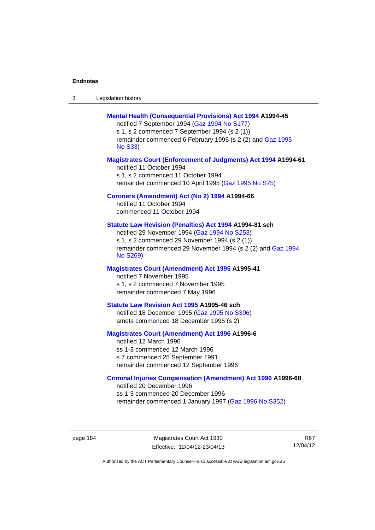| -3 | Legislation history |  |
|----|---------------------|--|
|----|---------------------|--|

# **[Mental Health \(Consequential Provisions\) Act 1994](http://www.legislation.act.gov.au/a/1994-45) A1994-45**

notified 7 September 1994 [\(Gaz 1994 No S177\)](http://www.legislation.act.gov.au/gaz/1994-S177/default.asp) s 1, s 2 commenced 7 September 1994 (s 2 (1)) remainder commenced 6 February 1995 (s 2 (2) and [Gaz 1995](http://www.legislation.act.gov.au/gaz/1995-S33/default.asp)  [No S33](http://www.legislation.act.gov.au/gaz/1995-S33/default.asp))

### **[Magistrates Court \(Enforcement of Judgments\) Act 1994](http://www.legislation.act.gov.au/a/1994-61) A1994-61**

notified 11 October 1994 s 1, s 2 commenced 11 October 1994 remainder commenced 10 April 1995 [\(Gaz 1995 No S75\)](http://www.legislation.act.gov.au/gaz/1995-S75/default.asp)

# **[Coroners \(Amendment\) Act \(No 2\) 1994](http://www.legislation.act.gov.au/a/1994-66) A1994-66**

notified 11 October 1994 commenced 11 October 1994

# **[Statute Law Revision \(Penalties\) Act 1994](http://www.legislation.act.gov.au/a/1994-81) A1994-81 sch**

notified 29 November 1994 [\(Gaz 1994 No S253](http://www.legislation.act.gov.au/gaz/1994-S253/default.asp)) s 1, s 2 commenced 29 November 1994 (s 2 (1)) remainder commenced 29 November 1994 (s 2 (2) and [Gaz 1994](http://www.legislation.act.gov.au/gaz/1994-S269/default.asp)  [No S269\)](http://www.legislation.act.gov.au/gaz/1994-S269/default.asp)

# **[Magistrates Court \(Amendment\) Act 1995](http://www.legislation.act.gov.au/a/1995-41) A1995-41**

notified 7 November 1995 s 1, s 2 commenced 7 November 1995 remainder commenced 7 May 1996

### **[Statute Law Revision Act 1995](http://www.legislation.act.gov.au/a/1995-46) A1995-46 sch**

notified 18 December 1995 [\(Gaz 1995 No S306](http://www.legislation.act.gov.au/gaz/1995-S306/default.asp)) amdts commenced 18 December 1995 (s 2)

### **[Magistrates Court \(Amendment\) Act 1996](http://www.legislation.act.gov.au/a/1996-6) A1996-6**

notified 12 March 1996 ss 1-3 commenced 12 March 1996 s 7 commenced 25 September 1991 remainder commenced 12 September 1996

### **[Criminal Injuries Compensation \(Amendment\) Act 1996](http://www.legislation.act.gov.au/a/1996-68) A1996-68**

notified 20 December 1996 ss 1-3 commenced 20 December 1996 remainder commenced 1 January 1997 [\(Gaz 1996 No S352](http://www.legislation.act.gov.au/gaz/1996-S352/default.asp))

page 184 Magistrates Court Act 1930 Effective: 12/04/12-23/04/13

R67 12/04/12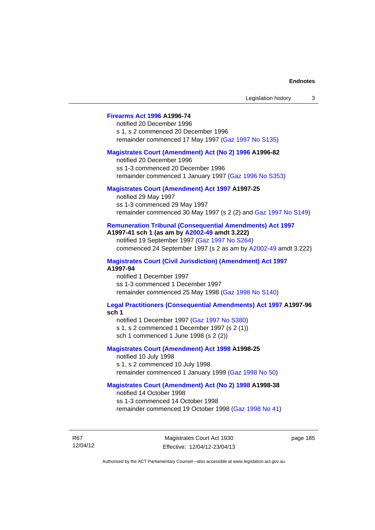# **[Firearms Act 1996](http://www.legislation.act.gov.au/a/1996-74) A1996-74**

notified 20 December 1996 s 1, s 2 commenced 20 December 1996 remainder commenced 17 May 1997 [\(Gaz 1997 No S135](http://www.legislation.act.gov.au/gaz/1997-S135/default.asp))

### **[Magistrates Court \(Amendment\) Act \(No 2\) 1996](http://www.legislation.act.gov.au/a/1996-82) A1996-82**

notified 20 December 1996 ss 1-3 commenced 20 December 1996 remainder commenced 1 January 1997 [\(Gaz 1996 No S353](http://www.legislation.act.gov.au/gaz/1996-S353/default.asp))

# **[Magistrates Court \(Amendment\) Act 1997](http://www.legislation.act.gov.au/a/1997-25) A1997-25**

notified 29 May 1997 ss 1-3 commenced 29 May 1997 remainder commenced 30 May 1997 (s 2 (2) and [Gaz 1997 No S149\)](http://www.legislation.act.gov.au/gaz/1997-S149/default.asp)

### **[Remuneration Tribunal \(Consequential Amendments\) Act 1997](http://www.legislation.act.gov.au/a/1997-41) A1997-41 sch 1 (as am by [A2002-49](http://www.legislation.act.gov.au/a/2002-49) amdt 3.222)**

notified 19 September 1997 [\(Gaz 1997 No S264](http://www.legislation.act.gov.au/gaz/1997-S264/default.asp)) commenced 24 September 1997 (s 2 as am by [A2002-49](http://www.legislation.act.gov.au/a/2002-49) amdt 3.222)

**[Magistrates Court \(Civil Jurisdiction\) \(Amendment\) Act 1997](http://www.legislation.act.gov.au/a/1997-94) A1997-94** 

notified 1 December 1997 ss 1-3 commenced 1 December 1997 remainder commenced 25 May 1998 [\(Gaz 1998 No S140](http://www.legislation.act.gov.au/gaz/1998-S140/default.asp))

# **[Legal Practitioners \(Consequential Amendments\) Act 1997](http://www.legislation.act.gov.au/a/1997-96) A1997-96**

**sch 1** 

notified 1 December 1997 ([Gaz 1997 No S380\)](http://www.legislation.act.gov.au/gaz/1997-S380/default.asp) s 1, s 2 commenced 1 December 1997 (s 2 (1)) sch 1 commenced 1 June 1998 (s 2 (2))

# **[Magistrates Court \(Amendment\) Act 1998](http://www.legislation.act.gov.au/a/1998-25) A1998-25**

notified 10 July 1998 s 1, s 2 commenced 10 July 1998 remainder commenced 1 January 1999 [\(Gaz 1998 No 50](http://www.legislation.act.gov.au/gaz/1998-50/default.asp))

# **[Magistrates Court \(Amendment\) Act \(No 2\) 1998](http://www.legislation.act.gov.au/a/1998-38) A1998-38**

notified 14 October 1998 ss 1-3 commenced 14 October 1998 remainder commenced 19 October 1998 ([Gaz 1998 No 41\)](http://www.legislation.act.gov.au/gaz/1998-41/default.asp)

R67 12/04/12 page 185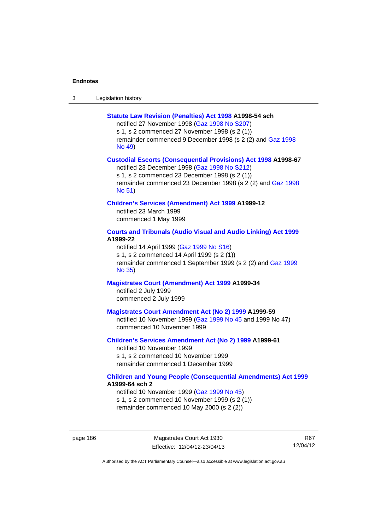| -3 | Legislation history |
|----|---------------------|
|----|---------------------|

### **[Statute Law Revision \(Penalties\) Act 1998](http://www.legislation.act.gov.au/a/1998-54) A1998-54 sch**

notified 27 November 1998 [\(Gaz 1998 No S207](http://www.legislation.act.gov.au/gaz/1998-S207/default.asp)) s 1, s 2 commenced 27 November 1998 (s 2 (1)) remainder commenced 9 December 1998 (s 2 (2) and [Gaz 1998](http://www.legislation.act.gov.au/gaz/1998-49/default.asp)  [No 49\)](http://www.legislation.act.gov.au/gaz/1998-49/default.asp)

### **[Custodial Escorts \(Consequential Provisions\) Act 1998](http://www.legislation.act.gov.au/a/1998-67) A1998-67**

notified 23 December 1998 [\(Gaz 1998 No S212](http://www.legislation.act.gov.au/gaz/1998-S212/default.asp)) s 1, s 2 commenced 23 December 1998 (s 2 (1)) remainder commenced 23 December 1998 (s 2 (2) and [Gaz 1998](http://www.legislation.act.gov.au/gaz/1998-51/default.asp)  [No 51\)](http://www.legislation.act.gov.au/gaz/1998-51/default.asp)

# **[Children's Services \(Amendment\) Act 1999](http://www.legislation.act.gov.au/a/1999-12) A1999-12**

notified 23 March 1999 commenced 1 May 1999

# **[Courts and Tribunals \(Audio Visual and Audio Linking\) Act 1999](http://www.legislation.act.gov.au/a/1999-22) A1999-22**

notified 14 April 1999 [\(Gaz 1999 No S16\)](http://www.legislation.act.gov.au/gaz/1999-S16/default.asp) s 1, s 2 commenced 14 April 1999 (s 2 (1)) remainder commenced 1 September 1999 (s 2 (2) and [Gaz 1999](http://www.legislation.act.gov.au/gaz/1999-35/default.asp)  [No 35\)](http://www.legislation.act.gov.au/gaz/1999-35/default.asp)

# **[Magistrates Court \(Amendment\) Act 1999](http://www.legislation.act.gov.au/a/1999-34) A1999-34**  notified 2 July 1999 commenced 2 July 1999

### **[Magistrates Court Amendment Act \(No 2\) 1999](http://www.legislation.act.gov.au/a/1999-59) A1999-59**

notified 10 November 1999 [\(Gaz 1999 No 45 a](http://www.legislation.act.gov.au/gaz/1999-45/default.asp)nd 1999 No 47) commenced 10 November 1999

# **[Children's Services Amendment Act \(No 2\) 1999](http://www.legislation.act.gov.au/a/1999-61) A1999-61**  notified 10 November 1999 s 1, s 2 commenced 10 November 1999

remainder commenced 1 December 1999

### **[Children and Young People \(Consequential Amendments\) Act 1999](http://www.legislation.act.gov.au/a/1999-64) A1999-64 sch 2**

notified 10 November 1999 [\(Gaz 1999 No 45](http://www.legislation.act.gov.au/gaz/1999-45/default.asp)) s 1, s 2 commenced 10 November 1999 (s 2 (1)) remainder commenced 10 May 2000 (s 2 (2))

page 186 Magistrates Court Act 1930 Effective: 12/04/12-23/04/13

R67 12/04/12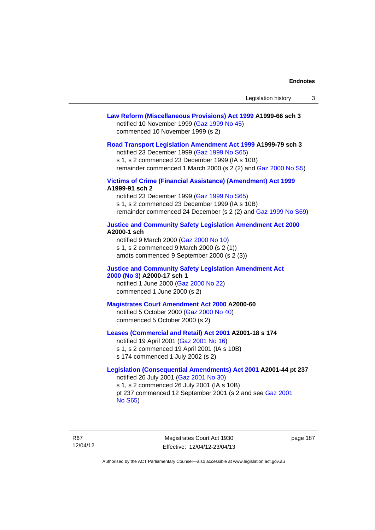# **[Law Reform \(Miscellaneous Provisions\) Act 1999](http://www.legislation.act.gov.au/a/1999-66) A1999-66 sch 3**  notified 10 November 1999 [\(Gaz 1999 No 45](http://www.legislation.act.gov.au/gaz/1999-45/default.asp)) commenced 10 November 1999 (s 2)

### **[Road Transport Legislation Amendment Act 1999](http://www.legislation.act.gov.au/a/1999-79) A1999-79 sch 3**

notified 23 December 1999 [\(Gaz 1999 No S65\)](http://www.legislation.act.gov.au/gaz/1999-S65/default.asp) s 1, s 2 commenced 23 December 1999 (IA s 10B) remainder commenced 1 March 2000 (s 2 (2) and [Gaz 2000 No S5\)](http://www.legislation.act.gov.au/gaz/2000-S5/default.asp)

# **[Victims of Crime \(Financial Assistance\) \(Amendment\) Act 1999](http://www.legislation.act.gov.au/a/1999-91) A1999-91 sch 2**

notified 23 December 1999 [\(Gaz 1999 No S65\)](http://www.legislation.act.gov.au/gaz/1999-S65/default.asp) s 1, s 2 commenced 23 December 1999 (IA s 10B) remainder commenced 24 December (s 2 (2) and [Gaz 1999 No S69](http://www.legislation.act.gov.au/gaz/1999-S69/default.asp))

### **[Justice and Community Safety Legislation Amendment Act 2000](http://www.legislation.act.gov.au/a/2000-1) A2000-1 sch**

notified 9 March 2000 [\(Gaz 2000 No 10](http://www.legislation.act.gov.au/gaz/2000-10/default.asp)) s 1, s 2 commenced 9 March 2000 (s 2 (1)) amdts commenced 9 September 2000 (s 2 (3))

### **[Justice and Community Safety Legislation Amendment Act](http://www.legislation.act.gov.au/a/2000-17)  [2000 \(No 3\)](http://www.legislation.act.gov.au/a/2000-17) A2000-17 sch 1**

notified 1 June 2000 [\(Gaz 2000 No 22](http://www.legislation.act.gov.au/gaz/2000-22/default.asp)) commenced 1 June 2000 (s 2)

### **[Magistrates Court Amendment Act 2000](http://www.legislation.act.gov.au/a/2000-60) A2000-60**

notified 5 October 2000 [\(Gaz 2000 No 40\)](http://www.legislation.act.gov.au/gaz/2000-40/default.asp) commenced 5 October 2000 (s 2)

# **[Leases \(Commercial and Retail\) Act 2001](http://www.legislation.act.gov.au/a/2001-18) A2001-18 s 174**

notified 19 April 2001 [\(Gaz 2001 No 16\)](http://www.legislation.act.gov.au/gaz/2001-16/default.asp) s 1, s 2 commenced 19 April 2001 (IA s 10B) s 174 commenced 1 July 2002 (s 2)

# **[Legislation \(Consequential Amendments\) Act 2001](http://www.legislation.act.gov.au/a/2001-44) A2001-44 pt 237**  notified 26 July 2001 ([Gaz 2001 No 30\)](http://www.legislation.act.gov.au/gaz/2001-30/default.asp)

s 1, s 2 commenced 26 July 2001 (IA s 10B) pt 237 commenced 12 September 2001 (s 2 and see [Gaz 2001](http://www.legislation.act.gov.au/gaz/2001-S65/default.asp)  [No S65](http://www.legislation.act.gov.au/gaz/2001-S65/default.asp))

R67 12/04/12

Magistrates Court Act 1930 Effective: 12/04/12-23/04/13 page 187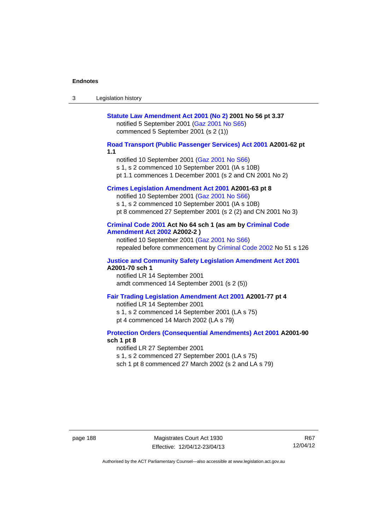| 3 | Legislation history                                                                                                                                                                                                                  |
|---|--------------------------------------------------------------------------------------------------------------------------------------------------------------------------------------------------------------------------------------|
|   | Statute Law Amendment Act 2001 (No 2) 2001 No 56 pt 3.37<br>notified 5 September 2001 (Gaz 2001 No S65)<br>commenced 5 September 2001 (s 2 (1))                                                                                      |
|   | Road Transport (Public Passenger Services) Act 2001 A2001-62 pt<br>1.1<br>notified 10 September 2001 (Gaz 2001 No S66)<br>s 1, s 2 commenced 10 September 2001 (IA s 10B)<br>pt 1.1 commences 1 December 2001 (s 2 and CN 2001 No 2) |
|   | Crimes Legislation Amendment Act 2001 A2001-63 pt 8<br>notified 10 September 2001 (Gaz 2001 No S66)<br>s 1, s 2 commenced 10 September 2001 (IA s 10B)<br>pt 8 commenced 27 September 2001 (s 2 (2) and CN 2001 No 3)                |
|   | Criminal Code 2001 Act No 64 sch 1 (as am by Criminal Code<br><b>Amendment Act 2002 A2002-2)</b><br>notified 10 September 2001 (Gaz 2001 No S66)<br>repealed before commencement by Criminal Code 2002 No 51 s 126                   |
|   | <b>Justice and Community Safety Legislation Amendment Act 2001</b><br>A2001-70 sch 1<br>notified LR 14 September 2001<br>amdt commenced 14 September 2001 (s 2 (5))                                                                  |
|   | Fair Trading Legislation Amendment Act 2001 A2001-77 pt 4<br>notified LR 14 September 2001<br>s 1, s 2 commenced 14 September 2001 (LA s 75)<br>pt 4 commenced 14 March 2002 (LA s 79)                                               |
|   | <b>Protection Orders (Consequential Amendments) Act 2001 A2001-90</b><br>sch 1 pt 8<br>notified LR 27 September 2001<br>s 1, s 2 commenced 27 September 2001 (LA s 75)<br>sch 1 pt 8 commenced 27 March 2002 (s 2 and LA s 79)       |

page 188 Magistrates Court Act 1930 Effective: 12/04/12-23/04/13

R67 12/04/12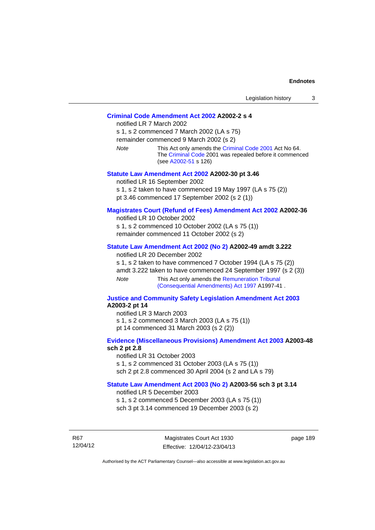# **[Criminal Code Amendment Act 2002](http://www.legislation.act.gov.au/a/2002-2) A2002-2 s 4**

notified LR 7 March 2002 s 1, s 2 commenced 7 March 2002 (LA s 75) remainder commenced 9 March 2002 (s 2) *Note* This Act only amends the [Criminal Code 2001](http://www.legislation.act.gov.au/a/2001-64) Act No 64. The [Criminal Code](http://www.legislation.act.gov.au/a/2002-51) 2001 was repealed before it commenced (see [A2002-51](http://www.legislation.act.gov.au/a/2002-51) s 126)

### **[Statute Law Amendment Act 2002](http://www.legislation.act.gov.au/a/2002-30) A2002-30 pt 3.46**

notified LR 16 September 2002 s 1, s 2 taken to have commenced 19 May 1997 (LA s 75 (2)) pt 3.46 commenced 17 September 2002 (s 2 (1))

# **[Magistrates Court \(Refund of Fees\) Amendment Act 2002](http://www.legislation.act.gov.au/a/2002-36) A2002-36**

notified LR 10 October 2002 s 1, s 2 commenced 10 October 2002 (LA s 75 (1)) remainder commenced 11 October 2002 (s 2)

### **[Statute Law Amendment Act 2002 \(No 2\)](http://www.legislation.act.gov.au/a/2002-49) A2002-49 amdt 3.222**

notified LR 20 December 2002

s 1, s 2 taken to have commenced 7 October 1994 (LA s 75 (2)) amdt 3.222 taken to have commenced 24 September 1997 (s 2 (3)) *Note* This Act only amends the [Remuneration Tribunal](http://www.legislation.act.gov.au/a/1997-41)  [\(Consequential Amendments\) Act 1997](http://www.legislation.act.gov.au/a/1997-41) A1997-41 .

### **[Justice and Community Safety Legislation Amendment Act 2003](http://www.legislation.act.gov.au/a/2003-2) A2003-2 pt 14**

notified LR 3 March 2003 s 1, s 2 commenced 3 March 2003 (LA s 75 (1)) pt 14 commenced 31 March 2003 (s 2 (2))

# **[Evidence \(Miscellaneous Provisions\) Amendment Act 2003](http://www.legislation.act.gov.au/a/2003-48) A2003-48 sch 2 pt 2.8**

notified LR 31 October 2003 s 1, s 2 commenced 31 October 2003 (LA s 75 (1)) sch 2 pt 2.8 commenced 30 April 2004 (s 2 and LA s 79)

### **[Statute Law Amendment Act 2003 \(No 2\)](http://www.legislation.act.gov.au/a/2003-56) A2003-56 sch 3 pt 3.14**

notified LR 5 December 2003 s 1, s 2 commenced 5 December 2003 (LA s 75 (1)) sch 3 pt 3.14 commenced 19 December 2003 (s 2)

R67 12/04/12

Magistrates Court Act 1930 Effective: 12/04/12-23/04/13 page 189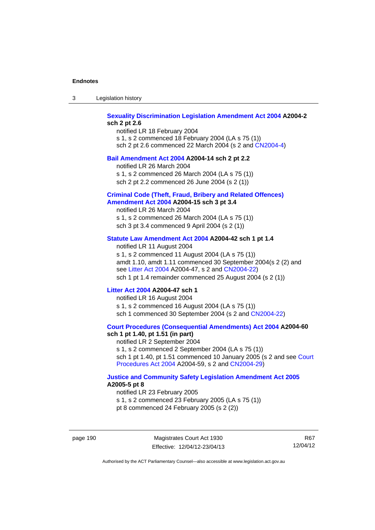| -3 | Legislation history |  |
|----|---------------------|--|
|----|---------------------|--|

# **[Sexuality Discrimination Legislation Amendment Act 2004](http://www.legislation.act.gov.au/a/2004-2) A2004-2 sch 2 pt 2.6**

notified LR 18 February 2004 s 1, s 2 commenced 18 February 2004 (LA s 75 (1)) sch 2 pt 2.6 commenced 22 March 2004 (s 2 and [CN2004-4\)](http://www.legislation.act.gov.au/cn/2004-4/default.asp)

### **[Bail Amendment Act 2004](http://www.legislation.act.gov.au/a/2004-14) A2004-14 sch 2 pt 2.2**

notified LR 26 March 2004

s 1, s 2 commenced 26 March 2004 (LA s 75 (1))

sch 2 pt 2.2 commenced 26 June 2004 (s 2 (1))

### **[Criminal Code \(Theft, Fraud, Bribery and Related Offences\)](http://www.legislation.act.gov.au/a/2004-15)  [Amendment Act 2004](http://www.legislation.act.gov.au/a/2004-15) A2004-15 sch 3 pt 3.4**

notified LR 26 March 2004 s 1, s 2 commenced 26 March 2004 (LA s 75 (1)) sch 3 pt 3.4 commenced 9 April 2004 (s 2 (1))

# **[Statute Law Amendment Act 2004](http://www.legislation.act.gov.au/a/2004-42) A2004-42 sch 1 pt 1.4**

notified LR 11 August 2004 s 1, s 2 commenced 11 August 2004 (LA s 75 (1)) amdt 1.10, amdt 1.11 commenced 30 September 2004(s 2 (2) and see [Litter Act 2004](http://www.legislation.act.gov.au/a/2004-47) A2004-47, s 2 and [CN2004-22\)](http://www.legislation.act.gov.au/cn/2004-22/default.asp) sch 1 pt 1.4 remainder commenced 25 August 2004 (s 2 (1))

### **[Litter Act 2004](http://www.legislation.act.gov.au/a/2004-47) A2004-47 sch 1**

notified LR 16 August 2004 s 1, s 2 commenced 16 August 2004 (LA s 75 (1)) sch 1 commenced 30 September 2004 (s 2 and [CN2004-22\)](http://www.legislation.act.gov.au/cn/2004-22/default.asp)

### **[Court Procedures \(Consequential Amendments\) Act 2004](http://www.legislation.act.gov.au/a/2004-60) A2004-60 sch 1 pt 1.40, pt 1.51 (in part)**

notified LR 2 September 2004 s 1, s 2 commenced 2 September 2004 (LA s 75 (1)) sch 1 pt 1.40, pt 1.51 commenced 10 January 2005 (s 2 and see [Court](http://www.legislation.act.gov.au/a/2004-59)  [Procedures Act 2004](http://www.legislation.act.gov.au/a/2004-59) A2004-59, s 2 and [CN2004-29\)](http://www.legislation.act.gov.au/cn/2004-29/default.asp)

### **[Justice and Community Safety Legislation Amendment Act 2005](http://www.legislation.act.gov.au/a/2005-5) A2005-5 pt 8**

notified LR 23 February 2005 s 1, s 2 commenced 23 February 2005 (LA s 75 (1)) pt 8 commenced 24 February 2005 (s 2 (2))

page 190 Magistrates Court Act 1930 Effective: 12/04/12-23/04/13

R67 12/04/12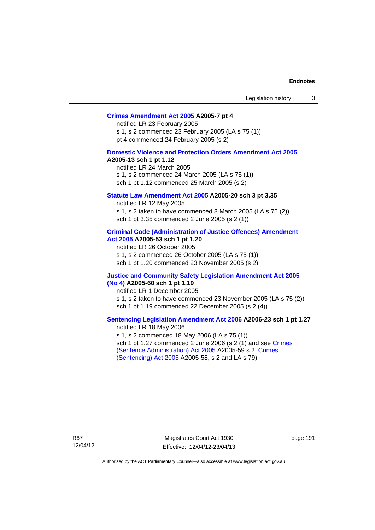# **[Crimes Amendment Act 2005](http://www.legislation.act.gov.au/a/2005-7) A2005-7 pt 4**

notified LR 23 February 2005 s 1, s 2 commenced 23 February 2005 (LA s 75 (1)) pt 4 commenced 24 February 2005 (s 2)

### **[Domestic Violence and Protection Orders Amendment Act 2005](http://www.legislation.act.gov.au/a/2005-13) A2005-13 sch 1 pt 1.12**

notified LR 24 March 2005 s 1, s 2 commenced 24 March 2005 (LA s 75 (1)) sch 1 pt 1.12 commenced 25 March 2005 (s 2)

# **[Statute Law Amendment Act 2005](http://www.legislation.act.gov.au/a/2005-20) A2005-20 sch 3 pt 3.35**

notified LR 12 May 2005 s 1, s 2 taken to have commenced 8 March 2005 (LA s 75 (2)) sch 1 pt 3.35 commenced 2 June 2005 (s 2 (1))

### **[Criminal Code \(Administration of Justice Offences\) Amendment](http://www.legislation.act.gov.au/a/2005-53)  [Act 2005](http://www.legislation.act.gov.au/a/2005-53) A2005-53 sch 1 pt 1.20**

notified LR 26 October 2005 s 1, s 2 commenced 26 October 2005 (LA s 75 (1)) sch 1 pt 1.20 commenced 23 November 2005 (s 2)

### **[Justice and Community Safety Legislation Amendment Act 2005](http://www.legislation.act.gov.au/a/2005-60)  [\(No 4\)](http://www.legislation.act.gov.au/a/2005-60) A2005-60 sch 1 pt 1.19**

notified LR 1 December 2005 s 1, s 2 taken to have commenced 23 November 2005 (LA s 75 (2)) sch 1 pt 1.19 commenced 22 December 2005 (s 2 (4))

### **[Sentencing Legislation Amendment Act 2006](http://www.legislation.act.gov.au/a/2006-23) A2006-23 sch 1 pt 1.27**  notified LR 18 May 2006

s 1, s 2 commenced 18 May 2006 (LA s 75 (1)) sch 1 pt 1.27 commenced 2 June 2006 (s 2 (1) and see [Crimes](http://www.legislation.act.gov.au/a/2005-59)  [\(Sentence Administration\) Act 2005](http://www.legislation.act.gov.au/a/2005-59) A2005-59 s 2, [Crimes](http://www.legislation.act.gov.au/a/2005-58)  [\(Sentencing\) Act 2005](http://www.legislation.act.gov.au/a/2005-58) A2005-58, s 2 and LA s 79)

R67 12/04/12

Magistrates Court Act 1930 Effective: 12/04/12-23/04/13 page 191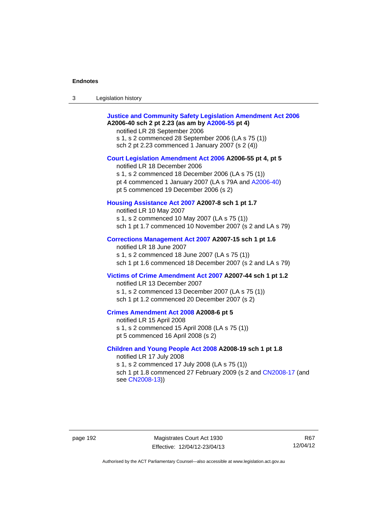| Legislation history<br>3 |  |
|--------------------------|--|
|--------------------------|--|

| <b>Justice and Community Safety Legislation Amendment Act 2006</b><br>A2006-40 sch 2 pt 2.23 (as am by A2006-55 pt 4)<br>notified LR 28 September 2006<br>s 1, s 2 commenced 28 September 2006 (LA s 75 (1))<br>sch 2 pt 2.23 commenced 1 January 2007 (s 2 (4)) |
|------------------------------------------------------------------------------------------------------------------------------------------------------------------------------------------------------------------------------------------------------------------|
| Court Legislation Amendment Act 2006 A2006-55 pt 4, pt 5<br>notified LR 18 December 2006<br>s 1, s 2 commenced 18 December 2006 (LA s 75 (1))<br>pt 4 commenced 1 January 2007 (LA s 79A and A2006-40)<br>pt 5 commenced 19 December 2006 (s 2)                  |
| Housing Assistance Act 2007 A2007-8 sch 1 pt 1.7<br>notified LR 10 May 2007<br>s 1, s 2 commenced 10 May 2007 (LA s 75 (1))<br>sch 1 pt 1.7 commenced 10 November 2007 (s 2 and LA s 79)                                                                         |
| Corrections Management Act 2007 A2007-15 sch 1 pt 1.6<br>notified LR 18 June 2007<br>s 1, s 2 commenced 18 June 2007 (LA s 75 (1))<br>sch 1 pt 1.6 commenced 18 December 2007 (s 2 and LA s 79)                                                                  |
| Victims of Crime Amendment Act 2007 A2007-44 sch 1 pt 1.2<br>notified LR 13 December 2007<br>s 1, s 2 commenced 13 December 2007 (LA s 75 (1))<br>sch 1 pt 1.2 commenced 20 December 2007 (s 2)                                                                  |
| Crimes Amendment Act 2008 A2008-6 pt 5<br>notified LR 15 April 2008<br>s 1, s 2 commenced 15 April 2008 (LA s 75 (1))<br>pt 5 commenced 16 April 2008 (s 2)                                                                                                      |
| Children and Young People Act 2008 A2008-19 sch 1 pt 1.8<br>notified LR 17 July 2008<br>s 1, s 2 commenced 17 July 2008 (LA s 75 (1))<br>sch 1 pt 1.8 commenced 27 February 2009 (s 2 and CN2008-17 (and<br>see CN2008-13))                                      |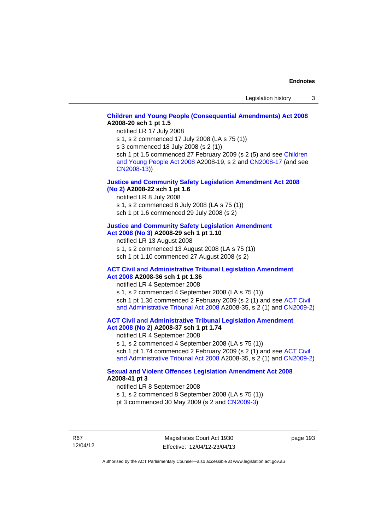# **[Children and Young People \(Consequential Amendments\) Act 2008](http://www.legislation.act.gov.au/a/2008-20) A2008-20 sch 1 pt 1.5**

notified LR 17 July 2008

s 1, s 2 commenced 17 July 2008 (LA s 75 (1))

s 3 commenced 18 July 2008 (s 2 (1))

sch 1 pt 1.5 commenced 27 February 2009 (s 2 (5) and see Children [and Young People Act 2008](http://www.legislation.act.gov.au/a/2008-19) A2008-19, s 2 and [CN2008-17 \(](http://www.legislation.act.gov.au/cn/2008-17/default.asp)and see [CN2008-13](http://www.legislation.act.gov.au/cn/2008-13/default.asp)))

### **[Justice and Community Safety Legislation Amendment Act 2008](http://www.legislation.act.gov.au/a/2008-22)  [\(No 2\)](http://www.legislation.act.gov.au/a/2008-22) A2008-22 sch 1 pt 1.6**

notified LR 8 July 2008

s 1, s 2 commenced 8 July 2008 (LA s 75 (1))

sch 1 pt 1.6 commenced 29 July 2008 (s 2)

# **[Justice and Community Safety Legislation Amendment](http://www.legislation.act.gov.au/a/2008-29)**

**[Act 2008 \(No 3\)](http://www.legislation.act.gov.au/a/2008-29) A2008-29 sch 1 pt 1.10** 

notified LR 13 August 2008

s 1, s 2 commenced 13 August 2008 (LA s 75 (1)) sch 1 pt 1.10 commenced 27 August 2008 (s 2)

### **[ACT Civil and Administrative Tribunal Legislation Amendment](http://www.legislation.act.gov.au/a/2008-36)  [Act 2008](http://www.legislation.act.gov.au/a/2008-36) A2008-36 sch 1 pt 1.36**

notified LR 4 September 2008

s 1, s 2 commenced 4 September 2008 (LA s 75 (1)) sch 1 pt 1.36 commenced 2 February 2009 (s 2 (1) and see ACT Civil [and Administrative Tribunal Act 2008](http://www.legislation.act.gov.au/a/2008-35) A2008-35, s 2 (1) and [CN2009-2](http://www.legislation.act.gov.au/cn/2009-2/default.asp))

**[ACT Civil and Administrative Tribunal Legislation Amendment](http://www.legislation.act.gov.au/a/2008-37)  [Act 2008 \(No 2\)](http://www.legislation.act.gov.au/a/2008-37) A2008-37 sch 1 pt 1.74** 

notified LR 4 September 2008

s 1, s 2 commenced 4 September 2008 (LA s 75 (1)) sch 1 pt 1.74 commenced 2 February 2009 (s 2 (1) and see ACT Civil [and Administrative Tribunal Act 2008](http://www.legislation.act.gov.au/a/2008-35) A2008-35, s 2 (1) and [CN2009-2](http://www.legislation.act.gov.au/cn/2009-2/default.asp))

# **[Sexual and Violent Offences Legislation Amendment Act 2008](http://www.legislation.act.gov.au/a/2008-41) A2008-41 pt 3**

notified LR 8 September 2008

s 1, s 2 commenced 8 September 2008 (LA s 75 (1))

pt 3 commenced 30 May 2009 (s 2 and [CN2009-3\)](http://www.legislation.act.gov.au/cn/2009-3/default.asp)

R67 12/04/12

Magistrates Court Act 1930 Effective: 12/04/12-23/04/13 page 193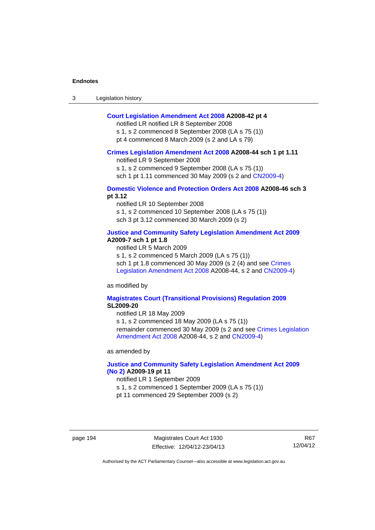| $\sqrt{2}$<br>- 3 | Legislation history |  |
|-------------------|---------------------|--|
|-------------------|---------------------|--|

# **[Court Legislation Amendment Act 2008](http://www.legislation.act.gov.au/a/2008-42) A2008-42 pt 4**

notified LR notified LR 8 September 2008

s 1, s 2 commenced 8 September 2008 (LA s 75 (1)) pt 4 commenced 8 March 2009 (s 2 and LA s 79)

### **[Crimes Legislation Amendment Act 2008](http://www.legislation.act.gov.au/a/2008-44) A2008-44 sch 1 pt 1.11**

notified LR 9 September 2008

s 1, s 2 commenced 9 September 2008 (LA s 75 (1))

sch 1 pt 1.11 commenced 30 May 2009 (s 2 and [CN2009-4](http://www.legislation.act.gov.au/cn/2009-4/default.asp))

# **[Domestic Violence and Protection Orders Act 2008](http://www.legislation.act.gov.au/a/2008-46) A2008-46 sch 3 pt 3.12**

notified LR 10 September 2008 s 1, s 2 commenced 10 September 2008 (LA s 75 (1)) sch 3 pt 3.12 commenced 30 March 2009 (s 2)

### **[Justice and Community Safety Legislation Amendment Act 2009](http://www.legislation.act.gov.au/a/2009-7) A2009-7 sch 1 pt 1.8**

notified LR 5 March 2009

s 1, s 2 commenced 5 March 2009 (LA s 75 (1))

sch 1 pt 1.8 commenced 30 May 2009 (s 2 (4) and see [Crimes](http://www.legislation.act.gov.au/a/2008-44)  [Legislation Amendment Act 2008](http://www.legislation.act.gov.au/a/2008-44) A2008-44, s 2 and [CN2009-4\)](http://www.legislation.act.gov.au/cn/2009-4/default.asp)

as modified by

### **[Magistrates Court \(Transitional Provisions\) Regulation 2009](http://www.legislation.act.gov.au/sl/2009-20) SL2009-20**

notified LR 18 May 2009

s 1, s 2 commenced 18 May 2009 (LA s 75 (1)) remainder commenced 30 May 2009 (s 2 and see [Crimes Legislation](http://www.legislation.act.gov.au/a/2008-44)  [Amendment Act 2008](http://www.legislation.act.gov.au/a/2008-44) A2008-44, s 2 and [CN2009-4](http://www.legislation.act.gov.au/cn/2009-4/default.asp))

as amended by

# **[Justice and Community Safety Legislation Amendment Act 2009](http://www.legislation.act.gov.au/a/2009-19)  [\(No 2\)](http://www.legislation.act.gov.au/a/2009-19) A2009-19 pt 11**

notified LR 1 September 2009

s 1, s 2 commenced 1 September 2009 (LA s 75 (1))

pt 11 commenced 29 September 2009 (s 2)

page 194 Magistrates Court Act 1930 Effective: 12/04/12-23/04/13

R67 12/04/12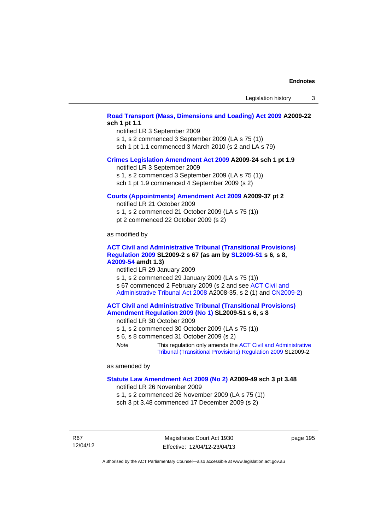# **[Road Transport \(Mass, Dimensions and Loading\) Act 2009](http://www.legislation.act.gov.au/a/2009-22) A2009-22 sch 1 pt 1.1**

notified LR 3 September 2009 s 1, s 2 commenced 3 September 2009 (LA s 75 (1))

sch 1 pt 1.1 commenced 3 March 2010 (s 2 and LA s 79)

### **[Crimes Legislation Amendment Act 2009](http://www.legislation.act.gov.au/a/2009-24) A2009-24 sch 1 pt 1.9**

notified LR 3 September 2009

s 1, s 2 commenced 3 September 2009 (LA s 75 (1))

sch 1 pt 1.9 commenced 4 September 2009 (s 2)

### **[Courts \(Appointments\) Amendment Act 2009](http://www.legislation.act.gov.au/a/2009-37) A2009-37 pt 2**

notified LR 21 October 2009 s 1, s 2 commenced 21 October 2009 (LA s 75 (1)) pt 2 commenced 22 October 2009 (s 2)

as modified by

# **[ACT Civil and Administrative Tribunal \(Transitional Provisions\)](http://www.legislation.act.gov.au/sl/2009-2)  [Regulation 2009](http://www.legislation.act.gov.au/sl/2009-2) SL2009-2 s 67 (as am by [SL2009-51](http://www.legislation.act.gov.au/sl/2009-51) s 6, s 8, [A2009-54](http://www.legislation.act.gov.au/a/2009-54) amdt 1.3)**

notified LR 29 January 2009

s 1, s 2 commenced 29 January 2009 (LA s 75 (1)) s 67 commenced 2 February 2009 (s 2 and see [ACT Civil and](http://www.legislation.act.gov.au/a/2008-35)  [Administrative Tribunal Act 2008](http://www.legislation.act.gov.au/a/2008-35) A2008-35, s 2 (1) and [CN2009-2\)](http://www.legislation.act.gov.au/cn/2009-2/default.asp)

### **[ACT Civil and Administrative Tribunal \(Transitional Provisions\)](http://www.legislation.act.gov.au/sl/2009-51)  [Amendment Regulation 2009 \(No 1\)](http://www.legislation.act.gov.au/sl/2009-51) SL2009-51 s 6, s 8**

notified LR 30 October 2009

- s 1, s 2 commenced 30 October 2009 (LA s 75 (1))
- s 6, s 8 commenced 31 October 2009 (s 2)
- *Note* This regulation only amends the [ACT Civil and Administrative](http://www.legislation.act.gov.au/sl/2009-2)  [Tribunal \(Transitional Provisions\) Regulation 2009](http://www.legislation.act.gov.au/sl/2009-2) SL2009-2.

as amended by

### **[Statute Law Amendment Act 2009 \(No 2\)](http://www.legislation.act.gov.au/a/2009-49) A2009-49 sch 3 pt 3.48**

notified LR 26 November 2009

s 1, s 2 commenced 26 November 2009 (LA s 75 (1)) sch 3 pt 3.48 commenced 17 December 2009 (s 2)

R67 12/04/12 page 195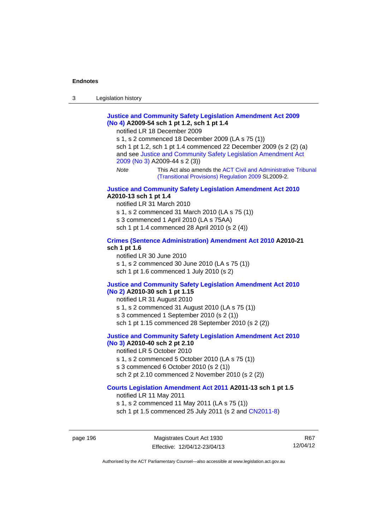| $\sqrt{2}$<br>- 3 | Legislation history |  |
|-------------------|---------------------|--|
|-------------------|---------------------|--|

# **[Justice and Community Safety Legislation Amendment Act 2009](http://www.legislation.act.gov.au/a/2009-54)  [\(No 4\)](http://www.legislation.act.gov.au/a/2009-54) A2009-54 sch 1 pt 1.2, sch 1 pt 1.4**

notified LR 18 December 2009

s 1, s 2 commenced 18 December 2009 (LA s 75 (1)) sch 1 pt 1.2, sch 1 pt 1.4 commenced 22 December 2009 (s 2 (2) (a) and see [Justice and Community Safety Legislation Amendment Act](http://www.legislation.act.gov.au/a/2009-44)  [2009 \(No 3\)](http://www.legislation.act.gov.au/a/2009-44) A2009-44 s 2 (3)) *Note* This Act also amends the [ACT Civil and Administrative Tribunal](http://www.legislation.act.gov.au/sl/2009-2) 

[\(Transitional Provisions\) Regulation 2009](http://www.legislation.act.gov.au/sl/2009-2) SL2009-2.

### **[Justice and Community Safety Legislation Amendment Act 2010](http://www.legislation.act.gov.au/a/2010-13) A2010-13 sch 1 pt 1.4**

notified LR 31 March 2010 s 1, s 2 commenced 31 March 2010 (LA s 75 (1)) s 3 commenced 1 April 2010 (LA s 75AA) sch 1 pt 1.4 commenced 28 April 2010 (s 2 (4))

### **[Crimes \(Sentence Administration\) Amendment Act 2010](http://www.legislation.act.gov.au/a/2010-21) A2010-21 sch 1 pt 1.6**

notified LR 30 June 2010 s 1, s 2 commenced 30 June 2010 (LA s 75 (1)) sch 1 pt 1.6 commenced 1 July 2010 (s 2)

# **[Justice and Community Safety Legislation Amendment Act 2010](http://www.legislation.act.gov.au/a/2010-30)**

# **[\(No 2\)](http://www.legislation.act.gov.au/a/2010-30) A2010-30 sch 1 pt 1.15**

notified LR 31 August 2010 s 1, s 2 commenced 31 August 2010 (LA s 75 (1))

s 3 commenced 1 September 2010 (s 2 (1))

sch 1 pt 1.15 commenced 28 September 2010 (s 2 (2))

# **[Justice and Community Safety Legislation Amendment Act 2010](http://www.legislation.act.gov.au/a/2010-40)**

# **[\(No 3\)](http://www.legislation.act.gov.au/a/2010-40) A2010-40 sch 2 pt 2.10**

notified LR 5 October 2010

s 1, s 2 commenced 5 October 2010 (LA s 75 (1))

s 3 commenced 6 October 2010 (s 2 (1))

sch 2 pt 2.10 commenced 2 November 2010 (s 2 (2))

# **[Courts Legislation Amendment Act 2011](http://www.legislation.act.gov.au/a/2011-13) A2011-13 sch 1 pt 1.5**

notified LR 11 May 2011 s 1, s 2 commenced 11 May 2011 (LA s 75 (1)) sch 1 pt 1.5 commenced 25 July 2011 (s 2 and [CN2011-8\)](http://www.legislation.act.gov.au/cn/2011-8/default.asp)

page 196 Magistrates Court Act 1930 Effective: 12/04/12-23/04/13

R67 12/04/12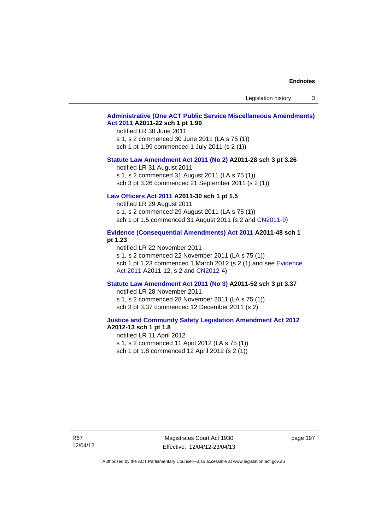Legislation history 3

# **[Administrative \(One ACT Public Service Miscellaneous Amendments\)](http://www.legislation.act.gov.au/a/2011-22)  [Act 2011](http://www.legislation.act.gov.au/a/2011-22) A2011-22 sch 1 pt 1.99**

notified LR 30 June 2011 s 1, s 2 commenced 30 June 2011 (LA s 75 (1)) sch 1 pt 1.99 commenced 1 July 2011 (s 2 (1))

### **[Statute Law Amendment Act 2011 \(No 2\)](http://www.legislation.act.gov.au/a/2011-28) A2011-28 sch 3 pt 3.26**

notified LR 31 August 2011 s 1, s 2 commenced 31 August 2011 (LA s 75 (1)) sch 3 pt 3.26 commenced 21 September 2011 (s 2 (1))

# **[Law Officers Act 2011](http://www.legislation.act.gov.au/a/2011-30) A2011-30 sch 1 pt 1.5**

notified LR 29 August 2011 s 1, s 2 commenced 29 August 2011 (LA s 75 (1)) sch 1 pt 1.5 commenced 31 August 2011 (s 2 and [CN2011-9](http://www.legislation.act.gov.au/cn/2011-9/default.asp))

# **[Evidence \(Consequential Amendments\) Act 2011](http://www.legislation.act.gov.au/a/2011-48) A2011-48 sch 1 pt 1.23**

notified LR 22 November 2011 s 1, s 2 commenced 22 November 2011 (LA s 75 (1)) sch 1 pt 1.23 commenced 1 March 2012 (s 2 (1) and see Evidence [Act 2011](http://www.legislation.act.gov.au/a/2011-12) A2011-12, s 2 and [CN2012-4](http://www.legislation.act.gov.au/cn/2012-4/default.asp))

### **[Statute Law Amendment Act 2011 \(No 3\)](http://www.legislation.act.gov.au/a/2011-52) A2011-52 sch 3 pt 3.37**

notified LR 28 November 2011 s 1, s 2 commenced 28 November 2011 (LA s 75 (1)) sch 3 pt 3.37 commenced 12 December 2011 (s 2)

### **[Justice and Community Safety Legislation Amendment Act 2012](http://www.legislation.act.gov.au/a/2012-13) A2012-13 sch 1 pt 1.8**

notified LR 11 April 2012 s 1, s 2 commenced 11 April 2012 (LA s 75 (1)) sch 1 pt 1.8 commenced 12 April 2012 (s 2 (1))

R67 12/04/12

Magistrates Court Act 1930 Effective: 12/04/12-23/04/13 page 197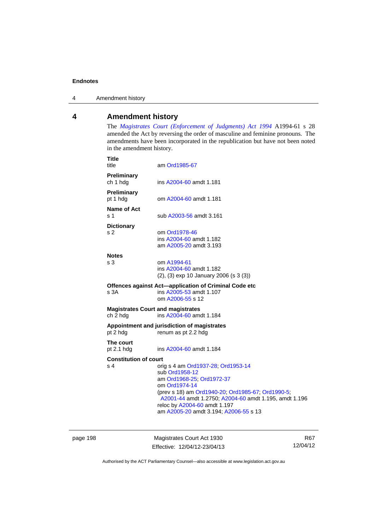4 Amendment history

# **4 Amendment history**

The *[Magistrates Court \(Enforcement of Judgments\) Act 1994](http://www.legislation.act.gov.au/a/1994-61/default.asp)* A1994-61 s 28 amended the Act by reversing the order of masculine and feminine pronouns. The amendments have been incorporated in the republication but have not been noted in the amendment history.

| Title<br>title                                       | am Ord1985-67                                                                                                                                                                                                                                                                             |
|------------------------------------------------------|-------------------------------------------------------------------------------------------------------------------------------------------------------------------------------------------------------------------------------------------------------------------------------------------|
| Preliminary<br>ch 1 hdg                              | ins A2004-60 amdt 1.181                                                                                                                                                                                                                                                                   |
| <b>Preliminary</b><br>pt 1 hdg                       | om A2004-60 amdt 1.181                                                                                                                                                                                                                                                                    |
| <b>Name of Act</b><br>ร 1                            | sub A2003-56 amdt 3.161                                                                                                                                                                                                                                                                   |
| <b>Dictionary</b><br>s <sub>2</sub>                  | om Ord1978-46<br>ins A2004-60 amdt 1.182<br>am A2005-20 amdt 3.193                                                                                                                                                                                                                        |
| <b>Notes</b><br>s 3                                  | om A1994-61<br>ins A2004-60 amdt 1.182<br>(2), (3) exp 10 January 2006 (s 3 (3))                                                                                                                                                                                                          |
| s 3A                                                 | Offences against Act-application of Criminal Code etc<br>ins A2005-53 amdt 1.107<br>om A2006-55 s 12                                                                                                                                                                                      |
| <b>Magistrates Court and magistrates</b><br>ch 2 hdg | ins A2004-60 amdt 1.184                                                                                                                                                                                                                                                                   |
| pt 2 hdg                                             | Appointment and jurisdiction of magistrates<br>renum as pt 2.2 hdg                                                                                                                                                                                                                        |
| The court<br>pt $2.1$ hdg                            | ins A2004-60 amdt 1.184                                                                                                                                                                                                                                                                   |
| <b>Constitution of court</b><br>s 4                  |                                                                                                                                                                                                                                                                                           |
|                                                      | orig s 4 am Ord1937-28, Ord1953-14<br>sub Ord1958-12<br>am Ord1968-25; Ord1972-37<br>om Ord1974-14<br>(prev s 18) am Ord1940-20; Ord1985-67; Ord1990-5;<br>A2001-44 amdt 1.2750; A2004-60 amdt 1.195, amdt 1.196<br>reloc by A2004-60 amdt 1.197<br>am A2005-20 amdt 3.194; A2006-55 s 13 |

page 198 Magistrates Court Act 1930 Effective: 12/04/12-23/04/13

R67 12/04/12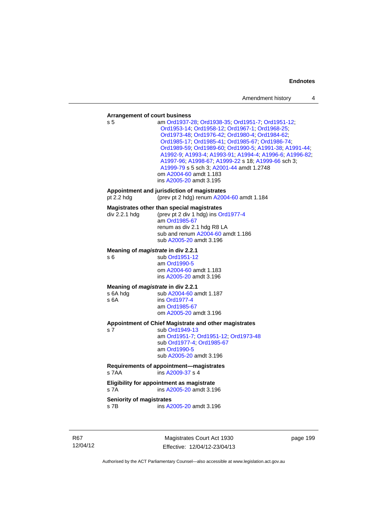# **Arrangement of court business**

| Arrangement or court business                                 |                                                                                                                                                                                                                                                                                                                                                                                                                                                                                      |
|---------------------------------------------------------------|--------------------------------------------------------------------------------------------------------------------------------------------------------------------------------------------------------------------------------------------------------------------------------------------------------------------------------------------------------------------------------------------------------------------------------------------------------------------------------------|
| s 5                                                           | am Ord1937-28, Ord1938-35, Ord1951-7, Ord1951-12,<br>Ord1953-14; Ord1958-12; Ord1967-1; Ord1968-25;<br>Ord1973-48; Ord1976-42; Ord1980-4; Ord1984-62;<br>Ord1985-17, Ord1985-41, Ord1985-67, Ord1986-74,<br>Ord1989-59; Ord1989-60; Ord1990-5; A1991-38; A1991-44;<br>A1992-9; A1993-4; A1993-91; A1994-4; A1996-6; A1996-82;<br>A1997-96; A1998-67; A1999-22 s 18; A1999-66 sch 3;<br>A1999-79 s 5 sch 3; A2001-44 amdt 1.2748<br>om A2004-60 amdt 1.183<br>ins A2005-20 amdt 3.195 |
| pt 2.2 hdg                                                    | Appointment and jurisdiction of magistrates<br>(prev pt 2 hdg) renum A2004-60 amdt 1.184                                                                                                                                                                                                                                                                                                                                                                                             |
| div 2.2.1 hdg                                                 | Magistrates other than special magistrates<br>(prev pt 2 div 1 hdg) ins Ord1977-4<br>am Ord1985-67<br>renum as div 2.1 hdg R8 LA<br>sub and renum A2004-60 amdt 1.186<br>sub A2005-20 amdt 3.196                                                                                                                                                                                                                                                                                     |
| Meaning of <i>magistrate</i> in div 2.2.1<br>s 6              | sub Ord1951-12<br>am Ord1990-5<br>om A2004-60 amdt 1.183<br>ins A2005-20 amdt 3.196                                                                                                                                                                                                                                                                                                                                                                                                  |
| Meaning of <i>magistrate</i> in div 2.2.1<br>s 6A hdg<br>s 6A | sub A2004-60 amdt 1.187<br>ins Ord1977-4<br>am Ord1985-67<br>om A2005-20 amdt 3.196                                                                                                                                                                                                                                                                                                                                                                                                  |
| s <sub>7</sub>                                                | Appointment of Chief Magistrate and other magistrates<br>sub Ord1949-13<br>am Ord1951-7; Ord1951-12; Ord1973-48<br>sub Ord1977-4, Ord1985-67<br>am Ord1990-5<br>sub A2005-20 amdt 3.196                                                                                                                                                                                                                                                                                              |
| s 7AA                                                         | Requirements of appointment-magistrates<br>ins A2009-37 s 4                                                                                                                                                                                                                                                                                                                                                                                                                          |
| s 7A                                                          | Eligibility for appointment as magistrate<br>ins A2005-20 amdt 3.196                                                                                                                                                                                                                                                                                                                                                                                                                 |
| Seniority of magistrates<br>s 7B                              | ins A2005-20 amdt 3.196                                                                                                                                                                                                                                                                                                                                                                                                                                                              |

R67 12/04/12

Magistrates Court Act 1930 Effective: 12/04/12-23/04/13 page 199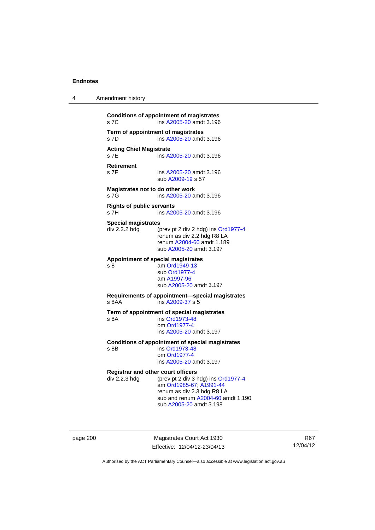| 4 | Amendment history                                                                                                                                                                                                          |
|---|----------------------------------------------------------------------------------------------------------------------------------------------------------------------------------------------------------------------------|
|   | <b>Conditions of appointment of magistrates</b><br>s 7C<br>ins A2005-20 amdt 3.196                                                                                                                                         |
|   | Term of appointment of magistrates<br>s 7D<br>ins A2005-20 amdt 3.196                                                                                                                                                      |
|   | <b>Acting Chief Magistrate</b><br>s 7E<br>ins A2005-20 amdt 3.196                                                                                                                                                          |
|   | <b>Retirement</b><br>s 7F<br>ins A2005-20 amdt 3.196<br>sub A2009-19 s 57                                                                                                                                                  |
|   | Magistrates not to do other work<br>s 7G<br>ins A2005-20 amdt 3.196                                                                                                                                                        |
|   | <b>Rights of public servants</b><br>s 7H<br>ins A2005-20 amdt 3.196                                                                                                                                                        |
|   | <b>Special magistrates</b><br>div 2.2.2 hdg<br>(prev pt 2 div 2 hdg) ins Ord1977-4<br>renum as div 2.2 hdg R8 LA<br>renum A2004-60 amdt 1.189<br>sub A2005-20 amdt 3.197                                                   |
|   | Appointment of special magistrates<br>am Ord1949-13<br>s 8<br>sub Ord1977-4<br>am A1997-96<br>sub A2005-20 amdt 3.197                                                                                                      |
|   | Requirements of appointment-special magistrates<br>ins A2009-37 s 5<br>s 8AA                                                                                                                                               |
|   | Term of appointment of special magistrates<br>ins Ord1973-48<br>s 8A<br>om Ord1977-4<br>ins A2005-20 amdt 3.197                                                                                                            |
|   | <b>Conditions of appointment of special magistrates</b><br>ins Ord1973-48<br>s 8B<br>om Ord1977-4<br>ins A2005-20 amdt 3.197                                                                                               |
|   | <b>Registrar and other court officers</b><br>div 2.2.3 hdg<br>(prev pt 2 div 3 hdg) ins Ord1977-4<br>am Ord1985-67; A1991-44<br>renum as div 2.3 hdg R8 LA<br>sub and renum A2004-60 amdt 1.190<br>sub A2005-20 amdt 3.198 |

page 200 Magistrates Court Act 1930 Effective: 12/04/12-23/04/13

R67 12/04/12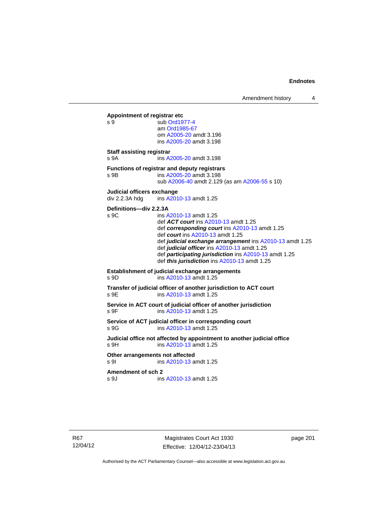Amendment history 4

**Appointment of registrar etc**  s 9 sub [Ord1977-4](http://www.legislation.act.gov.au/a/1977-4) am [Ord1985-67](http://www.legislation.act.gov.au/a/1985-67) om [A2005-20](http://www.legislation.act.gov.au/a/2005-20) amdt 3.196 ins [A2005-20](http://www.legislation.act.gov.au/a/2005-20) amdt 3.198 **Staff assisting registrar**  s 9A ins [A2005-20](http://www.legislation.act.gov.au/a/2005-20) amdt 3.198 **Functions of registrar and deputy registrars**  s 9B ins [A2005-20](http://www.legislation.act.gov.au/a/2005-20) amdt 3.198 sub [A2006-40](http://www.legislation.act.gov.au/a/2006-40) amdt 2.129 (as am [A2006-55](http://www.legislation.act.gov.au/a/2006-55) s 10) **Judicial officers exchange**  div 2.2.3A hdg ins [A2010-13](http://www.legislation.act.gov.au/a/2010-13) amdt 1.25 **Definitions—div 2.2.3A**  s 9C ins [A2010-13](http://www.legislation.act.gov.au/a/2010-13) amdt 1.25 def *ACT court* ins [A2010-13](http://www.legislation.act.gov.au/a/2010-13) amdt 1.25 def *corresponding court* ins [A2010-13](http://www.legislation.act.gov.au/a/2010-13) amdt 1.25 def *court* ins [A2010-13](http://www.legislation.act.gov.au/a/2010-13) amdt 1.25 def *judicial exchange arrangement* ins [A2010-13](http://www.legislation.act.gov.au/a/2010-13) amdt 1.25 def *judicial officer* ins [A2010-13](http://www.legislation.act.gov.au/a/2010-13) amdt 1.25 def *participating jurisdiction* ins [A2010-13](http://www.legislation.act.gov.au/a/2010-13) amdt 1.25 def *this jurisdiction* ins [A2010-13](http://www.legislation.act.gov.au/a/2010-13) amdt 1.25 **Establishment of judicial exchange arrangements**  s 9D ins [A2010-13](http://www.legislation.act.gov.au/a/2010-13) amdt 1.25 **Transfer of judicial officer of another jurisdiction to ACT court**  s 9E **ins A2010-13** amdt 1.25 **Service in ACT court of judicial officer of another jurisdiction**  s 9F ins [A2010-13](http://www.legislation.act.gov.au/a/2010-13) amdt 1.25 **Service of ACT judicial officer in corresponding court**  s 9G ins [A2010-13](http://www.legislation.act.gov.au/a/2010-13) amdt 1.25 **Judicial office not affected by appointment to another judicial office**  s 9H ins [A2010-13](http://www.legislation.act.gov.au/a/2010-13) amdt 1.25 **Other arrangements not affected**  s 9I ins [A2010-13](http://www.legislation.act.gov.au/a/2010-13) amdt 1.25 **Amendment of sch 2**  s 9J ins [A2010-13](http://www.legislation.act.gov.au/a/2010-13) amdt 1.25

Magistrates Court Act 1930 Effective: 12/04/12-23/04/13 page 201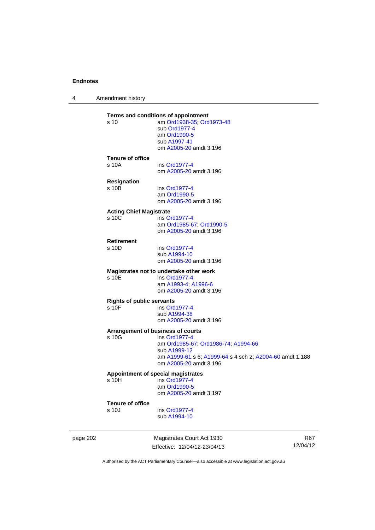4 Amendment history

| s 10                             | Terms and conditions of appointment<br>am Ord1938-35; Ord1973-48<br>sub Ord1977-4 |
|----------------------------------|-----------------------------------------------------------------------------------|
|                                  | am Ord1990-5                                                                      |
|                                  | sub A1997-41                                                                      |
|                                  | om A2005-20 amdt 3.196                                                            |
| <b>Tenure of office</b>          |                                                                                   |
| s 10A                            | ins Ord1977-4                                                                     |
|                                  | om A2005-20 amdt 3.196                                                            |
| <b>Resignation</b>               |                                                                                   |
| s 10B                            | ins Ord1977-4<br>am Ord1990-5                                                     |
|                                  | om A2005-20 amdt 3.196                                                            |
| <b>Acting Chief Magistrate</b>   |                                                                                   |
| s 10C                            | ins Ord1977-4                                                                     |
|                                  | am Ord1985-67, Ord1990-5                                                          |
|                                  | om A2005-20 amdt 3.196                                                            |
| <b>Retirement</b>                |                                                                                   |
| s 10D                            | ins Ord1977-4                                                                     |
|                                  | sub A1994-10                                                                      |
|                                  | om A2005-20 amdt 3.196                                                            |
|                                  | Magistrates not to undertake other work                                           |
| s 10E                            | ins Ord1977-4<br>am A1993-4, A1996-6                                              |
|                                  | om A2005-20 amdt 3.196                                                            |
| <b>Rights of public servants</b> |                                                                                   |
| s 10F                            | ins Ord1977-4                                                                     |
|                                  | sub A1994-38                                                                      |
|                                  | om A2005-20 amdt 3.196                                                            |
|                                  | Arrangement of business of courts                                                 |
| s 10G                            | ins Ord1977-4                                                                     |
|                                  | am Ord1985-67; Ord1986-74; A1994-66<br>sub A1999-12                               |
|                                  | am A1999-61 s 6; A1999-64 s 4 sch 2; A2004-60 amdt 1.188                          |
|                                  | om A2005-20 amdt 3.196                                                            |
|                                  | Appointment of special magistrates                                                |
| s <sub>10H</sub>                 | ins Ord1977-4                                                                     |
|                                  | am Ord1990-5                                                                      |
|                                  | om A2005-20 amdt 3.197                                                            |
| <b>Tenure of office</b>          |                                                                                   |
| s 10J                            | ins Ord1977-4                                                                     |
|                                  | sub A1994-10                                                                      |

page 202 Magistrates Court Act 1930 Effective: 12/04/12-23/04/13

R67 12/04/12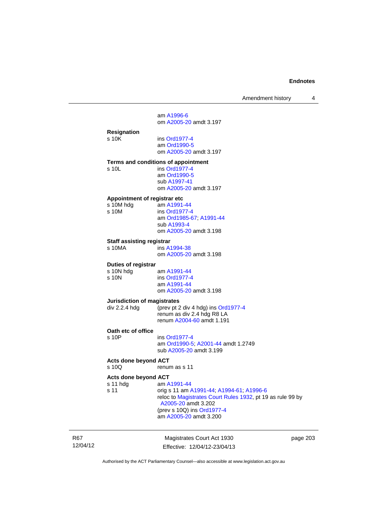Amendment history 4

 am [A1996-6](http://www.legislation.act.gov.au/a/1996-6) om [A2005-20](http://www.legislation.act.gov.au/a/2005-20) amdt 3.197 **Resignation**  ins [Ord1977-4](http://www.legislation.act.gov.au/a/1977-4) am [Ord1990-5](http://www.legislation.act.gov.au/a/alt_ord1990-5) om [A2005-20](http://www.legislation.act.gov.au/a/2005-20) amdt 3.197 **Terms and conditions of appointment**  s 10L ins [Ord1977-4](http://www.legislation.act.gov.au/a/1977-4) am [Ord1990-5](http://www.legislation.act.gov.au/a/alt_ord1990-5) sub [A1997-41](http://www.legislation.act.gov.au/a/1997-41) om [A2005-20](http://www.legislation.act.gov.au/a/2005-20) amdt 3.197 **Appointment of registrar etc**  am [A1991-44](http://www.legislation.act.gov.au/a/1991-44) s 10M ins [Ord1977-4](http://www.legislation.act.gov.au/a/1977-4) am [Ord1985-67](http://www.legislation.act.gov.au/a/1985-67); [A1991-44](http://www.legislation.act.gov.au/a/1991-44) sub [A1993-4](http://www.legislation.act.gov.au/a/1993-4) om [A2005-20](http://www.legislation.act.gov.au/a/2005-20) amdt 3.198 **Staff assisting registrar**<br>**S 10MA** ins A<sup>2</sup> ins [A1994-38](http://www.legislation.act.gov.au/a/1994-38) om [A2005-20](http://www.legislation.act.gov.au/a/2005-20) amdt 3.198 **Duties of registrar**  s 10N hdg am [A1991-44](http://www.legislation.act.gov.au/a/1991-44)<br>s 10N ins Ord1977-4 ins [Ord1977-4](http://www.legislation.act.gov.au/a/1977-4) am [A1991-44](http://www.legislation.act.gov.au/a/1991-44) om [A2005-20](http://www.legislation.act.gov.au/a/2005-20) amdt 3.198 **Jurisdiction of magistrates**<br>div 2.2.4 hdg (prev pt 2 (prev pt 2 div 4 hdg) ins [Ord1977-4](http://www.legislation.act.gov.au/a/1977-4) renum as div 2.4 hdg R8 LA renum [A2004-60](http://www.legislation.act.gov.au/a/2004-60) amdt 1.191 **Oath etc of office**  s 10P ins [Ord1977-4](http://www.legislation.act.gov.au/a/1977-4) am [Ord1990-5;](http://www.legislation.act.gov.au/a/alt_ord1990-5) [A2001-44](http://www.legislation.act.gov.au/a/2001-44) amdt 1.2749 sub [A2005-20](http://www.legislation.act.gov.au/a/2005-20) amdt 3.199 **Acts done beyond ACT**  s 10Q renum as s 11 **Acts done beyond ACT**<br>s 11 hdq am A s 11 hdg am [A1991-44](http://www.legislation.act.gov.au/a/1991-44)<br>s 11 orig s 11 am A s 11 orig s 11 am [A1991-44;](http://www.legislation.act.gov.au/a/1991-44) [A1994-61](http://www.legislation.act.gov.au/a/1994-61); [A1996-6](http://www.legislation.act.gov.au/a/1996-6) reloc to [Magistrates Court Rules 1932](http://www.legislation.act.gov.au/sl/1932-4/default.asp), pt 19 as rule 99 by [A2005-20](http://www.legislation.act.gov.au/a/2005-20) amdt 3.202 (prev s 10Q) ins [Ord1977-4](http://www.legislation.act.gov.au/a/1977-4) am [A2005-20](http://www.legislation.act.gov.au/a/2005-20) amdt 3.200

R67 12/04/12

Magistrates Court Act 1930 Effective: 12/04/12-23/04/13 page 203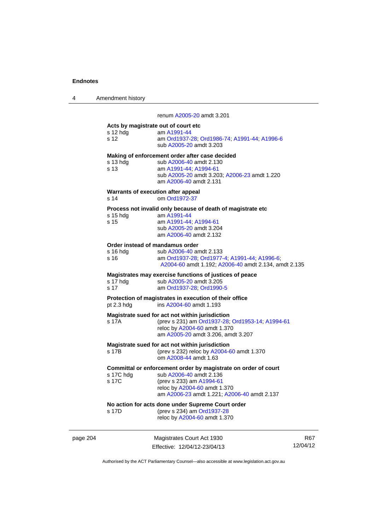| 4 | Amendment history |  |
|---|-------------------|--|
|   |                   |  |

renum [A2005-20](http://www.legislation.act.gov.au/a/2005-20) amdt 3.201

|          | s 12 hdg<br>s 12            | Acts by magistrate out of court etc.<br>am A1991-44<br>am Ord1937-28; Ord1986-74; A1991-44; A1996-6<br>sub A2005-20 amdt 3.203                                                                       |
|----------|-----------------------------|------------------------------------------------------------------------------------------------------------------------------------------------------------------------------------------------------|
|          | s 13 hdg<br>s <sub>13</sub> | Making of enforcement order after case decided<br>sub A2006-40 amdt 2.130<br>am A1991-44; A1994-61<br>sub A2005-20 amdt 3.203; A2006-23 amdt 1.220<br>am A2006-40 amdt 2.131                         |
|          | s <sub>14</sub>             | Warrants of execution after appeal<br>om Ord1972-37                                                                                                                                                  |
|          | $s$ 15 hdg<br>s 15          | Process not invalid only because of death of magistrate etc<br>am A1991-44<br>am A1991-44; A1994-61<br>sub A2005-20 amdt 3.204<br>am A2006-40 amdt 2.132                                             |
|          | s 16 hdg<br>s 16            | Order instead of mandamus order<br>sub A2006-40 amdt 2.133<br>am Ord1937-28; Ord1977-4; A1991-44; A1996-6;<br>A2004-60 amdt 1.192; A2006-40 amdt 2.134, amdt 2.135                                   |
|          | s 17 hdg<br>s 17            | Magistrates may exercise functions of justices of peace<br>sub A2005-20 amdt 3.205<br>am Ord1937-28; Ord1990-5                                                                                       |
|          | pt 2.3 h dq                 | Protection of magistrates in execution of their office<br>ins A2004-60 amdt 1.193                                                                                                                    |
|          | s 17A                       | Magistrate sued for act not within jurisdiction<br>(prev s 231) am Ord1937-28; Ord1953-14; A1994-61<br>reloc by A2004-60 amdt 1.370<br>am A2005-20 amdt 3.206, amdt 3.207                            |
|          | s 17B                       | Magistrate sued for act not within jurisdiction<br>(prev s 232) reloc by A2004-60 amdt 1.370<br>om A2008-44 amdt 1.63                                                                                |
|          | s 17C hdg<br>s 17C          | Committal or enforcement order by magistrate on order of court<br>sub A2006-40 amdt 2.136<br>(prev s 233) am A1994-61<br>reloc by A2004-60 amdt 1.370<br>am A2006-23 amdt 1.221; A2006-40 amdt 2.137 |
|          | s 17D                       | No action for acts done under Supreme Court order<br>(prev s 234) am Ord1937-28<br>reloc by A2004-60 amdt 1.370                                                                                      |
| page 204 |                             | Magistrates Court Act 1930                                                                                                                                                                           |

Effective: 12/04/12-23/04/13

R67 12/04/12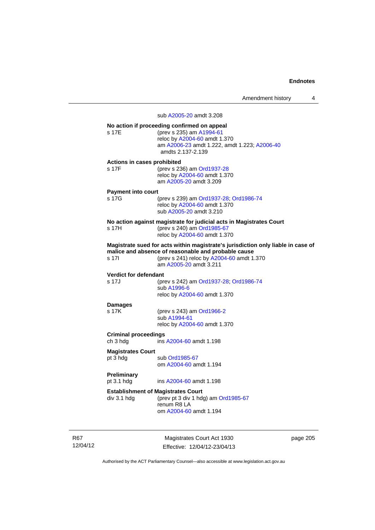Amendment history 4

sub [A2005-20](http://www.legislation.act.gov.au/a/2005-20) amdt 3.208

| s 17F                                                    | No action if proceeding confirmed on appeal<br>(prev s 235) am A1994-61<br>reloc by A2004-60 amdt 1.370<br>am A2006-23 amdt 1.222, amdt 1.223; A2006-40<br>amdts 2.137-2.139                                   |
|----------------------------------------------------------|----------------------------------------------------------------------------------------------------------------------------------------------------------------------------------------------------------------|
| Actions in cases prohibited<br>s 17F                     | (prev s 236) am Ord1937-28<br>reloc by A2004-60 amdt 1.370<br>am A2005-20 amdt 3.209                                                                                                                           |
| <b>Payment into court</b><br>s 17G                       | (prev s 239) am Ord1937-28; Ord1986-74<br>reloc by A2004-60 amdt 1.370<br>sub A2005-20 amdt 3.210                                                                                                              |
| s 17H                                                    | No action against magistrate for judicial acts in Magistrates Court<br>(prev s 240) am Ord1985-67<br>reloc by A2004-60 amdt 1.370                                                                              |
| s 17l                                                    | Magistrate sued for acts within magistrate's jurisdiction only liable in case of<br>malice and absence of reasonable and probable cause<br>(prev s 241) reloc by A2004-60 amdt 1.370<br>am A2005-20 amdt 3.211 |
| <b>Verdict for defendant</b><br>s 17J                    | (prev s 242) am Ord1937-28; Ord1986-74<br>sub A1996-6<br>reloc by A2004-60 amdt 1.370                                                                                                                          |
| <b>Damages</b><br>s 17K                                  | (prev s 243) am Ord1966-2<br>sub A1994-61<br>reloc by A2004-60 amdt 1.370                                                                                                                                      |
| <b>Criminal proceedings</b><br>ch 3 hdg                  | ins A2004-60 amdt 1.198                                                                                                                                                                                        |
| <b>Magistrates Court</b><br>pt 3 hdg                     | sub Ord1985-67<br>om A2004-60 amdt 1.194                                                                                                                                                                       |
| <b>Preliminary</b><br>pt 3.1 hdg                         | ins A2004-60 amdt 1.198                                                                                                                                                                                        |
| <b>Establishment of Magistrates Court</b><br>div 3.1 hdg | (prev pt 3 div 1 hdg) am Ord1985-67<br>renum R8 LA<br>om A2004-60 amdt 1.194                                                                                                                                   |

R67 12/04/12

Magistrates Court Act 1930 Effective: 12/04/12-23/04/13 page 205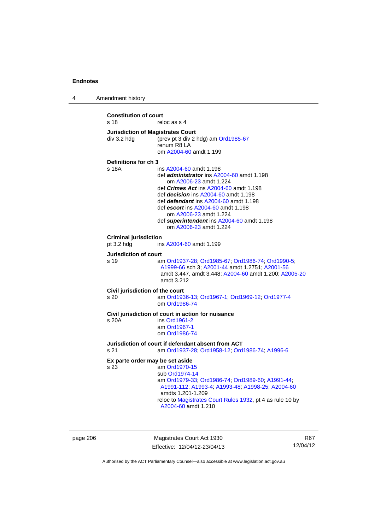4 Amendment history **Constitution of court**  s 18 reloc as s 4 **Jurisdiction of Magistrates Court**  div 3.2 hdg (prev pt 3 div 2 hdg) am [Ord1985-67](http://www.legislation.act.gov.au/a/1985-67) renum R8 LA om [A2004-60](http://www.legislation.act.gov.au/a/2004-60) amdt 1.199 **Definitions for ch 3**  s 18A ins [A2004-60](http://www.legislation.act.gov.au/a/2004-60) amdt 1.198 def *administrator* ins [A2004-60](http://www.legislation.act.gov.au/a/2004-60) amdt 1.198 om [A2006-23](http://www.legislation.act.gov.au/a/2006-23) amdt 1.224 def *Crimes Act* ins [A2004-60](http://www.legislation.act.gov.au/a/2004-60) amdt 1.198 def *decision* ins [A2004-60](http://www.legislation.act.gov.au/a/2004-60) amdt 1.198 def *defendant* ins [A2004-60](http://www.legislation.act.gov.au/a/2004-60) amdt 1.198 def *escort* ins [A2004-60](http://www.legislation.act.gov.au/a/2004-60) amdt 1.198 om [A2006-23](http://www.legislation.act.gov.au/a/2006-23) amdt 1.224 def *superintendent* ins [A2004-60](http://www.legislation.act.gov.au/a/2004-60) amdt 1.198 om [A2006-23](http://www.legislation.act.gov.au/a/2006-23) amdt 1.224 **Criminal jurisdiction**<br>pt 3.2 hdg ins ins [A2004-60](http://www.legislation.act.gov.au/a/2004-60) amdt 1.199 **Jurisdiction of court**  s 19 am [Ord1937-28](http://www.legislation.act.gov.au/a/1937-28); [Ord1985-67](http://www.legislation.act.gov.au/a/1985-67); [Ord1986-74](http://www.legislation.act.gov.au/a/1986-74); [Ord1990-5](http://www.legislation.act.gov.au/a/alt_ord1990-5); [A1999-66](http://www.legislation.act.gov.au/a/1999-66) sch 3; [A2001-44](http://www.legislation.act.gov.au/a/2001-44) amdt 1.2751; [A2001-56](http://www.legislation.act.gov.au/a/2001-56) amdt 3.447, amdt 3.448; [A2004-60](http://www.legislation.act.gov.au/a/2004-60) amdt 1.200; [A2005-20](http://www.legislation.act.gov.au/a/2005-20) amdt 3.212 **Civil jurisdiction of the court**  s 20 am [Ord1936-13](http://www.legislation.act.gov.au/ord/1936-13); [Ord1967-1](http://www.legislation.act.gov.au/a/1967-1); [Ord1969-12](http://www.legislation.act.gov.au/a/1969-12); [Ord1977-4](http://www.legislation.act.gov.au/a/1977-4) om [Ord1986-74](http://www.legislation.act.gov.au/a/1986-74) **Civil jurisdiction of court in action for nuisance**  s 20A ins [Ord1961-2](http://www.legislation.act.gov.au/a/1961-2) am [Ord1967-1](http://www.legislation.act.gov.au/a/1967-1) om [Ord1986-74](http://www.legislation.act.gov.au/a/1986-74) **Jurisdiction of court if defendant absent from ACT**  s 21 am [Ord1937-28](http://www.legislation.act.gov.au/a/1937-28); [Ord1958-12](http://www.legislation.act.gov.au/a/1958-12); [Ord1986-74](http://www.legislation.act.gov.au/a/1986-74); [A1996-6](http://www.legislation.act.gov.au/a/1996-6) **Ex parte order may be set aside**  s 23 am [Ord1970-15](http://www.legislation.act.gov.au/a/1970-15) sub [Ord1974-14](http://www.legislation.act.gov.au/a/1974-14) am [Ord1979-33](http://www.legislation.act.gov.au/a/1979-33); [Ord1986-74;](http://www.legislation.act.gov.au/a/1986-74) [Ord1989-60](http://www.legislation.act.gov.au/a/1989-60); [A1991-44](http://www.legislation.act.gov.au/a/1991-44); [A1991-112;](http://www.legislation.act.gov.au/a/1991-112) [A1993-4](http://www.legislation.act.gov.au/a/1993-4); [A1993-48](http://www.legislation.act.gov.au/a/1993-48); [A1998-25](http://www.legislation.act.gov.au/a/1998-25); [A2004-60](http://www.legislation.act.gov.au/a/2004-60) amdts 1.201-1.209 reloc to [Magistrates Court Rules 1932](http://www.legislation.act.gov.au/sl/1932-4/default.asp), pt 4 as rule 10 by [A2004-60](http://www.legislation.act.gov.au/a/2004-60) amdt 1.210

page 206 Magistrates Court Act 1930 Effective: 12/04/12-23/04/13

R67 12/04/12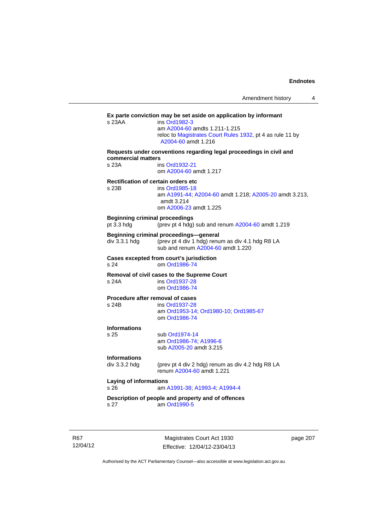|                                                  | ins Ord1982-3<br>am A2004-60 amdts 1.211-1.215<br>reloc to Magistrates Court Rules 1932, pt 4 as rule 11 by                     |
|--------------------------------------------------|---------------------------------------------------------------------------------------------------------------------------------|
|                                                  | A2004-60 amdt 1.216                                                                                                             |
| commercial matters                               | Requests under conventions regarding legal proceedings in civil and                                                             |
| s 23A                                            | ins Ord1932-21<br>om A2004-60 amdt 1.217                                                                                        |
| s 23B                                            | <b>Rectification of certain orders etc</b><br>ins Ord1985-18                                                                    |
|                                                  | am A1991-44; A2004-60 amdt 1.218; A2005-20 amdt 3.213,<br>amdt 3.214<br>om A2006-23 amdt 1.225                                  |
| pt 3.3 hdg                                       | <b>Beginning criminal proceedings</b><br>(prev pt 4 hdg) sub and renum A2004-60 amdt 1.219                                      |
| div 3.3.1 hdg                                    | Beginning criminal proceedings-general<br>(prev pt 4 div 1 hdg) renum as div 4.1 hdg R8 LA<br>sub and renum A2004-60 amdt 1.220 |
| s 24                                             | Cases excepted from court's jurisdiction<br>om Ord1986-74                                                                       |
| s 24A                                            | Removal of civil cases to the Supreme Court<br>ins Ord1937-28<br>om Ord1986-74                                                  |
|                                                  | Procedure after removal of cases                                                                                                |
| s 24B                                            | ins Ord1937-28<br>am Ord1953-14; Ord1980-10; Ord1985-67<br>om Ord1986-74                                                        |
| <b>Informations</b><br>s 25                      | sub Ord1974-14                                                                                                                  |
|                                                  | am Ord1986-74; A1996-6<br>sub A2005-20 amdt 3.215                                                                               |
| <b>Informations</b>                              |                                                                                                                                 |
| div 3.3.2 hdg                                    | (prev pt 4 div 2 hdg) renum as div 4.2 hdg R8 LA<br>renum A2004-60 amdt 1.221                                                   |
| <b>Laying of informations</b><br>s <sub>26</sub> | am A1991-38, A1993-4, A1994-4                                                                                                   |
|                                                  | Description of people and property and of offences                                                                              |

R67 12/04/12

Magistrates Court Act 1930 Effective: 12/04/12-23/04/13 page 207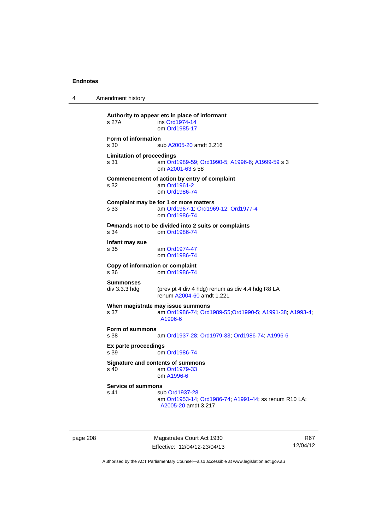4 Amendment history

**Authority to appear etc in place of informant**  ins [Ord1974-14](http://www.legislation.act.gov.au/a/1974-14) om [Ord1985-17](http://www.legislation.act.gov.au/a/1985-17) **Form of information**  s 30 sub [A2005-20](http://www.legislation.act.gov.au/a/2005-20) amdt 3.216 **Limitation of proceedings**  s 31 am [Ord1989-59](http://www.legislation.act.gov.au/a/1989-59); [Ord1990-5](http://www.legislation.act.gov.au/a/alt_ord1990-5); [A1996-6](http://www.legislation.act.gov.au/a/1996-6); [A1999-59](http://www.legislation.act.gov.au/a/1999-59) s 3 om [A2001-63](http://www.legislation.act.gov.au/a/2001-63) s 58 **Commencement of action by entry of complaint**  s 32 am [Ord1961-2](http://www.legislation.act.gov.au/a/1961-2) om [Ord1986-74](http://www.legislation.act.gov.au/a/1986-74) **Complaint may be for 1 or more matters**  s 33 am [Ord1967-1;](http://www.legislation.act.gov.au/a/1967-1) [Ord1969-12](http://www.legislation.act.gov.au/a/1969-12); [Ord1977-4](http://www.legislation.act.gov.au/a/1977-4) om [Ord1986-74](http://www.legislation.act.gov.au/a/1986-74) **Demands not to be divided into 2 suits or complaints**  s 34 om [Ord1986-74](http://www.legislation.act.gov.au/a/1986-74) **Infant may sue**  s 35 am [Ord1974-47](http://www.legislation.act.gov.au/a/1974-47) om [Ord1986-74](http://www.legislation.act.gov.au/a/1986-74) **Copy of information or complaint**  om [Ord1986-74](http://www.legislation.act.gov.au/a/1986-74) **Summonses**  div 3.3.3 hdg (prev pt 4 div 4 hdg) renum as div 4.4 hdg R8 LA renum [A2004-60](http://www.legislation.act.gov.au/a/2004-60) amdt 1.221 **When magistrate may issue summons**  s 37 am [Ord1986-74](http://www.legislation.act.gov.au/a/1986-74); [Ord1989-55](http://www.legislation.act.gov.au/a/1989-55);[Ord1990-5;](http://www.legislation.act.gov.au/a/alt_ord1990-5) [A1991-38;](http://www.legislation.act.gov.au/a/1991-38) [A1993-4;](http://www.legislation.act.gov.au/a/1993-4) [A1996-6](http://www.legislation.act.gov.au/a/1996-6) **Form of summons**  s 38 am [Ord1937-28](http://www.legislation.act.gov.au/a/1937-28); [Ord1979-33](http://www.legislation.act.gov.au/a/1979-33); [Ord1986-74](http://www.legislation.act.gov.au/a/1986-74); [A1996-6](http://www.legislation.act.gov.au/a/1996-6) **Ex parte proceedings**  s 39 om [Ord1986-74](http://www.legislation.act.gov.au/a/1986-74) **Signature and contents of summons**<br>s 40 am Ord1979-33 am [Ord1979-33](http://www.legislation.act.gov.au/a/1979-33) om [A1996-6](http://www.legislation.act.gov.au/a/1996-6) **Service of summons**  s 41 sub [Ord1937-28](http://www.legislation.act.gov.au/a/1937-28) am [Ord1953-14](http://www.legislation.act.gov.au/a/1953-14); [Ord1986-74](http://www.legislation.act.gov.au/a/1986-74); [A1991-44](http://www.legislation.act.gov.au/a/1991-44); ss renum R10 LA; [A2005-20](http://www.legislation.act.gov.au/a/2005-20) amdt 3.217

page 208 Magistrates Court Act 1930 Effective: 12/04/12-23/04/13

R67 12/04/12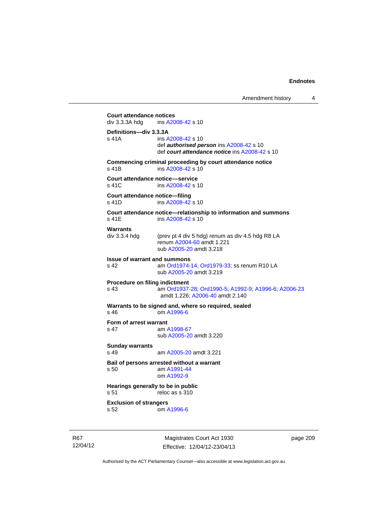Amendment history 4 Magistrates Court Act 1930 **Court attendance notices**<br>div 3.3.3A hdg ins A20 ins [A2008-42](http://www.legislation.act.gov.au/a/2008-42) s 10 **Definitions—div 3.3.3A**  s 41A ins [A2008-42](http://www.legislation.act.gov.au/a/2008-42) s 10 def *authorised person* ins [A2008-42](http://www.legislation.act.gov.au/a/2008-42) s 10 def *court attendance notice* ins [A2008-42](http://www.legislation.act.gov.au/a/2008-42) s 10 **Commencing criminal proceeding by court attendance notice**  s 41B ins [A2008-42](http://www.legislation.act.gov.au/a/2008-42) s 10 **Court attendance notice––service**  s 41C ins [A2008-42](http://www.legislation.act.gov.au/a/2008-42) s 10 **Court attendance notice—filing**  s 41D ins [A2008-42](http://www.legislation.act.gov.au/a/2008-42) s 10 **Court attendance notice—relationship to information and summons**  s 41E ins [A2008-42](http://www.legislation.act.gov.au/a/2008-42) s 10 **Warrants**  div 3.3.4 hdg (prev pt 4 div 5 hdg) renum as div 4.5 hdg R8 LA renum [A2004-60](http://www.legislation.act.gov.au/a/2004-60) amdt 1.221 sub [A2005-20](http://www.legislation.act.gov.au/a/2005-20) amdt 3.218 **Issue of warrant and summons**  am [Ord1974-14](http://www.legislation.act.gov.au/a/1974-14), [Ord1979-33](http://www.legislation.act.gov.au/a/1979-33); ss renum R10 LA sub [A2005-20](http://www.legislation.act.gov.au/a/2005-20) amdt 3.219 **Procedure on filing indictment**  s 43 am [Ord1937-28](http://www.legislation.act.gov.au/a/1937-28); [Ord1990-5](http://www.legislation.act.gov.au/a/alt_ord1990-5); [A1992-9](http://www.legislation.act.gov.au/a/1992-9); [A1996-6](http://www.legislation.act.gov.au/a/1996-6); [A2006-23](http://www.legislation.act.gov.au/a/2006-23) amdt 1.226; [A2006-40](http://www.legislation.act.gov.au/a/2006-40) amdt 2.140 **Warrants to be signed and, where so required, sealed**  s 46 om [A1996-6](http://www.legislation.act.gov.au/a/1996-6) **Form of arrest warrant**  s 47 am [A1998-67](http://www.legislation.act.gov.au/a/1998-67) sub [A2005-20](http://www.legislation.act.gov.au/a/2005-20) amdt 3.220 **Sunday warrants**  s 49 am [A2005-20](http://www.legislation.act.gov.au/a/2005-20) amdt 3.221 **Bail of persons arrested without a warrant**  s 50 am [A1991-44](http://www.legislation.act.gov.au/a/1991-44) om [A1992-9](http://www.legislation.act.gov.au/a/1992-9) **Hearings generally to be in public**  s 51 reloc as s 310 **Exclusion of strangers**  s 52 om [A1996-6](http://www.legislation.act.gov.au/a/1996-6)

page 209

Authorised by the ACT Parliamentary Counsel—also accessible at www.legislation.act.gov.au

Effective: 12/04/12-23/04/13

R67 12/04/12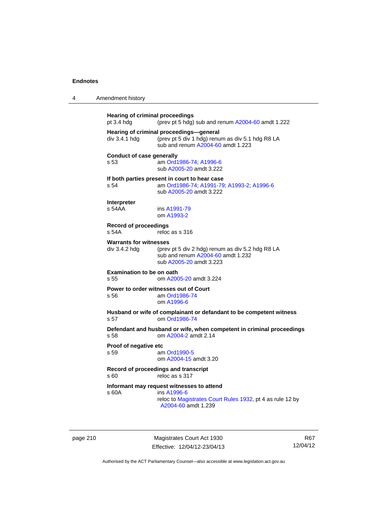4 Amendment history

| pt $3.4$ hdg                                   | <b>Hearing of criminal proceedings</b><br>(prev pt 5 hdg) sub and renum A2004-60 amdt 1.222                                                  |
|------------------------------------------------|----------------------------------------------------------------------------------------------------------------------------------------------|
| div 3.4.1 hdg                                  | Hearing of criminal proceedings-general<br>(prev pt 5 div 1 hdg) renum as div 5.1 hdg R8 LA<br>sub and renum A2004-60 amdt 1.223             |
| <b>Conduct of case generally</b><br>s 53       | am Ord1986-74, A1996-6<br>sub A2005-20 amdt 3.222                                                                                            |
| s 54                                           | If both parties present in court to hear case<br>am Ord1986-74, A1991-79, A1993-2, A1996-6<br>sub A2005-20 amdt 3.222                        |
| Interpreter<br>s <sub>54AA</sub>               | ins A1991-79<br>om A1993-2                                                                                                                   |
| <b>Record of proceedings</b><br>s 54A          | reloc as s 316                                                                                                                               |
| <b>Warrants for witnesses</b><br>div 3.4.2 hdg | (prev pt 5 div 2 hdg) renum as div 5.2 hdg R8 LA<br>sub and renum A2004-60 amdt 1.232<br>sub A2005-20 amdt 3.223                             |
| Examination to be on oath<br>s.55              | om A2005-20 amdt 3.224                                                                                                                       |
| s.56                                           | Power to order witnesses out of Court<br>am Ord1986-74<br>om A1996-6                                                                         |
| s 57                                           | Husband or wife of complainant or defandant to be competent witness<br>om Ord1986-74                                                         |
| s 58                                           | Defendant and husband or wife, when competent in criminal proceedings<br>om A2004-2 amdt 2.14                                                |
| Proof of negative etc<br>s 59                  | am Ord1990-5<br>om A2004-15 amdt 3.20                                                                                                        |
| s60                                            | Record of proceedings and transcript<br>reloc as s 317                                                                                       |
| s 60A                                          | Informant may request witnesses to attend<br>ins A1996-6<br>reloc to Magistrates Court Rules 1932, pt 4 as rule 12 by<br>A2004-60 amdt 1.239 |
|                                                |                                                                                                                                              |

page 210 Magistrates Court Act 1930 Effective: 12/04/12-23/04/13

R67 12/04/12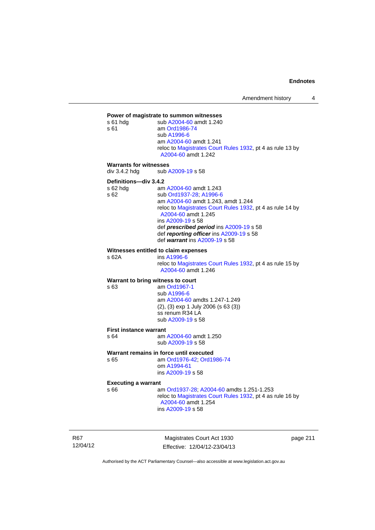### **Power of magistrate to summon witnesses**

| s 61 hdg<br>s 61                               | sub A2004-60 amdt 1.240<br>am Ord1986-74<br>sub A1996-6<br>am A2004-60 amdt 1.241<br>reloc to Magistrates Court Rules 1932, pt 4 as rule 13 by<br>A2004-60 amdt 1.242                                                                                                                                                   |  |  |  |
|------------------------------------------------|-------------------------------------------------------------------------------------------------------------------------------------------------------------------------------------------------------------------------------------------------------------------------------------------------------------------------|--|--|--|
| <b>Warrants for witnesses</b><br>div 3.4.2 hdg | sub A2009-19 s 58                                                                                                                                                                                                                                                                                                       |  |  |  |
| Definitions-div 3.4.2                          |                                                                                                                                                                                                                                                                                                                         |  |  |  |
| s 62 hdg<br>s 62                               | am A2004-60 amdt 1.243<br>sub Ord1937-28; A1996-6<br>am A2004-60 amdt 1.243, amdt 1.244<br>reloc to Magistrates Court Rules 1932, pt 4 as rule 14 by<br>A2004-60 amdt 1.245<br>ins A2009-19 s 58<br>def prescribed period ins A2009-19 s 58<br>def reporting officer ins A2009-19 s 58<br>def warrant ins A2009-19 s 58 |  |  |  |
| s 62A                                          | Witnesses entitled to claim expenses<br>ins A1996-6<br>reloc to Magistrates Court Rules 1932, pt 4 as rule 15 by<br>A2004-60 amdt 1.246                                                                                                                                                                                 |  |  |  |
| Warrant to bring witness to court              |                                                                                                                                                                                                                                                                                                                         |  |  |  |
| s 63                                           | am Ord1967-1<br>sub A1996-6<br>am A2004-60 amdts 1.247-1.249<br>$(2)$ , $(3)$ exp 1 July 2006 (s 63 $(3)$ )<br>ss renum R34 LA<br>sub A2009-19 s 58                                                                                                                                                                     |  |  |  |
| <b>First instance warrant</b>                  |                                                                                                                                                                                                                                                                                                                         |  |  |  |
| s 64                                           | am A2004-60 amdt 1.250<br>sub A2009-19 s 58                                                                                                                                                                                                                                                                             |  |  |  |
| s 65                                           | Warrant remains in force until executed<br>am Ord1976-42; Ord1986-74<br>om A1994-61<br>ins A2009-19 s 58                                                                                                                                                                                                                |  |  |  |
|                                                | <b>Executing a warrant</b>                                                                                                                                                                                                                                                                                              |  |  |  |
| s 66                                           | am Ord1937-28, A2004-60 amdts 1.251-1.253<br>reloc to Magistrates Court Rules 1932, pt 4 as rule 16 by<br>A2004-60 amdt 1.254<br>ins A2009-19 s 58                                                                                                                                                                      |  |  |  |

R67 12/04/12

Magistrates Court Act 1930 Effective: 12/04/12-23/04/13 page 211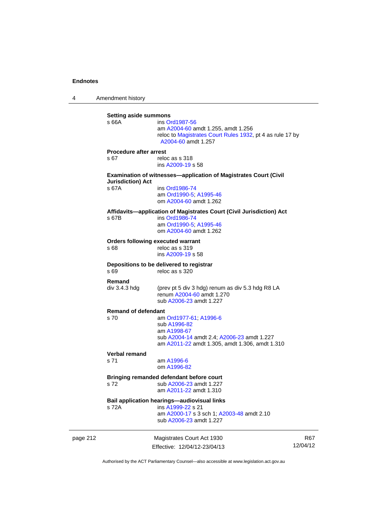4 Amendment history

|          | <b>Setting aside summons</b><br>s 66A            | ins Ord1987-56<br>am A2004-60 amdt 1.255, amdt 1.256<br>reloc to Magistrates Court Rules 1932, pt 4 as rule 17 by<br>A2004-60 amdt 1.257              |            |
|----------|--------------------------------------------------|-------------------------------------------------------------------------------------------------------------------------------------------------------|------------|
|          | <b>Procedure after arrest</b><br>s 67            | reloc as s 318<br>ins A2009-19 s 58                                                                                                                   |            |
|          |                                                  | <b>Examination of witnesses-application of Magistrates Court (Civil</b>                                                                               |            |
|          | <b>Jurisdiction</b> ) Act<br>s 67A               | ins Ord1986-74<br>am Ord1990-5; A1995-46<br>om A2004-60 amdt 1.262                                                                                    |            |
|          | s 67B                                            | Affidavits-application of Magistrates Court (Civil Jurisdiction) Act<br>ins Ord1986-74<br>am Ord1990-5; A1995-46<br>om A2004-60 amdt 1.262            |            |
|          | <b>Orders following executed warrant</b><br>s 68 | reloc as s 319<br>ins A2009-19 s 58                                                                                                                   |            |
|          | s 69                                             | Depositions to be delivered to registrar<br>reloc as s 320                                                                                            |            |
|          | Remand<br>div 3.4.3 hdg                          | (prev pt 5 div 3 hdg) renum as div 5.3 hdg R8 LA<br>renum A2004-60 amdt 1.270<br>sub A2006-23 amdt 1.227                                              |            |
|          | <b>Remand of defendant</b>                       |                                                                                                                                                       |            |
|          | s 70                                             | am Ord1977-61, A1996-6<br>sub A1996-82<br>am A1998-67<br>sub A2004-14 amdt 2.4; A2006-23 amdt 1.227<br>am A2011-22 amdt 1.305, amdt 1.306, amdt 1.310 |            |
|          | <b>Verbal remand</b>                             |                                                                                                                                                       |            |
|          | s 71                                             | am A1996-6<br>om A1996-82                                                                                                                             |            |
|          | s 72                                             | Bringing remanded defendant before court<br>sub A2006-23 amdt 1.227<br>am A2011-22 amdt 1.310                                                         |            |
|          | s 72A                                            | <b>Bail application hearings-audiovisual links</b><br>ins A1999-22 s 21<br>am A2000-17 s 3 sch 1; A2003-48 amdt 2.10<br>sub A2006-23 amdt 1.227       |            |
| page 212 |                                                  | Magistrates Court Act 1930                                                                                                                            | <b>R67</b> |
|          |                                                  | Effective: 12/04/12-23/04/13                                                                                                                          | 12/04/12   |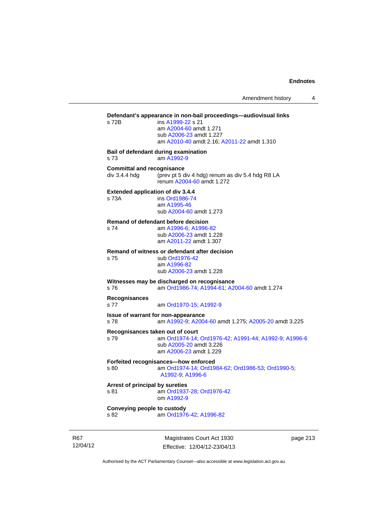# Magistrates Court Act 1930 page 213 **Defendant's appearance in non-bail proceedings—audiovisual links**  s 72B ins [A1999-22](http://www.legislation.act.gov.au/a/1999-22) s 21 am [A2004-60](http://www.legislation.act.gov.au/a/2004-60) amdt 1.271 sub [A2006-23](http://www.legislation.act.gov.au/a/2006-23) amdt 1.227 am [A2010-40](http://www.legislation.act.gov.au/a/2010-40) amdt 2.16; [A2011-22](http://www.legislation.act.gov.au/a/2011-22) amdt 1.310 **Bail of defendant during examination**  s 73 am [A1992-9](http://www.legislation.act.gov.au/a/1992-9) **Committal and recognisance**  div 3.4.4 hdg (prev pt 5 div 4 hdg) renum as div 5.4 hdg R8 LA renum [A2004-60](http://www.legislation.act.gov.au/a/2004-60) amdt 1.272 **Extended application of div 3.4.4**  s 73A ins [Ord1986-74](http://www.legislation.act.gov.au/a/1986-74) am [A1995-46](http://www.legislation.act.gov.au/a/1995-46) sub [A2004-60](http://www.legislation.act.gov.au/a/2004-60) amdt 1.273 **Remand of defendant before decision**  s 74 am [A1996-6;](http://www.legislation.act.gov.au/a/1996-6) [A1996-82](http://www.legislation.act.gov.au/a/1996-82) sub [A2006-23](http://www.legislation.act.gov.au/a/2006-23) amdt 1.228 am [A2011-22](http://www.legislation.act.gov.au/a/2011-22) amdt 1.307 **Remand of witness or defendant after decision**  sub [Ord1976-42](http://www.legislation.act.gov.au/a/1976-42) am [A1996-82](http://www.legislation.act.gov.au/a/1996-82) sub [A2006-23](http://www.legislation.act.gov.au/a/2006-23) amdt 1.228 **Witnesses may be discharged on recognisance**  s 76 am [Ord1986-74](http://www.legislation.act.gov.au/a/1986-74); [A1994-61](http://www.legislation.act.gov.au/a/1994-61); [A2004-60](http://www.legislation.act.gov.au/a/2004-60) amdt 1.274 **Recognisances**  s 77 am [Ord1970-15](http://www.legislation.act.gov.au/a/1970-15); [A1992-9](http://www.legislation.act.gov.au/a/1992-9) **Issue of warrant for non-appearance**  s 78 am [A1992-9;](http://www.legislation.act.gov.au/a/1992-9) [A2004-60](http://www.legislation.act.gov.au/a/2004-60) amdt 1.275; [A2005-20](http://www.legislation.act.gov.au/a/2005-20) amdt 3.225 **Recognisances taken out of court**  s 79 am [Ord1974-14](http://www.legislation.act.gov.au/a/1974-14); [Ord1976-42](http://www.legislation.act.gov.au/a/1976-42); [A1991-44](http://www.legislation.act.gov.au/a/1991-44); [A1992-9](http://www.legislation.act.gov.au/a/1992-9); [A1996-6](http://www.legislation.act.gov.au/a/1996-6) sub [A2005-20](http://www.legislation.act.gov.au/a/2005-20) amdt 3.226 am [A2006-23](http://www.legislation.act.gov.au/a/2006-23) amdt 1.229 **Forfeited recognisances—how enforced**<br>s 80 am Ord1974-14: Ord19 am [Ord1974-14](http://www.legislation.act.gov.au/a/1974-14); [Ord1984-62](http://www.legislation.act.gov.au/a/1984-62); [Ord1986-53](http://www.legislation.act.gov.au/a/1986-53); [Ord1990-5](http://www.legislation.act.gov.au/a/alt_ord1990-5); [A1992-9;](http://www.legislation.act.gov.au/a/1992-9) [A1996-6](http://www.legislation.act.gov.au/a/1996-6) **Arrest of principal by sureties**  s 81 am [Ord1937-28](http://www.legislation.act.gov.au/a/1937-28); [Ord1976-42](http://www.legislation.act.gov.au/a/1976-42) om [A1992-9](http://www.legislation.act.gov.au/a/1992-9) **Conveying people to custody**  s 82 am [Ord1976-42](http://www.legislation.act.gov.au/a/1976-42); [A1996-82](http://www.legislation.act.gov.au/a/1996-82)

R67 12/04/12

Effective: 12/04/12-23/04/13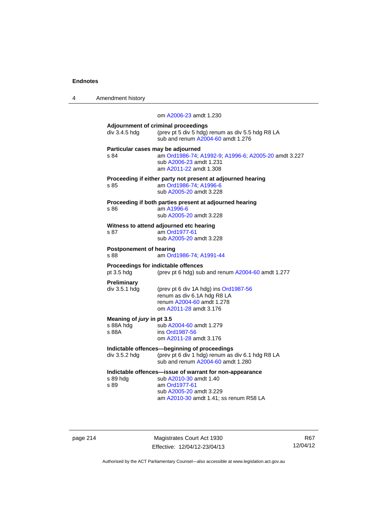| 4 | Amendment history |
|---|-------------------|
|---|-------------------|

|                                                 | om A2006-23 amdt 1.230                                                                                                                                                  |
|-------------------------------------------------|-------------------------------------------------------------------------------------------------------------------------------------------------------------------------|
| div 3.4.5 hdg                                   | Adjournment of criminal proceedings<br>(prev pt 5 div 5 hdg) renum as div 5.5 hdg R8 LA<br>sub and renum A2004-60 amdt 1.276                                            |
| s 84                                            | Particular cases may be adjourned<br>am Ord1986-74; A1992-9; A1996-6; A2005-20 amdt 3.227<br>sub A2006-23 amdt 1.231<br>am A2011-22 amdt 1.308                          |
| s 85                                            | Proceeding if either party not present at adjourned hearing<br>am Ord1986-74; A1996-6<br>sub A2005-20 amdt 3.228                                                        |
| s 86                                            | Proceeding if both parties present at adjourned hearing<br>am A1996-6<br>sub A2005-20 amdt 3.228                                                                        |
| s 87                                            | Witness to attend adjourned etc hearing<br>am Ord1977-61<br>sub A2005-20 amdt 3.228                                                                                     |
| <b>Postponement of hearing</b><br>s 88          | am Ord1986-74; A1991-44                                                                                                                                                 |
| pt 3.5 hdg                                      | Proceedings for indictable offences<br>(prev pt 6 hdg) sub and renum A2004-60 amdt 1.277                                                                                |
| <b>Preliminary</b><br>div 3.5.1 hdg             | (prev pt 6 div 1A hdg) ins Ord1987-56<br>renum as div 6.1A hdg R8 LA<br>renum A2004-60 amdt 1.278<br>om A2011-28 amdt 3.176                                             |
| Meaning of jury in pt 3.5<br>s 88A hdg<br>s 88A | sub A2004-60 amdt 1.279<br>ins Ord1987-56<br>om A2011-28 amdt 3.176                                                                                                     |
| div 3.5.2 hdg                                   | Indictable offences-beginning of proceedings<br>(prev pt 6 div 1 hdg) renum as div 6.1 hdg R8 LA<br>sub and renum A2004-60 amdt 1.280                                   |
| s 89 hdg<br>s 89                                | Indictable offences-issue of warrant for non-appearance<br>sub A2010-30 amdt 1.40<br>am Ord1977-61<br>sub A2005-20 amdt 3.229<br>am A2010-30 amdt 1.41; ss renum R58 LA |

page 214 Magistrates Court Act 1930 Effective: 12/04/12-23/04/13

R67 12/04/12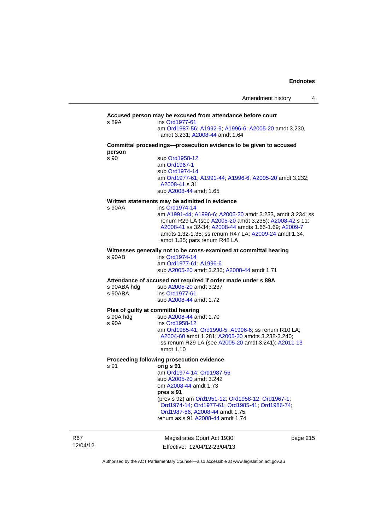### **Accused person may be excused from attendance before court**  s 89A ins [Ord1977-61](http://www.legislation.act.gov.au/a/1977-61) am [Ord1987-56](http://www.legislation.act.gov.au/a/1987-56); [A1992-9](http://www.legislation.act.gov.au/a/1992-9); [A1996-6](http://www.legislation.act.gov.au/a/1996-6); [A2005-20](http://www.legislation.act.gov.au/a/2005-20) amdt 3.230, amdt 3.231; [A2008-44](http://www.legislation.act.gov.au/a/2008-44) amdt 1.64 **Committal proceedings—prosecution evidence to be given to accused person**  s 90 sub [Ord1958-12](http://www.legislation.act.gov.au/a/1958-12) am [Ord1967-1](http://www.legislation.act.gov.au/a/1967-1) sub [Ord1974-14](http://www.legislation.act.gov.au/a/1974-14) am [Ord1977-61](http://www.legislation.act.gov.au/a/1977-61); [A1991-44](http://www.legislation.act.gov.au/a/1991-44); [A1996-6](http://www.legislation.act.gov.au/a/1996-6); [A2005-20](http://www.legislation.act.gov.au/a/2005-20) amdt 3.232; [A2008-41](http://www.legislation.act.gov.au/a/2008-41) s 31 sub [A2008-44](http://www.legislation.act.gov.au/a/2008-44) amdt 1.65 **Written statements may be admitted in evidence**  s 90AA ins [Ord1974-14](http://www.legislation.act.gov.au/a/1974-14) am [A1991-44](http://www.legislation.act.gov.au/a/1991-44); [A1996-6](http://www.legislation.act.gov.au/a/1996-6); [A2005-20](http://www.legislation.act.gov.au/a/2005-20) amdt 3.233, amdt 3.234; ss renum R29 LA (see [A2005-20](http://www.legislation.act.gov.au/a/2005-20) amdt 3.235); [A2008-42](http://www.legislation.act.gov.au/a/2008-42) s 11; [A2008-41](http://www.legislation.act.gov.au/a/2008-41) ss 32-34; [A2008-44](http://www.legislation.act.gov.au/a/2008-44) amdts 1.66-1.69; [A2009-7](http://www.legislation.act.gov.au/a/2009-7) amdts 1.32-1.35; ss renum R47 LA; [A2009-24](http://www.legislation.act.gov.au/a/2009-24) amdt 1.34, amdt 1.35; pars renum R48 LA **Witnesses generally not to be cross-examined at committal hearing**  s 90AB ins [Ord1974-14](http://www.legislation.act.gov.au/a/1974-14) am [Ord1977-61](http://www.legislation.act.gov.au/a/1977-61); [A1996-6](http://www.legislation.act.gov.au/a/1996-6) sub [A2005-20](http://www.legislation.act.gov.au/a/2005-20) amdt 3.236; [A2008-44](http://www.legislation.act.gov.au/a/2008-44) amdt 1.71 **Attendance of accused not required if order made under s 89A**  s 90ABA hdg sub [A2005-20](http://www.legislation.act.gov.au/a/2005-20) amdt 3.237<br>s 90ABA ins Ord1977-61 ins [Ord1977-61](http://www.legislation.act.gov.au/a/1977-61) sub [A2008-44](http://www.legislation.act.gov.au/a/2008-44) amdt 1.72 **Plea of guilty at committal hearing**<br>s 90A hdd **blues** sub A2008-44 are sub [A2008-44](http://www.legislation.act.gov.au/a/2008-44) amdt 1.70 s 90A ins [Ord1958-12](http://www.legislation.act.gov.au/a/1958-12) am [Ord1985-41](http://www.legislation.act.gov.au/a/1985-41); [Ord1990-5](http://www.legislation.act.gov.au/a/alt_ord1990-5); [A1996-6](http://www.legislation.act.gov.au/a/1996-6); ss renum R10 LA; [A2004-60](http://www.legislation.act.gov.au/a/2004-60) amdt 1.281; [A2005-20](http://www.legislation.act.gov.au/a/2005-20) amdts 3.238-3.240; ss renum R29 LA (see [A2005-20](http://www.legislation.act.gov.au/a/2005-20) amdt 3.241); [A2011-13](http://www.legislation.act.gov.au/a/2011-13) amdt 1.10 **Proceeding following prosecution evidence**  s 91 **orig s 91** am [Ord1974-14](http://www.legislation.act.gov.au/a/1974-14); [Ord1987-56](http://www.legislation.act.gov.au/a/1987-56) sub [A2005-20](http://www.legislation.act.gov.au/a/2005-20) amdt 3.242 om [A2008-44](http://www.legislation.act.gov.au/a/2008-44) amdt 1.73 **pres s 91** (prev s 92) am [Ord1951-12;](http://www.legislation.act.gov.au/a/1951-12) [Ord1958-12;](http://www.legislation.act.gov.au/a/1958-12) [Ord1967-1;](http://www.legislation.act.gov.au/a/1967-1) [Ord1974-14;](http://www.legislation.act.gov.au/a/1974-14) [Ord1977-61](http://www.legislation.act.gov.au/a/1977-61); [Ord1985-41](http://www.legislation.act.gov.au/a/1985-41); [Ord1986-74](http://www.legislation.act.gov.au/a/1986-74); [Ord1987-56;](http://www.legislation.act.gov.au/a/1987-56) [A2008-44](http://www.legislation.act.gov.au/a/2008-44) amdt 1.75 renum as s 91 [A2008-44](http://www.legislation.act.gov.au/a/2008-44) amdt 1.74

R67 12/04/12

Magistrates Court Act 1930 Effective: 12/04/12-23/04/13 page 215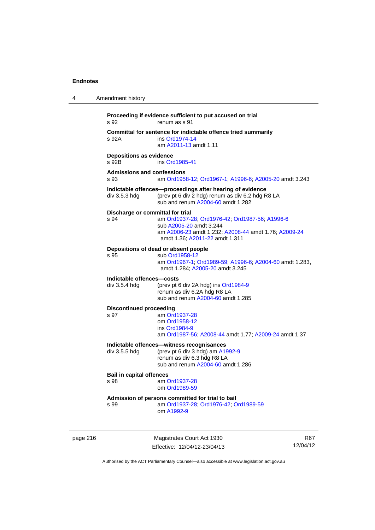| s 92                                       | Proceeding if evidence sufficient to put accused on trial<br>renum as s 91                                                                                                                              |
|--------------------------------------------|---------------------------------------------------------------------------------------------------------------------------------------------------------------------------------------------------------|
| s 92A                                      | Committal for sentence for indictable offence tried summarily<br>ins Ord1974-14<br>am A2011-13 amdt 1.11                                                                                                |
| <b>Depositions as evidence</b><br>s 92B    | ins Ord1985-41                                                                                                                                                                                          |
| <b>Admissions and confessions</b><br>s 93  | am Ord1958-12; Ord1967-1; A1996-6; A2005-20 amdt 3.243                                                                                                                                                  |
| div 3.5.3 hdg                              | Indictable offences-proceedings after hearing of evidence<br>(prev pt 6 div 2 hdg) renum as div 6.2 hdg R8 LA<br>sub and renum A2004-60 amdt 1.282                                                      |
| s 94                                       | Discharge or committal for trial<br>am Ord1937-28; Ord1976-42; Ord1987-56; A1996-6<br>sub A2005-20 amdt 3.244<br>am A2006-23 amdt 1.232; A2008-44 amdt 1.76; A2009-24<br>amdt 1.36; A2011-22 amdt 1.311 |
| s 95                                       | Depositions of dead or absent people<br>sub Ord1958-12<br>am Ord1967-1; Ord1989-59; A1996-6; A2004-60 amdt 1.283,<br>amdt 1.284; A2005-20 amdt 3.245                                                    |
| Indictable offences-costs<br>div 3.5.4 hdg | (prev pt 6 div 2A hdg) ins Ord1984-9<br>renum as div 6.2A hdg R8 LA<br>sub and renum A2004-60 amdt 1.285                                                                                                |
| <b>Discontinued proceeding</b><br>s 97     | am Ord1937-28<br>om Ord1958-12<br>ins Ord1984-9<br>am Ord1987-56; A2008-44 amdt 1.77; A2009-24 amdt 1.37                                                                                                |
| div 3.5.5 hdg                              | Indictable offences-witness recognisances<br>(prev pt 6 div 3 hdg) am A1992-9<br>renum as div 6.3 hdg R8 LA<br>sub and renum A2004-60 amdt 1.286                                                        |
| <b>Bail in capital offences</b><br>s 98    | am Ord1937-28<br>om Ord1989-59                                                                                                                                                                          |
| s 99                                       | Admission of persons committed for trial to bail<br>am Ord1937-28; Ord1976-42; Ord1989-59<br>om A1992-9                                                                                                 |

page 216 Magistrates Court Act 1930 Effective: 12/04/12-23/04/13

R67 12/04/12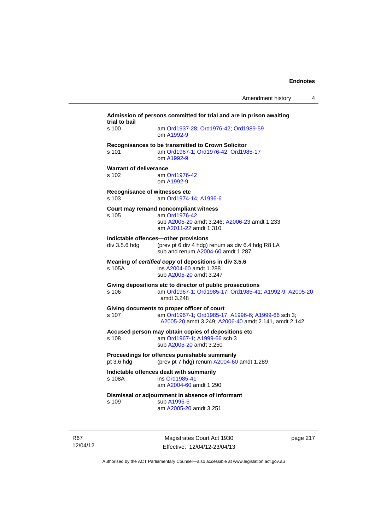| Admission of persons committed for trial and are in prison awaiting<br>trial to bail |                                                                                                                                                           |  |
|--------------------------------------------------------------------------------------|-----------------------------------------------------------------------------------------------------------------------------------------------------------|--|
| s 100                                                                                | am Ord1937-28; Ord1976-42; Ord1989-59<br>om A1992-9                                                                                                       |  |
| s 101                                                                                | Recognisances to be transmitted to Crown Solicitor<br>am Ord1967-1; Ord1976-42; Ord1985-17<br>om A1992-9                                                  |  |
| <b>Warrant of deliverance</b><br>s 102                                               | am Ord1976-42<br>om A1992-9                                                                                                                               |  |
| Recognisance of witnesses etc<br>s 103                                               | am Ord1974-14; A1996-6                                                                                                                                    |  |
| s 105                                                                                | Court may remand noncompliant witness<br>am Ord1976-42<br>sub A2005-20 amdt 3.246; A2006-23 amdt 1.233<br>am A2011-22 amdt 1.310                          |  |
| div 3.5.6 hdg                                                                        | Indictable offences-other provisions<br>(prev pt 6 div 4 hdg) renum as div 6.4 hdg R8 LA<br>sub and renum A2004-60 amdt 1.287                             |  |
| s 105A                                                                               | Meaning of certified copy of depositions in div 3.5.6<br>ins A2004-60 amdt 1.288<br>sub A2005-20 amdt 3.247                                               |  |
| s 106                                                                                | Giving depositions etc to director of public prosecutions<br>am Ord1967-1; Ord1985-17; Ord1985-41; A1992-9; A2005-20<br>amdt 3.248                        |  |
| s 107                                                                                | Giving documents to proper officer of court<br>am Ord1967-1; Ord1985-17, A1996-6; A1999-66 sch 3;<br>A2005-20 amdt 3.249; A2006-40 amdt 2.141, amdt 2.142 |  |
| s 108                                                                                | Accused person may obtain copies of depositions etc<br>am Ord1967-1; A1999-66 sch 3<br>sub A2005-20 amdt 3.250                                            |  |
| pt 3.6 hdg                                                                           | Proceedings for offences punishable summarily<br>(prev pt 7 hdg) renum A2004-60 amdt 1.289                                                                |  |
| s 108A                                                                               | Indictable offences dealt with summarily<br>ins Ord1985-41<br>am A2004-60 amdt 1.290                                                                      |  |
| s 109                                                                                | Dismissal or adjournment in absence of informant<br>sub A1996-6<br>am A2005-20 amdt 3.251                                                                 |  |
|                                                                                      |                                                                                                                                                           |  |

R67 12/04/12

Magistrates Court Act 1930 Effective: 12/04/12-23/04/13 page 217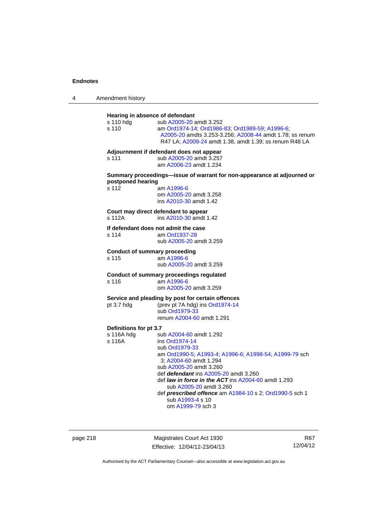4 Amendment history

| Hearing in absence of defendant                                                                                                                                                                                                                                                                                                                                                                                         |  |  |  |
|-------------------------------------------------------------------------------------------------------------------------------------------------------------------------------------------------------------------------------------------------------------------------------------------------------------------------------------------------------------------------------------------------------------------------|--|--|--|
| sub A2005-20 amdt 3.252<br>am Ord1974-14; Ord1986-83; Ord1989-59; A1996-6;<br>A2005-20 amdts 3.253-3.256; A2008-44 amdt 1.78; ss renum<br>R47 LA; A2009-24 amdt 1.38, amdt 1.39; ss renum R48 LA                                                                                                                                                                                                                        |  |  |  |
| Adjournment if defendant does not appear<br>sub A2005-20 amdt 3.257<br>am A2006-23 amdt 1.234                                                                                                                                                                                                                                                                                                                           |  |  |  |
| Summary proceedings—issue of warrant for non-appearance at adjourned or<br>postponed hearing<br>am A1996-6<br>om A2005-20 amdt 3.258<br>ins A2010-30 amdt 1.42                                                                                                                                                                                                                                                          |  |  |  |
| Court may direct defendant to appear<br>ins A2010-30 amdt 1.42                                                                                                                                                                                                                                                                                                                                                          |  |  |  |
| If defendant does not admit the case<br>am Ord1937-28<br>sub A2005-20 amdt 3.259                                                                                                                                                                                                                                                                                                                                        |  |  |  |
| <b>Conduct of summary proceeding</b><br>am A1996-6<br>sub A2005-20 amdt 3.259                                                                                                                                                                                                                                                                                                                                           |  |  |  |
| Conduct of summary proceedings regulated<br>am A1996-6<br>om A2005-20 amdt 3.259                                                                                                                                                                                                                                                                                                                                        |  |  |  |
| Service and pleading by post for certain offences<br>(prev pt 7A hdg) ins Ord1974-14<br>sub Ord1979-33<br>renum A2004-60 amdt 1.291                                                                                                                                                                                                                                                                                     |  |  |  |
| Definitions for pt 3.7                                                                                                                                                                                                                                                                                                                                                                                                  |  |  |  |
| sub A2004-60 amdt 1.292<br>ins Ord1974-14<br>sub Ord1979-33<br>am Ord1990-5; A1993-4; A1996-6; A1998-54; A1999-79 sch<br>3; A2004-60 amdt 1.294<br>sub A2005-20 amdt 3.260<br>def <i>defendant</i> ins A2005-20 amdt 3.260<br>def law in force in the ACT ins A2004-60 amdt 1.293<br>sub A2005-20 amdt 3.260<br>def <i>prescribed offence</i> am A1984-10 s 2; Ord1990-5 sch 1<br>sub A1993-4 s 10<br>om A1999-79 sch 3 |  |  |  |
|                                                                                                                                                                                                                                                                                                                                                                                                                         |  |  |  |

page 218 Magistrates Court Act 1930 Effective: 12/04/12-23/04/13

R67 12/04/12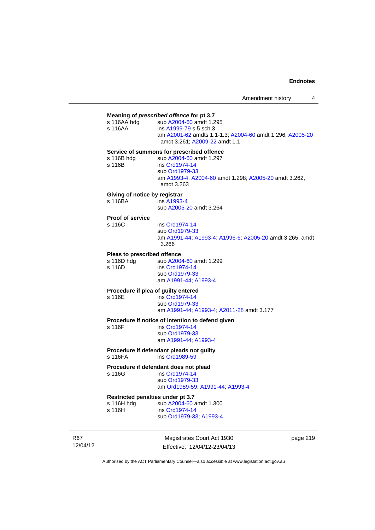#### **Meaning of** *prescribed offence* **for pt 3.7**

| s 116AA hdq | sub A2004-60 amdt 1.295                                                                   |
|-------------|-------------------------------------------------------------------------------------------|
| s 116AA     | ins A1999-79 s 5 sch 3                                                                    |
|             | am A2001-62 amdts 1.1-1.3; A2004-60 amdt 1.296; A2005-20<br>amdt 3.261: A2009-22 amdt 1.1 |

# **Service of summons for prescribed offence**<br>s 116B bdg<br>sub  $\frac{62004-60}{2}$  andt 1.297

| s 116B hdg | sub A2004-60 amdt 1.297            |
|------------|------------------------------------|
| s 116B     | ins Ord1974-14                     |
|            | $\sim$ $\sim$ $\sim$ $\sim$ $\sim$ |

ins [Ord1974-14](http://www.legislation.act.gov.au/a/1974-14) sub [Ord1979-33](http://www.legislation.act.gov.au/a/1979-33) am [A1993-4;](http://www.legislation.act.gov.au/a/1993-4) [A2004-60](http://www.legislation.act.gov.au/a/2004-60) amdt 1.298; [A2005-20](http://www.legislation.act.gov.au/a/2005-20) amdt 3.262, amdt 3.263

### **Giving of notice by registrar**

s 116BA ins [A1993-4](http://www.legislation.act.gov.au/a/1993-4) sub [A2005-20](http://www.legislation.act.gov.au/a/2005-20) amdt 3.264

# **Proof of service**

ins [Ord1974-14](http://www.legislation.act.gov.au/a/1974-14) sub [Ord1979-33](http://www.legislation.act.gov.au/a/1979-33) am [A1991-44](http://www.legislation.act.gov.au/a/1991-44); [A1993-4](http://www.legislation.act.gov.au/a/1993-4); [A1996-6](http://www.legislation.act.gov.au/a/1996-6); [A2005-20](http://www.legislation.act.gov.au/a/2005-20) amdt 3.265, amdt 3.266

#### **Pleas to prescribed offence**

s 116D hdg sub [A2004-60](http://www.legislation.act.gov.au/a/2004-60) amdt 1.299<br>s 116D ins Ord1974-14 ins [Ord1974-14](http://www.legislation.act.gov.au/a/1974-14) sub [Ord1979-33](http://www.legislation.act.gov.au/a/1979-33) am [A1991-44](http://www.legislation.act.gov.au/a/1991-44); [A1993-4](http://www.legislation.act.gov.au/a/1993-4)

### **Procedure if plea of guilty entered**

s 116E ins [Ord1974-14](http://www.legislation.act.gov.au/a/1974-14) sub [Ord1979-33](http://www.legislation.act.gov.au/a/1979-33) am [A1991-44](http://www.legislation.act.gov.au/a/1991-44); [A1993-4](http://www.legislation.act.gov.au/a/1993-4); [A2011-28](http://www.legislation.act.gov.au/a/2011-28) amdt 3.177

# **Procedure if notice of intention to defend given**

ins [Ord1974-14](http://www.legislation.act.gov.au/a/1974-14) sub [Ord1979-33](http://www.legislation.act.gov.au/a/1979-33) am [A1991-44](http://www.legislation.act.gov.au/a/1991-44); [A1993-4](http://www.legislation.act.gov.au/a/1993-4)

#### **Procedure if defendant pleads not guilty**  s 116FA ins [Ord1989-59](http://www.legislation.act.gov.au/a/1989-59)

## **Procedure if defendant does not plead**

s 116G ins [Ord1974-14](http://www.legislation.act.gov.au/a/1974-14) sub [Ord1979-33](http://www.legislation.act.gov.au/a/1979-33) am [Ord1989-59](http://www.legislation.act.gov.au/a/1989-59); [A1991-44;](http://www.legislation.act.gov.au/a/1991-44) [A1993-4](http://www.legislation.act.gov.au/a/1993-4)

### **Restricted penalties under pt 3.7**

| s 116H hdg | sub A2004-60 amdt 1.300 |
|------------|-------------------------|
| s 116H     | ins Ord1974-14          |
|            | sub Ord1979-33; A1993-4 |

R67 12/04/12

Magistrates Court Act 1930 Effective: 12/04/12-23/04/13 page 219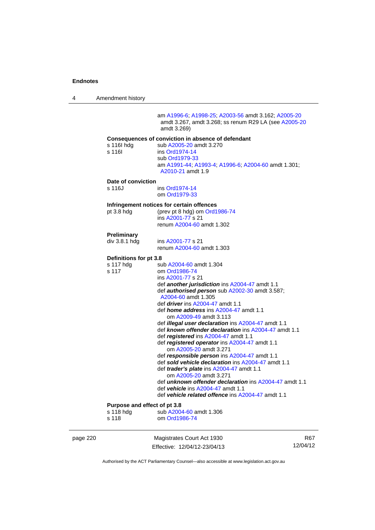4 Amendment history

 am [A1996-6;](http://www.legislation.act.gov.au/a/1996-6) [A1998-25](http://www.legislation.act.gov.au/a/1998-25); [A2003-56](http://www.legislation.act.gov.au/a/2003-56) amdt 3.162; [A2005-20](http://www.legislation.act.gov.au/a/2005-20) amdt 3.267, amdt 3.268; ss renum R29 LA (see [A2005-20](http://www.legislation.act.gov.au/a/2005-20) amdt 3.269) **Consequences of conviction in absence of defendant**  s 116I hdg sub [A2005-20](http://www.legislation.act.gov.au/a/2005-20) amdt 3.270 s 116| ins [Ord1974-14](http://www.legislation.act.gov.au/a/1974-14) sub [Ord1979-33](http://www.legislation.act.gov.au/a/1979-33) am [A1991-44](http://www.legislation.act.gov.au/a/1991-44); [A1993-4](http://www.legislation.act.gov.au/a/1993-4); [A1996-6](http://www.legislation.act.gov.au/a/1996-6); [A2004-60](http://www.legislation.act.gov.au/a/2004-60) amdt 1.301; [A2010-21](http://www.legislation.act.gov.au/a/2010-21) amdt 1.9 **Date of conviction**  s 116J ins [Ord1974-14](http://www.legislation.act.gov.au/a/1974-14) om [Ord1979-33](http://www.legislation.act.gov.au/a/1979-33) **Infringement notices for certain offences**  pt 3.8 hdg (prev pt 8 hdg) om [Ord1986-74](http://www.legislation.act.gov.au/a/1986-74) ins [A2001-77](http://www.legislation.act.gov.au/a/2001-77) s 21 renum [A2004-60](http://www.legislation.act.gov.au/a/2004-60) amdt 1.302 **Preliminary**  div 3.8.1 hdg ins [A2001-77](http://www.legislation.act.gov.au/a/2001-77) s 21 renum [A2004-60](http://www.legislation.act.gov.au/a/2004-60) amdt 1.303 **Definitions for pt 3.8**  s 117 hdg sub [A2004-60](http://www.legislation.act.gov.au/a/2004-60) amdt 1.304<br>s 117 om Ord1986-74 om [Ord1986-74](http://www.legislation.act.gov.au/a/1986-74) ins [A2001-77](http://www.legislation.act.gov.au/a/2001-77) s 21 def *another jurisdiction* ins [A2004-47](http://www.legislation.act.gov.au/a/2004-47) amdt 1.1 def *authorised person* sub [A2002-30](http://www.legislation.act.gov.au/a/2002-30) amdt 3.587; [A2004-60](http://www.legislation.act.gov.au/a/2004-60) amdt 1.305 def *driver* ins [A2004-47](http://www.legislation.act.gov.au/a/2004-47) amdt 1.1 def *home address* ins [A2004-47](http://www.legislation.act.gov.au/a/2004-47) amdt 1.1 om [A2009-49](http://www.legislation.act.gov.au/a/2009-49) amdt 3.113 def *illegal user declaration* ins [A2004-47](http://www.legislation.act.gov.au/a/2004-47) amdt 1.1 def *known offender declaration* ins [A2004-47](http://www.legislation.act.gov.au/a/2004-47) amdt 1.1 def *registered* ins [A2004-47](http://www.legislation.act.gov.au/a/2004-47) amdt 1.1 def *registered operator* ins [A2004-47](http://www.legislation.act.gov.au/a/2004-47) amdt 1.1 om [A2005-20](http://www.legislation.act.gov.au/a/2005-20) amdt 3.271 def *responsible person* ins [A2004-47](http://www.legislation.act.gov.au/a/2004-47) amdt 1.1 def *sold vehicle declaration* ins [A2004-47](http://www.legislation.act.gov.au/a/2004-47) amdt 1.1 def *trader's plate* ins [A2004-47](http://www.legislation.act.gov.au/a/2004-47) amdt 1.1 om [A2005-20](http://www.legislation.act.gov.au/a/2005-20) amdt 3.271 def *unknown offender declaration* ins [A2004-47](http://www.legislation.act.gov.au/a/2004-47) amdt 1.1 def *vehicle* ins [A2004-47](http://www.legislation.act.gov.au/a/2004-47) amdt 1.1 def *vehicle related offence* ins [A2004-47](http://www.legislation.act.gov.au/a/2004-47) amdt 1.1 **Purpose and effect of pt 3.8**<br>s 118 hdg sub A200 sub [A2004-60](http://www.legislation.act.gov.au/a/2004-60) amdt 1.306 s 118 om [Ord1986-74](http://www.legislation.act.gov.au/a/1986-74)

page 220 Magistrates Court Act 1930 Effective: 12/04/12-23/04/13

R67 12/04/12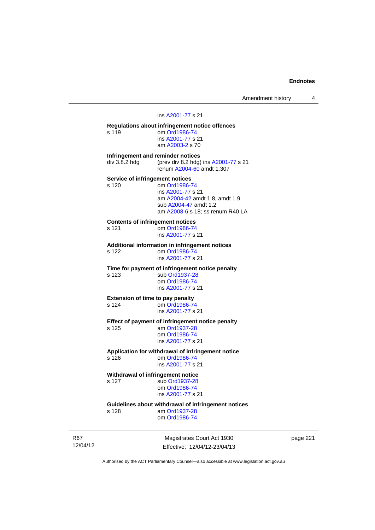Amendment history 4

### ins [A2001-77](http://www.legislation.act.gov.au/a/2001-77) s 21

**Regulations about infringement notice offences**  s 119 om [Ord1986-74](http://www.legislation.act.gov.au/a/1986-74) ins [A2001-77](http://www.legislation.act.gov.au/a/2001-77) s 21 am [A2003-2](http://www.legislation.act.gov.au/a/2003-2) s 70 **Infringement and reminder notices**  div 3.8.2 hdg (prev div 8.2 hdg) ins [A2001-77](http://www.legislation.act.gov.au/a/2001-77) s 21 renum [A2004-60](http://www.legislation.act.gov.au/a/2004-60) amdt 1.307 **Service of infringement notices**  s 120 om [Ord1986-74](http://www.legislation.act.gov.au/a/1986-74) ins [A2001-77](http://www.legislation.act.gov.au/a/2001-77) s 21 am [A2004-42](http://www.legislation.act.gov.au/a/2004-42) amdt 1.8, amdt 1.9 sub [A2004-47](http://www.legislation.act.gov.au/a/2004-47) amdt 1.2 am [A2008-6](http://www.legislation.act.gov.au/a/2008-6) s 18; ss renum R40 LA **Contents of infringement notices**  s 121 om [Ord1986-74](http://www.legislation.act.gov.au/a/1986-74) ins [A2001-77](http://www.legislation.act.gov.au/a/2001-77) s 21 **Additional information in infringement notices**  om [Ord1986-74](http://www.legislation.act.gov.au/a/1986-74) ins [A2001-77](http://www.legislation.act.gov.au/a/2001-77) s 21 **Time for payment of infringement notice penalty**  s 123 sub [Ord1937-28](http://www.legislation.act.gov.au/a/1937-28) om [Ord1986-74](http://www.legislation.act.gov.au/a/1986-74) ins [A2001-77](http://www.legislation.act.gov.au/a/2001-77) s 21 **Extension of time to pay penalty**  s 124 om [Ord1986-74](http://www.legislation.act.gov.au/a/1986-74) ins [A2001-77](http://www.legislation.act.gov.au/a/2001-77) s 21 **Effect of payment of infringement notice penalty**  s 125 am [Ord1937-28](http://www.legislation.act.gov.au/a/1937-28) om [Ord1986-74](http://www.legislation.act.gov.au/a/1986-74) ins [A2001-77](http://www.legislation.act.gov.au/a/2001-77) s 21 **Application for withdrawal of infringement notice**  s 126 om [Ord1986-74](http://www.legislation.act.gov.au/a/1986-74) ins [A2001-77](http://www.legislation.act.gov.au/a/2001-77) s 21 **Withdrawal of infringement notice**  s 127 sub [Ord1937-28](http://www.legislation.act.gov.au/a/1937-28) om [Ord1986-74](http://www.legislation.act.gov.au/a/1986-74) ins [A2001-77](http://www.legislation.act.gov.au/a/2001-77) s 21 **Guidelines about withdrawal of infringement notices** 

am [Ord1937-28](http://www.legislation.act.gov.au/a/1937-28) om [Ord1986-74](http://www.legislation.act.gov.au/a/1986-74)

R67 12/04/12

Magistrates Court Act 1930 Effective: 12/04/12-23/04/13 page 221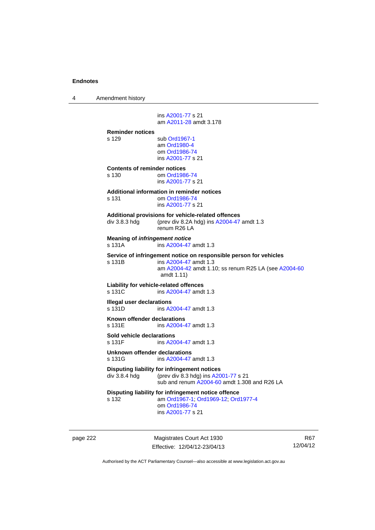4 Amendment history

 ins [A2001-77](http://www.legislation.act.gov.au/a/2001-77) s 21 am [A2011-28](http://www.legislation.act.gov.au/a/2011-28) amdt 3.178 **Reminder notices**  s 129 sub [Ord1967-1](http://www.legislation.act.gov.au/a/1967-1) am [Ord1980-4](http://www.legislation.act.gov.au/a/1980-4) om [Ord1986-74](http://www.legislation.act.gov.au/a/1986-74) ins [A2001-77](http://www.legislation.act.gov.au/a/2001-77) s 21 **Contents of reminder notices**  om [Ord1986-74](http://www.legislation.act.gov.au/a/1986-74) ins [A2001-77](http://www.legislation.act.gov.au/a/2001-77) s 21 **Additional information in reminder notices**  s 131 om [Ord1986-74](http://www.legislation.act.gov.au/a/1986-74) ins [A2001-77](http://www.legislation.act.gov.au/a/2001-77) s 21 **Additional provisions for vehicle-related offences**  div 3.8.3 hdg (prev div 8.2A hdg) ins [A2004-47](http://www.legislation.act.gov.au/a/2004-47) amdt 1.3 renum R26 LA **Meaning of** *infringement notice* s 131A ins [A2004-47](http://www.legislation.act.gov.au/a/2004-47) amdt 1.3 **Service of infringement notice on responsible person for vehicles**  s 131B ins [A2004-47](http://www.legislation.act.gov.au/a/2004-47) amdt 1.3 am [A2004-42](http://www.legislation.act.gov.au/a/2004-42) amdt 1.10; ss renum R25 LA (see [A2004-60](http://www.legislation.act.gov.au/a/2004-60) amdt 1.11) **Liability for vehicle-related offences**  s 131C ins [A2004-47](http://www.legislation.act.gov.au/a/2004-47) amdt 1.3 **Illegal user declarations**  s 131D ins [A2004-47](http://www.legislation.act.gov.au/a/2004-47) amdt 1.3 **Known offender declarations**  s 131E ins [A2004-47](http://www.legislation.act.gov.au/a/2004-47) amdt 1.3 **Sold vehicle declarations**  s 131F ins [A2004-47](http://www.legislation.act.gov.au/a/2004-47) amdt 1.3 **Unknown offender declarations**  s 131G ins [A2004-47](http://www.legislation.act.gov.au/a/2004-47) amdt 1.3 **Disputing liability for infringement notices**  div 3.8.4 hdg (prev div 8.3 hdg) ins [A2001-77](http://www.legislation.act.gov.au/a/2001-77) s 21 sub and renum [A2004-60](http://www.legislation.act.gov.au/a/2004-60) amdt 1.308 and R26 LA **Disputing liability for infringement notice offence**  s 132 am [Ord1967-1;](http://www.legislation.act.gov.au/a/1967-1) [Ord1969-12](http://www.legislation.act.gov.au/a/1969-12); [Ord1977-4](http://www.legislation.act.gov.au/a/1977-4) om [Ord1986-74](http://www.legislation.act.gov.au/a/1986-74) ins [A2001-77](http://www.legislation.act.gov.au/a/2001-77) s 21

page 222 Magistrates Court Act 1930 Effective: 12/04/12-23/04/13

R67 12/04/12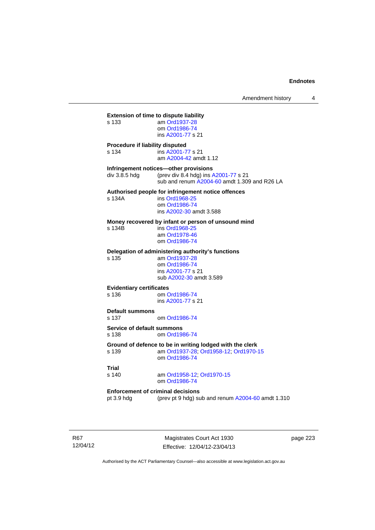# **Extension of time to dispute liability**  s 133 am [Ord1937-28](http://www.legislation.act.gov.au/a/1937-28) om [Ord1986-74](http://www.legislation.act.gov.au/a/1986-74) ins [A2001-77](http://www.legislation.act.gov.au/a/2001-77) s 21 **Procedure if liability disputed**  s 134 ins [A2001-77](http://www.legislation.act.gov.au/a/2001-77) s 21 am [A2004-42](http://www.legislation.act.gov.au/a/2004-42) amdt 1.12 **Infringement notices—other provisions**<br>div 3.8.5 hdg (prev div 8.4 hdg) ins *k* (prev div 8.4 hdg) ins  $A2001-77$  s 21 sub and renum [A2004-60](http://www.legislation.act.gov.au/a/2004-60) amdt 1.309 and R26 LA **Authorised people for infringement notice offences**  s 134A ins [Ord1968-25](http://www.legislation.act.gov.au/a/1968-25) om [Ord1986-74](http://www.legislation.act.gov.au/a/1986-74) ins [A2002-30](http://www.legislation.act.gov.au/a/2002-30) amdt 3.588 **Money recovered by infant or person of unsound mind**  s 134B ins [Ord1968-25](http://www.legislation.act.gov.au/a/1968-25) am [Ord1978-46](http://www.legislation.act.gov.au/a/1978-46) om [Ord1986-74](http://www.legislation.act.gov.au/a/1986-74) **Delegation of administering authority's functions**  am [Ord1937-28](http://www.legislation.act.gov.au/a/1937-28) om [Ord1986-74](http://www.legislation.act.gov.au/a/1986-74) ins [A2001-77](http://www.legislation.act.gov.au/a/2001-77) s 21 sub [A2002-30](http://www.legislation.act.gov.au/a/2002-30) amdt 3.589 **Evidentiary certificates**  s 136 om [Ord1986-74](http://www.legislation.act.gov.au/a/1986-74) ins [A2001-77](http://www.legislation.act.gov.au/a/2001-77) s 21 **Default summons**  s 137 om [Ord1986-74](http://www.legislation.act.gov.au/a/1986-74) **Service of default summons**<br>s 138 **cm** Ord198 om [Ord1986-74](http://www.legislation.act.gov.au/a/1986-74) **Ground of defence to be in writing lodged with the clerk**  s 139 am [Ord1937-28](http://www.legislation.act.gov.au/a/1937-28); [Ord1958-12;](http://www.legislation.act.gov.au/a/1958-12) [Ord1970-15](http://www.legislation.act.gov.au/a/1970-15) om [Ord1986-74](http://www.legislation.act.gov.au/a/1986-74) **Trial**  am [Ord1958-12](http://www.legislation.act.gov.au/a/1958-12); [Ord1970-15](http://www.legislation.act.gov.au/a/1970-15) om [Ord1986-74](http://www.legislation.act.gov.au/a/1986-74) **Enforcement of criminal decisions**  pt 3.9 hdg (prev pt 9 hdg) sub and renum [A2004-60](http://www.legislation.act.gov.au/a/2004-60) amdt 1.310

R67 12/04/12

Magistrates Court Act 1930 Effective: 12/04/12-23/04/13 page 223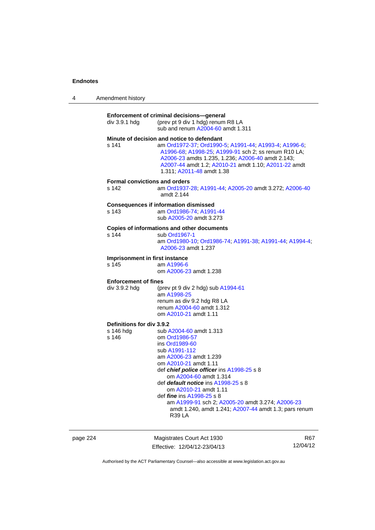| Amendment history |
|-------------------|
|                   |

| div 3.9.1 hdg                                   | Enforcement of criminal decisions-general<br>(prev pt 9 div 1 hdg) renum R8 LA<br>sub and renum A2004-60 amdt 1.311                                                                                                                                                                                                                                                                                                                                   |
|-------------------------------------------------|-------------------------------------------------------------------------------------------------------------------------------------------------------------------------------------------------------------------------------------------------------------------------------------------------------------------------------------------------------------------------------------------------------------------------------------------------------|
| s 141                                           | Minute of decision and notice to defendant<br>am Ord1972-37; Ord1990-5, A1991-44; A1993-4; A1996-6;<br>A1996-68; A1998-25; A1999-91 sch 2; ss renum R10 LA;<br>A2006-23 amdts 1.235, 1.236; A2006-40 amdt 2.143;<br>A2007-44 amdt 1.2; A2010-21 amdt 1.10; A2011-22 amdt<br>1.311: A2011-48 amdt 1.38                                                                                                                                                 |
| <b>Formal convictions and orders</b><br>s 142   | am Ord1937-28, A1991-44, A2005-20 amdt 3.272; A2006-40<br>amdt 2.144                                                                                                                                                                                                                                                                                                                                                                                  |
| s 143                                           | <b>Consequences if information dismissed</b><br>am Ord1986-74, A1991-44<br>sub A2005-20 amdt 3.273                                                                                                                                                                                                                                                                                                                                                    |
| s 144                                           | Copies of informations and other documents<br>sub Ord1967-1<br>am Ord1980-10; Ord1986-74; A1991-38; A1991-44; A1994-4;<br>A2006-23 amdt 1.237                                                                                                                                                                                                                                                                                                         |
| Imprisonment in first instance<br>s 145         | am A1996-6<br>om A2006-23 amdt 1.238                                                                                                                                                                                                                                                                                                                                                                                                                  |
| <b>Enforcement of fines</b><br>div 3.9.2 hdg    | (prev pt 9 div 2 hdg) sub $A1994-61$<br>am A1998-25<br>renum as div 9.2 hdg R8 LA<br>renum A2004-60 amdt 1.312<br>om A2010-21 amdt 1.11                                                                                                                                                                                                                                                                                                               |
| Definitions for div 3.9.2<br>s 146 hdg<br>s 146 | sub A2004-60 amdt 1.313<br>om Ord1986-57<br>ins Ord1989-60<br>sub A1991-112<br>am A2006-23 amdt 1.239<br>om A2010-21 amdt 1.11<br>def <i>chief police officer</i> ins A1998-25 s 8<br>om A2004-60 amdt 1.314<br>def <i>default notice</i> ins A1998-25 s 8<br>om A2010-21 amdt 1.11<br>def <i>fine</i> ins A1998-25 s 8<br>am A1999-91 sch 2; A2005-20 amdt 3.274; A2006-23<br>amdt 1.240, amdt 1.241; A2007-44 amdt 1.3; pars renum<br><b>R39 LA</b> |

page 224 Magistrates Court Act 1930 Effective: 12/04/12-23/04/13

R67 12/04/12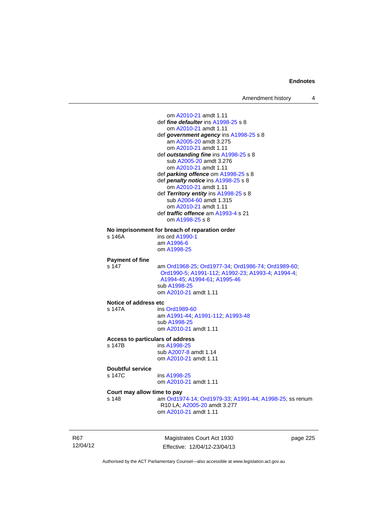om [A2010-21](http://www.legislation.act.gov.au/a/2010-21) amdt 1.11 def *fine defaulter* ins [A1998-25](http://www.legislation.act.gov.au/a/1998-25) s 8 om [A2010-21](http://www.legislation.act.gov.au/a/2010-21) amdt 1.11 def *government agency* ins [A1998-25](http://www.legislation.act.gov.au/a/1998-25) s 8 am [A2005-20](http://www.legislation.act.gov.au/a/2005-20) amdt 3.275 om [A2010-21](http://www.legislation.act.gov.au/a/2010-21) amdt 1.11 def *outstanding fine* ins [A1998-25](http://www.legislation.act.gov.au/a/1998-25) s 8 sub [A2005-20](http://www.legislation.act.gov.au/a/2005-20) amdt 3.276 om [A2010-21](http://www.legislation.act.gov.au/a/2010-21) amdt 1.11 def *parking offence* om [A1998-25](http://www.legislation.act.gov.au/a/1998-25) s 8 def *penalty notice* ins [A1998-25](http://www.legislation.act.gov.au/a/1998-25) s 8 om [A2010-21](http://www.legislation.act.gov.au/a/2010-21) amdt 1.11 def *Territory entity* ins [A1998-25](http://www.legislation.act.gov.au/a/1998-25) s 8 sub [A2004-60](http://www.legislation.act.gov.au/a/2004-60) amdt 1.315 om [A2010-21](http://www.legislation.act.gov.au/a/2010-21) amdt 1.11 def *traffic offence* am [A1993-4](http://www.legislation.act.gov.au/a/1993-4) s 21 om [A1998-25](http://www.legislation.act.gov.au/a/1998-25) s 8 **No imprisonment for breach of reparation order**  s 146A ins ord [A1990-1](http://www.legislation.act.gov.au/a/alt_ord1990-1) am [A1996-6](http://www.legislation.act.gov.au/a/1996-6) om [A1998-25](http://www.legislation.act.gov.au/a/1998-25) **Payment of fine**  s 147 am [Ord1968-25](http://www.legislation.act.gov.au/a/1968-25); [Ord1977-34](http://www.legislation.act.gov.au/a/1977-34); [Ord1986-74](http://www.legislation.act.gov.au/a/1986-74); [Ord1989-60](http://www.legislation.act.gov.au/a/1989-60); [Ord1990-5;](http://www.legislation.act.gov.au/a/alt_ord1990-5) [A1991-112;](http://www.legislation.act.gov.au/a/1991-112) [A1992-23](http://www.legislation.act.gov.au/a/1992-23); [A1993-4](http://www.legislation.act.gov.au/a/1993-4); [A1994-4](http://www.legislation.act.gov.au/a/1994-4); [A1994-45;](http://www.legislation.act.gov.au/a/1994-45) [A1994-61](http://www.legislation.act.gov.au/a/1994-61); [A1995-46](http://www.legislation.act.gov.au/a/1995-46) sub [A1998-25](http://www.legislation.act.gov.au/a/1998-25) om [A2010-21](http://www.legislation.act.gov.au/a/2010-21) amdt 1.11 **Notice of address etc**  s 147A ins [Ord1989-60](http://www.legislation.act.gov.au/a/1989-60) am [A1991-44](http://www.legislation.act.gov.au/a/1991-44); [A1991-112](http://www.legislation.act.gov.au/a/1991-112); [A1993-48](http://www.legislation.act.gov.au/a/1993-48) sub [A1998-25](http://www.legislation.act.gov.au/a/1998-25) om [A2010-21](http://www.legislation.act.gov.au/a/2010-21) amdt 1.11 **Access to particulars of address**  s 147B ins [A1998-25](http://www.legislation.act.gov.au/a/1998-25) sub [A2007-8](http://www.legislation.act.gov.au/a/2007-8) amdt 1.14 om [A2010-21](http://www.legislation.act.gov.au/a/2010-21) amdt 1.11 **Doubtful service**  s 147C ins [A1998-25](http://www.legislation.act.gov.au/a/1998-25) om [A2010-21](http://www.legislation.act.gov.au/a/2010-21) amdt 1.11 **Court may allow time to pay**  s 148 am [Ord1974-14](http://www.legislation.act.gov.au/a/1974-14); [Ord1979-33](http://www.legislation.act.gov.au/a/1979-33); [A1991-44](http://www.legislation.act.gov.au/a/1991-44); [A1998-25](http://www.legislation.act.gov.au/a/1998-25); ss renum R10 LA; [A2005-20](http://www.legislation.act.gov.au/a/2005-20) amdt 3.277

R67 12/04/12

Magistrates Court Act 1930 Effective: 12/04/12-23/04/13 page 225

Authorised by the ACT Parliamentary Counsel—also accessible at www.legislation.act.gov.au

om [A2010-21](http://www.legislation.act.gov.au/a/2010-21) amdt 1.11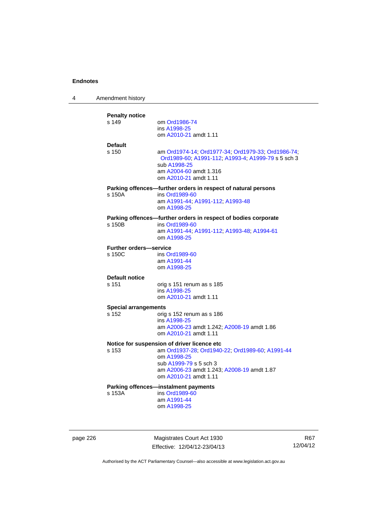| 4 | Amendment history                       |                                                                                                                                                                                                                |
|---|-----------------------------------------|----------------------------------------------------------------------------------------------------------------------------------------------------------------------------------------------------------------|
|   | <b>Penalty notice</b><br>s 149          | om Ord1986-74<br>ins A1998-25<br>om A2010-21 amdt 1.11                                                                                                                                                         |
|   | <b>Default</b><br>s 150                 | am Ord1974-14; Ord1977-34; Ord1979-33; Ord1986-74;<br>Ord1989-60; A1991-112; A1993-4; A1999-79 s 5 sch 3<br>sub A1998-25<br>am A2004-60 amdt 1.316<br>om A2010-21 amdt 1.11                                    |
|   | s 150A                                  | Parking offences-further orders in respect of natural persons<br>ins Ord1989-60<br>am A1991-44; A1991-112; A1993-48<br>om A1998-25                                                                             |
|   | s 150B                                  | Parking offences-further orders in respect of bodies corporate<br>ins Ord1989-60<br>am A1991-44; A1991-112; A1993-48; A1994-61<br>om A1998-25                                                                  |
|   | <b>Further orders-service</b><br>s 150C | ins Ord1989-60<br>am A1991-44<br>om A1998-25                                                                                                                                                                   |
|   | <b>Default notice</b><br>s 151          | orig s 151 renum as s 185<br>ins A1998-25<br>om A2010-21 amdt 1.11                                                                                                                                             |
|   | <b>Special arrangements</b><br>s 152    | orig s 152 renum as s 186<br>ins A1998-25<br>am A2006-23 amdt 1.242; A2008-19 amdt 1.86<br>om A2010-21 amdt 1.11                                                                                               |
|   | s 153                                   | Notice for suspension of driver licence etc<br>am Ord1937-28; Ord1940-22; Ord1989-60; A1991-44<br>om A1998-25<br>sub A1999-79 s 5 sch 3<br>am A2006-23 amdt 1.243; A2008-19 amdt 1.87<br>om A2010-21 amdt 1.11 |
|   | s 153A                                  | Parking offences-instalment payments<br>ins Ord1989-60<br>am A1991-44<br>om A1998-25                                                                                                                           |

page 226 Magistrates Court Act 1930 Effective: 12/04/12-23/04/13

R67 12/04/12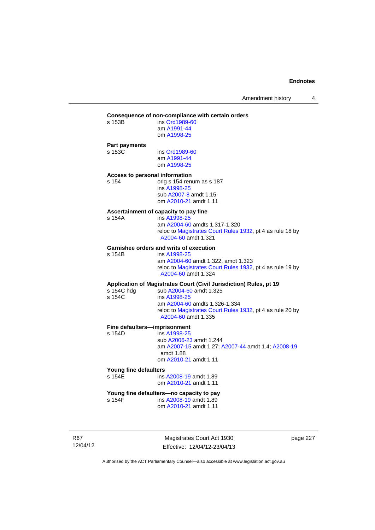### **Consequence of non-compliance with certain orders**

| s 153B | ins Ord1989-60 |
|--------|----------------|
|        | am A1991-44    |
|        | om A1998-25    |
|        |                |

#### **Part payments**

s 153B

s 153C ins [Ord1989-60](http://www.legislation.act.gov.au/a/1989-60) am [A1991-44](http://www.legislation.act.gov.au/a/1991-44) om [A1998-25](http://www.legislation.act.gov.au/a/1998-25)

### **Access to personal information**

s 154 orig s 154 renum as s 187 ins [A1998-25](http://www.legislation.act.gov.au/a/1998-25) sub [A2007-8](http://www.legislation.act.gov.au/a/2007-8) amdt 1.15

om [A2010-21](http://www.legislation.act.gov.au/a/2010-21) amdt 1.11

# **Ascertainment of capacity to pay fine**

ins [A1998-25](http://www.legislation.act.gov.au/a/1998-25) am [A2004-60](http://www.legislation.act.gov.au/a/2004-60) amdts 1.317-1.320 reloc to [Magistrates Court Rules 1932](http://www.legislation.act.gov.au/sl/1932-4/default.asp), pt 4 as rule 18 by [A2004-60](http://www.legislation.act.gov.au/a/2004-60) amdt 1.321

### **Garnishee orders and writs of execution**

s 154B ins [A1998-25](http://www.legislation.act.gov.au/a/1998-25) am [A2004-60](http://www.legislation.act.gov.au/a/2004-60) amdt 1.322, amdt 1.323 reloc to [Magistrates Court Rules 1932](http://www.legislation.act.gov.au/sl/1932-4/default.asp), pt 4 as rule 19 by [A2004-60](http://www.legislation.act.gov.au/a/2004-60) amdt 1.324

### **Application of Magistrates Court (Civil Jurisdiction) Rules, pt 19**

| reloc to Magistrates Court Rules 1932, pt 4 as rule 20 by |
|-----------------------------------------------------------|
|                                                           |
|                                                           |

### **Fine defaulters—imprisonment**

s 154D ins [A1998-25](http://www.legislation.act.gov.au/a/1998-25) sub [A2006-23](http://www.legislation.act.gov.au/a/2006-23) amdt 1.244 am [A2007-15](http://www.legislation.act.gov.au/a/2007-15) amdt 1.27; [A2007-44](http://www.legislation.act.gov.au/a/2007-44) amdt 1.4; [A2008-19](http://www.legislation.act.gov.au/a/2008-19) amdt 1.88 om [A2010-21](http://www.legislation.act.gov.au/a/2010-21) amdt 1.11

# **Young fine defaulters**

ins [A2008-19](http://www.legislation.act.gov.au/a/2008-19) amdt 1.89 om [A2010-21](http://www.legislation.act.gov.au/a/2010-21) amdt 1.11

#### **Young fine defaulters—no capacity to pay**<br>s 154F **ins A2008-19** amdt 1.89 ins [A2008-19](http://www.legislation.act.gov.au/a/2008-19) amdt 1.89

om [A2010-21](http://www.legislation.act.gov.au/a/2010-21) amdt 1.11

R67 12/04/12

Magistrates Court Act 1930 Effective: 12/04/12-23/04/13 page 227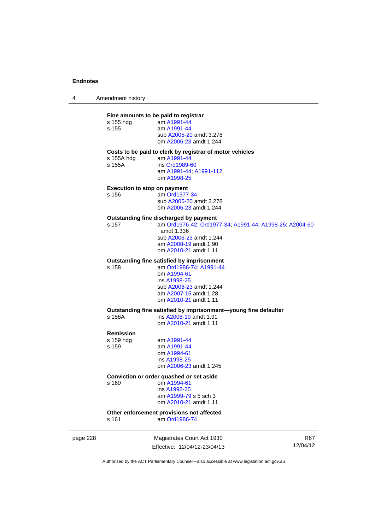4 Amendment history

#### **Fine amounts to be paid to registrar**

| s 155 hdg | am A1991-44             |
|-----------|-------------------------|
| s 155     | am A1991-44             |
|           | sub A2005-20 amdt 3.278 |
|           | om A2006-23 amdt 1.244  |
|           |                         |

#### **Costs to be paid to clerk by registrar of motor vehicles**

s 155A hdg am [A1991-44](http://www.legislation.act.gov.au/a/1991-44)<br>s 155A **ins** Ord1989-6

ins [Ord1989-60](http://www.legislation.act.gov.au/a/1989-60) am [A1991-44](http://www.legislation.act.gov.au/a/1991-44); [A1991-112](http://www.legislation.act.gov.au/a/1991-112) om [A1998-25](http://www.legislation.act.gov.au/a/1998-25)

### **Execution to stop on payment**

s 156 am [Ord1977-34](http://www.legislation.act.gov.au/a/1977-34) sub [A2005-20](http://www.legislation.act.gov.au/a/2005-20) amdt 3.278 om [A2006-23](http://www.legislation.act.gov.au/a/2006-23) amdt 1.244

# **Outstanding fine discharged by payment**

s 157 am [Ord1976-42](http://www.legislation.act.gov.au/a/1976-42); [Ord1977-34](http://www.legislation.act.gov.au/a/1977-34); [A1991-44](http://www.legislation.act.gov.au/a/1991-44); [A1998-25](http://www.legislation.act.gov.au/a/1998-25); [A2004-60](http://www.legislation.act.gov.au/a/2004-60) amdt 1.336 sub [A2006-23](http://www.legislation.act.gov.au/a/2006-23) amdt 1.244 am [A2008-19](http://www.legislation.act.gov.au/a/2008-19) amdt 1.90 om [A2010-21](http://www.legislation.act.gov.au/a/2010-21) amdt 1.11

#### **Outstanding fine satisfied by imprisonment**

s 158 am [Ord1986-74](http://www.legislation.act.gov.au/a/1986-74); [A1991-44](http://www.legislation.act.gov.au/a/1991-44) om [A1994-61](http://www.legislation.act.gov.au/a/1994-61) ins [A1998-25](http://www.legislation.act.gov.au/a/1998-25) sub [A2006-23](http://www.legislation.act.gov.au/a/2006-23) amdt 1.244 am [A2007-15](http://www.legislation.act.gov.au/a/2007-15) amdt 1.28 om [A2010-21](http://www.legislation.act.gov.au/a/2010-21) amdt 1.11

#### **Outstanding fine satisfied by imprisonment—young fine defaulter**

s 158A ins [A2008-19](http://www.legislation.act.gov.au/a/2008-19) amdt 1.91 om [A2010-21](http://www.legislation.act.gov.au/a/2010-21) amdt 1.11

### **Remission**

| s 159 hda | am A1991-44            |
|-----------|------------------------|
| s 159     | am A1991-44            |
|           | om A1994-61            |
|           | ins A1998-25           |
|           | om A2006-23 amdt 1.245 |
|           |                        |

#### **Conviction or order quashed or set aside**

s 160 om [A1994-61](http://www.legislation.act.gov.au/a/1994-61) ins [A1998-25](http://www.legislation.act.gov.au/a/1998-25) am [A1999-79](http://www.legislation.act.gov.au/a/1999-79) s 5 sch 3 om [A2010-21](http://www.legislation.act.gov.au/a/2010-21) amdt 1.11

#### **Other enforcement provisions not affected**  s 161 am [Ord1986-74](http://www.legislation.act.gov.au/a/1986-74)

page 228 Magistrates Court Act 1930 Effective: 12/04/12-23/04/13

R67 12/04/12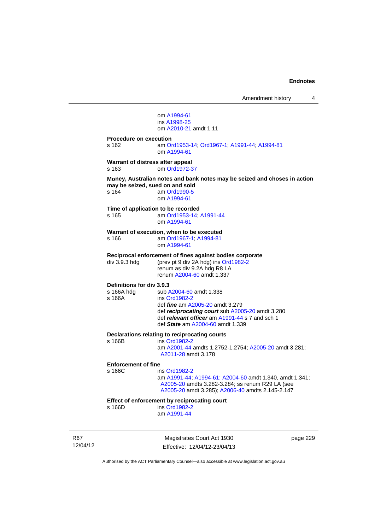Amendment history 4

 om [A1994-61](http://www.legislation.act.gov.au/a/1994-61) ins [A1998-25](http://www.legislation.act.gov.au/a/1998-25) om [A2010-21](http://www.legislation.act.gov.au/a/2010-21) amdt 1.11 **Procedure on execution**  s 162 am [Ord1953-14](http://www.legislation.act.gov.au/a/1953-14); [Ord1967-1](http://www.legislation.act.gov.au/a/1967-1); [A1991-44](http://www.legislation.act.gov.au/a/1991-44); [A1994-81](http://www.legislation.act.gov.au/a/1994-81) om [A1994-61](http://www.legislation.act.gov.au/a/1994-61) **Warrant of distress after appeal**  s 163 om [Ord1972-37](http://www.legislation.act.gov.au/a/1972-37) **Money, Australian notes and bank notes may be seized and choses in action may be seized, sued on and sold**  s 164 am [Ord1990-5](http://www.legislation.act.gov.au/a/alt_ord1990-5) om [A1994-61](http://www.legislation.act.gov.au/a/1994-61) **Time of application to be recorded**  s 165 am [Ord1953-14](http://www.legislation.act.gov.au/a/1953-14); [A1991-44](http://www.legislation.act.gov.au/a/1991-44) om [A1994-61](http://www.legislation.act.gov.au/a/1994-61) **Warrant of execution, when to be executed**  s 166 am [Ord1967-1;](http://www.legislation.act.gov.au/a/1967-1) [A1994-81](http://www.legislation.act.gov.au/a/1994-81) om [A1994-61](http://www.legislation.act.gov.au/a/1994-61) **Reciprocal enforcement of fines against bodies corporate**  div 3.9.3 hdg (prev pt 9 div 2A hdg) ins [Ord1982-2](http://www.legislation.act.gov.au/a/1982-2) renum as div 9.2A hdg R8 LA renum [A2004-60](http://www.legislation.act.gov.au/a/2004-60) amdt 1.337 **Definitions for div 3.9.3**  s 166A hdg sub [A2004-60](http://www.legislation.act.gov.au/a/2004-60) amdt 1.338 s 166A **ins [Ord1982-2](http://www.legislation.act.gov.au/a/1982-2)**  def *fine* am [A2005-20](http://www.legislation.act.gov.au/a/2005-20) amdt 3.279 def *reciprocating court* sub [A2005-20](http://www.legislation.act.gov.au/a/2005-20) amdt 3.280 def *relevant officer* am [A1991-44](http://www.legislation.act.gov.au/a/1991-44) s 7 and sch 1 def *State* am [A2004-60](http://www.legislation.act.gov.au/a/2004-60) amdt 1.339 **Declarations relating to reciprocating courts**  ins [Ord1982-2](http://www.legislation.act.gov.au/a/1982-2) am [A2001-44](http://www.legislation.act.gov.au/a/2001-44) amdts 1.2752-1.2754; [A2005-20](http://www.legislation.act.gov.au/a/2005-20) amdt 3.281; [A2011-28](http://www.legislation.act.gov.au/a/2011-28) amdt 3.178 **Enforcement of fine**  s 166C ins [Ord1982-2](http://www.legislation.act.gov.au/a/1982-2) am [A1991-44](http://www.legislation.act.gov.au/a/1991-44); [A1994-61](http://www.legislation.act.gov.au/a/1994-61); [A2004-60](http://www.legislation.act.gov.au/a/2004-60) amdt 1.340, amdt 1.341; [A2005-20](http://www.legislation.act.gov.au/a/2005-20) amdts 3.282-3.284; ss renum R29 LA (see [A2005-20](http://www.legislation.act.gov.au/a/2005-20) amdt 3.285); [A2006-40](http://www.legislation.act.gov.au/a/2006-40) amdts 2.145-2.147 **Effect of enforcement by reciprocating court**<br>s 166D ins Ord1982-2 ins [Ord1982-2](http://www.legislation.act.gov.au/a/1982-2) am [A1991-44](http://www.legislation.act.gov.au/a/1991-44)

R67 12/04/12

Magistrates Court Act 1930 Effective: 12/04/12-23/04/13 page 229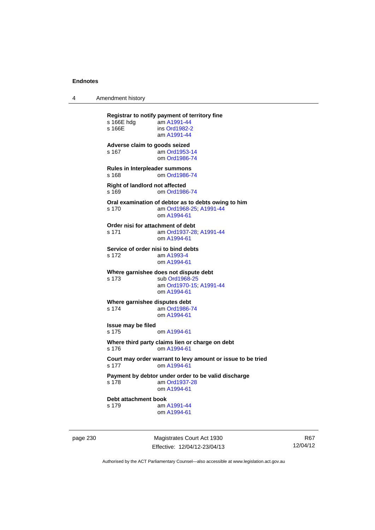4 Amendment history

**Registrar to notify payment of territory fine**   $s$  166E hdg s 166E ins [Ord1982-2](http://www.legislation.act.gov.au/a/1982-2) am [A1991-44](http://www.legislation.act.gov.au/a/1991-44) **Adverse claim to goods seized**  s 167 am [Ord1953-14](http://www.legislation.act.gov.au/a/1953-14) om [Ord1986-74](http://www.legislation.act.gov.au/a/1986-74) **Rules in Interpleader summons**  s 168 om [Ord1986-74](http://www.legislation.act.gov.au/a/1986-74) **Right of landlord not affected**  s 169 om [Ord1986-74](http://www.legislation.act.gov.au/a/1986-74) **Oral examination of debtor as to debts owing to him**  s 170 am [Ord1968-25](http://www.legislation.act.gov.au/a/1968-25); [A1991-44](http://www.legislation.act.gov.au/a/1991-44) om [A1994-61](http://www.legislation.act.gov.au/a/1994-61) **Order nisi for attachment of debt**  s 171 am [Ord1937-28](http://www.legislation.act.gov.au/a/1937-28); [A1991-44](http://www.legislation.act.gov.au/a/1991-44) om [A1994-61](http://www.legislation.act.gov.au/a/1994-61) **Service of order nisi to bind debts**  s 172 am [A1993-4](http://www.legislation.act.gov.au/a/1993-4) om [A1994-61](http://www.legislation.act.gov.au/a/1994-61) **Where garnishee does not dispute debt**  s 173 sub [Ord1968-25](http://www.legislation.act.gov.au/a/1968-25) am [Ord1970-15](http://www.legislation.act.gov.au/a/1970-15); [A1991-44](http://www.legislation.act.gov.au/a/1991-44) om [A1994-61](http://www.legislation.act.gov.au/a/1994-61) **Where garnishee disputes debt**  s 174 am [Ord1986-74](http://www.legislation.act.gov.au/a/1986-74) om [A1994-61](http://www.legislation.act.gov.au/a/1994-61) **Issue may be filed**  s 175 om [A1994-61](http://www.legislation.act.gov.au/a/1994-61) **Where third party claims lien or charge on debt**  om [A1994-61](http://www.legislation.act.gov.au/a/1994-61) **Court may order warrant to levy amount or issue to be tried**  s 177 om [A1994-61](http://www.legislation.act.gov.au/a/1994-61) **Payment by debtor under order to be valid discharge**  am [Ord1937-28](http://www.legislation.act.gov.au/a/1937-28) om [A1994-61](http://www.legislation.act.gov.au/a/1994-61) **Debt attachment book**  s 179 am [A1991-44](http://www.legislation.act.gov.au/a/1991-44) om [A1994-61](http://www.legislation.act.gov.au/a/1994-61)

page 230 Magistrates Court Act 1930 Effective: 12/04/12-23/04/13

R67 12/04/12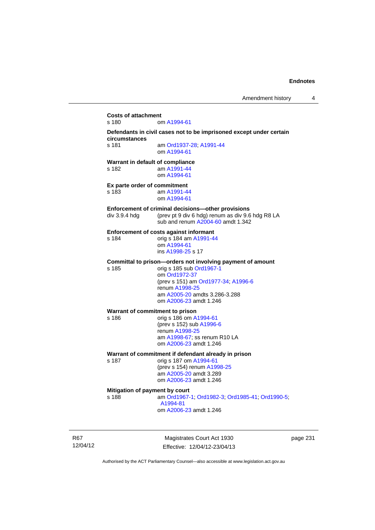**Costs of attachment**  om [A1994-61](http://www.legislation.act.gov.au/a/1994-61) **Defendants in civil cases not to be imprisoned except under certain circumstances**  s 181 am [Ord1937-28](http://www.legislation.act.gov.au/a/1937-28); [A1991-44](http://www.legislation.act.gov.au/a/1991-44) om [A1994-61](http://www.legislation.act.gov.au/a/1994-61) **Warrant in default of compliance**  s 182 am [A1991-44](http://www.legislation.act.gov.au/a/1991-44) om [A1994-61](http://www.legislation.act.gov.au/a/1994-61) **Ex parte order of commitment**  s 183 am [A1991-44](http://www.legislation.act.gov.au/a/1991-44) om [A1994-61](http://www.legislation.act.gov.au/a/1994-61) **Enforcement of criminal decisions—other provisions**  div 3.9.4 hdg (prev pt 9 div 6 hdg) renum as div 9.6 hdg R8 LA sub and renum [A2004-60](http://www.legislation.act.gov.au/a/2004-60) amdt 1.342 **Enforcement of costs against informant**  s 184 orig s 184 am [A1991-44](http://www.legislation.act.gov.au/a/1991-44) om [A1994-61](http://www.legislation.act.gov.au/a/1994-61) ins [A1998-25](http://www.legislation.act.gov.au/a/1998-25) s 17 **Committal to prison—orders not involving payment of amount**  s 185 orig s 185 sub [Ord1967-1](http://www.legislation.act.gov.au/a/1967-1) om [Ord1972-37](http://www.legislation.act.gov.au/a/1972-37) (prev s 151) am [Ord1977-34](http://www.legislation.act.gov.au/a/1977-34); [A1996-6](http://www.legislation.act.gov.au/a/1996-6) renum [A1998-25](http://www.legislation.act.gov.au/a/1998-25) am [A2005-20](http://www.legislation.act.gov.au/a/2005-20) amdts 3.286-3.288 om [A2006-23](http://www.legislation.act.gov.au/a/2006-23) amdt 1.246 **Warrant of commitment to prison**  s 186 orig s 186 om [A1994-61](http://www.legislation.act.gov.au/a/1994-61) (prev s 152) sub [A1996-6](http://www.legislation.act.gov.au/a/1996-6) renum [A1998-25](http://www.legislation.act.gov.au/a/1998-25) am [A1998-67](http://www.legislation.act.gov.au/a/1998-67); ss renum R10 LA om [A2006-23](http://www.legislation.act.gov.au/a/2006-23) amdt 1.246 **Warrant of commitment if defendant already in prison**  s 187 orig s 187 om [A1994-61](http://www.legislation.act.gov.au/a/1994-61) (prev s 154) renum [A1998-25](http://www.legislation.act.gov.au/a/1998-25) am [A2005-20](http://www.legislation.act.gov.au/a/2005-20) amdt 3.289 om [A2006-23](http://www.legislation.act.gov.au/a/2006-23) amdt 1.246 **Mitigation of payment by court**  s 188 am [Ord1967-1;](http://www.legislation.act.gov.au/a/1967-1) [Ord1982-3](http://www.legislation.act.gov.au/a/1982-3); [Ord1985-41](http://www.legislation.act.gov.au/a/1985-41); [Ord1990-5](http://www.legislation.act.gov.au/a/alt_ord1990-5); [A1994-81](http://www.legislation.act.gov.au/a/1994-81) om [A2006-23](http://www.legislation.act.gov.au/a/2006-23) amdt 1.246

R67 12/04/12

Magistrates Court Act 1930 Effective: 12/04/12-23/04/13 page 231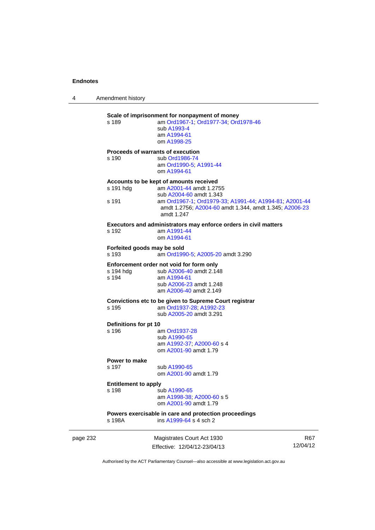4 Amendment history

|          | s 189                                | Scale of imprisonment for nonpayment of money<br>am Ord1967-1; Ord1977-34; Ord1978-46<br>sub A1993-4<br>am A1994-61<br>om A1998-25                                                                                              |                        |
|----------|--------------------------------------|---------------------------------------------------------------------------------------------------------------------------------------------------------------------------------------------------------------------------------|------------------------|
|          | s 190                                | Proceeds of warrants of execution<br>sub Ord1986-74<br>am Ord1990-5; A1991-44<br>om A1994-61                                                                                                                                    |                        |
|          | s 191 hdg<br>s 191                   | Accounts to be kept of amounts received<br>am A2001-44 amdt 1.2755<br>sub A2004-60 amdt 1.343<br>am Ord1967-1, Ord1979-33, A1991-44, A1994-81, A2001-44<br>amdt 1.2756; A2004-60 amdt 1.344, amdt 1.345; A2006-23<br>amdt 1.247 |                        |
|          | s 192                                | Executors and administrators may enforce orders in civil matters<br>am A1991-44<br>om A1994-61                                                                                                                                  |                        |
|          | Forfeited goods may be sold<br>s 193 | am Ord1990-5; A2005-20 amdt 3.290                                                                                                                                                                                               |                        |
|          | s 194 hdg<br>s 194                   | Enforcement order not void for form only<br>sub A2006-40 amdt 2.148<br>am A1994-61<br>sub A2006-23 amdt 1.248<br>am A2006-40 amdt 2.149                                                                                         |                        |
|          | s 195                                | Convictions etc to be given to Supreme Court registrar<br>am Ord1937-28; A1992-23<br>sub A2005-20 amdt 3.291                                                                                                                    |                        |
|          | Definitions for pt 10<br>s 196       | am Ord1937-28<br>sub A1990-65<br>am A1992-37, A2000-60 s 4<br>om A2001-90 amdt 1.79                                                                                                                                             |                        |
|          | Power to make<br>s 197               | sub A1990-65<br>om A2001-90 amdt 1.79                                                                                                                                                                                           |                        |
|          | <b>Entitlement to apply</b><br>s 198 | sub A1990-65<br>am A1998-38; A2000-60 s 5<br>om A2001-90 amdt 1.79                                                                                                                                                              |                        |
|          | s 198A                               | Powers exercisable in care and protection proceedings<br>ins A1999-64 s 4 sch 2                                                                                                                                                 |                        |
| page 232 |                                      | Magistrates Court Act 1930<br>Effective: 12/04/12-23/04/13                                                                                                                                                                      | <b>R67</b><br>12/04/12 |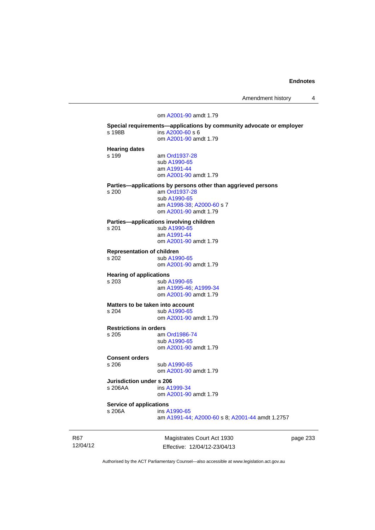Amendment history 4

## om [A2001-90](http://www.legislation.act.gov.au/a/2001-90) amdt 1.79 **Special requirements—applications by community advocate or employer**  s 198B ins [A2000-60](http://www.legislation.act.gov.au/a/2000-60) s 6 om [A2001-90](http://www.legislation.act.gov.au/a/2001-90) amdt 1.79 **Hearing dates**  am [Ord1937-28](http://www.legislation.act.gov.au/a/1937-28) sub [A1990-65](http://www.legislation.act.gov.au/a/1990-65) am [A1991-44](http://www.legislation.act.gov.au/a/1991-44) om [A2001-90](http://www.legislation.act.gov.au/a/2001-90) amdt 1.79 **Parties—applications by persons other than aggrieved persons**  s 200 am [Ord1937-28](http://www.legislation.act.gov.au/a/1937-28) sub [A1990-65](http://www.legislation.act.gov.au/a/1990-65) am [A1998-38](http://www.legislation.act.gov.au/a/1998-38); [A2000-60](http://www.legislation.act.gov.au/a/2000-60) s 7 om [A2001-90](http://www.legislation.act.gov.au/a/2001-90) amdt 1.79 **Parties—applications involving children**  s 201 sub [A1990-65](http://www.legislation.act.gov.au/a/1990-65) am [A1991-44](http://www.legislation.act.gov.au/a/1991-44) om [A2001-90](http://www.legislation.act.gov.au/a/2001-90) amdt 1.79 **Representation of children**  sub [A1990-65](http://www.legislation.act.gov.au/a/1990-65) om [A2001-90](http://www.legislation.act.gov.au/a/2001-90) amdt 1.79 **Hearing of applications**  s 203 sub [A1990-65](http://www.legislation.act.gov.au/a/1990-65) am [A1995-46](http://www.legislation.act.gov.au/a/1995-46); [A1999-34](http://www.legislation.act.gov.au/a/1999-34) om [A2001-90](http://www.legislation.act.gov.au/a/2001-90) amdt 1.79 **Matters to be taken into account**  s 204 sub [A1990-65](http://www.legislation.act.gov.au/a/1990-65) om [A2001-90](http://www.legislation.act.gov.au/a/2001-90) amdt 1.79 **Restrictions in orders**  am [Ord1986-74](http://www.legislation.act.gov.au/a/1986-74) sub [A1990-65](http://www.legislation.act.gov.au/a/1990-65) om [A2001-90](http://www.legislation.act.gov.au/a/2001-90) amdt 1.79 **Consent orders**  sub [A1990-65](http://www.legislation.act.gov.au/a/1990-65) om [A2001-90](http://www.legislation.act.gov.au/a/2001-90) amdt 1.79 **Jurisdiction under s 206**  s 206AA ins [A1999-34](http://www.legislation.act.gov.au/a/1999-34) om [A2001-90](http://www.legislation.act.gov.au/a/2001-90) amdt 1.79 **Service of applications**<br>**s** 206A **ins A** ins [A1990-65](http://www.legislation.act.gov.au/a/1990-65) am [A1991-44](http://www.legislation.act.gov.au/a/1991-44); [A2000-60](http://www.legislation.act.gov.au/a/2000-60) s 8; [A2001-44](http://www.legislation.act.gov.au/a/2001-44) amdt 1.2757

R67 12/04/12

Magistrates Court Act 1930 Effective: 12/04/12-23/04/13 page 233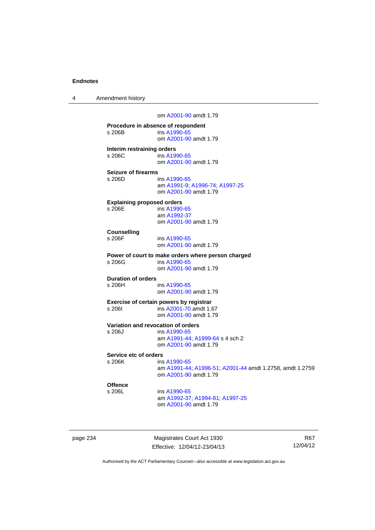4 Amendment history

om [A2001-90](http://www.legislation.act.gov.au/a/2001-90) amdt 1.79

**Procedure in absence of respondent**  s 206B ins [A1990-65](http://www.legislation.act.gov.au/a/1990-65) om [A2001-90](http://www.legislation.act.gov.au/a/2001-90) amdt 1.79 **Interim restraining orders**<br>s 206C ins A19 ins [A1990-65](http://www.legislation.act.gov.au/a/1990-65) om [A2001-90](http://www.legislation.act.gov.au/a/2001-90) amdt 1.79 **Seizure of firearms**  s 206D ins [A1990-65](http://www.legislation.act.gov.au/a/1990-65) am [A1991-9;](http://www.legislation.act.gov.au/a/1991-9) [A1996-74](http://www.legislation.act.gov.au/a/1996-74); [A1997-25](http://www.legislation.act.gov.au/a/1997-25) om [A2001-90](http://www.legislation.act.gov.au/a/2001-90) amdt 1.79 **Explaining proposed orders**  s 206E ins [A1990-65](http://www.legislation.act.gov.au/a/1990-65) am [A1992-37](http://www.legislation.act.gov.au/a/1992-37) om [A2001-90](http://www.legislation.act.gov.au/a/2001-90) amdt 1.79 **Counselling**  ins [A1990-65](http://www.legislation.act.gov.au/a/1990-65) om [A2001-90](http://www.legislation.act.gov.au/a/2001-90) amdt 1.79 **Power of court to make orders where person charged**  s 206G ins [A1990-65](http://www.legislation.act.gov.au/a/1990-65) om [A2001-90](http://www.legislation.act.gov.au/a/2001-90) amdt 1.79 **Duration of orders**  ins [A1990-65](http://www.legislation.act.gov.au/a/1990-65) om [A2001-90](http://www.legislation.act.gov.au/a/2001-90) amdt 1.79 **Exercise of certain powers by registrar**  s 206I ins [A2001-70](http://www.legislation.act.gov.au/a/2001-70) amdt 1.67 om [A2001-90](http://www.legislation.act.gov.au/a/2001-90) amdt 1.79 **Variation and revocation of orders**  s 206J ins [A1990-65](http://www.legislation.act.gov.au/a/1990-65) am [A1991-44](http://www.legislation.act.gov.au/a/1991-44); [A1999-64](http://www.legislation.act.gov.au/a/1999-64) s 4 sch 2 om [A2001-90](http://www.legislation.act.gov.au/a/2001-90) amdt 1.79 **Service etc of orders**  s 206K ins [A1990-65](http://www.legislation.act.gov.au/a/1990-65) am [A1991-44](http://www.legislation.act.gov.au/a/1991-44); [A1996-51](http://www.legislation.act.gov.au/a/1996-51); [A2001-44](http://www.legislation.act.gov.au/a/2001-44) amdt 1.2758, amdt 1.2759 om [A2001-90](http://www.legislation.act.gov.au/a/2001-90) amdt 1.79 **Offence**  s 206L ins [A1990-65](http://www.legislation.act.gov.au/a/1990-65) am [A1992-37](http://www.legislation.act.gov.au/a/1992-37); [A1994-81](http://www.legislation.act.gov.au/a/1994-81); [A1997-25](http://www.legislation.act.gov.au/a/1997-25) om [A2001-90](http://www.legislation.act.gov.au/a/2001-90) amdt 1.79

page 234 Magistrates Court Act 1930 Effective: 12/04/12-23/04/13

R67 12/04/12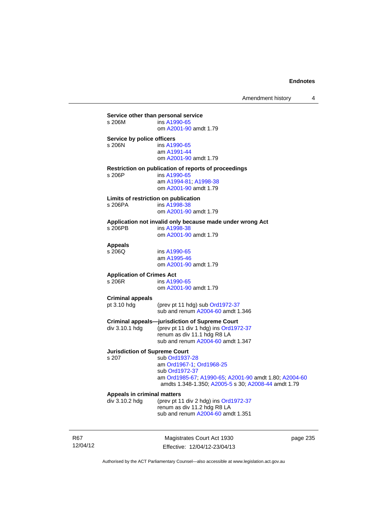| s 206M                               | Service other than personal service<br>ins A1990-65       |
|--------------------------------------|-----------------------------------------------------------|
|                                      | om A2001-90 amdt 1.79                                     |
| Service by police officers           |                                                           |
| s 206N                               | ins A1990-65                                              |
|                                      | am A1991-44                                               |
|                                      | om A2001-90 amdt 1.79                                     |
|                                      | Restriction on publication of reports of proceedings      |
| s 206P                               | ins A1990-65                                              |
|                                      | am A1994-81; A1998-38                                     |
|                                      | om A2001-90 amdt 1.79                                     |
|                                      | Limits of restriction on publication                      |
| s 206PA                              | ins A1998-38                                              |
|                                      | om A2001-90 amdt 1.79                                     |
|                                      | Application not invalid only because made under wrong Act |
| s 206PB                              | ins A1998-38                                              |
|                                      | om A2001-90 amdt 1.79                                     |
| <b>Appeals</b>                       |                                                           |
| s 206Q                               | ins A1990-65                                              |
|                                      | am A1995-46                                               |
|                                      | om A2001-90 amdt 1.79                                     |
| <b>Application of Crimes Act</b>     |                                                           |
| $s$ 206 $R$                          | ins A1990-65                                              |
|                                      | om A2001-90 amdt 1.79                                     |
| <b>Criminal appeals</b>              |                                                           |
| pt 3.10 hdg                          | (prev pt 11 hdg) sub Ord1972-37                           |
|                                      | sub and renum A2004-60 amdt 1.346                         |
|                                      | <b>Criminal appeals-jurisdiction of Supreme Court</b>     |
| div 3.10.1 hdg                       | (prev pt 11 div 1 hdg) ins Ord1972-37                     |
|                                      | renum as div 11.1 hdg R8 LA                               |
|                                      | sub and renum A2004-60 amdt 1.347                         |
| <b>Jurisdiction of Supreme Court</b> |                                                           |
| s 207                                | sub Ord1937-28                                            |
|                                      | am Ord1967-1; Ord1968-25                                  |
|                                      | sub Ord1972-37                                            |
|                                      | am Ord1985-67; A1990-65; A2001-90 amdt 1.80; A2004-60     |
|                                      | amdts 1.348-1.350; A2005-5 s 30; A2008-44 amdt 1.79       |
| Appeals in criminal matters          |                                                           |
| div 3.10.2 hdg                       | (prev pt 11 div 2 hdg) ins Ord1972-37                     |
|                                      | renum as div 11.2 hdg R8 LA                               |
|                                      | sub and renum A2004-60 amdt 1.351                         |

R67 12/04/12

Magistrates Court Act 1930 Effective: 12/04/12-23/04/13 page 235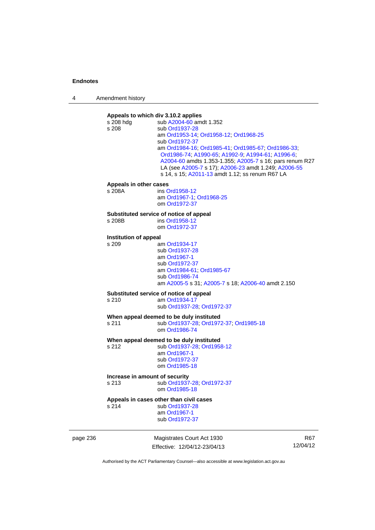4 Amendment history



Effective: 12/04/12-23/04/13

R67 12/04/12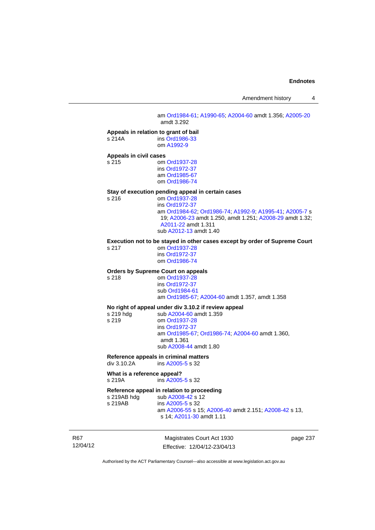Amendment history 4

 am [Ord1984-61](http://www.legislation.act.gov.au/a/1984-61); [A1990-65;](http://www.legislation.act.gov.au/a/1990-65) [A2004-60](http://www.legislation.act.gov.au/a/2004-60) amdt 1.356; [A2005-20](http://www.legislation.act.gov.au/a/2005-20) amdt 3.292

### **Appeals in relation to grant of bail**

s 214A ins [Ord1986-33](http://www.legislation.act.gov.au/a/1986-33) om [A1992-9](http://www.legislation.act.gov.au/a/1992-9)

### **Appeals in civil cases**

s 215 om [Ord1937-28](http://www.legislation.act.gov.au/a/1937-28) ins [Ord1972-37](http://www.legislation.act.gov.au/a/1972-37) am [Ord1985-67](http://www.legislation.act.gov.au/a/1985-67) om [Ord1986-74](http://www.legislation.act.gov.au/a/1986-74)

# **Stay of execution pending appeal in certain cases**

om [Ord1937-28](http://www.legislation.act.gov.au/a/1937-28) ins [Ord1972-37](http://www.legislation.act.gov.au/a/1972-37) am [Ord1984-62](http://www.legislation.act.gov.au/a/1984-62); [Ord1986-74;](http://www.legislation.act.gov.au/a/1986-74) [A1992-9](http://www.legislation.act.gov.au/a/1992-9); [A1995-41](http://www.legislation.act.gov.au/a/1995-41); [A2005-7](http://www.legislation.act.gov.au/a/2005-7) s 19; [A2006-23](http://www.legislation.act.gov.au/a/2006-23) amdt 1.250, amdt 1.251; [A2008-29](http://www.legislation.act.gov.au/a/2008-29) amdt 1.32; [A2011-22](http://www.legislation.act.gov.au/a/2011-22) amdt 1.311 sub [A2012-13](http://www.legislation.act.gov.au/a/2012-13) amdt 1.40

### **Execution not to be stayed in other cases except by order of Supreme Court**

s 217 om [Ord1937-28](http://www.legislation.act.gov.au/a/1937-28) ins [Ord1972-37](http://www.legislation.act.gov.au/a/1972-37) om [Ord1986-74](http://www.legislation.act.gov.au/a/1986-74)

## **Orders by Supreme Court on appeals**

s 218 om [Ord1937-28](http://www.legislation.act.gov.au/a/1937-28) ins [Ord1972-37](http://www.legislation.act.gov.au/a/1972-37) sub [Ord1984-61](http://www.legislation.act.gov.au/a/1984-61) am [Ord1985-67](http://www.legislation.act.gov.au/a/1985-67); [A2004-60](http://www.legislation.act.gov.au/a/2004-60) amdt 1.357, amdt 1.358

### **No right of appeal under div 3.10.2 if review appeal**

s 219 hdg sub [A2004-60](http://www.legislation.act.gov.au/a/2004-60) amdt 1.359<br>s 219 om Ord1937-28 om [Ord1937-28](http://www.legislation.act.gov.au/a/1937-28) ins [Ord1972-37](http://www.legislation.act.gov.au/a/1972-37) am [Ord1985-67;](http://www.legislation.act.gov.au/a/1985-67) [Ord1986-74;](http://www.legislation.act.gov.au/a/1986-74) [A2004-60](http://www.legislation.act.gov.au/a/2004-60) amdt 1.360, amdt 1.361 sub [A2008-44](http://www.legislation.act.gov.au/a/2008-44) amdt 1.80

### **Reference appeals in criminal matters**

div 3.10.2A ins [A2005-5](http://www.legislation.act.gov.au/a/2005-5) s 32

### **What is a reference appeal?**

s 219A ins [A2005-5](http://www.legislation.act.gov.au/a/2005-5) s 32

### **Reference appeal in relation to proceeding**

s 219AB hdg sub [A2008-42](http://www.legislation.act.gov.au/a/2008-42) s 12<br>s 219AB ins A2005-5 s 32 ins [A2005-5](http://www.legislation.act.gov.au/a/2005-5) s 32 am [A2006-55](http://www.legislation.act.gov.au/a/2006-55) s 15; [A2006-40](http://www.legislation.act.gov.au/a/2006-40) amdt 2.151; [A2008-42](http://www.legislation.act.gov.au/a/2008-42) s 13, s 14; [A2011-30](http://www.legislation.act.gov.au/a/2011-30) amdt 1.11

R67 12/04/12

Magistrates Court Act 1930 Effective: 12/04/12-23/04/13 page 237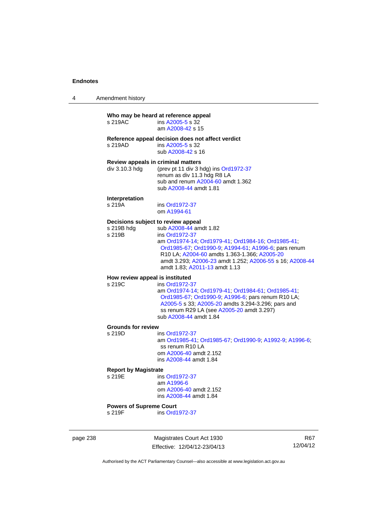| Amendment history |
|-------------------|
|                   |

## **Who may be heard at reference appeal**<br>s 219AC ins A2005-5 s 32  $ins A2005-5 s 32$  $ins A2005-5 s 32$  $ins A2005-5 s 32$  am [A2008-42](http://www.legislation.act.gov.au/a/2008-42) s 15 **Reference appeal decision does not affect verdict**  s 219AD ins [A2005-5](http://www.legislation.act.gov.au/a/2005-5) s 32 sub [A2008-42](http://www.legislation.act.gov.au/a/2008-42) s 16 **Review appeals in criminal matters**  div 3.10.3 hdg (prev pt 11 div 3 hdg) ins [Ord1972-37](http://www.legislation.act.gov.au/a/1972-37) renum as div 11.3 hdg R8 LA sub and renum [A2004-60](http://www.legislation.act.gov.au/a/2004-60) amdt 1.362 sub [A2008-44](http://www.legislation.act.gov.au/a/2008-44) amdt 1.81 **Interpretation**  ins [Ord1972-37](http://www.legislation.act.gov.au/a/1972-37) om [A1994-61](http://www.legislation.act.gov.au/a/1994-61) **Decisions subject to review appeal**  s 219B hdg sub [A2008-44](http://www.legislation.act.gov.au/a/2008-44) amdt 1.82 s 219B ins [Ord1972-37](http://www.legislation.act.gov.au/a/1972-37) am [Ord1974-14](http://www.legislation.act.gov.au/a/1974-14); [Ord1979-41;](http://www.legislation.act.gov.au/a/1979-41) [Ord1984-16](http://www.legislation.act.gov.au/a/1984-16); [Ord1985-41](http://www.legislation.act.gov.au/a/1985-41); [Ord1985-67;](http://www.legislation.act.gov.au/a/1985-67) [Ord1990-9;](http://www.legislation.act.gov.au/a/alt_ord1990-9) [A1994-61](http://www.legislation.act.gov.au/a/1994-61); [A1996-6](http://www.legislation.act.gov.au/a/1996-6); pars renum R10 LA; [A2004-60](http://www.legislation.act.gov.au/a/2004-60) amdts 1.363-1.366; [A2005-20](http://www.legislation.act.gov.au/a/2005-20) amdt 3.293; [A2006-23](http://www.legislation.act.gov.au/a/2006-23) amdt 1.252; [A2006-55](http://www.legislation.act.gov.au/a/2006-55) s 16; [A2008-44](http://www.legislation.act.gov.au/a/2008-44) amdt 1.83; [A2011-13](http://www.legislation.act.gov.au/a/2011-13) amdt 1.13 **How review appeal is instituted**  s 219C ins [Ord1972-37](http://www.legislation.act.gov.au/a/1972-37) am [Ord1974-14](http://www.legislation.act.gov.au/a/1974-14); [Ord1979-41;](http://www.legislation.act.gov.au/a/1979-41) [Ord1984-61](http://www.legislation.act.gov.au/a/1984-61); [Ord1985-41](http://www.legislation.act.gov.au/a/1985-41); [Ord1985-67;](http://www.legislation.act.gov.au/a/1985-67) [Ord1990-9;](http://www.legislation.act.gov.au/a/alt_ord1990-9) [A1996-6](http://www.legislation.act.gov.au/a/1996-6); pars renum R10 LA; [A2005-5](http://www.legislation.act.gov.au/a/2005-5) s 33; [A2005-20](http://www.legislation.act.gov.au/a/2005-20) amdts 3.294-3.296; pars and ss renum R29 LA (see [A2005-20](http://www.legislation.act.gov.au/a/2005-20) amdt 3.297) sub [A2008-44](http://www.legislation.act.gov.au/a/2008-44) amdt 1.84 **Grounds for review**  s 219D ins [Ord1972-37](http://www.legislation.act.gov.au/a/1972-37) am [Ord1985-41](http://www.legislation.act.gov.au/a/1985-41); [Ord1985-67;](http://www.legislation.act.gov.au/a/1985-67) [Ord1990-9](http://www.legislation.act.gov.au/a/alt_ord1990-9); [A1992-9](http://www.legislation.act.gov.au/a/1992-9); [A1996-6](http://www.legislation.act.gov.au/a/1996-6); ss renum R10 LA om [A2006-40](http://www.legislation.act.gov.au/a/2006-40) amdt 2.152 ins [A2008-44](http://www.legislation.act.gov.au/a/2008-44) amdt 1.84 **Report by Magistrate**  ins [Ord1972-37](http://www.legislation.act.gov.au/a/1972-37) am [A1996-6](http://www.legislation.act.gov.au/a/1996-6) om [A2006-40](http://www.legislation.act.gov.au/a/2006-40) amdt 2.152 ins [A2008-44](http://www.legislation.act.gov.au/a/2008-44) amdt 1.84 **Powers of Supreme Court**  s 219F ins [Ord1972-37](http://www.legislation.act.gov.au/a/1972-37)

page 238 Magistrates Court Act 1930 Effective: 12/04/12-23/04/13

R67 12/04/12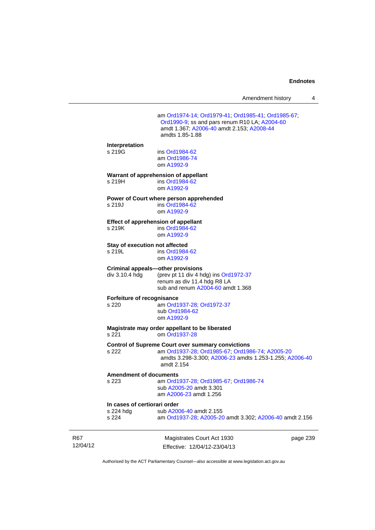| Amendment history |  |
|-------------------|--|
|-------------------|--|

 am [Ord1974-14](http://www.legislation.act.gov.au/a/1974-14); [Ord1979-41;](http://www.legislation.act.gov.au/a/1979-41) [Ord1985-41](http://www.legislation.act.gov.au/a/1985-41); [Ord1985-67](http://www.legislation.act.gov.au/a/1985-67); [Ord1990-9;](http://www.legislation.act.gov.au/a/alt_ord1990-9) ss and pars renum R10 LA; [A2004-60](http://www.legislation.act.gov.au/a/2004-60) amdt 1.367; [A2006-40](http://www.legislation.act.gov.au/a/2006-40) amdt 2.153; [A2008-44](http://www.legislation.act.gov.au/a/2008-44) amdts 1.85-1.88 **Interpretation**  s 219G ins [Ord1984-62](http://www.legislation.act.gov.au/a/1984-62) am [Ord1986-74](http://www.legislation.act.gov.au/a/1986-74) om [A1992-9](http://www.legislation.act.gov.au/a/1992-9) **Warrant of apprehension of appellant**  s 219H ins [Ord1984-62](http://www.legislation.act.gov.au/a/1984-62) om [A1992-9](http://www.legislation.act.gov.au/a/1992-9) **Power of Court where person apprehended**  s 219J ins [Ord1984-62](http://www.legislation.act.gov.au/a/1984-62) om [A1992-9](http://www.legislation.act.gov.au/a/1992-9) **Effect of apprehension of appellant**  s 219K ins [Ord1984-62](http://www.legislation.act.gov.au/a/1984-62) om [A1992-9](http://www.legislation.act.gov.au/a/1992-9) **Stay of execution not affected**<br>s 219L ins Ord1984 ins [Ord1984-62](http://www.legislation.act.gov.au/a/1984-62) om [A1992-9](http://www.legislation.act.gov.au/a/1992-9) **Criminal appeals—other provisions**  div 3.10.4 hdg (prev pt 11 div 4 hdg) ins [Ord1972-37](http://www.legislation.act.gov.au/a/1972-37) renum as div 11.4 hdg R8 LA sub and renum [A2004-60](http://www.legislation.act.gov.au/a/2004-60) amdt 1.368 **Forfeiture of recognisance**  s 220 am [Ord1937-28](http://www.legislation.act.gov.au/a/1937-28); [Ord1972-37](http://www.legislation.act.gov.au/a/1972-37) sub [Ord1984-62](http://www.legislation.act.gov.au/a/1984-62) om [A1992-9](http://www.legislation.act.gov.au/a/1992-9) **Magistrate may order appellant to be liberated**  om [Ord1937-28](http://www.legislation.act.gov.au/a/1937-28) **Control of Supreme Court over summary convictions**  s 222 am [Ord1937-28](http://www.legislation.act.gov.au/a/1937-28); [Ord1985-67;](http://www.legislation.act.gov.au/a/1985-67) [Ord1986-74](http://www.legislation.act.gov.au/a/1986-74); [A2005-20](http://www.legislation.act.gov.au/a/2005-20) amdts 3.298-3.300; [A2006-23](http://www.legislation.act.gov.au/a/2006-23) amdts 1.253-1.255; [A2006-40](http://www.legislation.act.gov.au/a/2006-40) amdt 2.154 **Amendment of documents**  s 223 am [Ord1937-28](http://www.legislation.act.gov.au/a/1937-28); [Ord1985-67;](http://www.legislation.act.gov.au/a/1985-67) [Ord1986-74](http://www.legislation.act.gov.au/a/1986-74) sub [A2005-20](http://www.legislation.act.gov.au/a/2005-20) amdt 3.301 am [A2006-23](http://www.legislation.act.gov.au/a/2006-23) amdt 1.256 **In cases of certiorari order**  s 224 hdg sub [A2006-40](http://www.legislation.act.gov.au/a/2006-40) amdt 2.155<br>s 224 am Ord1937-28: A2005-20 am [Ord1937-28](http://www.legislation.act.gov.au/a/1937-28); [A2005-20](http://www.legislation.act.gov.au/a/2005-20) amdt 3.302; [A2006-40](http://www.legislation.act.gov.au/a/2006-40) amdt 2.156

R67 12/04/12

Magistrates Court Act 1930 Effective: 12/04/12-23/04/13 page 239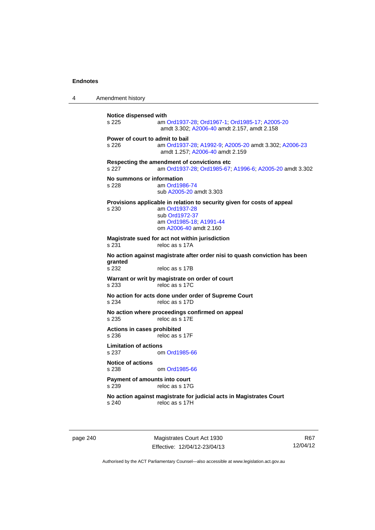4 Amendment history

**Notice dispensed with**  s 225 am [Ord1937-28](http://www.legislation.act.gov.au/a/1937-28); [Ord1967-1](http://www.legislation.act.gov.au/a/1967-1); [Ord1985-17](http://www.legislation.act.gov.au/a/1985-17); [A2005-20](http://www.legislation.act.gov.au/a/2005-20) amdt 3.302; [A2006-40](http://www.legislation.act.gov.au/a/2006-40) amdt 2.157, amdt 2.158 **Power of court to admit to bail**  s 226 am [Ord1937-28](http://www.legislation.act.gov.au/a/1937-28); [A1992-9](http://www.legislation.act.gov.au/a/1992-9); [A2005-20](http://www.legislation.act.gov.au/a/2005-20) amdt 3.302; [A2006-23](http://www.legislation.act.gov.au/a/2006-23) amdt 1.257; [A2006-40](http://www.legislation.act.gov.au/a/2006-40) amdt 2.159 **Respecting the amendment of convictions etc**  s 227 am [Ord1937-28](http://www.legislation.act.gov.au/a/1937-28); [Ord1985-67;](http://www.legislation.act.gov.au/a/1985-67) [A1996-6](http://www.legislation.act.gov.au/a/1996-6); [A2005-20](http://www.legislation.act.gov.au/a/2005-20) amdt 3.302 **No summons or information**  s 228 am [Ord1986-74](http://www.legislation.act.gov.au/a/1986-74) sub [A2005-20](http://www.legislation.act.gov.au/a/2005-20) amdt 3.303 **Provisions applicable in relation to security given for costs of appeal**  s 230 am [Ord1937-28](http://www.legislation.act.gov.au/a/1937-28) sub [Ord1972-37](http://www.legislation.act.gov.au/a/1972-37) am [Ord1985-18;](http://www.legislation.act.gov.au/a/1985-18) [A1991-44](http://www.legislation.act.gov.au/a/1991-44) om [A2006-40](http://www.legislation.act.gov.au/a/2006-40) amdt 2.160 **Magistrate sued for act not within jurisdiction**  s 231 reloc as s 17A **No action against magistrate after order nisi to quash conviction has been granted**  s 232 reloc as s 17B **Warrant or writ by magistrate on order of court**  s 233 reloc as s 17C **No action for acts done under order of Supreme Court**  s 234 reloc as s 17D **No action where proceedings confirmed on appeal**  s 235 reloc as s 17E **Actions in cases prohibited**  s 236 reloc as s 17F **Limitation of actions**  s 237 om [Ord1985-66](http://www.legislation.act.gov.au/a/1985-66) **Notice of actions**  om [Ord1985-66](http://www.legislation.act.gov.au/a/1985-66) **Payment of amounts into court**  s 239 reloc as s 17G **No action against magistrate for judicial acts in Magistrates Court**  reloc as s 17H

page 240 Magistrates Court Act 1930 Effective: 12/04/12-23/04/13

R67 12/04/12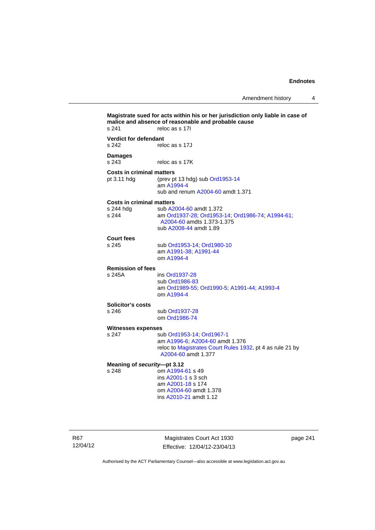**Magistrate sued for acts within his or her jurisdiction only liable in case of malice and absence of reasonable and probable cause**  s 241 reloc as s 17I **Verdict for defendant**  s 242 reloc as s 17J **Damages**  s 243 reloc as s 17K **Costs in criminal matters**  pt 3.11 hdg (prev pt 13 hdg) sub [Ord1953-14](http://www.legislation.act.gov.au/a/1953-14) am [A1994-4](http://www.legislation.act.gov.au/a/1994-4) sub and renum [A2004-60](http://www.legislation.act.gov.au/a/2004-60) amdt 1.371 **Costs in criminal matters**  sub [A2004-60](http://www.legislation.act.gov.au/a/2004-60) amdt 1.372 s 244 am [Ord1937-28](http://www.legislation.act.gov.au/a/1937-28); [Ord1953-14;](http://www.legislation.act.gov.au/a/1953-14) [Ord1986-74](http://www.legislation.act.gov.au/a/1986-74); [A1994-61](http://www.legislation.act.gov.au/a/1994-61); [A2004-60](http://www.legislation.act.gov.au/a/2004-60) amdts 1.373-1.375 sub [A2008-44](http://www.legislation.act.gov.au/a/2008-44) amdt 1.89 **Court fees**  s 245 sub [Ord1953-14](http://www.legislation.act.gov.au/a/1953-14); [Ord1980-10](http://www.legislation.act.gov.au/a/1980-10) am [A1991-38;](http://www.legislation.act.gov.au/a/1991-38) [A1991-44](http://www.legislation.act.gov.au/a/1991-44) om [A1994-4](http://www.legislation.act.gov.au/a/1994-4) **Remission of fees**  ins [Ord1937-28](http://www.legislation.act.gov.au/a/1937-28) sub [Ord1986-83](http://www.legislation.act.gov.au/a/1986-83) am [Ord1989-55](http://www.legislation.act.gov.au/a/1989-55); [Ord1990-5](http://www.legislation.act.gov.au/a/alt_ord1990-5); [A1991-44](http://www.legislation.act.gov.au/a/1991-44); [A1993-4](http://www.legislation.act.gov.au/a/1993-4) om [A1994-4](http://www.legislation.act.gov.au/a/1994-4) **Solicitor's costs**  s 246 sub [Ord1937-28](http://www.legislation.act.gov.au/a/1937-28) om [Ord1986-74](http://www.legislation.act.gov.au/a/1986-74) **Witnesses expenses**<br>s 247 su sub [Ord1953-14](http://www.legislation.act.gov.au/a/1953-14); [Ord1967-1](http://www.legislation.act.gov.au/a/1967-1) am [A1996-6;](http://www.legislation.act.gov.au/a/1996-6) [A2004-60](http://www.legislation.act.gov.au/a/2004-60) amdt 1.376 reloc to [Magistrates Court Rules 1932](http://www.legislation.act.gov.au/sl/1932-4/default.asp), pt 4 as rule 21 by [A2004-60](http://www.legislation.act.gov.au/a/2004-60) amdt 1.377 **Meaning of** *security***—pt 3.12**  s 248 om [A1994-61](http://www.legislation.act.gov.au/a/1994-61) s 49 ins [A2001-1](http://www.legislation.act.gov.au/a/2001-1) s 3 sch am [A2001-18](http://www.legislation.act.gov.au/a/2001-18) s 174 om [A2004-60](http://www.legislation.act.gov.au/a/2004-60) amdt 1.378 ins [A2010-21](http://www.legislation.act.gov.au/a/2010-21) amdt 1.12

R67 12/04/12

Magistrates Court Act 1930 Effective: 12/04/12-23/04/13 page 241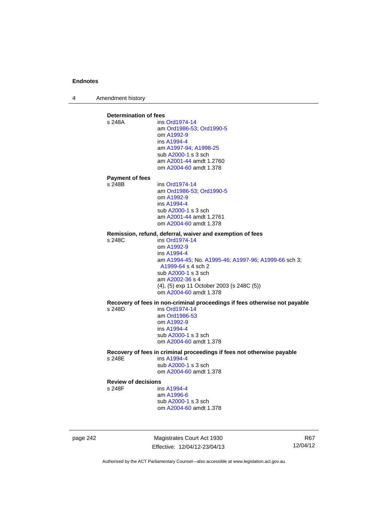4 Amendment history

**Determination of fees**<br>s 248A ins ins [Ord1974-14](http://www.legislation.act.gov.au/a/1974-14) am [Ord1986-53](http://www.legislation.act.gov.au/a/1986-53); [Ord1990-5](http://www.legislation.act.gov.au/a/alt_ord1990-5) om [A1992-9](http://www.legislation.act.gov.au/a/1992-9) ins [A1994-4](http://www.legislation.act.gov.au/a/1994-4) am [A1997-94](http://www.legislation.act.gov.au/a/1997-94); [A1998-25](http://www.legislation.act.gov.au/a/1998-25) sub [A2000-1](http://www.legislation.act.gov.au/a/2000-1) s 3 sch am [A2001-44](http://www.legislation.act.gov.au/a/2001-44) amdt 1.2760 om [A2004-60](http://www.legislation.act.gov.au/a/2004-60) amdt 1.378 **Payment of fees**  ins [Ord1974-14](http://www.legislation.act.gov.au/a/1974-14) am [Ord1986-53](http://www.legislation.act.gov.au/a/1986-53); [Ord1990-5](http://www.legislation.act.gov.au/a/alt_ord1990-5) om [A1992-9](http://www.legislation.act.gov.au/a/1992-9) ins [A1994-4](http://www.legislation.act.gov.au/a/1994-4) sub [A2000-1](http://www.legislation.act.gov.au/a/2000-1) s 3 sch am [A2001-44](http://www.legislation.act.gov.au/a/2001-44) amdt 1.2761 om [A2004-60](http://www.legislation.act.gov.au/a/2004-60) amdt 1.378 **Remission, refund, deferral, waiver and exemption of fees**  s 248C ins [Ord1974-14](http://www.legislation.act.gov.au/a/1974-14) om [A1992-9](http://www.legislation.act.gov.au/a/1992-9) ins [A1994-4](http://www.legislation.act.gov.au/a/1994-4) am [A1994-45](http://www.legislation.act.gov.au/a/1994-45); No. [A1995-46;](http://www.legislation.act.gov.au/a/1995-46) [A1997-96;](http://www.legislation.act.gov.au/a/1997-96) [A1999-66](http://www.legislation.act.gov.au/a/1999-66) sch 3; [A1999-64](http://www.legislation.act.gov.au/a/1999-64) s 4 sch 2 sub [A2000-1](http://www.legislation.act.gov.au/a/2000-1) s 3 sch am [A2002-36](http://www.legislation.act.gov.au/a/2002-36) s 4 (4), (5) exp 11 October 2003 (s 248C (5)) om [A2004-60](http://www.legislation.act.gov.au/a/2004-60) amdt 1.378 **Recovery of fees in non-criminal proceedings if fees otherwise not payable**  s 248D ins [Ord1974-14](http://www.legislation.act.gov.au/a/1974-14) am [Ord1986-53](http://www.legislation.act.gov.au/a/1986-53) om [A1992-9](http://www.legislation.act.gov.au/a/1992-9) ins [A1994-4](http://www.legislation.act.gov.au/a/1994-4) sub [A2000-1](http://www.legislation.act.gov.au/a/2000-1) s 3 sch om [A2004-60](http://www.legislation.act.gov.au/a/2004-60) amdt 1.378 **Recovery of fees in criminal proceedings if fees not otherwise payable**  s 248E **ins [A1994-4](http://www.legislation.act.gov.au/a/1994-4)**  sub [A2000-1](http://www.legislation.act.gov.au/a/2000-1) s 3 sch om [A2004-60](http://www.legislation.act.gov.au/a/2004-60) amdt 1.378 **Review of decisions**  s 248F ins [A1994-4](http://www.legislation.act.gov.au/a/1994-4) am [A1996-6](http://www.legislation.act.gov.au/a/1996-6) sub [A2000-1](http://www.legislation.act.gov.au/a/2000-1) s 3 sch om [A2004-60](http://www.legislation.act.gov.au/a/2004-60) amdt 1.378

page 242 Magistrates Court Act 1930 Effective: 12/04/12-23/04/13

R67 12/04/12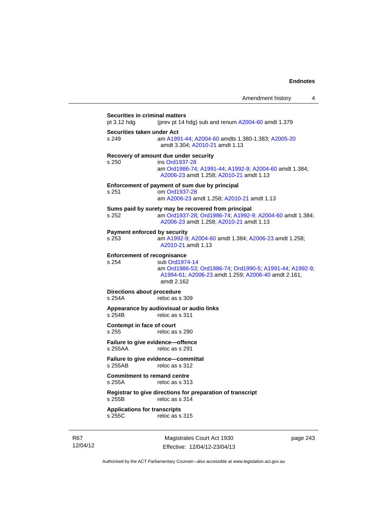Amendment history 4 **Securities in criminal matters**  pt 3.12 hdg (prev pt 14 hdg) sub and renum [A2004-60](http://www.legislation.act.gov.au/a/2004-60) amdt 1.379 **Securities taken under Act**  s 249 am [A1991-44](http://www.legislation.act.gov.au/a/1991-44); [A2004-60](http://www.legislation.act.gov.au/a/2004-60) amdts 1.380-1.383; [A2005-20](http://www.legislation.act.gov.au/a/2005-20) amdt 3.304; [A2010-21](http://www.legislation.act.gov.au/a/2010-21) amdt 1.13 **Recovery of amount due under security**  s 250 ins [Ord1937-28](http://www.legislation.act.gov.au/a/1937-28) am [Ord1986-74](http://www.legislation.act.gov.au/a/1986-74); [A1991-44](http://www.legislation.act.gov.au/a/1991-44); [A1992-9](http://www.legislation.act.gov.au/a/1992-9); [A2004-60](http://www.legislation.act.gov.au/a/2004-60) amdt 1.384; [A2006-23](http://www.legislation.act.gov.au/a/2006-23) amdt 1.258; [A2010-21](http://www.legislation.act.gov.au/a/2010-21) amdt 1.13 **Enforcement of payment of sum due by principal**  s 251 om [Ord1937-28](http://www.legislation.act.gov.au/a/1937-28) am [A2006-23](http://www.legislation.act.gov.au/a/2006-23) amdt 1.258; [A2010-21](http://www.legislation.act.gov.au/a/2010-21) amdt 1.13 **Sums paid by surety may be recovered from principal**  s 252 am [Ord1937-28](http://www.legislation.act.gov.au/a/1937-28); [Ord1986-74;](http://www.legislation.act.gov.au/a/1986-74) [A1992-9](http://www.legislation.act.gov.au/a/1992-9); [A2004-60](http://www.legislation.act.gov.au/a/2004-60) amdt 1.384; [A2006-23](http://www.legislation.act.gov.au/a/2006-23) amdt 1.258; [A2010-21](http://www.legislation.act.gov.au/a/2010-21) amdt 1.13 **Payment enforced by security**  s 253 am [A1992-9;](http://www.legislation.act.gov.au/a/1992-9) [A2004-60](http://www.legislation.act.gov.au/a/2004-60) amdt 1.384; [A2006-23](http://www.legislation.act.gov.au/a/2006-23) amdt 1.258; [A2010-21](http://www.legislation.act.gov.au/a/2010-21) amdt 1.13 **Enforcement of recognisance**  s 254 sub [Ord1974-14](http://www.legislation.act.gov.au/a/1974-14) am [Ord1986-53](http://www.legislation.act.gov.au/a/1986-53); [Ord1986-74;](http://www.legislation.act.gov.au/a/1986-74) [Ord1990-5](http://www.legislation.act.gov.au/a/alt_ord1990-5); [A1991-44](http://www.legislation.act.gov.au/a/1991-44); [A1992-9](http://www.legislation.act.gov.au/a/1992-9); [A1994-61;](http://www.legislation.act.gov.au/a/1994-61) [A2006-23](http://www.legislation.act.gov.au/a/2006-23) amdt 1.259; [A2006-40](http://www.legislation.act.gov.au/a/2006-40) amdt 2.161, amdt 2.162 **Directions about procedure**  s 254A reloc as s 309 **Appearance by audiovisual or audio links**  reloc as s 311 **Contempt in face of court**  s 255 reloc as s 290 **Failure to give evidence—offence**<br>s 255AA reloc as s 291 reloc as s 291 **Failure to give evidence—committal**  s 255AB reloc as s 312 **Commitment to remand centre**  s 255A reloc as s 313 **Registrar to give directions for preparation of transcript**  s 255B reloc as s 314

**Applications for transcripts**  s 255C reloc as s 315

R67 12/04/12

Magistrates Court Act 1930 Effective: 12/04/12-23/04/13 page 243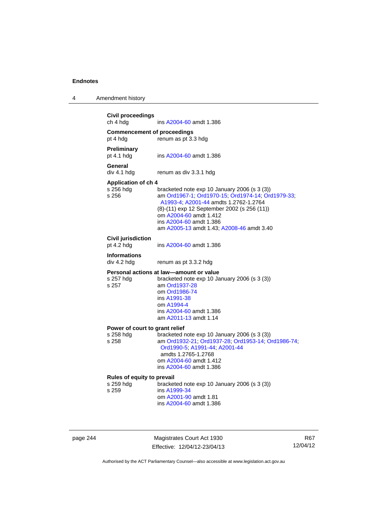| 4 | Amendment history |
|---|-------------------|
|---|-------------------|

| <b>Civil proceedings</b><br>ch 4 hdg    | ins A2004-60 amdt 1.386                                                                                                                                                                                                                                                                     |
|-----------------------------------------|---------------------------------------------------------------------------------------------------------------------------------------------------------------------------------------------------------------------------------------------------------------------------------------------|
| <b>Commencement of proceedings</b>      |                                                                                                                                                                                                                                                                                             |
| pt 4 hdg                                | renum as pt 3.3 hdg                                                                                                                                                                                                                                                                         |
| Preliminary<br>pt 4.1 hdg               | ins A2004-60 amdt 1.386                                                                                                                                                                                                                                                                     |
| General<br>div 4.1 hdg                  | renum as div 3.3.1 hdg                                                                                                                                                                                                                                                                      |
| <b>Application of ch 4</b>              |                                                                                                                                                                                                                                                                                             |
| s 256 hdg<br>s 256                      | bracketed note exp 10 January 2006 (s 3 (3))<br>am Ord1967-1, Ord1970-15, Ord1974-14, Ord1979-33,<br>A1993-4; A2001-44 amdts 1.2762-1.2764<br>(8)-(11) exp 12 September 2002 (s 256 (11))<br>om A2004-60 amdt 1.412<br>ins A2004-60 amdt 1.386<br>am A2005-13 amdt 1.43; A2008-46 amdt 3.40 |
| <b>Civil jurisdiction</b><br>pt 4.2 hdg | ins A2004-60 amdt 1.386                                                                                                                                                                                                                                                                     |
| <b>Informations</b><br>div 4.2 hdg      | renum as pt 3.3.2 hdg                                                                                                                                                                                                                                                                       |
| s 257 hdq<br>s 257                      | Personal actions at law-amount or value<br>bracketed note exp 10 January 2006 (s 3 (3))<br>am Ord1937-28<br>om Ord1986-74<br>ins A1991-38<br>om A1994-4<br>ins A2004-60 amdt 1.386<br>am A2011-13 amdt 1.14                                                                                 |
| Power of court to grant relief          |                                                                                                                                                                                                                                                                                             |
| s 258 hdg<br>s 258                      | bracketed note exp 10 January 2006 (s 3 (3))<br>am Ord1932-21; Ord1937-28; Ord1953-14; Ord1986-74;<br>Ord1990-5; A1991-44; A2001-44<br>amdts 1.2765-1.2768<br>om A2004-60 amdt 1.412<br>ins A2004-60 amdt 1.386                                                                             |
| Rules of equity to prevail              |                                                                                                                                                                                                                                                                                             |
| s 259 hdg<br>s 259                      | bracketed note exp 10 January 2006 (s 3 (3))<br>ins A1999-34<br>om A2001-90 amdt 1.81<br>ins A2004-60 amdt 1.386                                                                                                                                                                            |

page 244 Magistrates Court Act 1930 Effective: 12/04/12-23/04/13

R67 12/04/12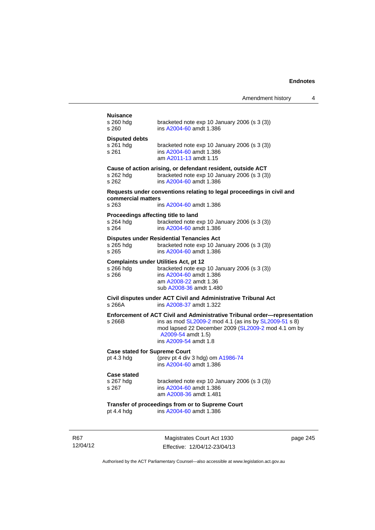|                                      | Amendment history                                                                                                                                                                                                                        |
|--------------------------------------|------------------------------------------------------------------------------------------------------------------------------------------------------------------------------------------------------------------------------------------|
| <b>Nuisance</b>                      |                                                                                                                                                                                                                                          |
| s 260 hdg<br>$s$ 260                 | bracketed note $exp 10$ January 2006 (s 3 (3))<br>ins A2004-60 amdt 1.386                                                                                                                                                                |
| <b>Disputed debts</b>                |                                                                                                                                                                                                                                          |
| s 261 hdg<br>s 261                   | bracketed note $exp 10$ January 2006 (s 3 (3))<br>ins A2004-60 amdt 1.386<br>am A2011-13 amdt 1.15                                                                                                                                       |
|                                      | Cause of action arising, or defendant resident, outside ACT                                                                                                                                                                              |
| s 262 hdg<br>s 262                   | bracketed note exp 10 January 2006 (s 3 (3))<br>ins A2004-60 amdt 1.386                                                                                                                                                                  |
| commercial matters                   | Requests under conventions relating to legal proceedings in civil and                                                                                                                                                                    |
| s 263                                | ins A2004-60 amdt 1.386                                                                                                                                                                                                                  |
| s 264 hdg<br>s 264                   | Proceedings affecting title to land<br>bracketed note exp 10 January 2006 (s 3 (3))<br>ins A2004-60 amdt 1.386                                                                                                                           |
| s 265 hdg                            | <b>Disputes under Residential Tenancies Act</b><br>bracketed note exp 10 January 2006 (s 3 (3))                                                                                                                                          |
| s 265                                | ins A2004-60 amdt 1.386                                                                                                                                                                                                                  |
| s 266 hdg<br>s 266                   | <b>Complaints under Utilities Act, pt 12</b><br>bracketed note exp 10 January 2006 (s 3 (3))<br>ins A2004-60 amdt 1.386<br>am A2008-22 amdt 1.36                                                                                         |
| s 266A                               | sub A2008-36 amdt 1.480<br>Civil disputes under ACT Civil and Administrative Tribunal Act<br>ins A2008-37 amdt 1.322                                                                                                                     |
|                                      |                                                                                                                                                                                                                                          |
| s 266B                               | Enforcement of ACT Civil and Administrative Tribunal order-representation<br>ins as mod SL2009-2 mod 4.1 (as ins by SL2009-51 s 8)<br>mod lapsed 22 December 2009 (SL2009-2 mod 4.1 om by<br>A2009-54 amdt 1.5)<br>ins A2009-54 amdt 1.8 |
| <b>Case stated for Supreme Court</b> |                                                                                                                                                                                                                                          |
| pt $4.3$ hdg                         | (prev pt 4 div 3 hdg) om A1986-74<br>ins A2004-60 amdt 1.386                                                                                                                                                                             |
| <b>Case stated</b>                   |                                                                                                                                                                                                                                          |
| s 267 hdg                            | bracketed note exp 10 January 2006 (s 3 (3))<br>ins A2004-60 amdt 1.386                                                                                                                                                                  |
| s 267                                | am A2008-36 amdt 1.481                                                                                                                                                                                                                   |
| pt 4.4 hdg                           | Transfer of proceedings from or to Supreme Court<br>ins A2004-60 amdt 1.386                                                                                                                                                              |

R67 12/04/12

Magistrates Court Act 1930 Effective: 12/04/12-23/04/13 page 245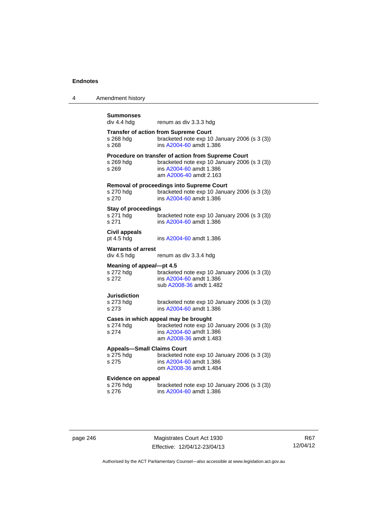4 Amendment history

| <b>Summonses</b>                         |                                                                                                    |
|------------------------------------------|----------------------------------------------------------------------------------------------------|
| div 4.4 hdg                              | renum as div 3.3.3 hdg                                                                             |
|                                          | <b>Transfer of action from Supreme Court</b>                                                       |
| s 268 hdg                                | bracketed note exp 10 January 2006 (s 3 (3))                                                       |
| s 268                                    | ins A2004-60 amdt 1.386                                                                            |
| s 269 hdg                                | Procedure on transfer of action from Supreme Court<br>bracketed note exp 10 January 2006 (s 3 (3)) |
| s 269                                    | ins A2004-60 amdt 1.386                                                                            |
|                                          | am A2006-40 amdt 2.163                                                                             |
|                                          | Removal of proceedings into Supreme Court                                                          |
| s 270 hdg<br>s 270                       | bracketed note exp 10 January 2006 (s 3 (3))<br>ins A2004-60 amdt 1.386                            |
| <b>Stay of proceedings</b>               |                                                                                                    |
| s 271 hdg                                | bracketed note exp 10 January 2006 (s 3 (3))                                                       |
| s 271                                    | ins A2004-60 amdt 1.386                                                                            |
| <b>Civil appeals</b>                     |                                                                                                    |
| pt 4.5 hdg                               | ins A2004-60 amdt 1.386                                                                            |
| <b>Warrants of arrest</b><br>div 4.5 hdg | renum as div 3.3.4 hdg                                                                             |
|                                          |                                                                                                    |
| Meaning of appeal-pt 4.5<br>s 272 hdg    | bracketed note exp 10 January 2006 (s 3 (3))                                                       |
| s 272                                    | ins A2004-60 amdt 1.386                                                                            |
|                                          | sub A2008-36 amdt 1.482                                                                            |
| Jurisdiction<br>s 273 hdg                | bracketed note exp 10 January 2006 (s 3 (3))                                                       |
| s 273                                    | ins A2004-60 amdt 1.386                                                                            |
|                                          | Cases in which appeal may be brought                                                               |
| s 274 hdg                                | bracketed note exp 10 January 2006 (s 3 (3))                                                       |
| s 274                                    | ins A2004-60 amdt 1.386<br>am A2008-36 amdt 1.483                                                  |
| <b>Appeals-Small Claims Court</b>        |                                                                                                    |
| s 275 hdg                                | bracketed note exp 10 January 2006 (s 3 (3))                                                       |
| s 275                                    | ins A2004-60 amdt 1.386<br>om A2008-36 amdt 1.484                                                  |
|                                          |                                                                                                    |
| <b>Evidence on appeal</b><br>s 276 hdg   | bracketed note exp 10 January 2006 (s 3 (3))                                                       |
| s 276                                    | ins A2004-60 amdt 1.386                                                                            |
|                                          |                                                                                                    |

page 246 Magistrates Court Act 1930 Effective: 12/04/12-23/04/13

R67 12/04/12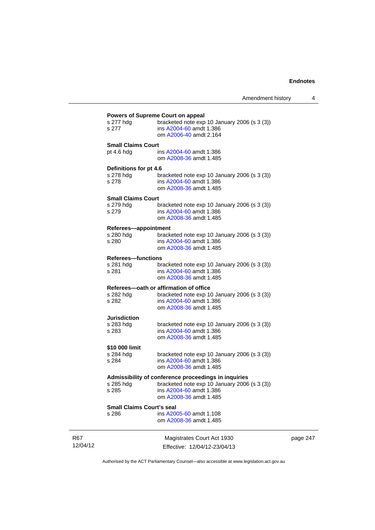|                                           | ווסוווטווסוור                                                                     |
|-------------------------------------------|-----------------------------------------------------------------------------------|
|                                           |                                                                                   |
| s 277 hdg                                 | Powers of Supreme Court on appeal<br>bracketed note exp 10 January 2006 (s 3 (3)) |
| s 277                                     | ins A2004-60 amdt 1.386                                                           |
|                                           | om A2006-40 amdt 2.164                                                            |
|                                           |                                                                                   |
| <b>Small Claims Court</b><br>pt $4.6$ hdg | ins A2004-60 amdt 1.386                                                           |
|                                           | om A2008-36 amdt 1.485                                                            |
|                                           |                                                                                   |
| Definitions for pt 4.6                    |                                                                                   |
| s 278 hdg                                 | bracketed note exp 10 January 2006 (s 3 (3))                                      |
| s 278                                     | ins A2004-60 amdt 1.386                                                           |
|                                           | om A2008-36 amdt 1.485                                                            |
| <b>Small Claims Court</b>                 |                                                                                   |
| s 279 hdg                                 | bracketed note exp 10 January 2006 (s 3 (3))                                      |
| s 279                                     | ins A2004-60 amdt 1.386                                                           |
|                                           | om A2008-36 amdt 1.485                                                            |
| Referees-appointment                      |                                                                                   |
| s 280 hdg                                 | bracketed note exp 10 January 2006 (s 3 (3))                                      |
| s 280                                     | ins A2004-60 amdt 1.386                                                           |
|                                           | om A2008-36 amdt 1.485                                                            |
| <b>Referees-functions</b>                 |                                                                                   |
| s 281 hdg                                 | bracketed note exp 10 January 2006 (s 3 (3))                                      |
| s 281                                     | ins A2004-60 amdt 1.386                                                           |
|                                           | om A2008-36 amdt 1.485                                                            |
|                                           | Referees-oath or affirmation of office                                            |
| s 282 hdg                                 | bracketed note exp 10 January 2006 (s 3 (3))                                      |
| s 282                                     | ins A2004-60 amdt 1.386                                                           |
|                                           | om A2008-36 amdt 1.485                                                            |
| <b>Jurisdiction</b>                       |                                                                                   |
| s 283 hdg                                 | bracketed note exp 10 January 2006 (s 3 (3))                                      |
| s 283                                     | ins A2004-60 amdt 1.386                                                           |
|                                           | om A2008-36 amdt 1.485                                                            |
| \$10 000 limit                            |                                                                                   |
| s 284 hdg                                 | bracketed note exp 10 January 2006 (s 3 (3))                                      |
| s 284                                     | ins A2004-60 amdt 1.386                                                           |
|                                           | om A2008-36 amdt 1.485                                                            |
|                                           | Admissibility of conference proceedings in inquiries                              |
| s 285 hdg                                 | bracketed note exp 10 January 2006 (s 3 (3))                                      |
| s 285                                     | ins A2004-60 amdt 1.386                                                           |
|                                           | om A2008-36 amdt 1.485                                                            |
| Small Claims Court's seal                 |                                                                                   |
| s 286                                     | ins A2005-60 amdt 1.108                                                           |
|                                           | om A2008-36 amdt 1.485                                                            |
|                                           |                                                                                   |
|                                           | Magistrates Court Act 1930                                                        |
|                                           |                                                                                   |

page 247

Authorised by the ACT Parliamentary Counsel—also accessible at www.legislation.act.gov.au

Effective: 12/04/12-23/04/13

R67 12/04/12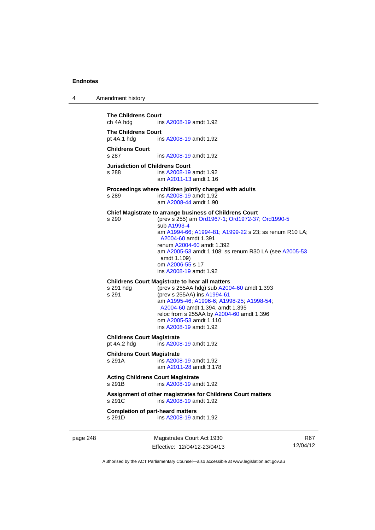| 4 | Amendment history |
|---|-------------------|
|---|-------------------|

**The Childrens Court**<br>ch 4A hda **ins** ins A 2008-19 amdt 1.92 **The Childrens Court**  pt 4A.1 hdg ins [A2008-19](http://www.legislation.act.gov.au/a/2008-19) amdt 1.92 **Childrens Court**  s 287 ins [A2008-19](http://www.legislation.act.gov.au/a/2008-19) amdt 1.92 **Jurisdiction of Childrens Court**  s 288 ins [A2008-19](http://www.legislation.act.gov.au/a/2008-19) amdt 1.92 am [A2011-13](http://www.legislation.act.gov.au/a/2011-13) amdt 1.16 **Proceedings where children jointly charged with adults**  s 289 ins [A2008-19](http://www.legislation.act.gov.au/a/2008-19) amdt 1.92 am [A2008-44](http://www.legislation.act.gov.au/a/2008-44) amdt 1.90 **Chief Magistrate to arrange business of Childrens Court**  s 290 (prev s 255) am [Ord1967-1](http://www.legislation.act.gov.au/a/1967-1); [Ord1972-37;](http://www.legislation.act.gov.au/a/1972-37) [Ord1990-5](http://www.legislation.act.gov.au/a/alt_ord1990-5) sub [A1993-4](http://www.legislation.act.gov.au/a/1993-4) am [A1994-66](http://www.legislation.act.gov.au/a/1994-66); [A1994-81](http://www.legislation.act.gov.au/a/1994-81); [A1999-22](http://www.legislation.act.gov.au/a/1999-22) s 23; ss renum R10 LA; [A2004-60](http://www.legislation.act.gov.au/a/2004-60) amdt 1.391 renum [A2004-60](http://www.legislation.act.gov.au/a/2004-60) amdt 1.392 am [A2005-53](http://www.legislation.act.gov.au/a/2005-53) amdt 1.108; ss renum R30 LA (see [A2005-53](http://www.legislation.act.gov.au/a/2005-53) amdt 1.109) om [A2006-55](http://www.legislation.act.gov.au/a/2006-55) s 17 ins [A2008-19](http://www.legislation.act.gov.au/a/2008-19) amdt 1.92 **Childrens Court Magistrate to hear all matters**  s 291 hdg (prev s 255AA hdg) sub [A2004-60](http://www.legislation.act.gov.au/a/2004-60) amdt 1.393 s 291 (prev s 255AA) ins [A1994-61](http://www.legislation.act.gov.au/a/1994-61) am [A1995-46](http://www.legislation.act.gov.au/a/1995-46); [A1996-6;](http://www.legislation.act.gov.au/a/1996-6) [A1998-25](http://www.legislation.act.gov.au/a/1998-25); [A1998-54](http://www.legislation.act.gov.au/a/1998-54); [A2004-60](http://www.legislation.act.gov.au/a/2004-60) amdt 1.394, amdt 1.395 reloc from s 255AA by [A2004-60](http://www.legislation.act.gov.au/a/2004-60) amdt 1.396 om [A2005-53](http://www.legislation.act.gov.au/a/2005-53) amdt 1.110 ins [A2008-19](http://www.legislation.act.gov.au/a/2008-19) amdt 1.92 **Childrens Court Magistrate**  pt 4A.2 hdg ins [A2008-19](http://www.legislation.act.gov.au/a/2008-19) amdt 1.92 **Childrens Court Magistrate**  s 291A ins [A2008-19](http://www.legislation.act.gov.au/a/2008-19) amdt 1.92 am [A2011-28](http://www.legislation.act.gov.au/a/2011-28) amdt 3.178 **Acting Childrens Court Magistrate**  s 291B ins [A2008-19](http://www.legislation.act.gov.au/a/2008-19) amdt 1.92 **Assignment of other magistrates for Childrens Court matters**  s 291C ins [A2008-19](http://www.legislation.act.gov.au/a/2008-19) amdt 1.92 **Completion of part-heard matters**<br>s 291D ins A2008-19 are ins [A2008-19](http://www.legislation.act.gov.au/a/2008-19) amdt 1.92

page 248 Magistrates Court Act 1930 Effective: 12/04/12-23/04/13

R67 12/04/12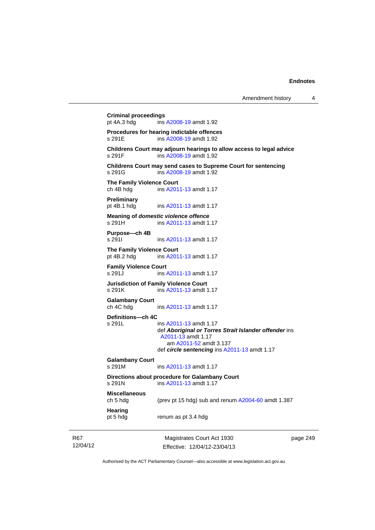Magistrates Court Act 1930 **Criminal proceedings**  ins [A2008-19](http://www.legislation.act.gov.au/a/2008-19) amdt 1.92 **Procedures for hearing indictable offences**  s 291E ins [A2008-19](http://www.legislation.act.gov.au/a/2008-19) amdt 1.92 **Childrens Court may adjourn hearings to allow access to legal advice**  s 291F ins [A2008-19](http://www.legislation.act.gov.au/a/2008-19) amdt 1.92 **Childrens Court may send cases to Supreme Court for sentencing**  s 291G ins [A2008-19](http://www.legislation.act.gov.au/a/2008-19) amdt 1.92 **The Family Violence Court**<br>
ch 4B hdg
ins A201 ins [A2011-13](http://www.legislation.act.gov.au/a/2011-13) amdt 1.17 **Preliminary**  pt 4B.1 hdg ins [A2011-13](http://www.legislation.act.gov.au/a/2011-13) amdt 1.17 **Meaning of** *domestic violence offence* s 291H ins [A2011-13](http://www.legislation.act.gov.au/a/2011-13) amdt 1.17 **Purpose—ch 4B**  s 291I ins [A2011-13](http://www.legislation.act.gov.au/a/2011-13) amdt 1.17 **The Family Violence Court**  pt 4B.2 hdg ins [A2011-13](http://www.legislation.act.gov.au/a/2011-13) amdt 1.17 **Family Violence Court**  s 291J ins [A2011-13](http://www.legislation.act.gov.au/a/2011-13) amdt 1.17 **Jurisdiction of Family Violence Court**  s 291K ins [A2011-13](http://www.legislation.act.gov.au/a/2011-13) amdt 1.17 **Galambany Court**  ch 4C hdg ins [A2011-13](http://www.legislation.act.gov.au/a/2011-13) amdt 1.17 **Definitions—ch 4C**  s 291L ins [A2011-13](http://www.legislation.act.gov.au/a/2011-13) amdt 1.17 def *Aboriginal or Torres Strait Islander offender* ins [A2011-13](http://www.legislation.act.gov.au/a/2011-13) amdt 1.17 am [A2011-52](http://www.legislation.act.gov.au/a/2011-52) amdt 3.137 def *circle sentencing* ins [A2011-13](http://www.legislation.act.gov.au/a/2011-13) amdt 1.17 **Galambany Court**  s 291M ins [A2011-13](http://www.legislation.act.gov.au/a/2011-13) amdt 1.17 **Directions about procedure for Galambany Court**  s 291N ins [A2011-13](http://www.legislation.act.gov.au/a/2011-13) amdt 1.17 **Miscellaneous**  ch 5 hdg (prev pt 15 hdg) sub and renum [A2004-60](http://www.legislation.act.gov.au/a/2004-60) amdt 1.387 **Hearing**  pt 5 hdg renum as pt 3.4 hdg

R67 12/04/12

Effective: 12/04/12-23/04/13

page 249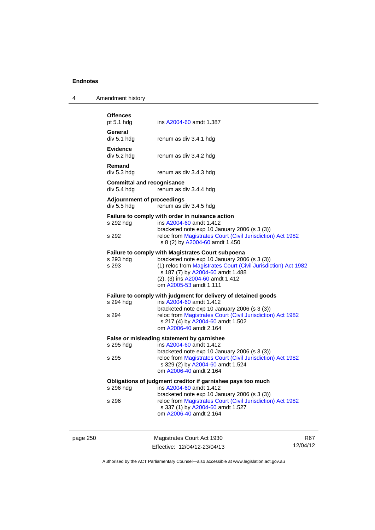| 4 | Amendment history |  |
|---|-------------------|--|
|   |                   |  |

| <b>Offences</b><br>pt $5.1$ hdg                  | ins A2004-60 amdt 1.387                                                                                                                      |
|--------------------------------------------------|----------------------------------------------------------------------------------------------------------------------------------------------|
| General<br>div 5.1 hdg                           | renum as div 3.4.1 hdg                                                                                                                       |
| <b>Evidence</b><br>div 5.2 hdg                   | renum as div 3.4.2 hdg                                                                                                                       |
| Remand<br>div 5.3 hdg                            | renum as div 3.4.3 hdg                                                                                                                       |
| <b>Committal and recognisance</b><br>div 5.4 hdg | renum as div 3.4.4 hdg                                                                                                                       |
| <b>Adjournment of proceedings</b><br>div 5.5 hdg | renum as div 3.4.5 hdg                                                                                                                       |
|                                                  | Failure to comply with order in nuisance action                                                                                              |
| s 292 hdg                                        | ins A2004-60 amdt 1.412                                                                                                                      |
| s 292                                            | bracketed note exp 10 January 2006 (s 3 (3))<br>reloc from Magistrates Court (Civil Jurisdiction) Act 1982<br>s 8 (2) by A2004-60 amdt 1.450 |
|                                                  | Failure to comply with Magistrates Court subpoena                                                                                            |
| s 293 hdg                                        | bracketed note exp 10 January 2006 (s 3 (3))                                                                                                 |
| s 293                                            | (1) reloc from Magistrates Court (Civil Jurisdiction) Act 1982<br>s 187 (7) by A2004-60 amdt 1.488                                           |
|                                                  | (2), (3) ins A2004-60 amdt 1.412                                                                                                             |
|                                                  | om A2005-53 amdt 1.111                                                                                                                       |
|                                                  | Failure to comply with judgment for delivery of detained goods                                                                               |
| s 294 hdg                                        | ins A2004-60 amdt 1.412                                                                                                                      |
|                                                  | bracketed note exp 10 January 2006 (s 3 (3))                                                                                                 |
| s 294                                            | reloc from Magistrates Court (Civil Jurisdiction) Act 1982<br>s 217 (4) by A2004-60 amdt 1.502                                               |
|                                                  | om A2006-40 amdt 2.164                                                                                                                       |
|                                                  | False or misleading statement by garnishee                                                                                                   |
| s 295 hdg                                        | ins A2004-60 amdt 1.412                                                                                                                      |
|                                                  | bracketed note exp 10 January 2006 (s 3 (3))                                                                                                 |
| s 295                                            | reloc from Magistrates Court (Civil Jurisdiction) Act 1982<br>s 329 (2) by A2004-60 amdt 1.524                                               |
|                                                  | om A2006-40 amdt 2.164                                                                                                                       |
|                                                  | Obligations of judgment creditor if garnishee pays too much                                                                                  |
| s 296 hdg                                        | ins A2004-60 amdt 1.412                                                                                                                      |
|                                                  | bracketed note exp 10 January 2006 (s 3 (3))                                                                                                 |
| s 296                                            | reloc from Magistrates Court (Civil Jurisdiction) Act 1982<br>s 337 (1) by A2004-60 amdt 1.527                                               |
|                                                  | om A2006-40 amdt 2.164                                                                                                                       |
|                                                  |                                                                                                                                              |
|                                                  |                                                                                                                                              |

page 250 Magistrates Court Act 1930 Effective: 12/04/12-23/04/13

R67 12/04/12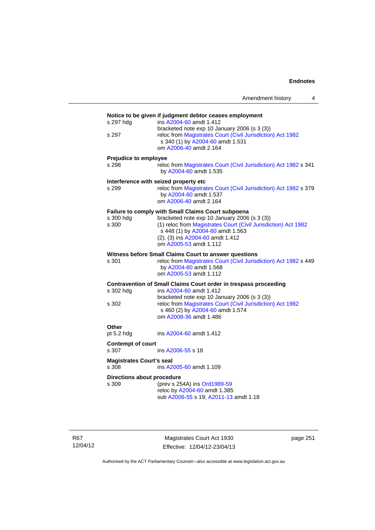|  | Amendment history |  |
|--|-------------------|--|
|  |                   |  |
|  |                   |  |

| s 297 hdg                                | ins A2004-60 amdt 1.412                                                                                                                                                  |
|------------------------------------------|--------------------------------------------------------------------------------------------------------------------------------------------------------------------------|
| s 297                                    | bracketed note exp 10 January 2006 (s 3 (3))<br>reloc from Magistrates Court (Civil Jurisdiction) Act 1982<br>s 340 (1) by A2004-60 amdt 1.531<br>om A2006-40 amdt 2.164 |
| Prejudice to employee                    |                                                                                                                                                                          |
| s 298                                    | reloc from Magistrates Court (Civil Jurisdiction) Act 1982 s 341<br>by A2004-60 amdt 1.535                                                                               |
|                                          | Interference with seized property etc                                                                                                                                    |
| s 299                                    | reloc from Magistrates Court (Civil Jurisdiction) Act 1982 s 379<br>by A2004-60 amdt 1.537<br>om A2006-40 amdt 2.164                                                     |
|                                          | Failure to comply with Small Claims Court subpoena                                                                                                                       |
| s 300 hdg                                | bracketed note exp 10 January 2006 (s 3 (3))                                                                                                                             |
| s 300                                    | (1) reloc from Magistrates Court (Civil Jurisdiction) Act 1982<br>s 448 (1) by A2004-60 amdt 1.563                                                                       |
|                                          | (2), (3) ins A2004-60 amdt 1.412                                                                                                                                         |
|                                          | om A2005-53 amdt 1.112                                                                                                                                                   |
|                                          | Witness before Small Claims Court to answer questions                                                                                                                    |
| s 301                                    | reloc from Magistrates Court (Civil Jurisdiction) Act 1982 s 449                                                                                                         |
|                                          | by A2004-60 amdt 1.568<br>om A2005-53 amdt 1.112                                                                                                                         |
|                                          | Contravention of Small Claims Court order in trespass proceeding                                                                                                         |
| s 302 hdg                                | ins A2004-60 amdt 1.412                                                                                                                                                  |
|                                          | bracketed note exp 10 January 2006 (s 3 (3))                                                                                                                             |
| s 302                                    | reloc from Magistrates Court (Civil Jurisdiction) Act 1982<br>s 460 (2) by A2004-60 amdt 1.574                                                                           |
|                                          | om A2008-36 amdt 1.486                                                                                                                                                   |
| Other                                    |                                                                                                                                                                          |
| pt 5.2 hdg                               | ins A2004-60 amdt 1.412                                                                                                                                                  |
| <b>Contempt of court</b>                 |                                                                                                                                                                          |
| s 307                                    | ins A2006-55 s 18                                                                                                                                                        |
| <b>Magistrates Court's seal</b><br>s 308 | ins A2005-60 amdt 1.109                                                                                                                                                  |
| <b>Directions about procedure</b>        |                                                                                                                                                                          |
| s 309                                    | (prev s 254A) ins Ord1989-59                                                                                                                                             |
|                                          | reloc by A2004-60 amdt 1.385                                                                                                                                             |
|                                          | sub A2006-55 s 19; A2011-13 amdt 1.18                                                                                                                                    |

R67 12/04/12

Magistrates Court Act 1930 Effective: 12/04/12-23/04/13 page 251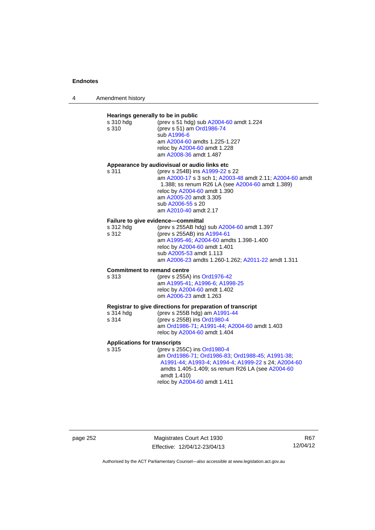| 4 | Amendment history |
|---|-------------------|
|---|-------------------|

| Hearings generally to be in public<br>s 310 hdg<br>s 310 | (prev s 51 hdg) sub A2004-60 amdt 1.224<br>(prev s 51) am Ord1986-74<br>sub A1996-6<br>am A2004-60 amdts 1.225-1.227<br>reloc by A2004-60 amdt 1.228<br>am A2008-36 amdt 1.487                                                                          |
|----------------------------------------------------------|---------------------------------------------------------------------------------------------------------------------------------------------------------------------------------------------------------------------------------------------------------|
|                                                          | Appearance by audiovisual or audio links etc                                                                                                                                                                                                            |
| s 311                                                    | (prev s 254B) ins A1999-22 s 22<br>am A2000-17 s 3 sch 1; A2003-48 amdt 2.11; A2004-60 amdt<br>1.388; ss renum R26 LA (see A2004-60 amdt 1.389)<br>reloc by A2004-60 amdt 1.390<br>am A2005-20 amdt 3.305<br>sub A2006-55 s 20<br>am A2010-40 amdt 2.17 |
|                                                          | Failure to give evidence-committal                                                                                                                                                                                                                      |
| s 312 hdg<br>s 312                                       | (prev s 255AB hdg) sub A2004-60 amdt 1.397<br>(prev s 255AB) ins A1994-61                                                                                                                                                                               |
|                                                          | am A1995-46; A2004-60 amdts 1.398-1.400                                                                                                                                                                                                                 |
|                                                          | reloc by A2004-60 amdt 1.401<br>sub A2005-53 amdt 1.113                                                                                                                                                                                                 |
|                                                          | am A2006-23 amdts 1.260-1.262; A2011-22 amdt 1.311                                                                                                                                                                                                      |
| <b>Commitment to remand centre</b>                       |                                                                                                                                                                                                                                                         |
| s 313                                                    | (prev s 255A) ins Ord1976-42<br>am A1995-41, A1996-6; A1998-25                                                                                                                                                                                          |
|                                                          | reloc by A2004-60 amdt 1.402<br>om A2006-23 amdt 1.263                                                                                                                                                                                                  |
|                                                          |                                                                                                                                                                                                                                                         |
| s 314 hdg                                                | Registrar to give directions for preparation of transcript<br>(prev s 255B hdg) am A1991-44                                                                                                                                                             |
| s 314                                                    | (prev s 255B) ins Ord1980-4                                                                                                                                                                                                                             |
|                                                          | am Ord1986-71; A1991-44; A2004-60 amdt 1.403<br>reloc by A2004-60 amdt 1.404                                                                                                                                                                            |
| <b>Applications for transcripts</b>                      |                                                                                                                                                                                                                                                         |
| s 315                                                    | (prev s 255C) ins Ord1980-4                                                                                                                                                                                                                             |
|                                                          | am Ord1986-71, Ord1986-83, Ord1988-45, A1991-38,<br>A1991-44; A1993-4; A1994-4; A1999-22 s 24; A2004-60                                                                                                                                                 |
|                                                          | amdts 1.405-1.409; ss renum R26 LA (see A2004-60                                                                                                                                                                                                        |
|                                                          | amdt 1.410)<br>reloc by A2004-60 amdt 1.411                                                                                                                                                                                                             |

page 252 Magistrates Court Act 1930 Effective: 12/04/12-23/04/13

R67 12/04/12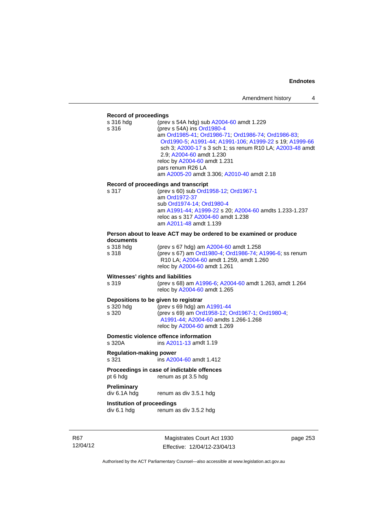### **Record of proceedings**

| necoru or proceedings                      |                                                                                                                                                                                                                                                                                                                                                                                     |
|--------------------------------------------|-------------------------------------------------------------------------------------------------------------------------------------------------------------------------------------------------------------------------------------------------------------------------------------------------------------------------------------------------------------------------------------|
| s 316 hdg<br>s 316                         | (prev s 54A hdg) sub A2004-60 amdt 1.229<br>(prev s 54A) ins Ord1980-4<br>am Ord1985-41; Ord1986-71; Ord1986-74; Ord1986-83;<br>Ord1990-5; A1991-44; A1991-106; A1999-22 s 19; A1999-66<br>sch 3; A2000-17 s 3 sch 1; ss renum R10 LA; A2003-48 amdt<br>2.9; A2004-60 amdt 1.230<br>reloc by A2004-60 amdt 1.231<br>pars renum R26 LA<br>am A2005-20 amdt 3.306; A2010-40 amdt 2.18 |
| s 317                                      | Record of proceedings and transcript<br>(prev s 60) sub Ord1958-12; Ord1967-1<br>am Ord1972-37<br>sub Ord1974-14; Ord1980-4<br>am A1991-44; A1999-22 s 20; A2004-60 amdts 1.233-1.237<br>reloc as s 317 A2004-60 amdt 1.238<br>am A2011-48 amdt 1.139                                                                                                                               |
|                                            | Person about to leave ACT may be ordered to be examined or produce                                                                                                                                                                                                                                                                                                                  |
| documents<br>s 318 hdg<br>s 318            | (prev s 67 hdg) am A2004-60 amdt 1.258<br>(prev s 67) am Ord1980-4; Ord1986-74; A1996-6; ss renum<br>R10 LA; A2004-60 amdt 1.259, amdt 1.260<br>reloc by A2004-60 amdt 1.261                                                                                                                                                                                                        |
| Witnesses' rights and liabilities<br>s 319 | (prev s 68) am A1996-6; A2004-60 amdt 1.263, amdt 1.264<br>reloc by A2004-60 amdt 1.265                                                                                                                                                                                                                                                                                             |
| s 320 hdg<br>s 320                         | Depositions to be given to registrar<br>(prev s 69 hdg) am A1991-44<br>(prev s 69) am Ord1958-12, Ord1967-1, Ord1980-4;<br>A1991-44; A2004-60 amdts 1.266-1.268<br>reloc by A2004-60 amdt 1.269                                                                                                                                                                                     |
| s 320A                                     | <b>Domestic violence offence information</b><br>ins A2011-13 amdt 1.19                                                                                                                                                                                                                                                                                                              |
| <b>Regulation-making power</b><br>s 321    | ins A2004-60 amdt 1.412                                                                                                                                                                                                                                                                                                                                                             |
| pt 6 hdg                                   | Proceedings in case of indictable offences<br>renum as pt 3.5 hdg                                                                                                                                                                                                                                                                                                                   |
| Preliminary<br>div 6.1A hdg                | renum as div 3.5.1 hdg                                                                                                                                                                                                                                                                                                                                                              |
| Institution of proceedings<br>div 6.1 hdg  | renum as div 3.5.2 hdg                                                                                                                                                                                                                                                                                                                                                              |

R67 12/04/12

Magistrates Court Act 1930 Effective: 12/04/12-23/04/13 page 253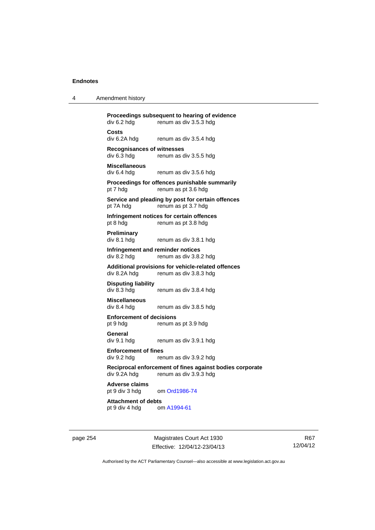| 4 | Amendment history |
|---|-------------------|
|---|-------------------|

**Proceedings subsequent to hearing of evidence**<br>div 6.2 hdg renum as div 3.5.3 hdg renum as div 3.5.3 hdg **Costs**  div 6.2A hdg renum as div 3.5.4 hdg **Recognisances of witnesses**  renum as div 3.5.5 hdg **Miscellaneous**  div 6.4 hdg renum as div 3.5.6 hdg **Proceedings for offences punishable summarily**  pt 7 hdg renum as pt 3.6 hdg **Service and pleading by post for certain offences**  pt 7A hdg renum as pt 3.7 hdg **Infringement notices for certain offences**  pt 8 hdg renum as pt 3.8 hdg **Preliminary**  div 8.1 hdg renum as div 3.8.1 hdg **Infringement and reminder notices**<br>div 8.2 hdg renum as div 3.8. renum as div 3.8.2 hdg **Additional provisions for vehicle-related offences**  div 8.2A hdg renum as div 3.8.3 hdg **Disputing liability**  renum as div 3.8.4 hdg **Miscellaneous**  div 8.4 hdg renum as div 3.8.5 hdg **Enforcement of decisions**  pt 9 hdg renum as pt 3.9 hdg **General**  div 9.1 hdg renum as div 3.9.1 hdg **Enforcement of fines**<br>div 9.2 hda<br>rer renum as div 3.9.2 hdg **Reciprocal enforcement of fines against bodies corporate**  div 9.2A hdg renum as div 3.9.3 hdg **Adverse claims**  pt 9 div 3 hdg om [Ord1986-74](http://www.legislation.act.gov.au/a/1986-74) **Attachment of debts**  pt 9 div 4 hdg om [A1994-61](http://www.legislation.act.gov.au/a/1994-61)

page 254 Magistrates Court Act 1930 Effective: 12/04/12-23/04/13

R67 12/04/12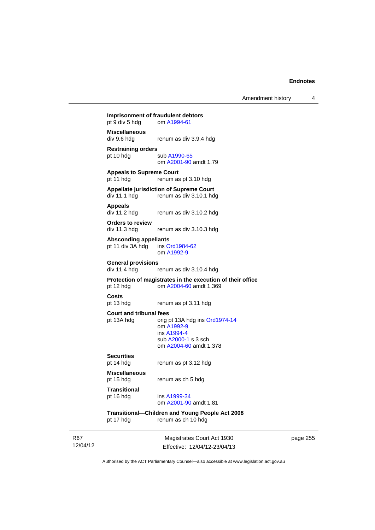Amendment history 4

# **Imprisonment of fraudulent debtors**<br>
om A1994-61

pt  $9$  div  $5$  hdg

### **Miscellaneous**

div 9.6 hdg renum as div 3.9.4 hdg

# **Restraining orders**

sub [A1990-65](http://www.legislation.act.gov.au/a/1990-65)

# om [A2001-90](http://www.legislation.act.gov.au/a/2001-90) amdt 1.79 **Appeals to Supreme Court**

pt 11 hdg renum as pt 3.10 hdg

# **Appellate jurisdiction of Supreme Court**

div 11.1 hdg renum as div 3.10.1 hdg

### **Appeals**

div 11.2 hdg renum as div 3.10.2 hdg

**Orders to review**  div 11.3 hdg renum as div 3.10.3 hdg

Absconding appellants<br>
pt 11 div 3A hdg ins Ord1984-62 pt 11 div  $3A$  hdg om [A1992-9](http://www.legislation.act.gov.au/a/1992-9)

### **General provisions**

div 11.4 hdg renum as div 3.10.4 hdg

# **Protection of magistrates in the execution of their office**

pt 12 hdg om [A2004-60](http://www.legislation.act.gov.au/a/2004-60) amdt 1.369

## **Costs**

pt 13 hdg renum as pt 3.11 hdg

### **Court and tribunal fees**

pt 13A hdg orig pt 13A hdg ins [Ord1974-14](http://www.legislation.act.gov.au/a/1974-14) om [A1992-9](http://www.legislation.act.gov.au/a/1992-9) ins [A1994-4](http://www.legislation.act.gov.au/a/1994-4) sub [A2000-1](http://www.legislation.act.gov.au/a/2000-1) s 3 sch om [A2004-60](http://www.legislation.act.gov.au/a/2004-60) amdt 1.378

# **Securities**

renum as pt 3.12 hdg

**Miscellaneous**  pt 15 hdg renum as ch 5 hdg

# **Transitional**

pt 16 hdg ins [A1999-34](http://www.legislation.act.gov.au/a/1999-34) om [A2001-90](http://www.legislation.act.gov.au/a/2001-90) amdt 1.81

# **Transitional—Children and Young People Act 2008**

pt 17 hdg renum as ch 10 hdg

R67 12/04/12

Magistrates Court Act 1930 Effective: 12/04/12-23/04/13 page 255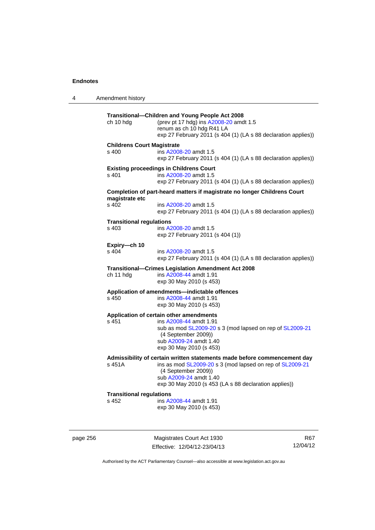4 Amendment history **Transitional—Children and Young People Act 2008**  ch 10 hdg (prev pt 17 hdg) ins [A2008-20](http://www.legislation.act.gov.au/a/2008-20) amdt 1.5 renum as ch 10 hdg R41 LA exp 27 February 2011 (s 404 (1) (LA s 88 declaration applies)) **Childrens Court Magistrate**  s 400 ins [A2008-20](http://www.legislation.act.gov.au/a/2008-20) amdt 1.5 exp 27 February 2011 (s 404 (1) (LA s 88 declaration applies)) **Existing proceedings in Childrens Court**  s 401 ins [A2008-20](http://www.legislation.act.gov.au/a/2008-20) amdt 1.5 exp 27 February 2011 (s 404 (1) (LA s 88 declaration applies)) **Completion of part-heard matters if magistrate no longer Childrens Court magistrate etc**  ins [A2008-20](http://www.legislation.act.gov.au/a/2008-20) amdt 1.5 exp 27 February 2011 (s 404 (1) (LA s 88 declaration applies)) **Transitional regulations**  s 403 ins [A2008-20](http://www.legislation.act.gov.au/a/2008-20) amdt 1.5 exp 27 February 2011 (s 404 (1)) **Expiry—ch 10**  ins [A2008-20](http://www.legislation.act.gov.au/a/2008-20) amdt 1.5 exp 27 February 2011 (s 404 (1) (LA s 88 declaration applies)) **Transitional—Crimes Legislation Amendment Act 2008**  ch 11 hdg ins [A2008-44](http://www.legislation.act.gov.au/a/2008-44) amdt 1.91 exp 30 May 2010 (s 453) **Application of amendments—indictable offences**  s 450 ins [A2008-44](http://www.legislation.act.gov.au/a/2008-44) amdt 1.91 exp 30 May 2010 (s 453) **Application of certain other amendments**  s 451 ins [A2008-44](http://www.legislation.act.gov.au/a/2008-44) amdt 1.91 sub as mod [SL2009-20](http://www.legislation.act.gov.au/sl/2009-20) s 3 (mod lapsed on rep of [SL2009-21](http://www.legislation.act.gov.au/sl/2009-21) (4 September 2009)) sub [A2009-24](http://www.legislation.act.gov.au/a/2009-24) amdt 1.40 exp 30 May 2010 (s 453) **Admissibility of certain written statements made before commencement day**  s 451A ins as mod [SL2009-20](http://www.legislation.act.gov.au/sl/2009-20) s 3 (mod lapsed on rep of [SL2009-21](http://www.legislation.act.gov.au/sl/2009-21) (4 September 2009)) sub [A2009-24](http://www.legislation.act.gov.au/a/2009-24) amdt 1.40 exp 30 May 2010 (s 453 (LA s 88 declaration applies)) **Transitional regulations**  s 452 ins [A2008-44](http://www.legislation.act.gov.au/a/2008-44) amdt 1.91 exp 30 May 2010 (s 453)

page 256 Magistrates Court Act 1930 Effective: 12/04/12-23/04/13

R67 12/04/12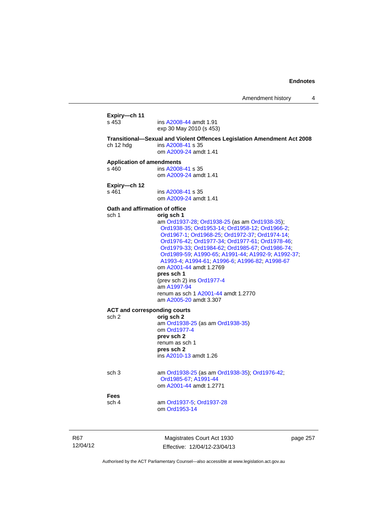|            | Expiry-ch 11                     |                                                                                                                                                                                                                                                                                                                                                                                                                                                                                                                                      |          |
|------------|----------------------------------|--------------------------------------------------------------------------------------------------------------------------------------------------------------------------------------------------------------------------------------------------------------------------------------------------------------------------------------------------------------------------------------------------------------------------------------------------------------------------------------------------------------------------------------|----------|
|            | s 453                            | ins A2008-44 amdt 1.91<br>exp 30 May 2010 (s 453)                                                                                                                                                                                                                                                                                                                                                                                                                                                                                    |          |
|            | ch 12 hdg                        | Transitional-Sexual and Violent Offences Legislation Amendment Act 2008<br>ins A2008-41 s 35<br>om A2009-24 amdt 1.41                                                                                                                                                                                                                                                                                                                                                                                                                |          |
|            | <b>Application of amendments</b> |                                                                                                                                                                                                                                                                                                                                                                                                                                                                                                                                      |          |
|            | s 460                            | ins A2008-41 s 35<br>om A2009-24 amdt 1.41                                                                                                                                                                                                                                                                                                                                                                                                                                                                                           |          |
|            | Expiry-ch 12<br>s 461            | ins A2008-41 s 35<br>om A2009-24 amdt 1.41                                                                                                                                                                                                                                                                                                                                                                                                                                                                                           |          |
|            |                                  | Oath and affirmation of office                                                                                                                                                                                                                                                                                                                                                                                                                                                                                                       |          |
|            | sch 1                            | orig sch 1<br>am Ord1937-28; Ord1938-25 (as am Ord1938-35);<br>Ord1938-35; Ord1953-14; Ord1958-12; Ord1966-2;<br>Ord1967-1, Ord1968-25, Ord1972-37, Ord1974-14,<br>Ord1976-42; Ord1977-34; Ord1977-61; Ord1978-46;<br>Ord1979-33; Ord1984-62; Ord1985-67; Ord1986-74;<br>Ord1989-59; A1990-65; A1991-44; A1992-9; A1992-37;<br>A1993-4; A1994-61; A1996-6; A1996-82; A1998-67<br>om A2001-44 amdt 1.2769<br>pres sch 1<br>(prev sch 2) ins Ord1977-4<br>am A1997-94<br>renum as sch 1 A2001-44 amdt 1.2770<br>am A2005-20 amdt 3.307 |          |
|            |                                  | <b>ACT and corresponding courts</b>                                                                                                                                                                                                                                                                                                                                                                                                                                                                                                  |          |
|            | sch <sub>2</sub>                 | orig sch 2<br>am Ord1938-25 (as am Ord1938-35)<br>om Ord1977-4<br>prev sch 2<br>renum as sch 1<br>pres sch 2<br>ins A2010-13 amdt 1.26                                                                                                                                                                                                                                                                                                                                                                                               |          |
|            | sch <sub>3</sub>                 | am Ord1938-25 (as am Ord1938-35); Ord1976-42;<br>Ord1985-67, A1991-44<br>om A2001-44 amdt 1.2771                                                                                                                                                                                                                                                                                                                                                                                                                                     |          |
|            | Fees<br>sch 4                    | am Ord1937-5; Ord1937-28                                                                                                                                                                                                                                                                                                                                                                                                                                                                                                             |          |
|            |                                  | om Ord1953-14                                                                                                                                                                                                                                                                                                                                                                                                                                                                                                                        |          |
| <b>R67</b> |                                  | Magistrates Court Act 1930                                                                                                                                                                                                                                                                                                                                                                                                                                                                                                           | page 257 |
| 12/04/12   |                                  | Effective: 12/04/12-23/04/13                                                                                                                                                                                                                                                                                                                                                                                                                                                                                                         |          |

Authorised by the ACT Parliamentary Counsel—also accessible at www.legislation.act.gov.au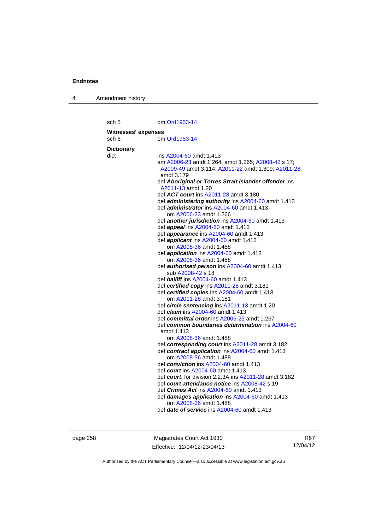4 Amendment history

sch 5 om [Ord1953-14](http://www.legislation.act.gov.au/a/1953-14) **Witnesses' expenses**  sch 6 om [Ord1953-14](http://www.legislation.act.gov.au/a/1953-14) **Dictionary**  dict ins [A2004-60](http://www.legislation.act.gov.au/a/2004-60) amdt 1.413 am [A2006-23](http://www.legislation.act.gov.au/a/2006-23) amdt 1.264, amdt 1.265; [A2008-42](http://www.legislation.act.gov.au/a/2008-42) s 17; [A2009-49](http://www.legislation.act.gov.au/a/2009-49) amdt 3.114; [A2011-22](http://www.legislation.act.gov.au/a/2011-22) amdt 1.309; [A2011-28](http://www.legislation.act.gov.au/a/2011-28) amdt 3.179 def *Aboriginal or Torres Strait Islander offender* ins [A2011-13](http://www.legislation.act.gov.au/a/2011-13) amdt 1.20 def *ACT court* ins [A2011-28](http://www.legislation.act.gov.au/a/2011-28) amdt 3.180 def *administering authority* ins [A2004-60](http://www.legislation.act.gov.au/a/2004-60) amdt 1.413 def *administrator* ins [A2004-60](http://www.legislation.act.gov.au/a/2004-60) amdt 1.413 om [A2006-23](http://www.legislation.act.gov.au/a/2006-23) amdt 1.266 def *another jurisdiction* ins [A2004-60](http://www.legislation.act.gov.au/a/2004-60) amdt 1.413 def *appeal* ins [A2004-60](http://www.legislation.act.gov.au/a/2004-60) amdt 1.413 def *appearance* ins [A2004-60](http://www.legislation.act.gov.au/a/2004-60) amdt 1.413 def *applicant* ins [A2004-60](http://www.legislation.act.gov.au/a/2004-60) amdt 1.413 om [A2008-36](http://www.legislation.act.gov.au/a/2008-36) amdt 1.488 def *application* ins [A2004-60](http://www.legislation.act.gov.au/a/2004-60) amdt 1.413 om [A2008-36](http://www.legislation.act.gov.au/a/2008-36) amdt 1.488 def *authorised person* ins [A2004-60](http://www.legislation.act.gov.au/a/2004-60) amdt 1.413 sub [A2008-42](http://www.legislation.act.gov.au/a/2008-42) s 18 def *bailiff* ins [A2004-60](http://www.legislation.act.gov.au/a/2004-60) amdt 1.413 def *certified copy* ins [A2011-28](http://www.legislation.act.gov.au/a/2011-28) amdt 3.181 def *certified copies* ins [A2004-60](http://www.legislation.act.gov.au/a/2004-60) amdt 1.413 om [A2011-28](http://www.legislation.act.gov.au/a/2011-28) amdt 3.181 def *circle sentencing* ins [A2011-13](http://www.legislation.act.gov.au/a/2011-13) amdt 1.20 def *claim* ins [A2004-60](http://www.legislation.act.gov.au/a/2004-60) amdt 1.413 def *committal order* ins [A2006-23](http://www.legislation.act.gov.au/a/2006-23) amdt 1.267 def *common boundaries determination* ins [A2004-60](http://www.legislation.act.gov.au/a/2004-60) amdt 1.413 om [A2008-36](http://www.legislation.act.gov.au/a/2008-36) amdt 1.488 def *corresponding court* ins [A2011-28](http://www.legislation.act.gov.au/a/2011-28) amdt 3.182 def *contract application* ins [A2004-60](http://www.legislation.act.gov.au/a/2004-60) amdt 1.413 om [A2008-36](http://www.legislation.act.gov.au/a/2008-36) amdt 1.488 def *conviction* ins [A2004-60](http://www.legislation.act.gov.au/a/2004-60) amdt 1.413 def *court* ins [A2004-60](http://www.legislation.act.gov.au/a/2004-60) amdt 1.413 def *court*, for division 2.2.3A ins [A2011-28](http://www.legislation.act.gov.au/a/2011-28) amdt 3.182 def *court attendance notice* ins [A2008-42](http://www.legislation.act.gov.au/a/2008-42) s 19 def *Crimes Act* ins [A2004-60](http://www.legislation.act.gov.au/a/2004-60) amdt 1.413 def *damages application* ins [A2004-60](http://www.legislation.act.gov.au/a/2004-60) amdt 1.413 om [A2008-36](http://www.legislation.act.gov.au/a/2008-36) amdt 1.488 def *date of service* ins [A2004-60](http://www.legislation.act.gov.au/a/2004-60) amdt 1.413

page 258 Magistrates Court Act 1930 Effective: 12/04/12-23/04/13

R67 12/04/12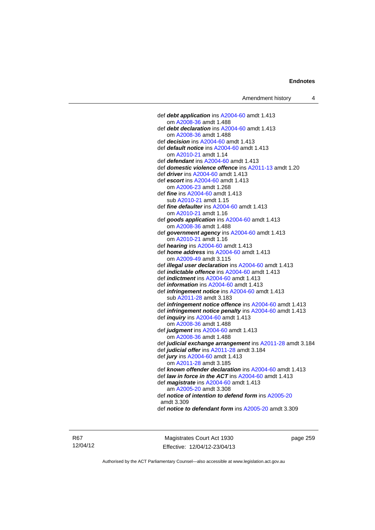def *debt application* ins [A2004-60](http://www.legislation.act.gov.au/a/2004-60) amdt 1.413 om [A2008-36](http://www.legislation.act.gov.au/a/2008-36) amdt 1.488 def *debt declaration* ins [A2004-60](http://www.legislation.act.gov.au/a/2004-60) amdt 1.413 om [A2008-36](http://www.legislation.act.gov.au/a/2008-36) amdt 1.488 def *decision* ins [A2004-60](http://www.legislation.act.gov.au/a/2004-60) amdt 1.413 def *default notice* ins [A2004-60](http://www.legislation.act.gov.au/a/2004-60) amdt 1.413 om [A2010-21](http://www.legislation.act.gov.au/a/2010-21) amdt 1.14 def *defendant* ins [A2004-60](http://www.legislation.act.gov.au/a/2004-60) amdt 1.413 def *domestic violence offence* ins [A2011-13](http://www.legislation.act.gov.au/a/2011-13) amdt 1.20 def *driver* ins [A2004-60](http://www.legislation.act.gov.au/a/2004-60) amdt 1.413 def *escort* ins [A2004-60](http://www.legislation.act.gov.au/a/2004-60) amdt 1.413 om [A2006-23](http://www.legislation.act.gov.au/a/2006-23) amdt 1.268 def *fine* ins [A2004-60](http://www.legislation.act.gov.au/a/2004-60) amdt 1.413 sub [A2010-21](http://www.legislation.act.gov.au/a/2010-21) amdt 1.15 def *fine defaulter* ins [A2004-60](http://www.legislation.act.gov.au/a/2004-60) amdt 1.413 om [A2010-21](http://www.legislation.act.gov.au/a/2010-21) amdt 1.16 def *goods application* ins [A2004-60](http://www.legislation.act.gov.au/a/2004-60) amdt 1.413 om [A2008-36](http://www.legislation.act.gov.au/a/2008-36) amdt 1.488 def *government agency* ins [A2004-60](http://www.legislation.act.gov.au/a/2004-60) amdt 1.413 om [A2010-21](http://www.legislation.act.gov.au/a/2010-21) amdt 1.16 def *hearing* ins [A2004-60](http://www.legislation.act.gov.au/a/2004-60) amdt 1.413 def *home address* ins [A2004-60](http://www.legislation.act.gov.au/a/2004-60) amdt 1.413 om [A2009-49](http://www.legislation.act.gov.au/a/2009-49) amdt 3.115 def *illegal user declaration* ins [A2004-60](http://www.legislation.act.gov.au/a/2004-60) amdt 1.413 def *indictable offence* ins [A2004-60](http://www.legislation.act.gov.au/a/2004-60) amdt 1.413 def *indictment* ins [A2004-60](http://www.legislation.act.gov.au/a/2004-60) amdt 1.413 def *information* ins [A2004-60](http://www.legislation.act.gov.au/a/2004-60) amdt 1.413 def *infringement notice* ins [A2004-60](http://www.legislation.act.gov.au/a/2004-60) amdt 1.413 sub [A2011-28](http://www.legislation.act.gov.au/a/2011-28) amdt 3.183 def *infringement notice offence* ins [A2004-60](http://www.legislation.act.gov.au/a/2004-60) amdt 1.413 def *infringement notice penalty* ins [A2004-60](http://www.legislation.act.gov.au/a/2004-60) amdt 1.413 def *inquiry* ins [A2004-60](http://www.legislation.act.gov.au/a/2004-60) amdt 1.413 om [A2008-36](http://www.legislation.act.gov.au/a/2008-36) amdt 1.488 def *judgment* ins [A2004-60](http://www.legislation.act.gov.au/a/2004-60) amdt 1.413 om [A2008-36](http://www.legislation.act.gov.au/a/2008-36) amdt 1.488 def *judicial exchange arrangement* ins [A2011-28](http://www.legislation.act.gov.au/a/2011-28) amdt 3.184 def *judicial offer* ins [A2011-28](http://www.legislation.act.gov.au/a/2011-28) amdt 3.184 def *jury* ins [A2004-60](http://www.legislation.act.gov.au/a/2004-60) amdt 1.413 om [A2011-28](http://www.legislation.act.gov.au/a/2011-28) amdt 3.185 def *known offender declaration* ins [A2004-60](http://www.legislation.act.gov.au/a/2004-60) amdt 1.413 def *law in force in the ACT* ins [A2004-60](http://www.legislation.act.gov.au/a/2004-60) amdt 1.413 def *magistrate* ins [A2004-60](http://www.legislation.act.gov.au/a/2004-60) amdt 1.413 am [A2005-20](http://www.legislation.act.gov.au/a/2005-20) amdt 3.308 def *notice of intention to defend form* ins [A2005-20](http://www.legislation.act.gov.au/a/2005-20) amdt 3.309 def *notice to defendant form* ins [A2005-20](http://www.legislation.act.gov.au/a/2005-20) amdt 3.309

R67 12/04/12

Magistrates Court Act 1930 Effective: 12/04/12-23/04/13 page 259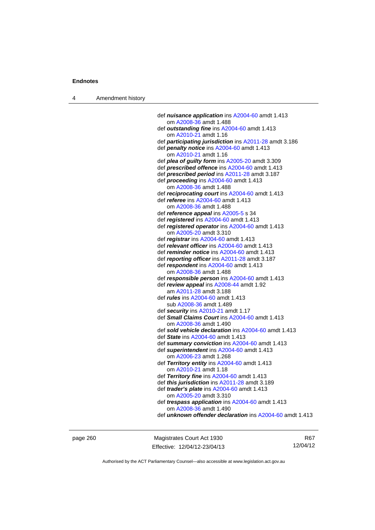4 Amendment history

| def <i>nuisance application</i> ins A2004-60 amdt 1.413       |
|---------------------------------------------------------------|
| om A2008-36 amdt 1.488                                        |
| def outstanding fine ins A2004-60 amdt 1.413                  |
| om A2010-21 amdt 1.16                                         |
| def <i>participating jurisdiction</i> ins A2011-28 amdt 3.186 |
| def penalty notice ins A2004-60 amdt 1.413                    |
| om A2010-21 amdt 1.16                                         |
| def plea of guilty form ins A2005-20 amdt 3.309               |
| def prescribed offence ins A2004-60 amdt 1.413                |
| def prescribed period ins A2011-28 amdt 3.187                 |
| def <i>proceeding</i> ins A2004-60 amdt 1.413                 |
| om A2008-36 amdt 1.488                                        |
| def reciprocating court ins A2004-60 amdt 1.413               |
| def <i>referee</i> ins A2004-60 amdt 1.413                    |
| om A2008-36 amdt 1.488                                        |
| def reference appeal ins A2005-5 s 34                         |
| def registered ins $A2004-60$ amdt 1.413                      |
| def registered operator ins A2004-60 amdt 1.413               |
| om A2005-20 amdt 3.310                                        |
| def <i>registrar</i> ins A2004-60 amdt 1.413                  |
| def relevant officer ins A2004-60 amdt 1.413                  |
| def reminder notice ins A2004-60 amdt 1.413                   |
| def reporting officer ins A2011-28 amdt 3.187                 |
| def respondent ins A2004-60 amdt 1.413                        |
| om A2008-36 amdt 1.488                                        |
| def responsible person ins A2004-60 amdt 1.413                |
| def review appeal ins A2008-44 amdt 1.92                      |
| am A2011-28 amdt 3.188                                        |
| def <i>rules</i> ins A2004-60 amdt 1.413                      |
| sub A2008-36 amdt 1.489                                       |
| def security ins A2010-21 amdt 1.17                           |
| def Small Claims Court ins A2004-60 amdt 1.413                |
| om A2008-36 amdt 1.490                                        |
| def sold vehicle declaration ins A2004-60 amdt 1.413          |
| def State ins A2004-60 amdt 1.413                             |
| def summary conviction ins A2004-60 amdt 1.413                |
| def superintendent ins A2004-60 amdt 1.413                    |
| om A2006-23 amdt 1.268                                        |
| def Territory entity ins A2004-60 amdt 1.413                  |
| om A2010-21 amdt 1.18                                         |
| def Territory fine ins $A2004-60$ amdt 1.413                  |
| def this jurisdiction ins A2011-28 amdt 3.189                 |
| def trader's plate ins A2004-60 amdt 1.413                    |
| om A2005-20 amdt 3.310                                        |
| def trespass application ins A2004-60 amdt 1.413              |
| om A2008-36 amdt 1.490                                        |
| def unknown offender declaration ins A2004-60 amdt 1.413      |

page 260 Magistrates Court Act 1930 Effective: 12/04/12-23/04/13

R67 12/04/12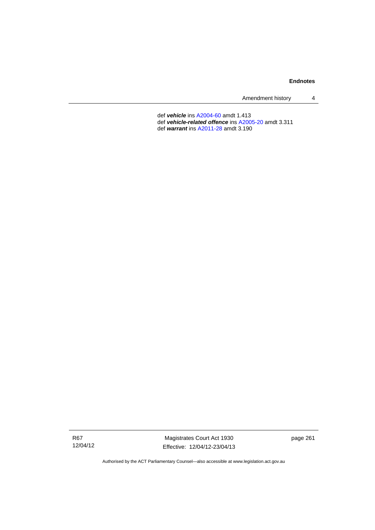| Amendment history |  |
|-------------------|--|
|-------------------|--|

 def *vehicle* ins [A2004-60](http://www.legislation.act.gov.au/a/2004-60) amdt 1.413 def *vehicle-related offence* ins [A2005-20](http://www.legislation.act.gov.au/a/2005-20) amdt 3.311 def *warrant* ins [A2011-28](http://www.legislation.act.gov.au/a/2011-28) amdt 3.190

R67 12/04/12

Magistrates Court Act 1930 Effective: 12/04/12-23/04/13 page 261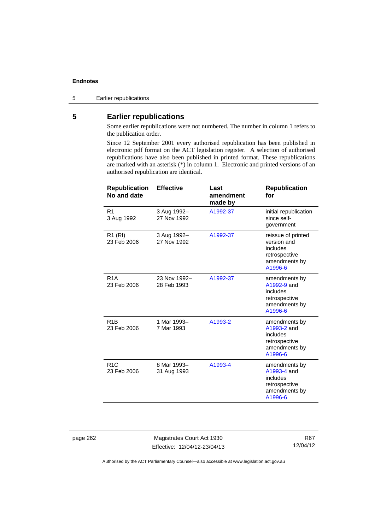5 Earlier republications

# **5 Earlier republications**

Some earlier republications were not numbered. The number in column 1 refers to the publication order.

Since 12 September 2001 every authorised republication has been published in electronic pdf format on the ACT legislation register. A selection of authorised republications have also been published in printed format. These republications are marked with an asterisk (\*) in column 1. Electronic and printed versions of an authorised republication are identical.

| <b>Republication</b><br>No and date | <b>Effective</b>            | Last<br>amendment<br>made by | <b>Republication</b><br>for                                                                |
|-------------------------------------|-----------------------------|------------------------------|--------------------------------------------------------------------------------------------|
| R <sub>1</sub><br>3 Aug 1992        | 3 Aug 1992-<br>27 Nov 1992  | A1992-37                     | initial republication<br>since self-<br>government                                         |
| R <sub>1</sub> (RI)<br>23 Feb 2006  | 3 Aug 1992-<br>27 Nov 1992  | A1992-37                     | reissue of printed<br>version and<br>includes<br>retrospective<br>amendments by<br>A1996-6 |
| R <sub>1</sub> A<br>23 Feb 2006     | 23 Nov 1992-<br>28 Feb 1993 | A1992-37                     | amendments by<br>A1992-9 and<br>includes<br>retrospective<br>amendments by<br>A1996-6      |
| R <sub>1</sub> B<br>23 Feb 2006     | 1 Mar 1993-<br>7 Mar 1993   | A1993-2                      | amendments by<br>A1993-2 and<br>includes<br>retrospective<br>amendments by<br>A1996-6      |
| R <sub>1</sub> C<br>23 Feb 2006     | 8 Mar 1993-<br>31 Aug 1993  | A1993-4                      | amendments by<br>A1993-4 and<br>includes<br>retrospective<br>amendments by<br>A1996-6      |

page 262 Magistrates Court Act 1930 Effective: 12/04/12-23/04/13

R67 12/04/12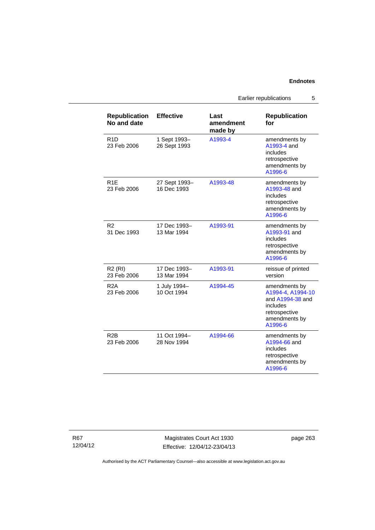Earlier republications 5

| <b>Republication</b><br>No and date | <b>Effective</b>             | Last<br>amendment<br>made by | <b>Republication</b><br>for                                                                                     |
|-------------------------------------|------------------------------|------------------------------|-----------------------------------------------------------------------------------------------------------------|
| R <sub>1</sub> D<br>23 Feb 2006     | 1 Sept 1993-<br>26 Sept 1993 | A1993-4                      | amendments by<br>A1993-4 and<br>includes<br>retrospective<br>amendments by<br>A1996-6                           |
| R <sub>1E</sub><br>23 Feb 2006      | 27 Sept 1993-<br>16 Dec 1993 | A1993-48                     | amendments by<br>A1993-48 and<br>includes<br>retrospective<br>amendments by<br>A1996-6                          |
| R <sub>2</sub><br>31 Dec 1993       | 17 Dec 1993–<br>13 Mar 1994  | A1993-91                     | amendments by<br>A1993-91 and<br>includes<br>retrospective<br>amendments by<br>A1996-6                          |
| R <sub>2</sub> (RI)<br>23 Feb 2006  | 17 Dec 1993–<br>13 Mar 1994  | A1993-91                     | reissue of printed<br>version                                                                                   |
| R2A<br>23 Feb 2006                  | 1 July 1994-<br>10 Oct 1994  | A1994-45                     | amendments by<br>A1994-4, A1994-10<br>and A1994-38 and<br>includes<br>retrospective<br>amendments by<br>A1996-6 |
| R <sub>2</sub> B<br>23 Feb 2006     | 11 Oct 1994-<br>28 Nov 1994  | A1994-66                     | amendments by<br>A1994-66 and<br>includes<br>retrospective<br>amendments by<br>A1996-6                          |

R67 12/04/12

Magistrates Court Act 1930 Effective: 12/04/12-23/04/13 page 263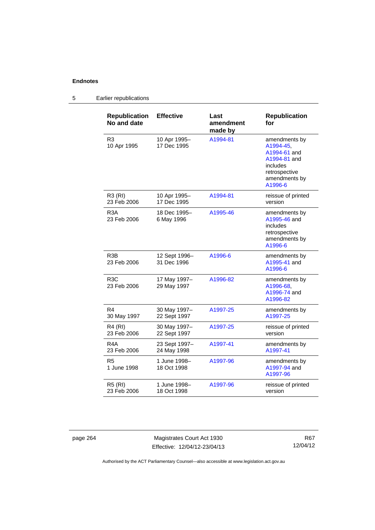### **Republication No and date Effective Last amendment made by Republication for**  R3 10 Apr 1995 10 Apr 1995– 17 Dec 1995 [A1994-81](http://www.legislation.act.gov.au/a/1994-81) amendments by [A1994-45,](http://www.legislation.act.gov.au/a/1994-45) [A1994-61](http://www.legislation.act.gov.au/a/1994-61) and [A1994-81](http://www.legislation.act.gov.au/a/1994-81) and includes retrospective amendments by [A1996-6](http://www.legislation.act.gov.au/a/1996-6) R3 (RI) 23 Feb 2006 10 Apr 1995– 17 Dec 1995 [A1994-81](http://www.legislation.act.gov.au/a/1994-81) reissue of printed version R3A 23 Feb 2006 18 Dec 1995– 6 May 1996 [A1995-46](http://www.legislation.act.gov.au/a/1995-46) amendments by [A1995-46](http://www.legislation.act.gov.au/a/1995-46) and includes retrospective amendments by [A1996-6](http://www.legislation.act.gov.au/a/1996-6) R3B 23 Feb 2006 12 Sept 1996– 31 Dec 1996 [A1996-6](http://www.legislation.act.gov.au/a/1996-6) amendments by [A1995-41](http://www.legislation.act.gov.au/a/1995-41) and [A1996-6](http://www.legislation.act.gov.au/a/1996-6) R3C 23 Feb 2006 17 May 1997– 29 May 1997 [A1996-82](http://www.legislation.act.gov.au/a/1996-82) amendments by [A1996-68,](http://www.legislation.act.gov.au/a/1996-68) [A1996-74](http://www.legislation.act.gov.au/a/1996-74) and [A1996-82](http://www.legislation.act.gov.au/a/1996-82) R4 30 May 1997 30 May 1997– 22 Sept 1997 [A1997-25](http://www.legislation.act.gov.au/a/1997-25) amendments by [A1997-25](http://www.legislation.act.gov.au/a/1997-25) R4 (RI) 23 Feb 2006 30 May 1997– 22 Sept 1997 [A1997-25](http://www.legislation.act.gov.au/a/1997-25) reissue of printed version R4A 23 Feb 2006 23 Sept 1997– 24 May 1998 [A1997-41](http://www.legislation.act.gov.au/a/1997-41) amendments by [A1997-41](http://www.legislation.act.gov.au/a/1997-41) R5 1 June 1998 1 June 1998– 18 Oct 1998 [A1997-96](http://www.legislation.act.gov.au/a/1997-96) amendments by [A1997-94](http://www.legislation.act.gov.au/a/1997-94) and [A1997-96](http://www.legislation.act.gov.au/a/1997-96) R5 (RI) 23 Feb 2006 1 June 1998– 18 Oct 1998 [A1997-96](http://www.legislation.act.gov.au/a/1997-96) reissue of printed version

### 5 Earlier republications

page 264 Magistrates Court Act 1930 Effective: 12/04/12-23/04/13

R67 12/04/12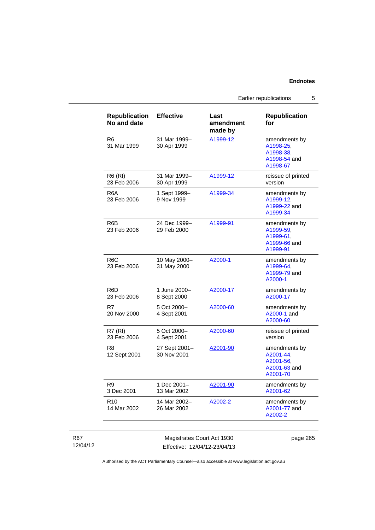Earlier republications 5

| <b>Republication</b><br>No and date | <b>Effective</b>             | Last<br>amendment<br>made by | <b>Republication</b><br>for                                         |
|-------------------------------------|------------------------------|------------------------------|---------------------------------------------------------------------|
| R <sub>6</sub><br>31 Mar 1999       | 31 Mar 1999-<br>30 Apr 1999  | A1999-12                     | amendments by<br>A1998-25,<br>A1998-38.<br>A1998-54 and<br>A1998-67 |
| R6 (RI)<br>23 Feb 2006              | 31 Mar 1999-<br>30 Apr 1999  | A1999-12                     | reissue of printed<br>version                                       |
| R <sub>6</sub> A<br>23 Feb 2006     | 1 Sept 1999-<br>9 Nov 1999   | A1999-34                     | amendments by<br>A1999-12.<br>A1999-22 and<br>A1999-34              |
| R6B<br>23 Feb 2006                  | 24 Dec 1999-<br>29 Feb 2000  | A1999-91                     | amendments by<br>A1999-59.<br>A1999-61.<br>A1999-66 and<br>A1999-91 |
| R <sub>6</sub> C<br>23 Feb 2006     | 10 May 2000-<br>31 May 2000  | A2000-1                      | amendments by<br>A1999-64,<br>A1999-79 and<br>A2000-1               |
| R6D<br>23 Feb 2006                  | 1 June 2000-<br>8 Sept 2000  | A2000-17                     | amendments by<br>A2000-17                                           |
| R7<br>20 Nov 2000                   | 5 Oct 2000-<br>4 Sept 2001   | A2000-60                     | amendments by<br>A2000-1 and<br>A2000-60                            |
| <b>R7 (RI)</b><br>23 Feb 2006       | 5 Oct 2000-<br>4 Sept 2001   | A2000-60                     | reissue of printed<br>version                                       |
| R8<br>12 Sept 2001                  | 27 Sept 2001-<br>30 Nov 2001 | A2001-90                     | amendments by<br>A2001-44.<br>A2001-56,<br>A2001-63 and<br>A2001-70 |
| R9<br>3 Dec 2001                    | 1 Dec 2001-<br>13 Mar 2002   | A2001-90                     | amendments by<br>A2001-62                                           |
| R <sub>10</sub><br>14 Mar 2002      | 14 Mar 2002-<br>26 Mar 2002  | A2002-2                      | amendments by<br>A2001-77 and<br>A2002-2                            |

# R67 12/04/12

Magistrates Court Act 1930 Effective: 12/04/12-23/04/13 page 265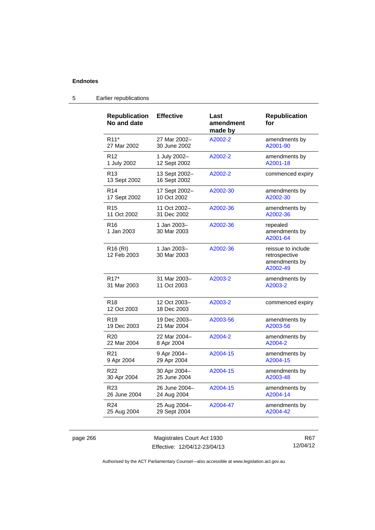| <b>Republication</b><br>No and date | <b>Effective</b>              | Last<br>amendment<br>made by | <b>Republication</b><br>for                                      |
|-------------------------------------|-------------------------------|------------------------------|------------------------------------------------------------------|
| R <sub>11</sub> *                   | 27 Mar 2002-                  | A2002-2                      | amendments by                                                    |
| 27 Mar 2002                         | 30 June 2002                  |                              | A2001-90                                                         |
| R <sub>12</sub>                     | 1 July 2002-                  | A2002-2                      | amendments by                                                    |
| 1 July 2002                         | 12 Sept 2002                  |                              | A2001-18                                                         |
| R <sub>13</sub><br>13 Sept 2002     | 13 Sept 2002-<br>16 Sept 2002 | A2002-2                      | commenced expiry                                                 |
| R <sub>14</sub>                     | 17 Sept 2002-                 | A2002-30                     | amendments by                                                    |
| 17 Sept 2002                        | 10 Oct 2002                   |                              | A2002-30                                                         |
| R <sub>15</sub>                     | 11 Oct 2002-                  | A2002-36                     | amendments by                                                    |
| 11 Oct 2002                         | 31 Dec 2002                   |                              | A2002-36                                                         |
| R <sub>16</sub><br>1 Jan 2003       | 1 Jan 2003-<br>30 Mar 2003    | A2002-36                     | repealed<br>amendments by<br>A2001-64                            |
| R <sub>16</sub> (RI)<br>12 Feb 2003 | 1 Jan 2003-<br>30 Mar 2003    | A2002-36                     | reissue to include<br>retrospective<br>amendments by<br>A2002-49 |
| R <sub>17</sub> *                   | 31 Mar 2003-                  | A2003-2                      | amendments by                                                    |
| 31 Mar 2003                         | 11 Oct 2003                   |                              | A2003-2                                                          |
| R <sub>18</sub><br>12 Oct 2003      | 12 Oct 2003-<br>18 Dec 2003   | A2003-2                      | commenced expiry                                                 |
| R <sub>19</sub>                     | 19 Dec 2003-                  | A2003-56                     | amendments by                                                    |
| 19 Dec 2003                         | 21 Mar 2004                   |                              | A2003-56                                                         |
| R <sub>20</sub>                     | 22 Mar 2004-                  | A2004-2                      | amendments by                                                    |
| 22 Mar 2004                         | 8 Apr 2004                    |                              | A2004-2                                                          |
| R <sub>21</sub>                     | 9 Apr 2004-                   | A2004-15                     | amendments by                                                    |
| 9 Apr 2004                          | 29 Apr 2004                   |                              | A2004-15                                                         |
| R22                                 | 30 Apr 2004-                  | A2004-15                     | amendments by                                                    |
| 30 Apr 2004                         | 25 June 2004                  |                              | A2003-48                                                         |
| R <sub>23</sub>                     | 26 June 2004-                 | A2004-15                     | amendments by                                                    |
| 26 June 2004                        | 24 Aug 2004                   |                              | A2004-14                                                         |
| R <sub>24</sub>                     | 25 Aug 2004-                  | A2004-47                     | amendments by                                                    |
| 25 Aug 2004                         | 29 Sept 2004                  |                              | A2004-42                                                         |

# 5 Earlier republications

page 266 Magistrates Court Act 1930 Effective: 12/04/12-23/04/13

R67 12/04/12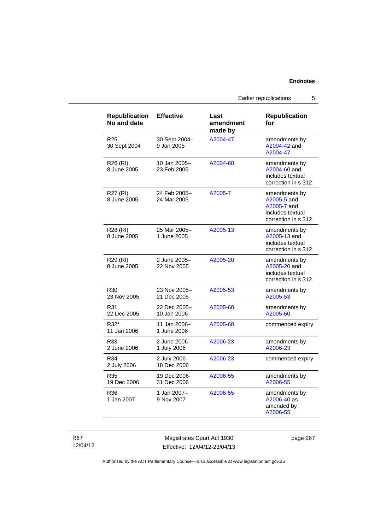Earlier republications 5

| <b>Republication</b><br>No and date | <b>Effective</b>            | Last<br>amendment<br>made by | <b>Republication</b><br>for                                                            |
|-------------------------------------|-----------------------------|------------------------------|----------------------------------------------------------------------------------------|
| R <sub>25</sub><br>30 Sept 2004     | 30 Sept 2004-<br>9 Jan 2005 | A2004-47                     | amendments by<br>A2004-42 and<br>A2004-47                                              |
| R26 (RI)<br>8 June 2005             | 10 Jan 2005-<br>23 Feb 2005 | A2004-60                     | amendments by<br>A2004-60 and<br>includes textual<br>correction in s 312               |
| R27 (RI)<br>8 June 2005             | 24 Feb 2005-<br>24 Mar 2005 | A2005-7                      | amendments by<br>A2005-5 and<br>A2005-7 and<br>includes textual<br>correction in s 312 |
| R28 (RI)<br>8 June 2005             | 25 Mar 2005-<br>1 June 2005 | A2005-13                     | amendments by<br>A2005-13 and<br>includes textual<br>correction in s 312               |
| R29 (RI)<br>8 June 2005             | 2 June 2005-<br>22 Nov 2005 | A2005-20                     | amendments by<br>A2005-20 and<br>includes textual<br>correction in s 312               |
| R <sub>30</sub><br>23 Nov 2005      | 23 Nov 2005-<br>21 Dec 2005 | A2005-53                     | amendments by<br>A2005-53                                                              |
| R31<br>22 Dec 2005                  | 22 Dec 2005-<br>10 Jan 2006 | A2005-60                     | amendments by<br>A2005-60                                                              |
| R32*<br>11 Jan 2006                 | 11 Jan 2006-<br>1 June 2006 | A2005-60                     | commenced expiry                                                                       |
| R33<br>2 June 2006                  | 2 June 2006-<br>1 July 2006 | A2006-23                     | amendments by<br>A2006-23                                                              |
| R34<br>2 July 2006                  | 2 July 2006-<br>18 Dec 2006 | A2006-23                     | commenced expiry                                                                       |
| R35<br>19 Dec 2006                  | 19 Dec 2006-<br>31 Dec 2006 | A2006-55                     | amendments by<br>A2006-55                                                              |
| R36<br>1 Jan 2007                   | 1 Jan 2007-<br>9 Nov 2007   | A2006-55                     | amendments by<br>A2006-40 as<br>amended by<br>A2006-55                                 |

R67 12/04/12

Magistrates Court Act 1930 Effective: 12/04/12-23/04/13 page 267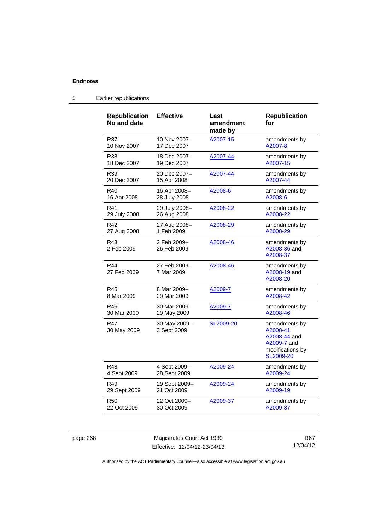| <b>Republication</b><br>No and date | <b>Effective</b>            | Last<br>amendment<br>made by | <b>Republication</b><br>for                                                                |
|-------------------------------------|-----------------------------|------------------------------|--------------------------------------------------------------------------------------------|
| R37                                 | 10 Nov 2007-                | A2007-15                     | amendments by                                                                              |
| 10 Nov 2007                         | 17 Dec 2007                 |                              | A2007-8                                                                                    |
| R38                                 | 18 Dec 2007-                | A2007-44                     | amendments by                                                                              |
| 18 Dec 2007                         | 19 Dec 2007                 |                              | A2007-15                                                                                   |
| R39                                 | 20 Dec 2007-                | A2007-44                     | amendments by                                                                              |
| 20 Dec 2007                         | 15 Apr 2008                 |                              | A2007-44                                                                                   |
| R40                                 | 16 Apr 2008-                | A2008-6                      | amendments by                                                                              |
| 16 Apr 2008                         | 28 July 2008                |                              | A2008-6                                                                                    |
| R41                                 | 29 July 2008-               | A2008-22                     | amendments by                                                                              |
| 29 July 2008                        | 26 Aug 2008                 |                              | A2008-22                                                                                   |
| R42                                 | 27 Aug 2008-                | A2008-29                     | amendments by                                                                              |
| 27 Aug 2008                         | 1 Feb 2009                  |                              | A2008-29                                                                                   |
| R43<br>2 Feb 2009                   | 2 Feb 2009-<br>26 Feb 2009  | A2008-46                     | amendments by<br>A2008-36 and<br>A2008-37                                                  |
| R44<br>27 Feb 2009                  | 27 Feb 2009-<br>7 Mar 2009  | A2008-46                     | amendments by<br>A2008-19 and<br>A2008-20                                                  |
| R45                                 | 8 Mar 2009-                 | A2009-7                      | amendments by                                                                              |
| 8 Mar 2009                          | 29 Mar 2009                 |                              | A2008-42                                                                                   |
| R46                                 | 30 Mar 2009-                | A2009-7                      | amendments by                                                                              |
| 30 Mar 2009                         | 29 May 2009                 |                              | A2008-46                                                                                   |
| R47<br>30 May 2009                  | 30 May 2009-<br>3 Sept 2009 | SL2009-20                    | amendments by<br>A2008-41.<br>A2008-44 and<br>A2009-7 and<br>modifications by<br>SL2009-20 |
| R48                                 | 4 Sept 2009-                | A2009-24                     | amendments by                                                                              |
| 4 Sept 2009                         | 28 Sept 2009                |                              | A2009-24                                                                                   |
| R49                                 | 29 Sept 2009-               | A2009-24                     | amendments by                                                                              |
| 29 Sept 2009                        | 21 Oct 2009                 |                              | A2009-19                                                                                   |
| <b>R50</b>                          | 22 Oct 2009-                | A2009-37                     | amendments by                                                                              |
| 22 Oct 2009                         | 30 Oct 2009                 |                              | A2009-37                                                                                   |
|                                     |                             |                              |                                                                                            |

# 5 Earlier republications

page 268 Magistrates Court Act 1930 Effective: 12/04/12-23/04/13

R67 12/04/12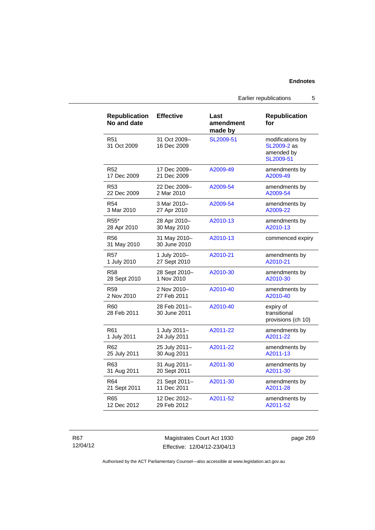Earlier republications 5

| <b>Republication</b><br>No and date | <b>Effective</b>             | Last<br>amendment<br>made by | <b>Republication</b><br>for                                |
|-------------------------------------|------------------------------|------------------------------|------------------------------------------------------------|
| R <sub>51</sub><br>31 Oct 2009      | 31 Oct 2009-<br>16 Dec 2009  | SL2009-51                    | modifications by<br>SL2009-2 as<br>amended by<br>SL2009-51 |
| R52                                 | 17 Dec 2009-                 | A2009-49                     | amendments by                                              |
| 17 Dec 2009                         | 21 Dec 2009                  |                              | A2009-49                                                   |
| R53                                 | 22 Dec 2009-                 | A2009-54                     | amendments by                                              |
| 22 Dec 2009                         | 2 Mar 2010                   |                              | A2009-54                                                   |
| R <sub>54</sub>                     | 3 Mar 2010-                  | A2009-54                     | amendments by                                              |
| 3 Mar 2010                          | 27 Apr 2010                  |                              | A2009-22                                                   |
| R55*                                | 28 Apr 2010-                 | A2010-13                     | amendments by                                              |
| 28 Apr 2010                         | 30 May 2010                  |                              | A2010-13                                                   |
| R56<br>31 May 2010                  | 31 May 2010-<br>30 June 2010 | A2010-13                     | commenced expiry                                           |
| <b>R57</b>                          | 1 July 2010-                 | A2010-21                     | amendments by                                              |
| 1 July 2010                         | 27 Sept 2010                 |                              | A2010-21                                                   |
| <b>R58</b>                          | 28 Sept 2010-                | A2010-30                     | amendments by                                              |
| 28 Sept 2010                        | 1 Nov 2010                   |                              | A2010-30                                                   |
| R <sub>59</sub>                     | 2 Nov 2010-                  | A2010-40                     | amendments by                                              |
| 2 Nov 2010                          | 27 Feb 2011                  |                              | A2010-40                                                   |
| R60<br>28 Feb 2011                  | 28 Feb 2011-<br>30 June 2011 | A2010-40                     | expiry of<br>transitional<br>provisions (ch 10)            |
| R61                                 | 1 July 2011-                 | A2011-22                     | amendments by                                              |
| 1 July 2011                         | 24 July 2011                 |                              | A2011-22                                                   |
| R62                                 | 25 July 2011-                | A2011-22                     | amendments by                                              |
| 25 July 2011                        | 30 Aug 2011                  |                              | A2011-13                                                   |
| R63                                 | 31 Aug 2011-                 | A2011-30                     | amendments by                                              |
| 31 Aug 2011                         | 20 Sept 2011                 |                              | A2011-30                                                   |
| R <sub>64</sub>                     | 21 Sept 2011-                | A2011-30                     | amendments by                                              |
| 21 Sept 2011                        | 11 Dec 2011                  |                              | A2011-28                                                   |
| R65                                 | 12 Dec 2012-                 | A2011-52                     | amendments by                                              |
| 12 Dec 2012                         | 29 Feb 2012                  |                              | A2011-52                                                   |

R67 12/04/12

Magistrates Court Act 1930 Effective: 12/04/12-23/04/13 page 269